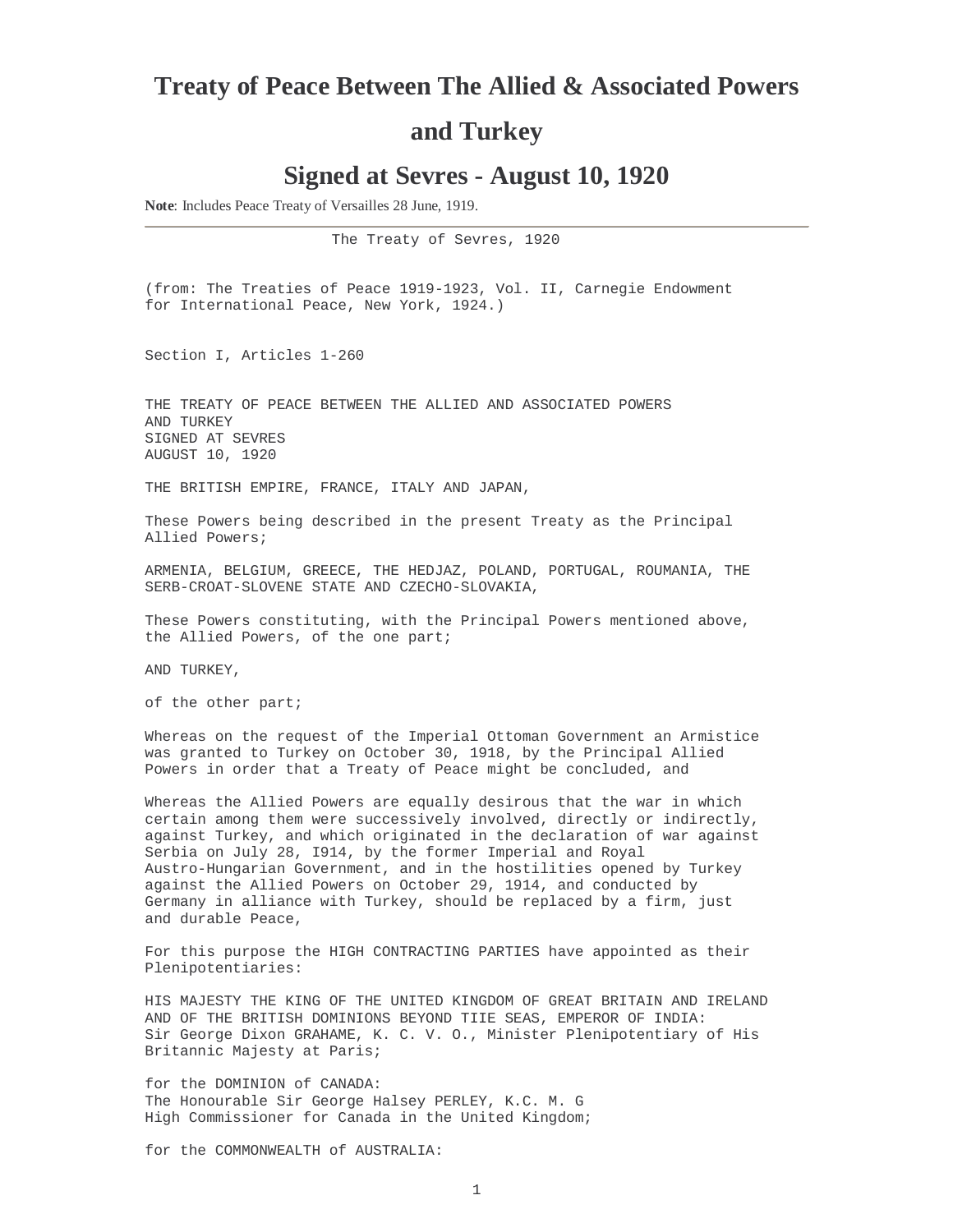# **Treaty of Peace Between The Allied & Associated Powers and Turkey**

# **Signed at Sevres - August 10, 1920**

**Note**: Includes Peace Treaty of Versailles 28 June, 1919.

The Treaty of Sevres, 1920

(from: The Treaties of Peace 1919-1923, Vol. II, Carnegie Endowment for International Peace, New York, 1924.)

Section I, Articles 1-260

THE TREATY OF PEACE BETWEEN THE ALLIED AND ASSOCIATED POWERS AND TURKEY SIGNED AT SEVRES AUGUST 10, 1920

THE BRITISH EMPIRE, FRANCE, ITALY AND JAPAN,

These Powers being described in the present Treaty as the Principal Allied Powers;

ARMENIA, BELGIUM, GREECE, THE HEDJAZ, POLAND, PORTUGAL, ROUMANIA, THE SERB-CROAT-SLOVENE STATE AND CZECHO-SLOVAKIA,

These Powers constituting, with the Principal Powers mentioned above, the Allied Powers, of the one part;

AND TURKEY,

of the other part;

Whereas on the request of the Imperial Ottoman Government an Armistice was granted to Turkey on October 30, 1918, by the Principal Allied Powers in order that a Treaty of Peace might be concluded, and

Whereas the Allied Powers are equally desirous that the war in which certain among them were successively involved, directly or indirectly, against Turkey, and which originated in the declaration of war against Serbia on July 28, I914, by the former Imperial and Royal Austro-Hungarian Government, and in the hostilities opened by Turkey against the Allied Powers on October 29, 1914, and conducted by Germany in alliance with Turkey, should be replaced by a firm, just and durable Peace,

For this purpose the HIGH CONTRACTING PARTIES have appointed as their Plenipotentiaries:

HIS MAJESTY THE KING OF THE UNITED KINGDOM OF GREAT BRITAIN AND IRELAND AND OF THE BRITISH DOMINIONS BEYOND TIIE SEAS, EMPEROR OF INDIA: Sir George Dixon GRAHAME, K. C. V. O., Minister Plenipotentiary of His Britannic Majesty at Paris;

for the DOMINION of CANADA: The Honourable Sir George Halsey PERLEY, K.C. M. G High Commissioner for Canada in the United Kingdom;

for the COMMONWEALTH of AUSTRALIA: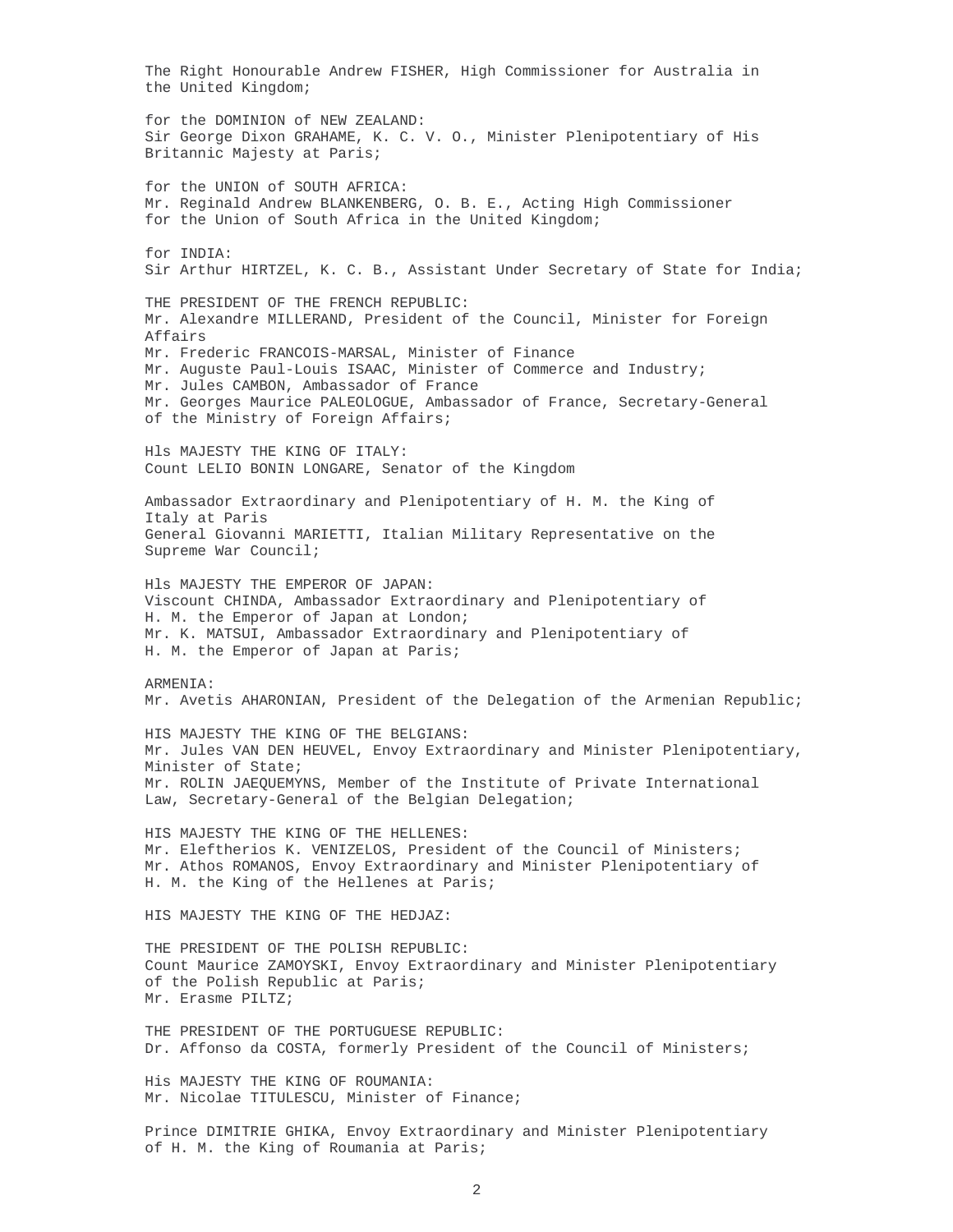The Right Honourable Andrew FISHER, High Commissioner for Australia in the United Kingdom; for the DOMINION of NEW ZEALAND: Sir George Dixon GRAHAME, K. C. V. O., Minister Plenipotentiary of His Britannic Majesty at Paris; for the UNION of SOUTH AFRICA: Mr. Reginald Andrew BLANKENBERG, O. B. E., Acting High Commissioner for the Union of South Africa in the United Kingdom; for INDIA: Sir Arthur HIRTZEL, K. C. B., Assistant Under Secretary of State for India; THE PRESIDENT OF THE FRENCH REPUBLIC: Mr. Alexandre MILLERAND, President of the Council, Minister for Foreign Affairs Mr. Frederic FRANCOIS-MARSAL, Minister of Finance Mr. Auguste Paul-Louis ISAAC, Minister of Commerce and Industry; Mr. Jules CAMBON, Ambassador of France Mr. Georges Maurice PALEOLOGUE, Ambassador of France, Secretary-General of the Ministry of Foreign Affairs; Hls MAJESTY THE KING OF ITALY: Count LELIO BONIN LONGARE, Senator of the Kingdom Ambassador Extraordinary and Plenipotentiary of H. M. the King of Italy at Paris General Giovanni MARIETTI, Italian Military Representative on the Supreme War Council; Hls MAJESTY THE EMPEROR OF JAPAN: Viscount CHINDA, Ambassador Extraordinary and Plenipotentiary of H. M. the Emperor of Japan at London; Mr. K. MATSUI, Ambassador Extraordinary and Plenipotentiary of H. M. the Emperor of Japan at Paris; ARMENIA: Mr. Avetis AHARONIAN, President of the Delegation of the Armenian Republic; HIS MAJESTY THE KING OF THE BELGIANS: Mr. Jules VAN DEN HEUVEL, Envoy Extraordinary and Minister Plenipotentiary, Minister of State; Mr. ROLIN JAEQUEMYNS, Member of the Institute of Private International Law, Secretary-General of the Belgian Delegation; HIS MAJESTY THE KING OF THE HELLENES: Mr. Eleftherios K. VENIZELOS, President of the Council of Ministers; Mr. Athos ROMANOS, Envoy Extraordinary and Minister Plenipotentiary of H. M. the King of the Hellenes at Paris; HIS MAJESTY THE KING OF THE HEDJAZ: THE PRESIDENT OF THE POLISH REPUBLIC: Count Maurice ZAMOYSKI, Envoy Extraordinary and Minister Plenipotentiary of the Polish Republic at Paris; Mr. Erasme PILTZ; THE PRESIDENT OF THE PORTUGUESE REPUBLIC: Dr. Affonso da COSTA, formerly President of the Council of Ministers; His MAJESTY THE KING OF ROUMANIA: Mr. Nicolae TITULESCU, Minister of Finance; Prince DIMITRIE GHIKA, Envoy Extraordinary and Minister Plenipotentiary of H. M. the King of Roumania at Paris;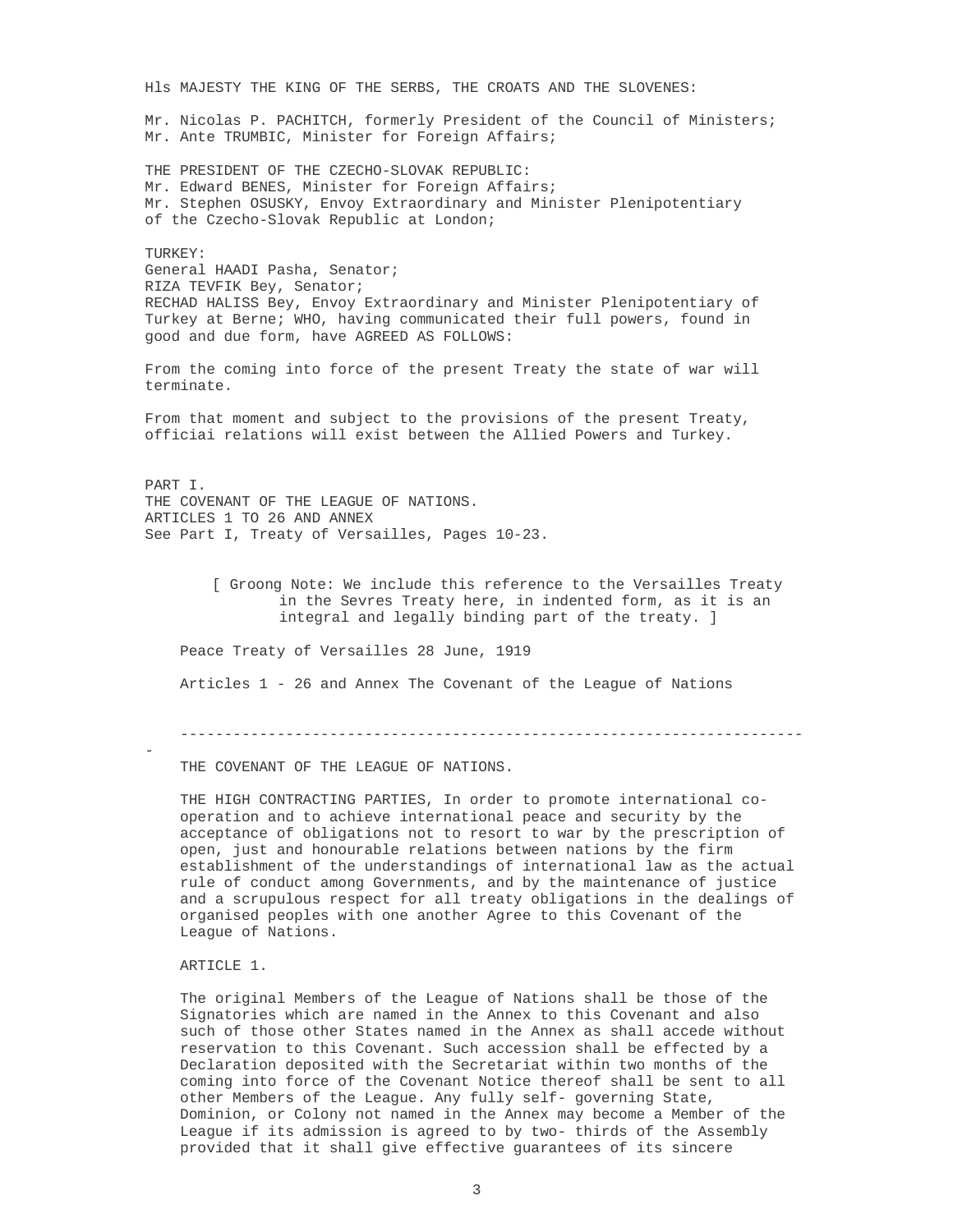Hls MAJESTY THE KING OF THE SERBS, THE CROATS AND THE SLOVENES:

Mr. Nicolas P. PACHITCH, formerly President of the Council of Ministers; Mr. Ante TRUMBIC, Minister for Foreign Affairs;

THE PRESIDENT OF THE CZECHO-SLOVAK REPUBLIC: Mr. Edward BENES, Minister for Foreign Affairs; Mr. Stephen OSUSKY, Envoy Extraordinary and Minister Plenipotentiary of the Czecho-Slovak Republic at London;

TURKEY: General HAADI Pasha, Senator; RIZA TEVFIK Bey, Senator; RECHAD HALISS Bey, Envoy Extraordinary and Minister Plenipotentiary of Turkey at Berne; WHO, having communicated their full powers, found in good and due form, have AGREED AS FOLLOWS:

From the coming into force of the present Treaty the state of war will terminate.

From that moment and subject to the provisions of the present Treaty, officiai relations will exist between the Allied Powers and Turkey.

PART I. THE COVENANT OF THE LEAGUE OF NATIONS. ARTICLES 1 TO 26 AND ANNEX See Part I, Treaty of Versailles, Pages 10-23.

> [ Groong Note: We include this reference to the Versailles Treaty in the Sevres Treaty here, in indented form, as it is an integral and legally binding part of the treaty. ]

Peace Treaty of Versailles 28 June, 1919

Articles 1 - 26 and Annex The Covenant of the League of Nations

-----------------------------------------------------------------------

THE COVENANT OF THE LEAGUE OF NATIONS.

 THE HIGH CONTRACTING PARTIES, In order to promote international co operation and to achieve international peace and security by the acceptance of obligations not to resort to war by the prescription of open, just and honourable relations between nations by the firm establishment of the understandings of international law as the actual rule of conduct among Governments, and by the maintenance of justice and a scrupulous respect for all treaty obligations in the dealings of organised peoples with one another Agree to this Covenant of the League of Nations.

# ARTICLE 1.

-

 The original Members of the League of Nations shall be those of the Signatories which are named in the Annex to this Covenant and also such of those other States named in the Annex as shall accede without reservation to this Covenant. Such accession shall be effected by a Declaration deposited with the Secretariat within two months of the coming into force of the Covenant Notice thereof shall be sent to all other Members of the League. Any fully self- governing State, Dominion, or Colony not named in the Annex may become a Member of the League if its admission is agreed to by two- thirds of the Assembly provided that it shall give effective guarantees of its sincere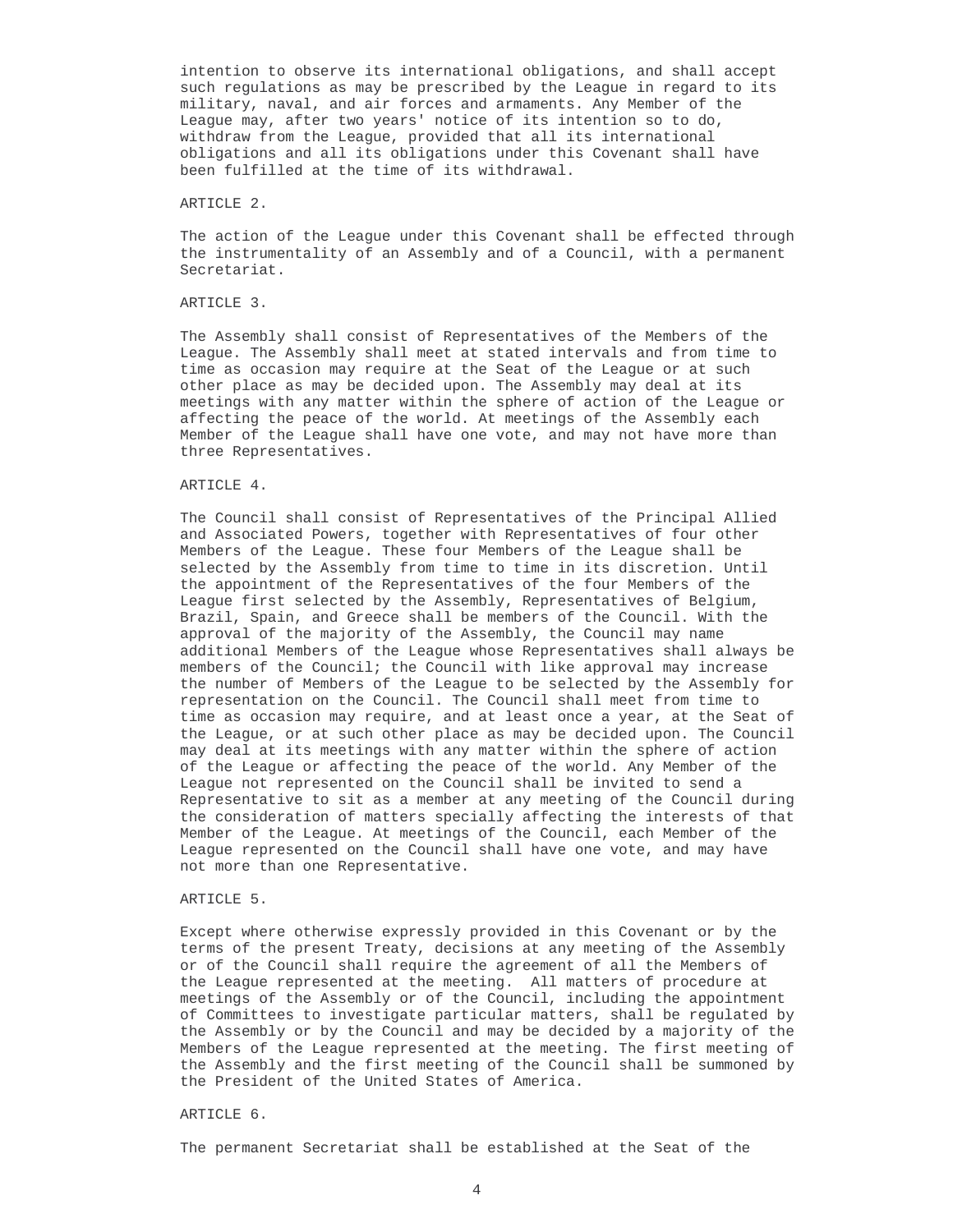intention to observe its international obligations, and shall accept such regulations as may be prescribed by the League in regard to its military, naval, and air forces and armaments. Any Member of the League may, after two years' notice of its intention so to do, withdraw from the League, provided that all its international obligations and all its obligations under this Covenant shall have been fulfilled at the time of its withdrawal.

#### ARTICLE 2.

 The action of the League under this Covenant shall be effected through the instrumentality of an Assembly and of a Council, with a permanent Secretariat.

#### ARTICLE 3.

 The Assembly shall consist of Representatives of the Members of the League. The Assembly shall meet at stated intervals and from time to time as occasion may require at the Seat of the League or at such other place as may be decided upon. The Assembly may deal at its meetings with any matter within the sphere of action of the League or affecting the peace of the world. At meetings of the Assembly each Member of the League shall have one vote, and may not have more than three Representatives.

# ARTICLE 4.

 The Council shall consist of Representatives of the Principal Allied and Associated Powers, together with Representatives of four other Members of the League. These four Members of the League shall be selected by the Assembly from time to time in its discretion. Until the appointment of the Representatives of the four Members of the League first selected by the Assembly, Representatives of Belgium, Brazil, Spain, and Greece shall be members of the Council. With the approval of the majority of the Assembly, the Council may name additional Members of the League whose Representatives shall always be members of the Council; the Council with like approval may increase the number of Members of the League to be selected by the Assembly for representation on the Council. The Council shall meet from time to time as occasion may require, and at least once a year, at the Seat of the League, or at such other place as may be decided upon. The Council may deal at its meetings with any matter within the sphere of action of the League or affecting the peace of the world. Any Member of the League not represented on the Council shall be invited to send a Representative to sit as a member at any meeting of the Council during the consideration of matters specially affecting the interests of that Member of the League. At meetings of the Council, each Member of the League represented on the Council shall have one vote, and may have not more than one Representative.

# ARTICLE 5.

 Except where otherwise expressly provided in this Covenant or by the terms of the present Treaty, decisions at any meeting of the Assembly or of the Council shall require the agreement of all the Members of the League represented at the meeting. All matters of procedure at meetings of the Assembly or of the Council, including the appointment of Committees to investigate particular matters, shall be regulated by the Assembly or by the Council and may be decided by a majority of the Members of the League represented at the meeting. The first meeting of the Assembly and the first meeting of the Council shall be summoned by the President of the United States of America.

#### ARTICLE 6.

The permanent Secretariat shall be established at the Seat of the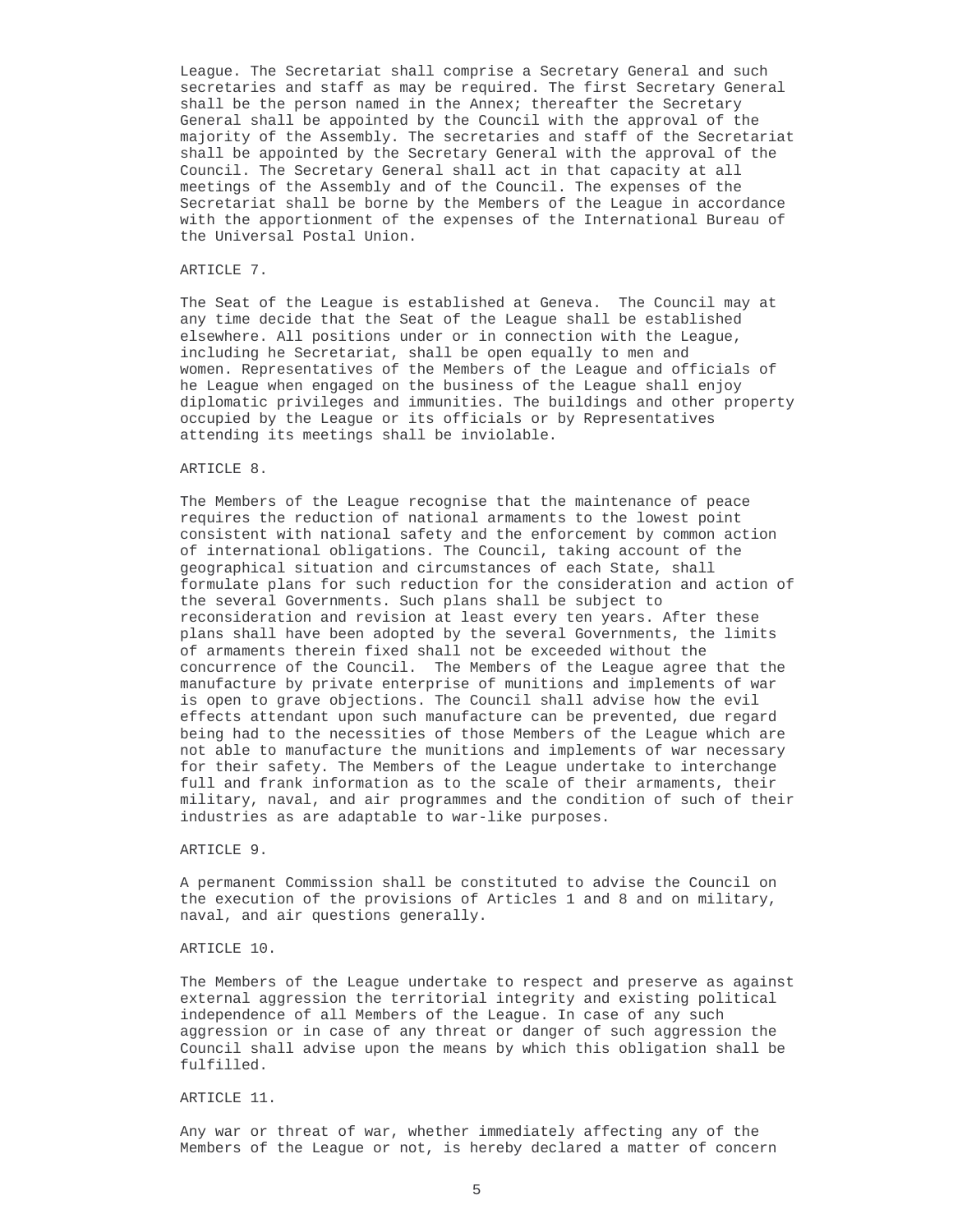League. The Secretariat shall comprise a Secretary General and such secretaries and staff as may be required. The first Secretary General shall be the person named in the Annex; thereafter the Secretary General shall be appointed by the Council with the approval of the majority of the Assembly. The secretaries and staff of the Secretariat shall be appointed by the Secretary General with the approval of the Council. The Secretary General shall act in that capacity at all meetings of the Assembly and of the Council. The expenses of the Secretariat shall be borne by the Members of the League in accordance with the apportionment of the expenses of the International Bureau of the Universal Postal Union.

#### ARTICLE 7.

 The Seat of the League is established at Geneva. The Council may at any time decide that the Seat of the League shall be established elsewhere. All positions under or in connection with the League, including he Secretariat, shall be open equally to men and women. Representatives of the Members of the League and officials of he League when engaged on the business of the League shall enjoy diplomatic privileges and immunities. The buildings and other property occupied by the League or its officials or by Representatives attending its meetings shall be inviolable.

# ARTICLE 8.

 The Members of the League recognise that the maintenance of peace requires the reduction of national armaments to the lowest point consistent with national safety and the enforcement by common action of international obligations. The Council, taking account of the geographical situation and circumstances of each State, shall formulate plans for such reduction for the consideration and action of the several Governments. Such plans shall be subject to reconsideration and revision at least every ten years. After these plans shall have been adopted by the several Governments, the limits of armaments therein fixed shall not be exceeded without the concurrence of the Council. The Members of the League agree that the manufacture by private enterprise of munitions and implements of war is open to grave objections. The Council shall advise how the evil effects attendant upon such manufacture can be prevented, due regard being had to the necessities of those Members of the League which are not able to manufacture the munitions and implements of war necessary for their safety. The Members of the League undertake to interchange full and frank information as to the scale of their armaments, their military, naval, and air programmes and the condition of such of their industries as are adaptable to war-like purposes.

#### ARTICLE 9.

 A permanent Commission shall be constituted to advise the Council on the execution of the provisions of Articles 1 and 8 and on military, naval, and air questions generally.

# ARTICLE 10.

 The Members of the League undertake to respect and preserve as against external aggression the territorial integrity and existing political independence of all Members of the League. In case of any such aggression or in case of any threat or danger of such aggression the Council shall advise upon the means by which this obligation shall be fulfilled.

#### ARTICLE 11.

 Any war or threat of war, whether immediately affecting any of the Members of the League or not, is hereby declared a matter of concern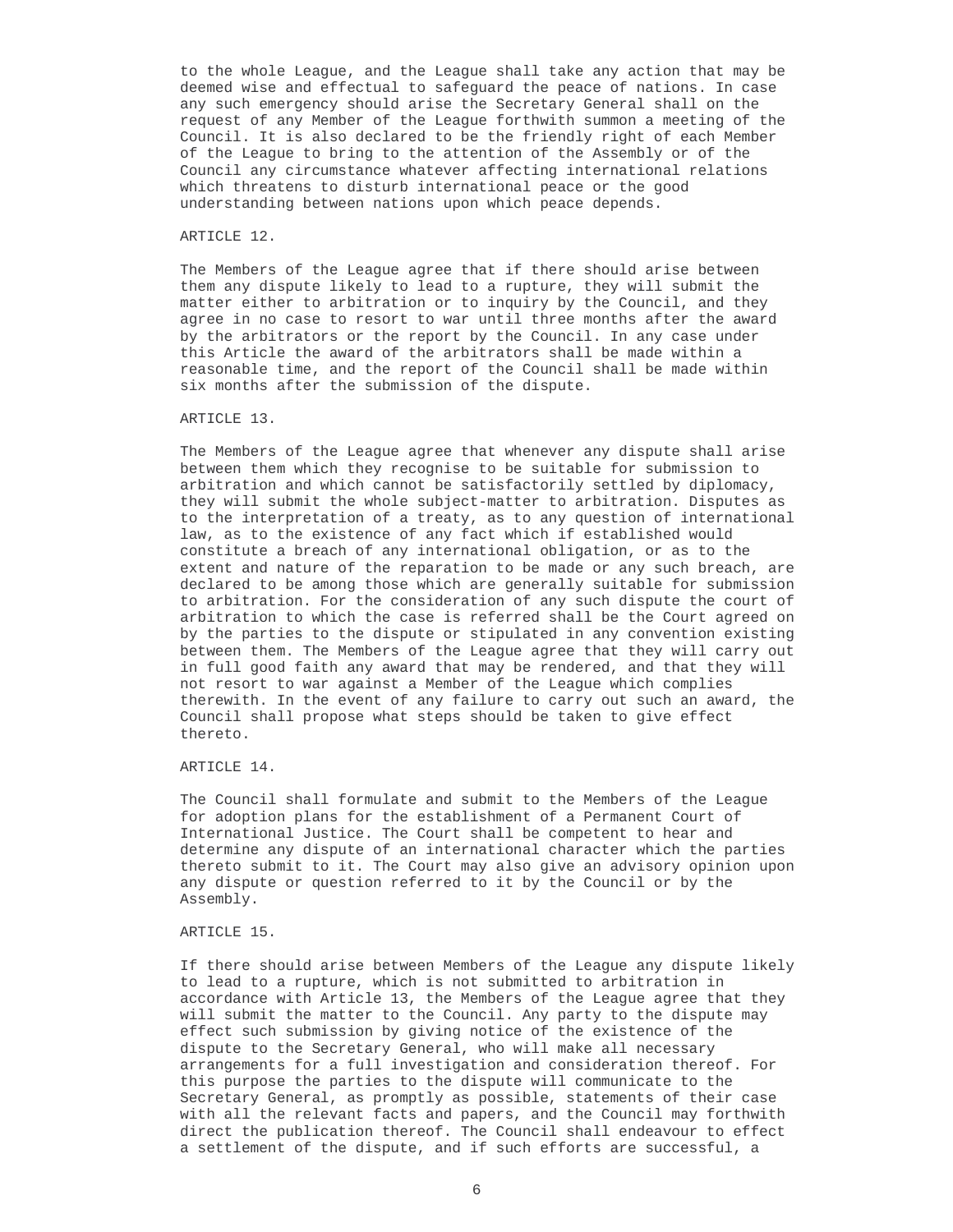to the whole League, and the League shall take any action that may be deemed wise and effectual to safeguard the peace of nations. In case any such emergency should arise the Secretary General shall on the request of any Member of the League forthwith summon a meeting of the Council. It is also declared to be the friendly right of each Member of the League to bring to the attention of the Assembly or of the Council any circumstance whatever affecting international relations which threatens to disturb international peace or the good understanding between nations upon which peace depends.

# ARTICLE 12.

 The Members of the League agree that if there should arise between them any dispute likely to lead to a rupture, they will submit the matter either to arbitration or to inquiry by the Council, and they agree in no case to resort to war until three months after the award by the arbitrators or the report by the Council. In any case under this Article the award of the arbitrators shall be made within a reasonable time, and the report of the Council shall be made within six months after the submission of the dispute.

# ARTICLE 13.

 The Members of the League agree that whenever any dispute shall arise between them which they recognise to be suitable for submission to arbitration and which cannot be satisfactorily settled by diplomacy, they will submit the whole subject-matter to arbitration. Disputes as to the interpretation of a treaty, as to any question of international law, as to the existence of any fact which if established would constitute a breach of any international obligation, or as to the extent and nature of the reparation to be made or any such breach, are declared to be among those which are generally suitable for submission to arbitration. For the consideration of any such dispute the court of arbitration to which the case is referred shall be the Court agreed on by the parties to the dispute or stipulated in any convention existing between them. The Members of the League agree that they will carry out in full good faith any award that may be rendered, and that they will not resort to war against a Member of the League which complies therewith. In the event of any failure to carry out such an award, the Council shall propose what steps should be taken to give effect thereto.

ARTICLE 14.

 The Council shall formulate and submit to the Members of the League for adoption plans for the establishment of a Permanent Court of International Justice. The Court shall be competent to hear and determine any dispute of an international character which the parties thereto submit to it. The Court may also give an advisory opinion upon any dispute or question referred to it by the Council or by the Assembly.

# ARTICLE 15.

 If there should arise between Members of the League any dispute likely to lead to a rupture, which is not submitted to arbitration in accordance with Article 13, the Members of the League agree that they will submit the matter to the Council. Any party to the dispute may effect such submission by giving notice of the existence of the dispute to the Secretary General, who will make all necessary arrangements for a full investigation and consideration thereof. For this purpose the parties to the dispute will communicate to the Secretary General, as promptly as possible, statements of their case with all the relevant facts and papers, and the Council may forthwith direct the publication thereof. The Council shall endeavour to effect a settlement of the dispute, and if such efforts are successful, a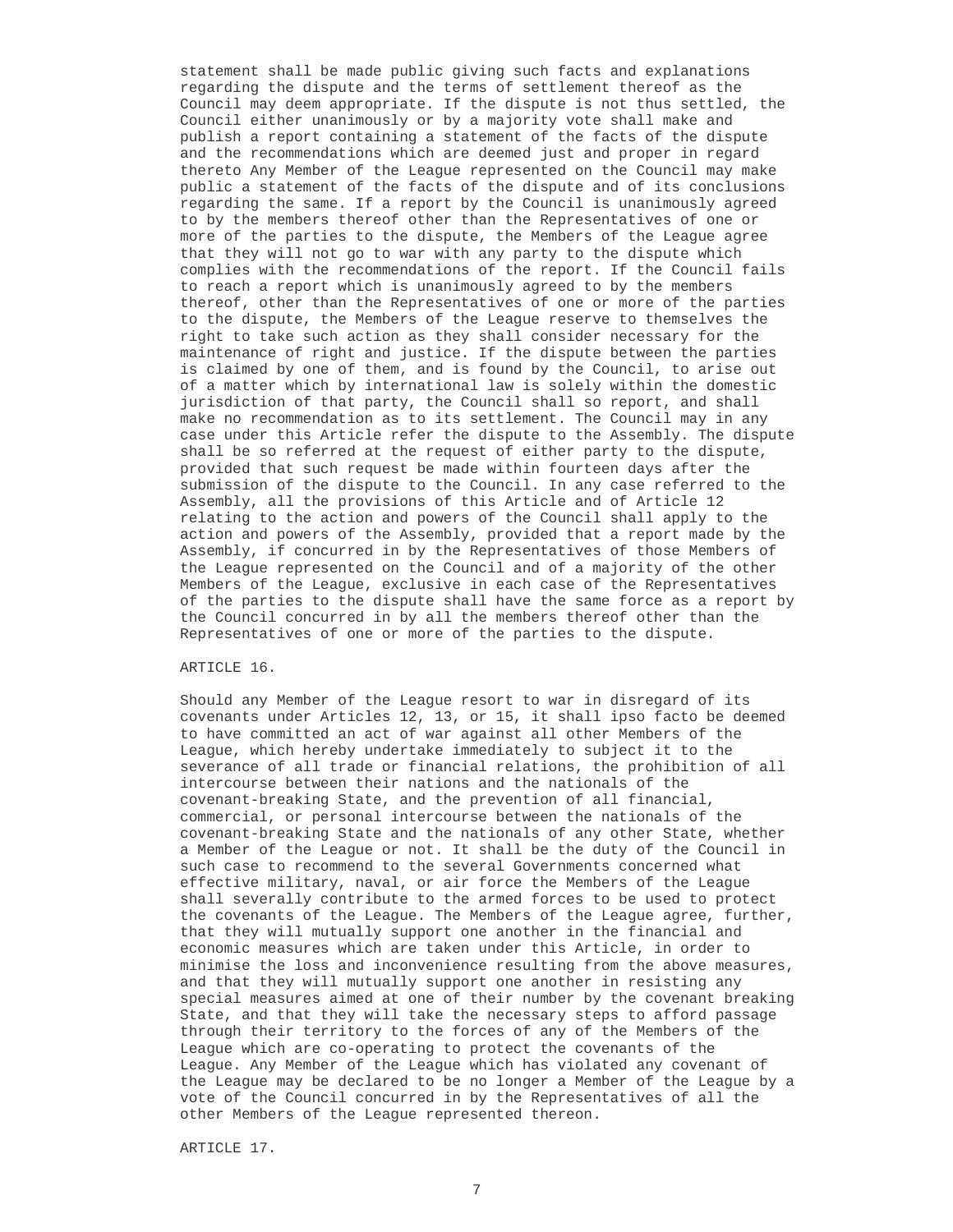statement shall be made public giving such facts and explanations regarding the dispute and the terms of settlement thereof as the Council may deem appropriate. If the dispute is not thus settled, the Council either unanimously or by a majority vote shall make and publish a report containing a statement of the facts of the dispute and the recommendations which are deemed just and proper in regard thereto Any Member of the League represented on the Council may make public a statement of the facts of the dispute and of its conclusions regarding the same. If a report by the Council is unanimously agreed to by the members thereof other than the Representatives of one or more of the parties to the dispute, the Members of the League agree that they will not go to war with any party to the dispute which complies with the recommendations of the report. If the Council fails to reach a report which is unanimously agreed to by the members thereof, other than the Representatives of one or more of the parties to the dispute, the Members of the League reserve to themselves the right to take such action as they shall consider necessary for the maintenance of right and justice. If the dispute between the parties is claimed by one of them, and is found by the Council, to arise out of a matter which by international law is solely within the domestic jurisdiction of that party, the Council shall so report, and shall make no recommendation as to its settlement. The Council may in any case under this Article refer the dispute to the Assembly. The dispute shall be so referred at the request of either party to the dispute, provided that such request be made within fourteen days after the submission of the dispute to the Council. In any case referred to the Assembly, all the provisions of this Article and of Article 12 relating to the action and powers of the Council shall apply to the action and powers of the Assembly, provided that a report made by the Assembly, if concurred in by the Representatives of those Members of the League represented on the Council and of a majority of the other Members of the League, exclusive in each case of the Representatives of the parties to the dispute shall have the same force as a report by the Council concurred in by all the members thereof other than the Representatives of one or more of the parties to the dispute.

# ARTICLE 16.

 Should any Member of the League resort to war in disregard of its covenants under Articles 12, 13, or 15, it shall ipso facto be deemed to have committed an act of war against all other Members of the League, which hereby undertake immediately to subject it to the severance of all trade or financial relations, the prohibition of all intercourse between their nations and the nationals of the covenant-breaking State, and the prevention of all financial, commercial, or personal intercourse between the nationals of the covenant-breaking State and the nationals of any other State, whether a Member of the League or not. It shall be the duty of the Council in such case to recommend to the several Governments concerned what effective military, naval, or air force the Members of the League shall severally contribute to the armed forces to be used to protect the covenants of the League. The Members of the League agree, further, that they will mutually support one another in the financial and economic measures which are taken under this Article, in order to minimise the loss and inconvenience resulting from the above measures, and that they will mutually support one another in resisting any special measures aimed at one of their number by the covenant breaking State, and that they will take the necessary steps to afford passage through their territory to the forces of any of the Members of the League which are co-operating to protect the covenants of the League. Any Member of the League which has violated any covenant of the League may be declared to be no longer a Member of the League by a vote of the Council concurred in by the Representatives of all the other Members of the League represented thereon.

ARTICLE 17.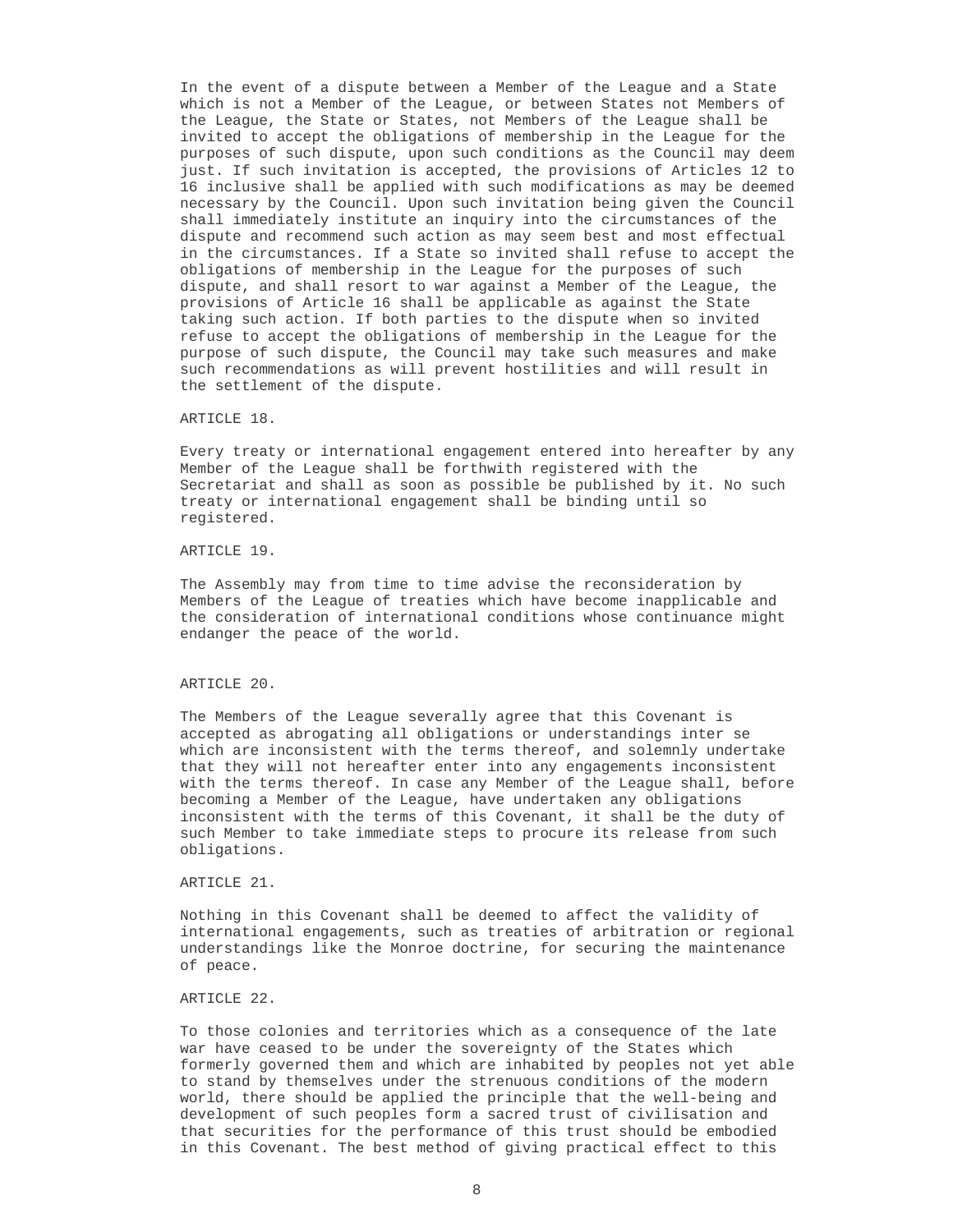In the event of a dispute between a Member of the League and a State which is not a Member of the League, or between States not Members of the League, the State or States, not Members of the League shall be invited to accept the obligations of membership in the League for the purposes of such dispute, upon such conditions as the Council may deem just. If such invitation is accepted, the provisions of Articles 12 to 16 inclusive shall be applied with such modifications as may be deemed necessary by the Council. Upon such invitation being given the Council shall immediately institute an inquiry into the circumstances of the dispute and recommend such action as may seem best and most effectual in the circumstances. If a State so invited shall refuse to accept the obligations of membership in the League for the purposes of such dispute, and shall resort to war against a Member of the League, the provisions of Article 16 shall be applicable as against the State taking such action. If both parties to the dispute when so invited refuse to accept the obligations of membership in the League for the purpose of such dispute, the Council may take such measures and make such recommendations as will prevent hostilities and will result in the settlement of the dispute.

#### ARTICLE 18.

 Every treaty or international engagement entered into hereafter by any Member of the League shall be forthwith registered with the Secretariat and shall as soon as possible be published by it. No such treaty or international engagement shall be binding until so registered.

# ARTICLE 19.

 The Assembly may from time to time advise the reconsideration by Members of the League of treaties which have become inapplicable and the consideration of international conditions whose continuance might endanger the peace of the world.

#### ARTICLE 20.

 The Members of the League severally agree that this Covenant is accepted as abrogating all obligations or understandings inter se which are inconsistent with the terms thereof, and solemnly undertake that they will not hereafter enter into any engagements inconsistent with the terms thereof. In case any Member of the League shall, before becoming a Member of the League, have undertaken any obligations inconsistent with the terms of this Covenant, it shall be the duty of such Member to take immediate steps to procure its release from such obligations.

# ARTICLE 21.

 Nothing in this Covenant shall be deemed to affect the validity of international engagements, such as treaties of arbitration or regional understandings like the Monroe doctrine, for securing the maintenance of peace.

# ARTICLE 22.

 To those colonies and territories which as a consequence of the late war have ceased to be under the sovereignty of the States which formerly governed them and which are inhabited by peoples not yet able to stand by themselves under the strenuous conditions of the modern world, there should be applied the principle that the well-being and development of such peoples form a sacred trust of civilisation and that securities for the performance of this trust should be embodied in this Covenant. The best method of giving practical effect to this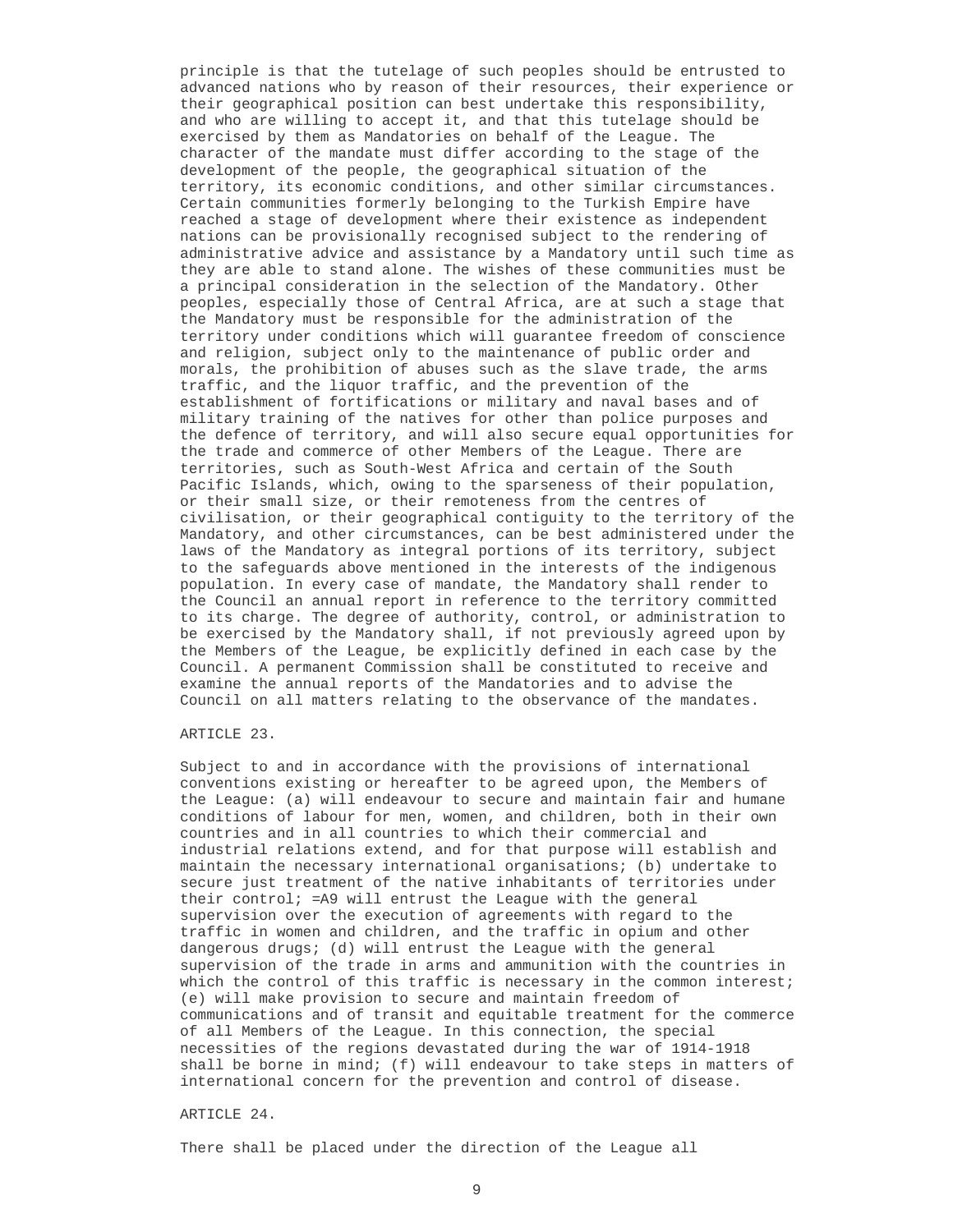principle is that the tutelage of such peoples should be entrusted to advanced nations who by reason of their resources, their experience or their geographical position can best undertake this responsibility, and who are willing to accept it, and that this tutelage should be exercised by them as Mandatories on behalf of the League. The character of the mandate must differ according to the stage of the development of the people, the geographical situation of the territory, its economic conditions, and other similar circumstances. Certain communities formerly belonging to the Turkish Empire have reached a stage of development where their existence as independent nations can be provisionally recognised subject to the rendering of administrative advice and assistance by a Mandatory until such time as they are able to stand alone. The wishes of these communities must be a principal consideration in the selection of the Mandatory. Other peoples, especially those of Central Africa, are at such a stage that the Mandatory must be responsible for the administration of the territory under conditions which will guarantee freedom of conscience and religion, subject only to the maintenance of public order and morals, the prohibition of abuses such as the slave trade, the arms traffic, and the liquor traffic, and the prevention of the establishment of fortifications or military and naval bases and of military training of the natives for other than police purposes and the defence of territory, and will also secure equal opportunities for the trade and commerce of other Members of the League. There are territories, such as South-West Africa and certain of the South Pacific Islands, which, owing to the sparseness of their population, or their small size, or their remoteness from the centres of civilisation, or their geographical contiguity to the territory of the Mandatory, and other circumstances, can be best administered under the laws of the Mandatory as integral portions of its territory, subject to the safeguards above mentioned in the interests of the indigenous population. In every case of mandate, the Mandatory shall render to the Council an annual report in reference to the territory committed to its charge. The degree of authority, control, or administration to be exercised by the Mandatory shall, if not previously agreed upon by the Members of the League, be explicitly defined in each case by the Council. A permanent Commission shall be constituted to receive and examine the annual reports of the Mandatories and to advise the Council on all matters relating to the observance of the mandates.

ARTICLE 23.

 Subject to and in accordance with the provisions of international conventions existing or hereafter to be agreed upon, the Members of the League: (a) will endeavour to secure and maintain fair and humane conditions of labour for men, women, and children, both in their own countries and in all countries to which their commercial and industrial relations extend, and for that purpose will establish and maintain the necessary international organisations; (b) undertake to secure just treatment of the native inhabitants of territories under their control; =A9 will entrust the League with the general supervision over the execution of agreements with regard to the traffic in women and children, and the traffic in opium and other dangerous drugs; (d) will entrust the League with the general supervision of the trade in arms and ammunition with the countries in which the control of this traffic is necessary in the common interest; (e) will make provision to secure and maintain freedom of communications and of transit and equitable treatment for the commerce of all Members of the League. In this connection, the special necessities of the regions devastated during the war of 1914-1918 shall be borne in mind; (f) will endeavour to take steps in matters of international concern for the prevention and control of disease.

# ARTICLE 24.

There shall be placed under the direction of the League all

9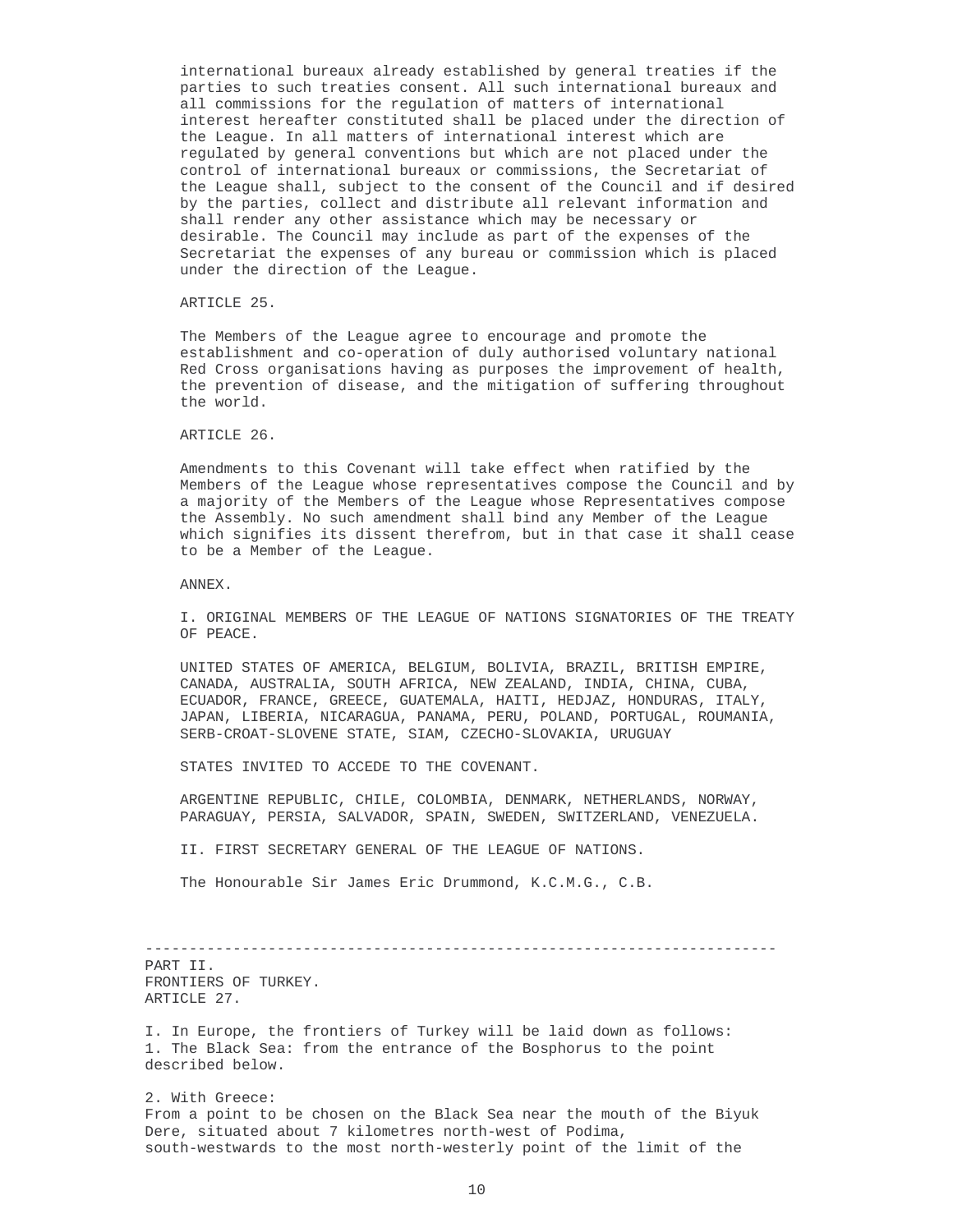international bureaux already established by general treaties if the parties to such treaties consent. All such international bureaux and all commissions for the regulation of matters of international interest hereafter constituted shall be placed under the direction of the League. In all matters of international interest which are regulated by general conventions but which are not placed under the control of international bureaux or commissions, the Secretariat of the League shall, subject to the consent of the Council and if desired by the parties, collect and distribute all relevant information and shall render any other assistance which may be necessary or desirable. The Council may include as part of the expenses of the Secretariat the expenses of any bureau or commission which is placed under the direction of the League.

ARTICLE 25.

 The Members of the League agree to encourage and promote the establishment and co-operation of duly authorised voluntary national Red Cross organisations having as purposes the improvement of health, the prevention of disease, and the mitigation of suffering throughout the world.

ARTICLE 26.

 Amendments to this Covenant will take effect when ratified by the Members of the League whose representatives compose the Council and by a majority of the Members of the League whose Representatives compose the Assembly. No such amendment shall bind any Member of the League which signifies its dissent therefrom, but in that case it shall cease to be a Member of the League.

ANNEX.

 I. ORIGINAL MEMBERS OF THE LEAGUE OF NATIONS SIGNATORIES OF THE TREATY OF PEACE.

 UNITED STATES OF AMERICA, BELGIUM, BOLIVIA, BRAZIL, BRITISH EMPIRE, CANADA, AUSTRALIA, SOUTH AFRICA, NEW ZEALAND, INDIA, CHINA, CUBA, ECUADOR, FRANCE, GREECE, GUATEMALA, HAITI, HEDJAZ, HONDURAS, ITALY, JAPAN, LIBERIA, NICARAGUA, PANAMA, PERU, POLAND, PORTUGAL, ROUMANIA, SERB-CROAT-SLOVENE STATE, SIAM, CZECHO-SLOVAKIA, URUGUAY

STATES INVITED TO ACCEDE TO THE COVENANT.

 ARGENTINE REPUBLIC, CHILE, COLOMBIA, DENMARK, NETHERLANDS, NORWAY, PARAGUAY, PERSIA, SALVADOR, SPAIN, SWEDEN, SWITZERLAND, VENEZUELA.

II. FIRST SECRETARY GENERAL OF THE LEAGUE OF NATIONS.

The Honourable Sir James Eric Drummond, K.C.M.G., C.B.

------------------------------------------------------------------------

PART II. FRONTIERS OF TURKEY. ARTICLE 27.

I. In Europe, the frontiers of Turkey will be laid down as follows: 1. The Black Sea: from the entrance of the Bosphorus to the point described below.

2. With Greece: From a point to be chosen on the Black Sea near the mouth of the Biyuk Dere, situated about 7 kilometres north-west of Podima, south-westwards to the most north-westerly point of the limit of the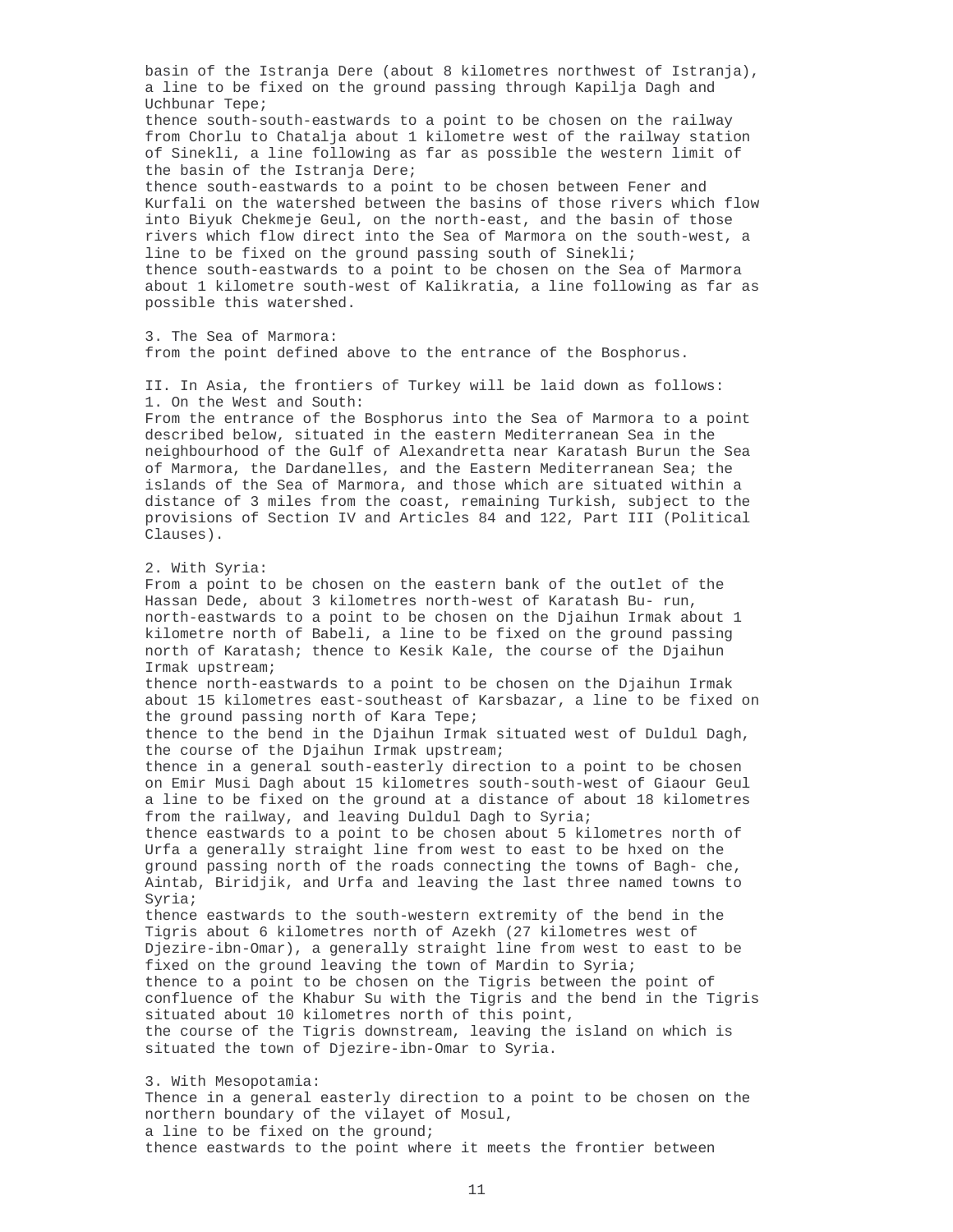basin of the Istranja Dere (about 8 kilometres northwest of Istranja), a line to be fixed on the ground passing through Kapilja Dagh and Uchbunar Tepe; thence south-south-eastwards to a point to be chosen on the railway from Chorlu to Chatalja about 1 kilometre west of the railway station of Sinekli, a line following as far as possible the western limit of the basin of the Istranja Dere; thence south-eastwards to a point to be chosen between Fener and Kurfali on the watershed between the basins of those rivers which flow into Biyuk Chekmeje Geul, on the north-east, and the basin of those rivers which flow direct into the Sea of Marmora on the south-west, a line to be fixed on the ground passing south of Sinekli; thence south-eastwards to a point to be chosen on the Sea of Marmora about 1 kilometre south-west of Kalikratia, a line following as far as possible this watershed.

3. The Sea of Marmora: from the point defined above to the entrance of the Bosphorus.

II. In Asia, the frontiers of Turkey will be laid down as follows: 1. On the West and South:

From the entrance of the Bosphorus into the Sea of Marmora to a point described below, situated in the eastern Mediterranean Sea in the neighbourhood of the Gulf of Alexandretta near Karatash Burun the Sea of Marmora, the Dardanelles, and the Eastern Mediterranean Sea; the islands of the Sea of Marmora, and those which are situated within a distance of 3 miles from the coast, remaining Turkish, subject to the provisions of Section IV and Articles 84 and 122, Part III (Political Clauses).

2. With Syria:

From a point to be chosen on the eastern bank of the outlet of the Hassan Dede, about 3 kilometres north-west of Karatash Bu- run, north-eastwards to a point to be chosen on the Djaihun Irmak about 1 kilometre north of Babeli, a line to be fixed on the ground passing north of Karatash; thence to Kesik Kale, the course of the Djaihun Irmak upstream; thence north-eastwards to a point to be chosen on the Djaihun Irmak about 15 kilometres east-southeast of Karsbazar, a line to be fixed on the ground passing north of Kara Tepe; thence to the bend in the Djaihun Irmak situated west of Duldul Dagh, the course of the Djaihun Irmak upstream; thence in a general south-easterly direction to a point to be chosen on Emir Musi Dagh about 15 kilometres south-south-west of Giaour Geul a line to be fixed on the ground at a distance of about 18 kilometres from the railway, and leaving Duldul Dagh to Syria; thence eastwards to a point to be chosen about 5 kilometres north of Urfa a generally straight line from west to east to be hxed on the ground passing north of the roads connecting the towns of Bagh- che, Aintab, Biridjik, and Urfa and leaving the last three named towns to Syria; thence eastwards to the south-western extremity of the bend in the Tigris about 6 kilometres north of Azekh (27 kilometres west of Djezire-ibn-Omar), a generally straight line from west to east to be fixed on the ground leaving the town of Mardin to Syria; thence to a point to be chosen on the Tigris between the point of confluence of the Khabur Su with the Tigris and the bend in the Tigris situated about 10 kilometres north of this point, the course of the Tigris downstream, leaving the island on which is situated the town of Djezire-ibn-Omar to Syria.

3. With Mesopotamia:

Thence in a general easterly direction to a point to be chosen on the northern boundary of the vilayet of Mosul, a line to be fixed on the ground;

thence eastwards to the point where it meets the frontier between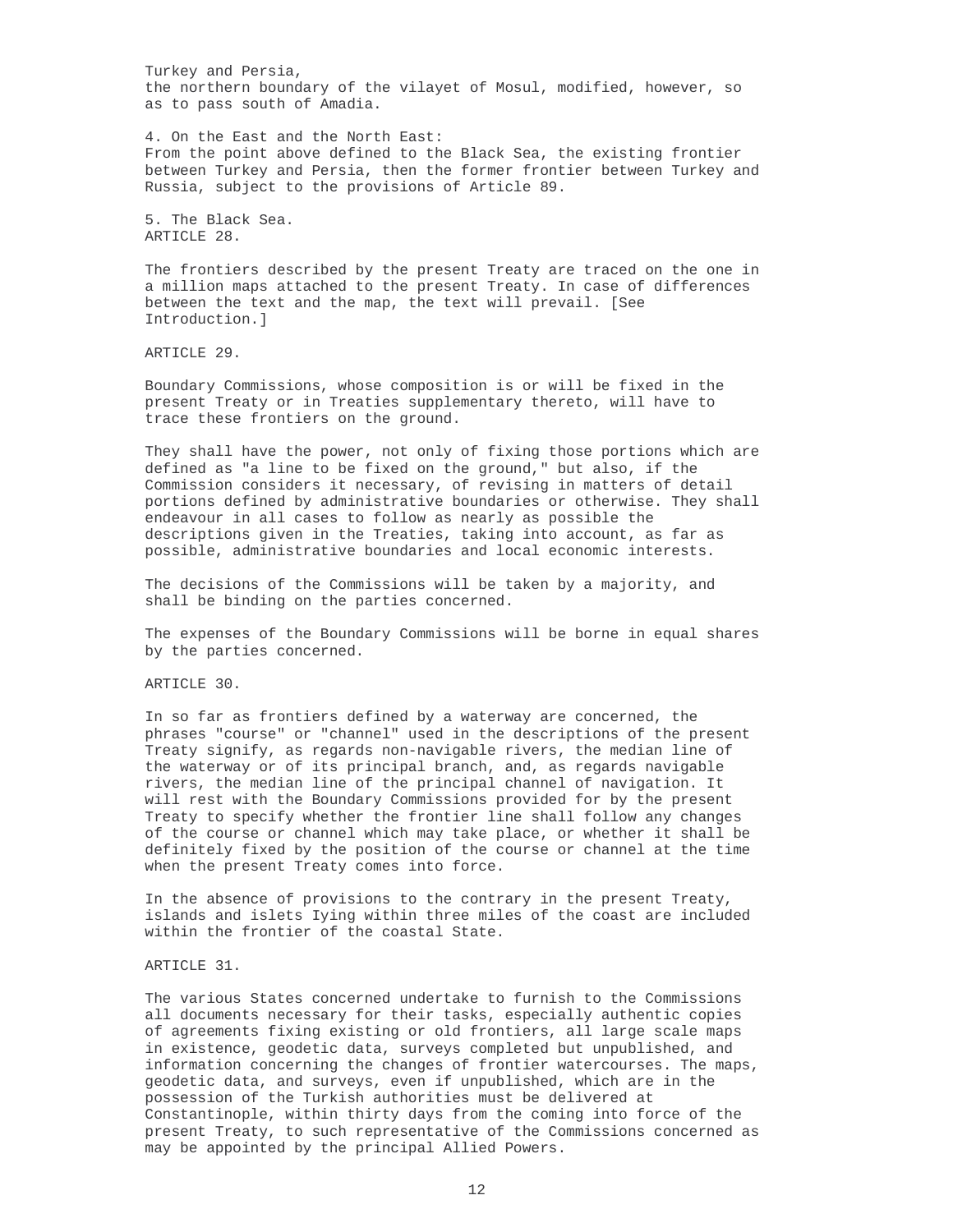Turkey and Persia, the northern boundary of the vilayet of Mosul, modified, however, so as to pass south of Amadia.

4. On the East and the North East: From the point above defined to the Black Sea, the existing frontier between Turkey and Persia, then the former frontier between Turkey and Russia, subject to the provisions of Article 89.

5. The Black Sea. ARTICLE 28.

The frontiers described by the present Treaty are traced on the one in a million maps attached to the present Treaty. In case of differences between the text and the map, the text will prevail. [See Introduction.]

ARTICLE 29.

Boundary Commissions, whose composition is or will be fixed in the present Treaty or in Treaties supplementary thereto, will have to trace these frontiers on the ground.

They shall have the power, not only of fixing those portions which are defined as "a line to be fixed on the ground," but also, if the Commission considers it necessary, of revising in matters of detail portions defined by administrative boundaries or otherwise. They shall endeavour in all cases to follow as nearly as possible the descriptions given in the Treaties, taking into account, as far as possible, administrative boundaries and local economic interests.

The decisions of the Commissions will be taken by a majority, and shall be binding on the parties concerned.

The expenses of the Boundary Commissions will be borne in equal shares by the parties concerned.

ARTICLE 30.

In so far as frontiers defined by a waterway are concerned, the phrases "course" or "channel" used in the descriptions of the present Treaty signify, as regards non-navigable rivers, the median line of the waterway or of its principal branch, and, as regards navigable rivers, the median line of the principal channel of navigation. It will rest with the Boundary Commissions provided for by the present Treaty to specify whether the frontier line shall follow any changes of the course or channel which may take place, or whether it shall be definitely fixed by the position of the course or channel at the time when the present Treaty comes into force.

In the absence of provisions to the contrary in the present Treaty, islands and islets Iying within three miles of the coast are included within the frontier of the coastal State.

ARTICLE 31.

The various States concerned undertake to furnish to the Commissions all documents necessary for their tasks, especially authentic copies of agreements fixing existing or old frontiers, all large scale maps in existence, geodetic data, surveys completed but unpublished, and information concerning the changes of frontier watercourses. The maps, geodetic data, and surveys, even if unpublished, which are in the possession of the Turkish authorities must be delivered at Constantinople, within thirty days from the coming into force of the present Treaty, to such representative of the Commissions concerned as may be appointed by the principal Allied Powers.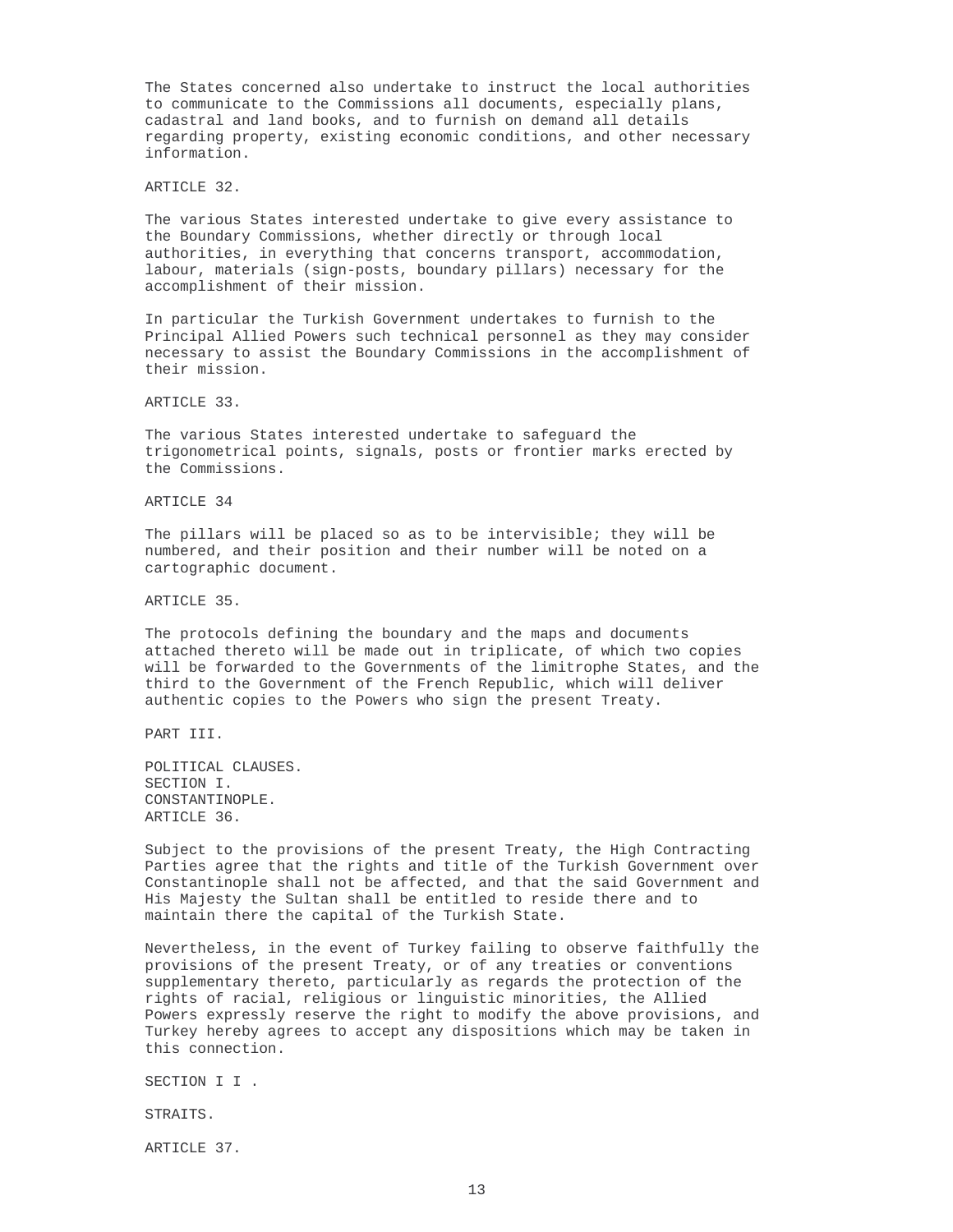The States concerned also undertake to instruct the local authorities to communicate to the Commissions all documents, especially plans, cadastral and land books, and to furnish on demand all details regarding property, existing economic conditions, and other necessary information.

ARTICLE 32.

The various States interested undertake to give every assistance to the Boundary Commissions, whether directly or through local authorities, in everything that concerns transport, accommodation, labour, materials (sign-posts, boundary pillars) necessary for the accomplishment of their mission.

In particular the Turkish Government undertakes to furnish to the Principal Allied Powers such technical personnel as they may consider necessary to assist the Boundary Commissions in the accomplishment of their mission.

ARTICLE 33.

The various States interested undertake to safeguard the trigonometrical points, signals, posts or frontier marks erected by the Commissions.

# ARTICLE 34

The pillars will be placed so as to be intervisible; they will be numbered, and their position and their number will be noted on a cartographic document.

ARTICLE 35.

The protocols defining the boundary and the maps and documents attached thereto will be made out in triplicate, of which two copies will be forwarded to the Governments of the limitrophe States, and the third to the Government of the French Republic, which will deliver authentic copies to the Powers who sign the present Treaty.

PART III.

POLITICAL CLAUSES. SECTION I. CONSTANTINOPLE. ARTICLE 36.

Subject to the provisions of the present Treaty, the High Contracting Parties agree that the rights and title of the Turkish Government over Constantinople shall not be affected, and that the said Government and His Majesty the Sultan shall be entitled to reside there and to maintain there the capital of the Turkish State.

Nevertheless, in the event of Turkey failing to observe faithfully the provisions of the present Treaty, or of any treaties or conventions supplementary thereto, particularly as regards the protection of the rights of racial, religious or linguistic minorities, the Allied Powers expressly reserve the right to modify the above provisions, and Turkey hereby agrees to accept any dispositions which may be taken in this connection.

SECTION I I .

STRAITS.

ARTICLE 37.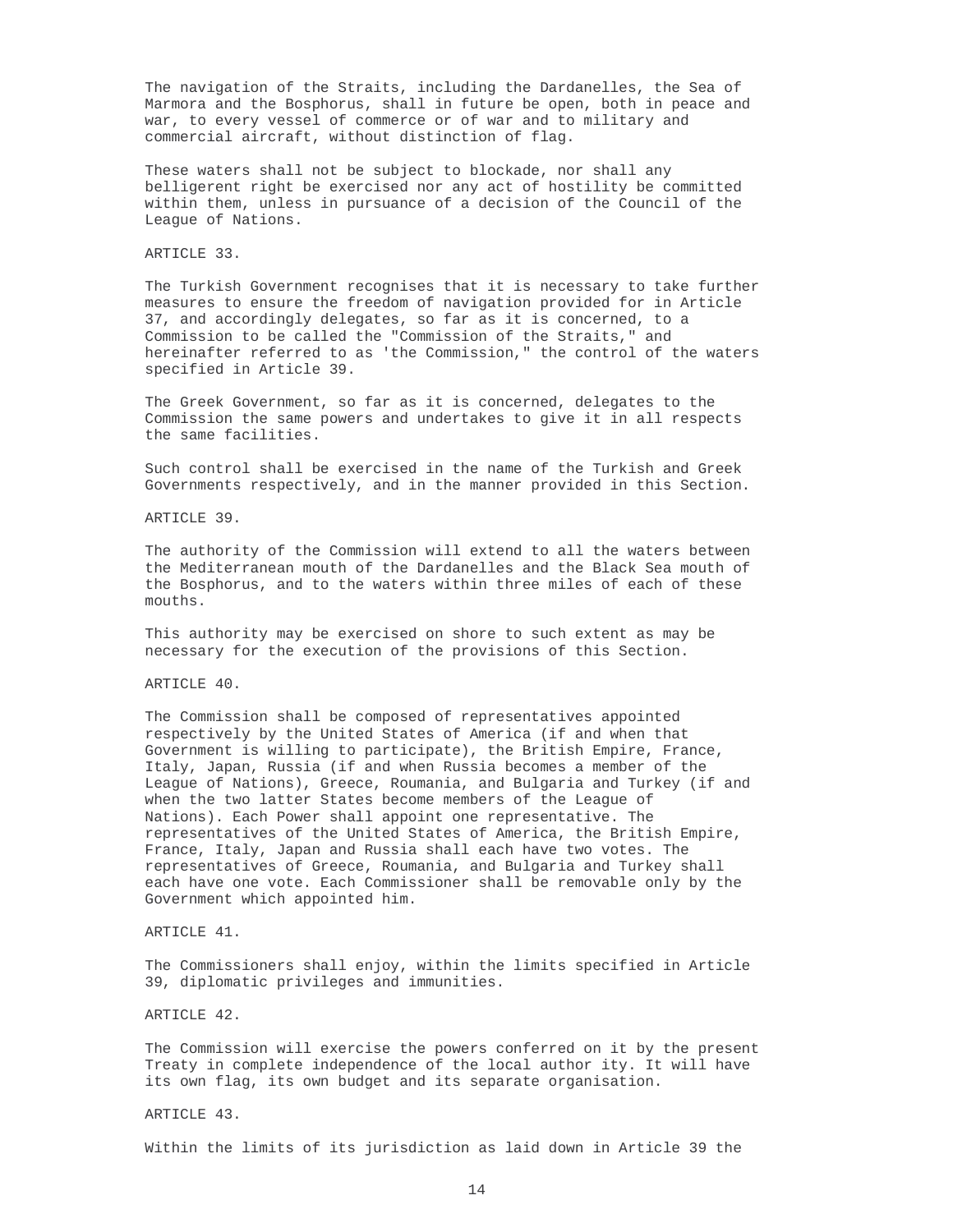The navigation of the Straits, including the Dardanelles, the Sea of Marmora and the Bosphorus, shall in future be open, both in peace and war, to every vessel of commerce or of war and to military and commercial aircraft, without distinction of flag.

These waters shall not be subject to blockade, nor shall any belligerent right be exercised nor any act of hostility be committed within them, unless in pursuance of a decision of the Council of the League of Nations.

#### ARTICLE 33.

The Turkish Government recognises that it is necessary to take further measures to ensure the freedom of navigation provided for in Article 37, and accordingly delegates, so far as it is concerned, to a Commission to be called the "Commission of the Straits," and hereinafter referred to as 'the Commission," the control of the waters specified in Article 39.

The Greek Government, so far as it is concerned, delegates to the Commission the same powers and undertakes to give it in all respects the same facilities.

Such control shall be exercised in the name of the Turkish and Greek Governments respectively, and in the manner provided in this Section.

ARTICLE 39.

The authority of the Commission will extend to all the waters between the Mediterranean mouth of the Dardanelles and the Black Sea mouth of the Bosphorus, and to the waters within three miles of each of these mouths.

This authority may be exercised on shore to such extent as may be necessary for the execution of the provisions of this Section.

ARTICLE 40.

The Commission shall be composed of representatives appointed respectively by the United States of America (if and when that Government is willing to participate), the British Empire, France, Italy, Japan, Russia (if and when Russia becomes a member of the League of Nations), Greece, Roumania, and Bulgaria and Turkey (if and when the two latter States become members of the League of Nations). Each Power shall appoint one representative. The representatives of the United States of America, the British Empire, France, Italy, Japan and Russia shall each have two votes. The representatives of Greece, Roumania, and Bulgaria and Turkey shall each have one vote. Each Commissioner shall be removable only by the Government which appointed him.

ARTICLE 41.

The Commissioners shall enjoy, within the limits specified in Article 39, diplomatic privileges and immunities.

ARTICLE 42.

The Commission will exercise the powers conferred on it by the present Treaty in complete independence of the local author ity. It will have its own flag, its own budget and its separate organisation.

ARTICLE 43.

Within the limits of its jurisdiction as laid down in Article 39 the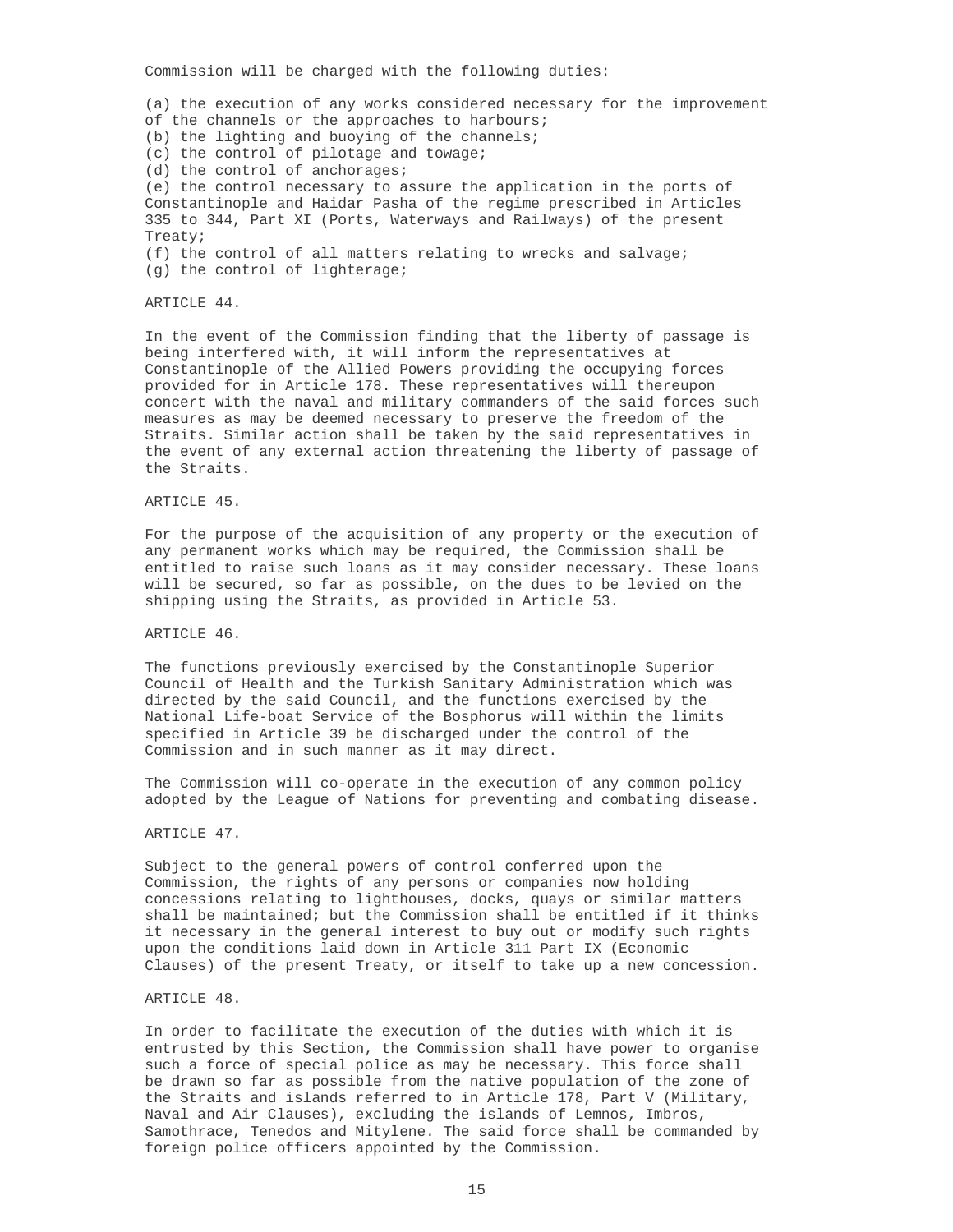Commission will be charged with the following duties:

(a) the execution of any works considered necessary for the improvement of the channels or the approaches to harbours; (b) the lighting and buoying of the channels; (c) the control of pilotage and towage; (d) the control of anchorages; (e) the control necessary to assure the application in the ports of Constantinople and Haidar Pasha of the regime prescribed in Articles 335 to 344, Part XI (Ports, Waterways and Railways) of the present Treaty; (f) the control of all matters relating to wrecks and salvage; (g) the control of lighterage;

#### ARTICLE 44.

In the event of the Commission finding that the liberty of passage is being interfered with, it will inform the representatives at Constantinople of the Allied Powers providing the occupying forces provided for in Article 178. These representatives will thereupon concert with the naval and military commanders of the said forces such measures as may be deemed necessary to preserve the freedom of the Straits. Similar action shall be taken by the said representatives in the event of any external action threatening the liberty of passage of the Straits.

#### ARTICLE 45.

For the purpose of the acquisition of any property or the execution of any permanent works which may be required, the Commission shall be entitled to raise such loans as it may consider necessary. These loans will be secured, so far as possible, on the dues to be levied on the shipping using the Straits, as provided in Article 53.

# ARTICLE 46.

The functions previously exercised by the Constantinople Superior Council of Health and the Turkish Sanitary Administration which was directed by the said Council, and the functions exercised by the National Life-boat Service of the Bosphorus will within the limits specified in Article 39 be discharged under the control of the Commission and in such manner as it may direct.

The Commission will co-operate in the execution of any common policy adopted by the League of Nations for preventing and combating disease.

#### ARTICLE 47.

Subject to the general powers of control conferred upon the Commission, the rights of any persons or companies now holding concessions relating to lighthouses, docks, quays or similar matters shall be maintained; but the Commission shall be entitled if it thinks it necessary in the general interest to buy out or modify such rights upon the conditions laid down in Article 311 Part IX (Economic Clauses) of the present Treaty, or itself to take up a new concession.

#### ARTICLE 48.

In order to facilitate the execution of the duties with which it is entrusted by this Section, the Commission shall have power to organise such a force of special police as may be necessary. This force shall be drawn so far as possible from the native population of the zone of the Straits and islands referred to in Article 178, Part V (Military, Naval and Air Clauses), excluding the islands of Lemnos, Imbros, Samothrace, Tenedos and Mitylene. The said force shall be commanded by foreign police officers appointed by the Commission.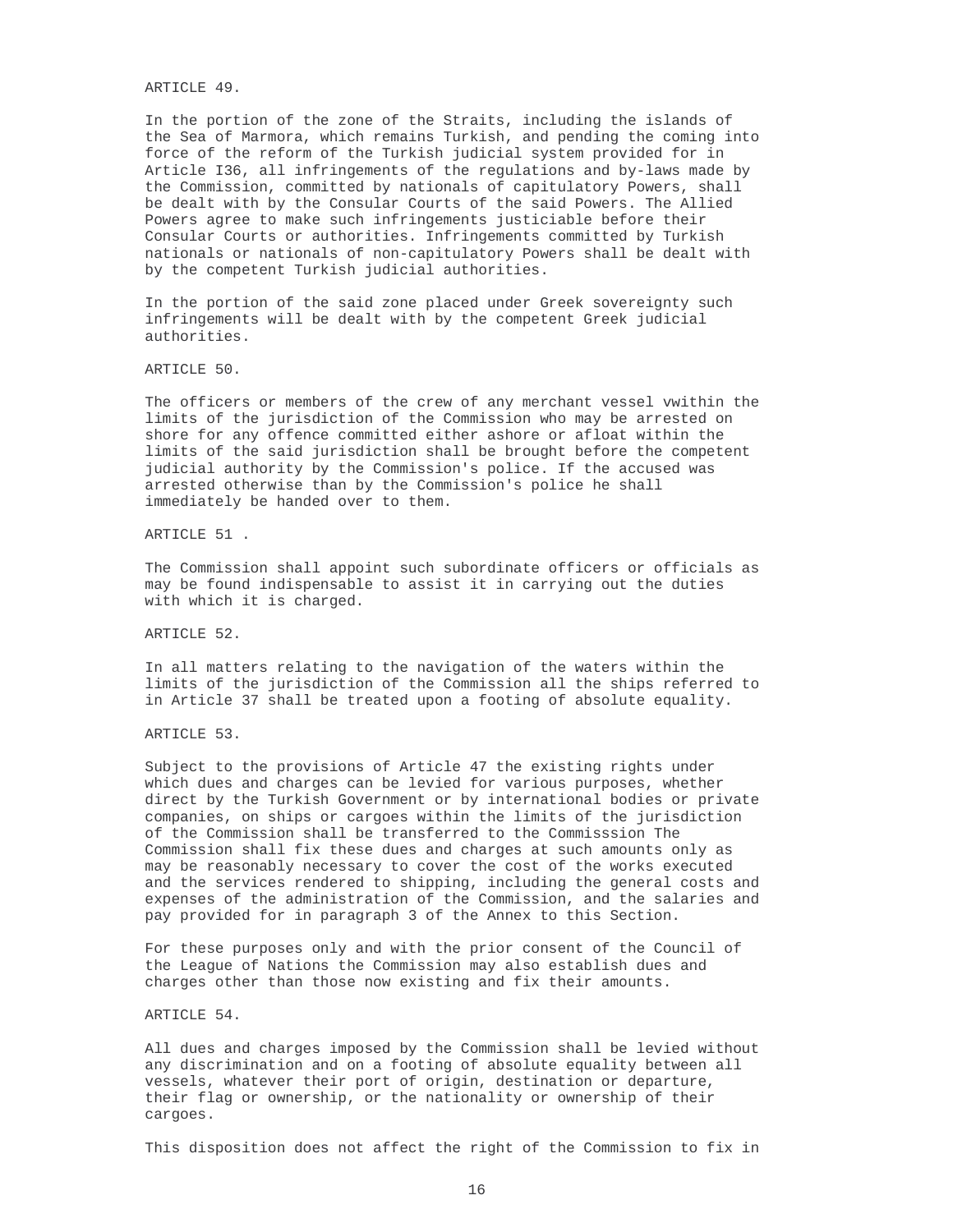# ARTICLE 49.

In the portion of the zone of the Straits, including the islands of the Sea of Marmora, which remains Turkish, and pending the coming into force of the reform of the Turkish judicial system provided for in Article I36, all infringements of the regulations and by-laws made by the Commission, committed by nationals of capitulatory Powers, shall be dealt with by the Consular Courts of the said Powers. The Allied Powers agree to make such infringements justiciable before their Consular Courts or authorities. Infringements committed by Turkish nationals or nationals of non-capitulatory Powers shall be dealt with by the competent Turkish judicial authorities.

In the portion of the said zone placed under Greek sovereignty such infringements will be dealt with by the competent Greek judicial authorities.

ARTICLE 50.

The officers or members of the crew of any merchant vessel vwithin the limits of the jurisdiction of the Commission who may be arrested on shore for any offence committed either ashore or afloat within the limits of the said jurisdiction shall be brought before the competent judicial authority by the Commission's police. If the accused was arrested otherwise than by the Commission's police he shall immediately be handed over to them.

ARTICLE 51 .

The Commission shall appoint such subordinate officers or officials as may be found indispensable to assist it in carrying out the duties with which it is charged.

ARTICLE 52.

In all matters relating to the navigation of the waters within the limits of the jurisdiction of the Commission all the ships referred to in Article 37 shall be treated upon a footing of absolute equality.

ARTICLE 53.

Subject to the provisions of Article 47 the existing rights under which dues and charges can be levied for various purposes, whether direct by the Turkish Government or by international bodies or private companies, on ships or cargoes within the limits of the jurisdiction of the Commission shall be transferred to the Commisssion The Commission shall fix these dues and charges at such amounts only as may be reasonably necessary to cover the cost of the works executed and the services rendered to shipping, including the general costs and expenses of the administration of the Commission, and the salaries and pay provided for in paragraph 3 of the Annex to this Section.

For these purposes only and with the prior consent of the Council of the League of Nations the Commission may also establish dues and charges other than those now existing and fix their amounts.

ARTICLE 54.

All dues and charges imposed by the Commission shall be levied without any discrimination and on a footing of absolute equality between all vessels, whatever their port of origin, destination or departure, their flag or ownership, or the nationality or ownership of their cargoes.

This disposition does not affect the right of the Commission to fix in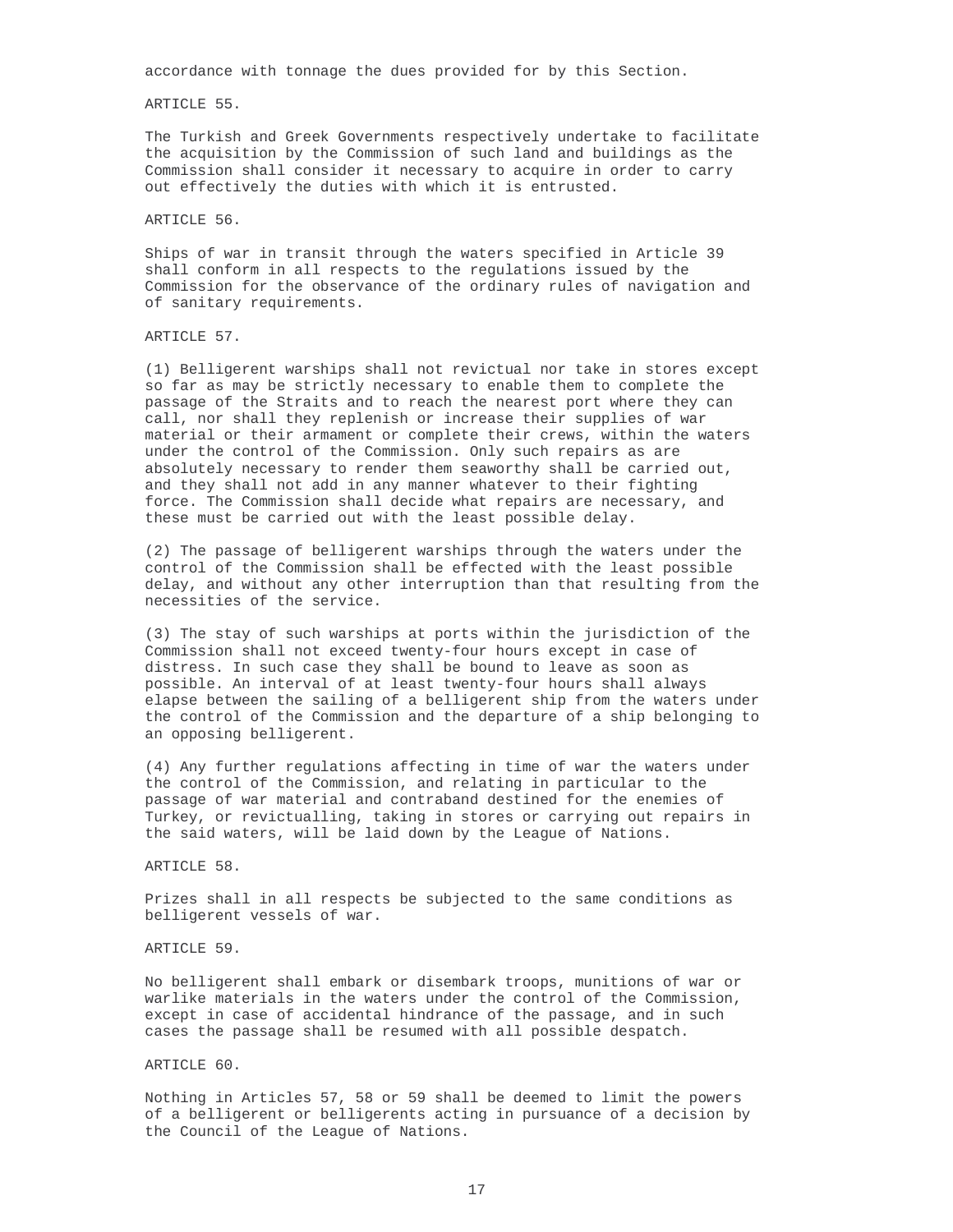accordance with tonnage the dues provided for by this Section.

ARTICLE 55.

The Turkish and Greek Governments respectively undertake to facilitate the acquisition by the Commission of such land and buildings as the Commission shall consider it necessary to acquire in order to carry out effectively the duties with which it is entrusted.

ARTICLE 56.

Ships of war in transit through the waters specified in Article 39 shall conform in all respects to the regulations issued by the Commission for the observance of the ordinary rules of navigation and of sanitary requirements.

ARTICLE 57.

(1) Belligerent warships shall not revictual nor take in stores except so far as may be strictly necessary to enable them to complete the passage of the Straits and to reach the nearest port where they can call, nor shall they replenish or increase their supplies of war material or their armament or complete their crews, within the waters under the control of the Commission. Only such repairs as are absolutely necessary to render them seaworthy shall be carried out, and they shall not add in any manner whatever to their fighting force. The Commission shall decide what repairs are necessary, and these must be carried out with the least possible delay.

(2) The passage of belligerent warships through the waters under the control of the Commission shall be effected with the least possible delay, and without any other interruption than that resulting from the necessities of the service.

(3) The stay of such warships at ports within the jurisdiction of the Commission shall not exceed twenty-four hours except in case of distress. In such case they shall be bound to leave as soon as possible. An interval of at least twenty-four hours shall always elapse between the sailing of a belligerent ship from the waters under the control of the Commission and the departure of a ship belonging to an opposing belligerent.

(4) Any further regulations affecting in time of war the waters under the control of the Commission, and relating in particular to the passage of war material and contraband destined for the enemies of Turkey, or revictualling, taking in stores or carrying out repairs in the said waters, will be laid down by the League of Nations.

ARTICLE 58.

Prizes shall in all respects be subjected to the same conditions as belligerent vessels of war.

ARTICLE 59.

No belligerent shall embark or disembark troops, munitions of war or warlike materials in the waters under the control of the Commission, except in case of accidental hindrance of the passage, and in such cases the passage shall be resumed with all possible despatch.

ARTICLE 60.

Nothing in Articles 57, 58 or 59 shall be deemed to limit the powers of a belligerent or belligerents acting in pursuance of a decision by the Council of the League of Nations.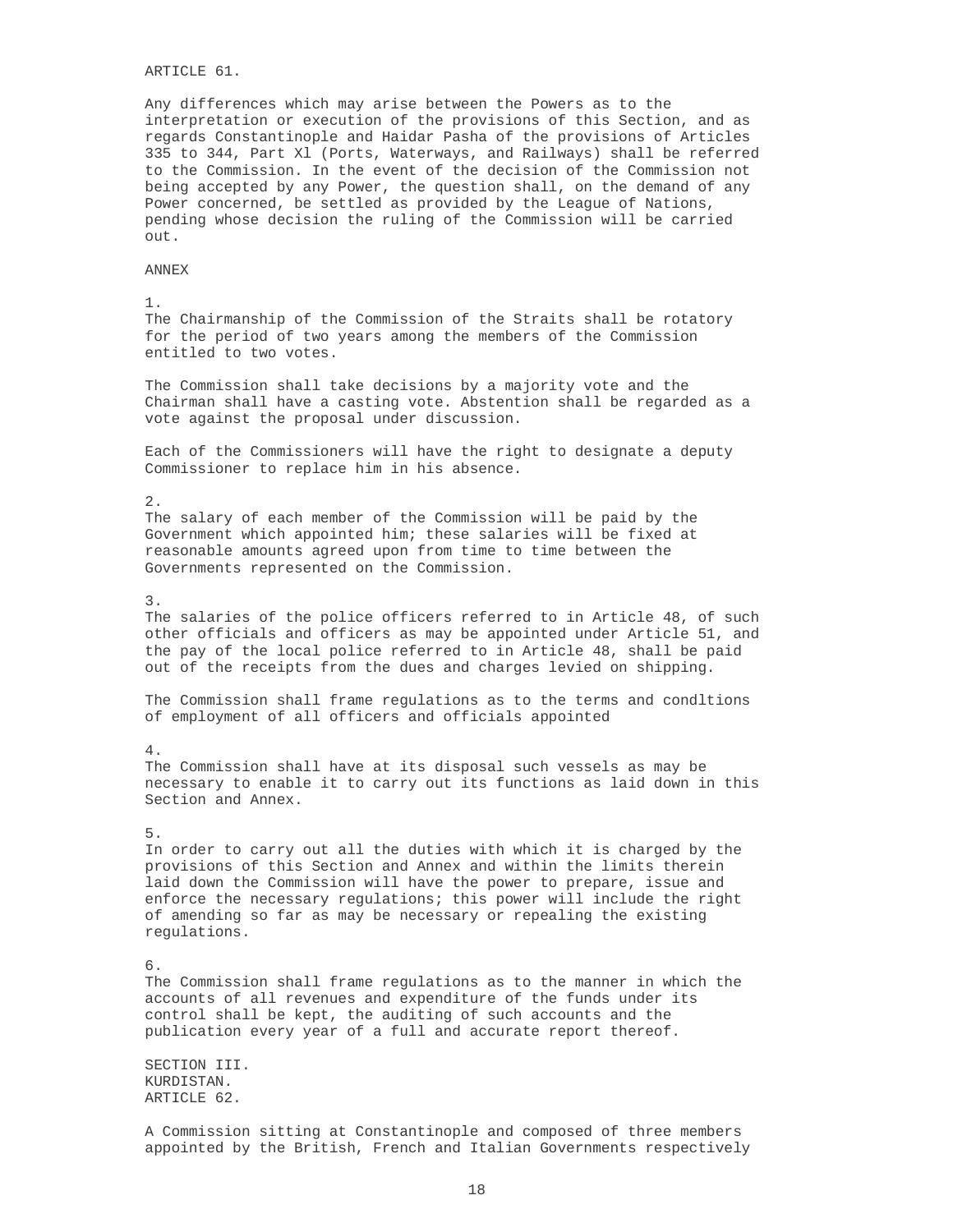#### ARTICLE 61.

Any differences which may arise between the Powers as to the interpretation or execution of the provisions of this Section, and as regards Constantinople and Haidar Pasha of the provisions of Articles 335 to 344, Part Xl (Ports, Waterways, and Railways) shall be referred to the Commission. In the event of the decision of the Commission not being accepted by any Power, the question shall, on the demand of any Power concerned, be settled as provided by the League of Nations, pending whose decision the ruling of the Commission will be carried out.

#### ANNEX

#### 1.

The Chairmanship of the Commission of the Straits shall be rotatory for the period of two years among the members of the Commission entitled to two votes.

The Commission shall take decisions by a majority vote and the Chairman shall have a casting vote. Abstention shall be regarded as a vote against the proposal under discussion.

Each of the Commissioners will have the right to designate a deputy Commissioner to replace him in his absence.

#### 2.

The salary of each member of the Commission will be paid by the Government which appointed him; these salaries will be fixed at reasonable amounts agreed upon from time to time between the Governments represented on the Commission.

#### 3.

The salaries of the police officers referred to in Article 48, of such other officials and officers as may be appointed under Article 51, and the pay of the local police referred to in Article 48, shall be paid out of the receipts from the dues and charges levied on shipping.

The Commission shall frame regulations as to the terms and condltions of employment of all officers and officials appointed

# 4.

The Commission shall have at its disposal such vessels as may be necessary to enable it to carry out its functions as laid down in this Section and Annex.

#### 5.

In order to carry out all the duties with which it is charged by the provisions of this Section and Annex and within the limits therein laid down the Commission will have the power to prepare, issue and enforce the necessary regulations; this power will include the right of amending so far as may be necessary or repealing the existing regulations.

# 6.

The Commission shall frame regulations as to the manner in which the accounts of all revenues and expenditure of the funds under its control shall be kept, the auditing of such accounts and the publication every year of a full and accurate report thereof.

SECTION III. KURDISTAN. ARTICLE 62.

A Commission sitting at Constantinople and composed of three members appointed by the British, French and Italian Governments respectively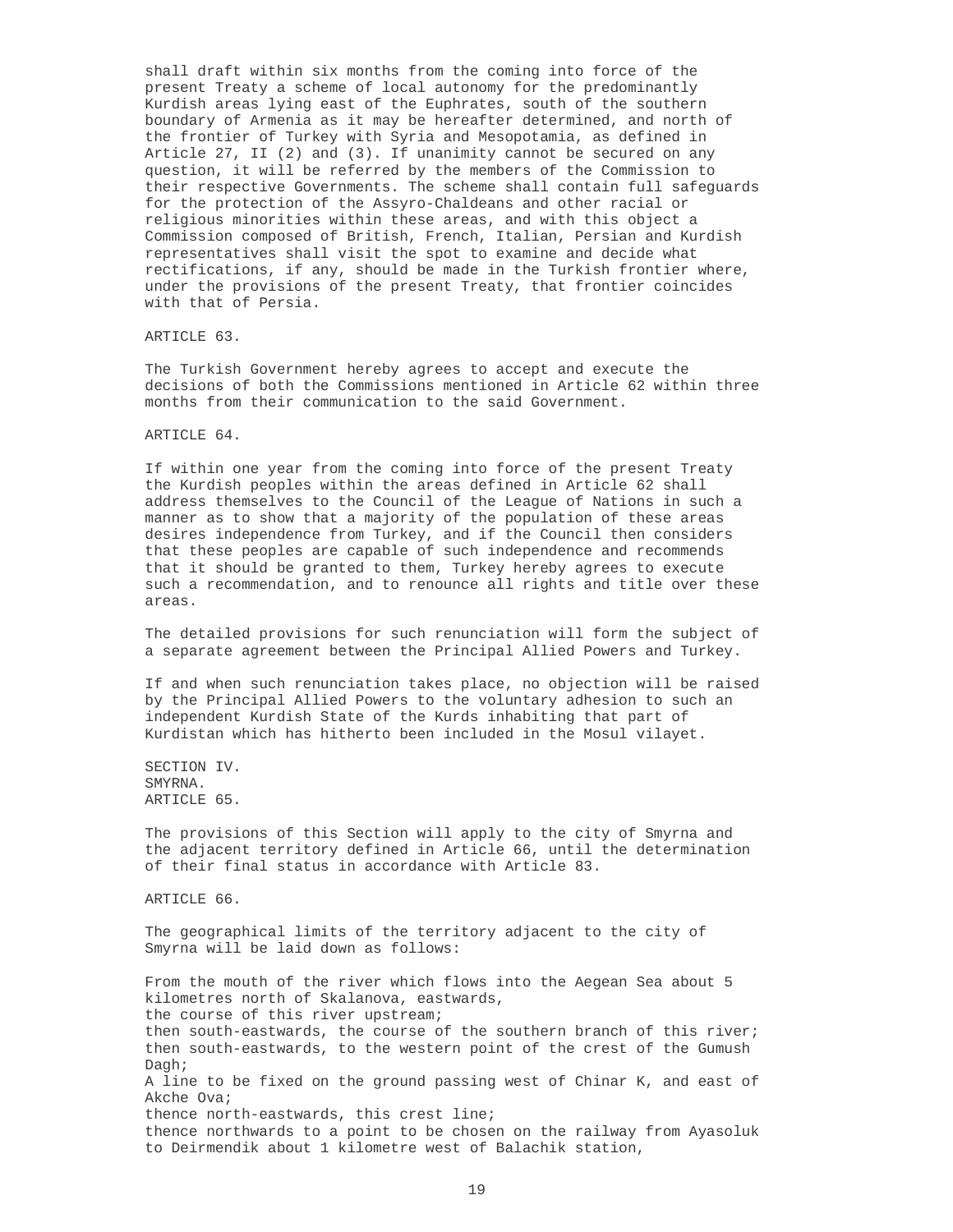shall draft within six months from the coming into force of the present Treaty a scheme of local autonomy for the predominantly Kurdish areas lying east of the Euphrates, south of the southern boundary of Armenia as it may be hereafter determined, and north of the frontier of Turkey with Syria and Mesopotamia, as defined in Article 27, II (2) and (3). If unanimity cannot be secured on any question, it will be referred by the members of the Commission to their respective Governments. The scheme shall contain full safeguards for the protection of the Assyro-Chaldeans and other racial or religious minorities within these areas, and with this object a Commission composed of British, French, Italian, Persian and Kurdish representatives shall visit the spot to examine and decide what rectifications, if any, should be made in the Turkish frontier where, under the provisions of the present Treaty, that frontier coincides with that of Persia.

ARTICLE 63.

The Turkish Government hereby agrees to accept and execute the decisions of both the Commissions mentioned in Article 62 within three months from their communication to the said Government.

# ARTICLE 64.

If within one year from the coming into force of the present Treaty the Kurdish peoples within the areas defined in Article 62 shall address themselves to the Council of the League of Nations in such a manner as to show that a majority of the population of these areas desires independence from Turkey, and if the Council then considers that these peoples are capable of such independence and recommends that it should be granted to them, Turkey hereby agrees to execute such a recommendation, and to renounce all rights and title over these areas.

The detailed provisions for such renunciation will form the subject of a separate agreement between the Principal Allied Powers and Turkey.

If and when such renunciation takes place, no objection will be raised by the Principal Allied Powers to the voluntary adhesion to such an independent Kurdish State of the Kurds inhabiting that part of Kurdistan which has hitherto been included in the Mosul vilayet.

SECTION IV. SMYRNA. ARTICLE 65.

The provisions of this Section will apply to the city of Smyrna and the adjacent territory defined in Article 66, until the determination of their final status in accordance with Article 83.

ARTICLE 66.

The geographical limits of the territory adjacent to the city of Smyrna will be laid down as follows:

From the mouth of the river which flows into the Aegean Sea about 5 kilometres north of Skalanova, eastwards, the course of this river upstream; then south-eastwards, the course of the southern branch of this river; then south-eastwards, to the western point of the crest of the Gumush Dagh; A line to be fixed on the ground passing west of Chinar K, and east of Akche Ova; thence north-eastwards, this crest line; thence northwards to a point to be chosen on the railway from Ayasoluk to Deirmendik about 1 kilometre west of Balachik station,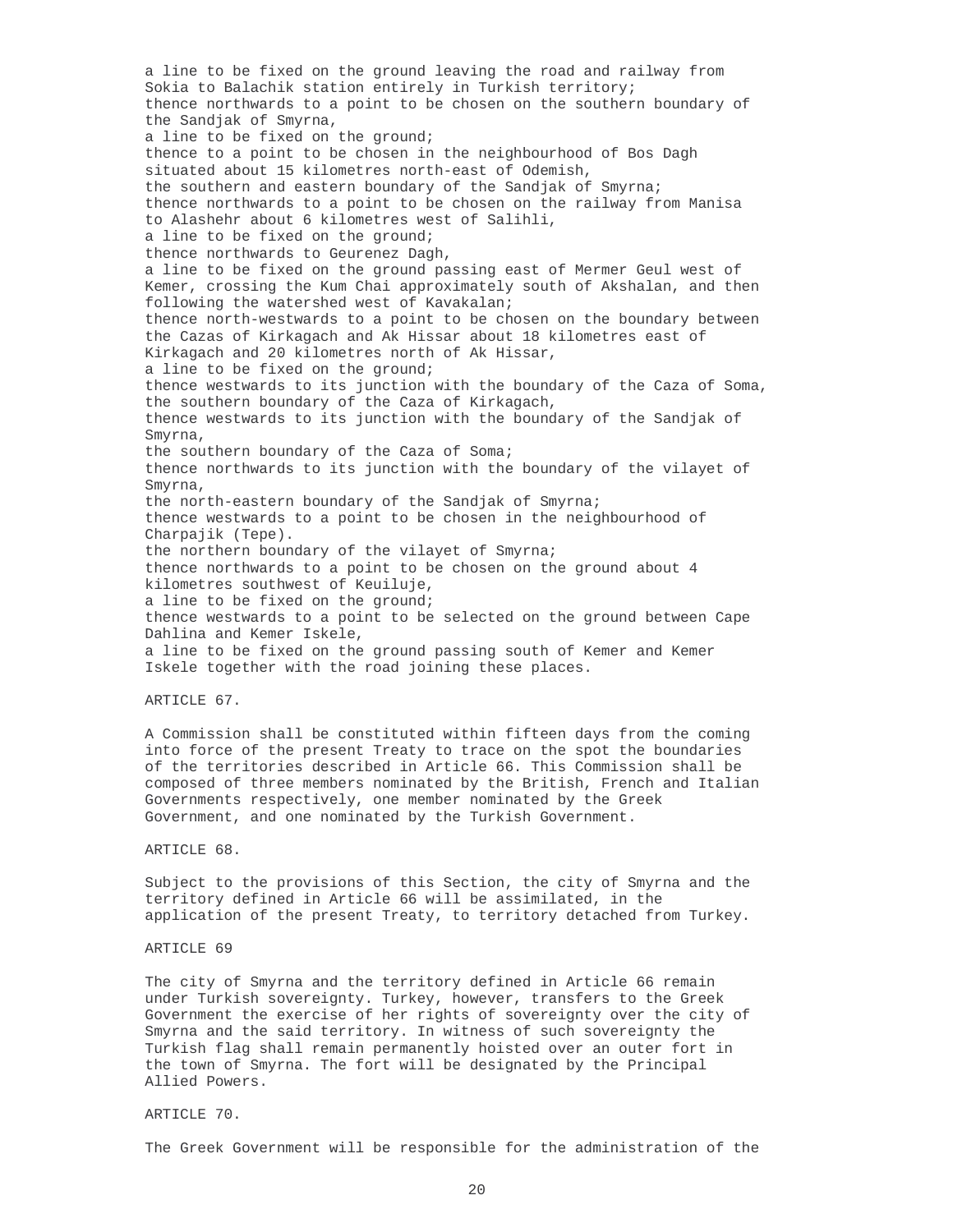a line to be fixed on the ground leaving the road and railway from Sokia to Balachik station entirely in Turkish territory; thence northwards to a point to be chosen on the southern boundary of the Sandjak of Smyrna, a line to be fixed on the ground; thence to a point to be chosen in the neighbourhood of Bos Dagh situated about 15 kilometres north-east of Odemish, the southern and eastern boundary of the Sandjak of Smyrna; thence northwards to a point to be chosen on the railway from Manisa to Alashehr about 6 kilometres west of Salihli, a line to be fixed on the ground; thence northwards to Geurenez Dagh, a line to be fixed on the ground passing east of Mermer Geul west of Kemer, crossing the Kum Chai approximately south of Akshalan, and then following the watershed west of Kavakalan; thence north-westwards to a point to be chosen on the boundary between the Cazas of Kirkagach and Ak Hissar about 18 kilometres east of Kirkagach and 20 kilometres north of Ak Hissar, a line to be fixed on the ground; thence westwards to its junction with the boundary of the Caza of Soma, the southern boundary of the Caza of Kirkagach, thence westwards to its junction with the boundary of the Sandjak of Smyrna, the southern boundary of the Caza of Soma; thence northwards to its junction with the boundary of the vilayet of Smyrna, the north-eastern boundary of the Sandjak of Smyrna; thence westwards to a point to be chosen in the neighbourhood of Charpajik (Tepe). the northern boundary of the vilayet of Smyrna; thence northwards to a point to be chosen on the ground about 4 kilometres southwest of Keuiluje, a line to be fixed on the ground; thence westwards to a point to be selected on the ground between Cape Dahlina and Kemer Iskele, a line to be fixed on the ground passing south of Kemer and Kemer Iskele together with the road joining these places.

# ARTICLE 67.

A Commission shall be constituted within fifteen days from the coming into force of the present Treaty to trace on the spot the boundaries of the territories described in Article 66. This Commission shall be composed of three members nominated by the British, French and Italian Governments respectively, one member nominated by the Greek Government, and one nominated by the Turkish Government.

#### ARTICLE 68.

Subject to the provisions of this Section, the city of Smyrna and the territory defined in Article 66 will be assimilated, in the application of the present Treaty, to territory detached from Turkey.

#### ARTICLE 69

The city of Smyrna and the territory defined in Article 66 remain under Turkish sovereignty. Turkey, however, transfers to the Greek Government the exercise of her rights of sovereignty over the city of Smyrna and the said territory. In witness of such sovereignty the Turkish flag shall remain permanently hoisted over an outer fort in the town of Smyrna. The fort will be designated by the Principal Allied Powers.

#### ARTICLE 70.

The Greek Government will be responsible for the administration of the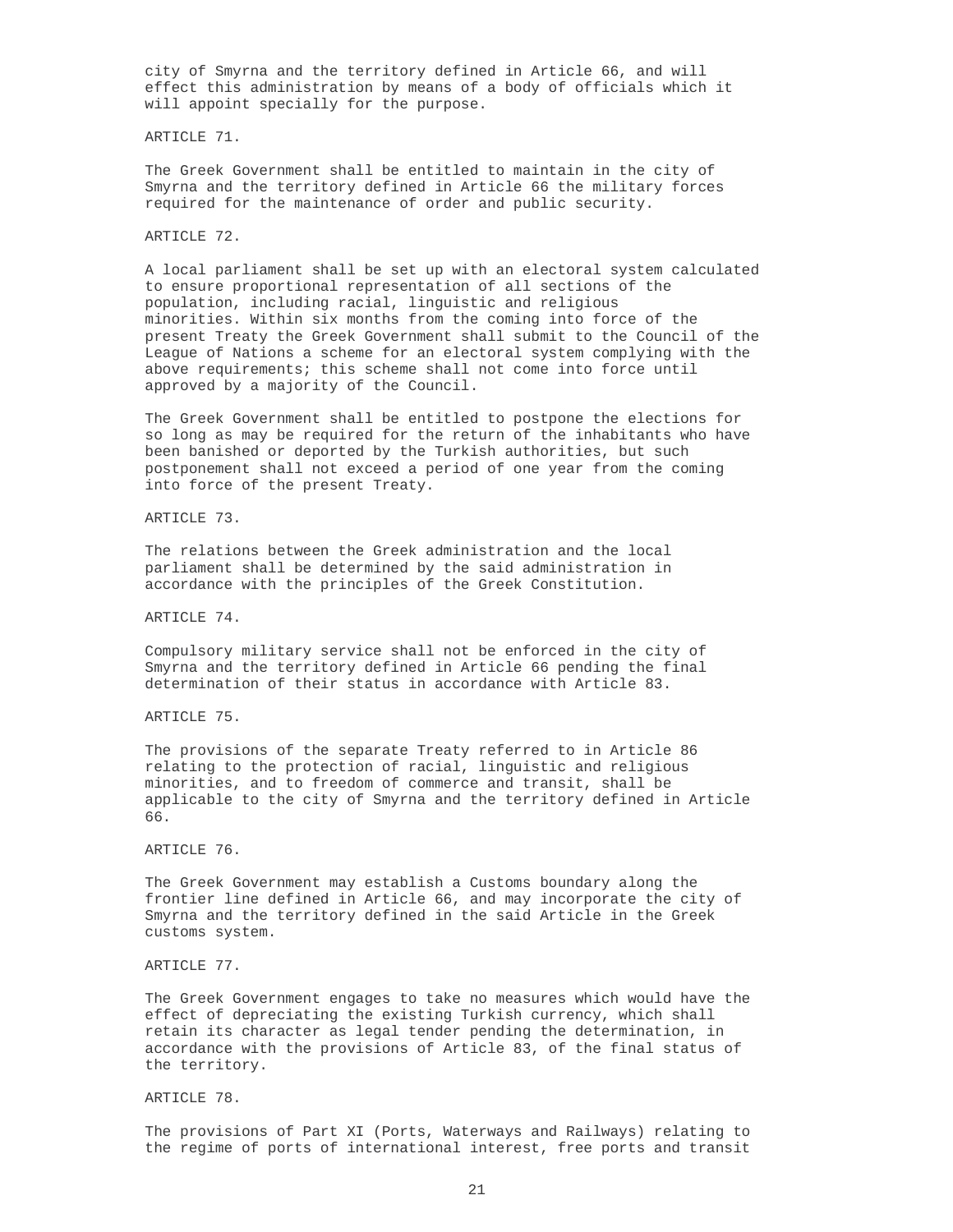city of Smyrna and the territory defined in Article 66, and will effect this administration by means of a body of officials which it will appoint specially for the purpose.

ARTICLE 71.

The Greek Government shall be entitled to maintain in the city of Smyrna and the territory defined in Article 66 the military forces required for the maintenance of order and public security.

ARTICLE 72.

A local parliament shall be set up with an electoral system calculated to ensure proportional representation of all sections of the population, including racial, linguistic and religious minorities. Within six months from the coming into force of the present Treaty the Greek Government shall submit to the Council of the League of Nations a scheme for an electoral system complying with the above requirements; this scheme shall not come into force until approved by a majority of the Council.

The Greek Government shall be entitled to postpone the elections for so long as may be required for the return of the inhabitants who have been banished or deported by the Turkish authorities, but such postponement shall not exceed a period of one year from the coming into force of the present Treaty.

ARTICLE 73.

The relations between the Greek administration and the local parliament shall be determined by the said administration in accordance with the principles of the Greek Constitution.

ARTICLE 74.

Compulsory military service shall not be enforced in the city of Smyrna and the territory defined in Article 66 pending the final determination of their status in accordance with Article 83.

ARTICLE 75.

The provisions of the separate Treaty referred to in Article 86 relating to the protection of racial, linguistic and religious minorities, and to freedom of commerce and transit, shall be applicable to the city of Smyrna and the territory defined in Article 66.

ARTICLE 76.

The Greek Government may establish a Customs boundary along the frontier line defined in Article 66, and may incorporate the city of Smyrna and the territory defined in the said Article in the Greek customs system.

ARTICLE 77.

The Greek Government engages to take no measures which would have the effect of depreciating the existing Turkish currency, which shall retain its character as legal tender pending the determination, in accordance with the provisions of Article 83, of the final status of the territory.

ARTICLE 78.

The provisions of Part XI (Ports, Waterways and Railways) relating to the regime of ports of international interest, free ports and transit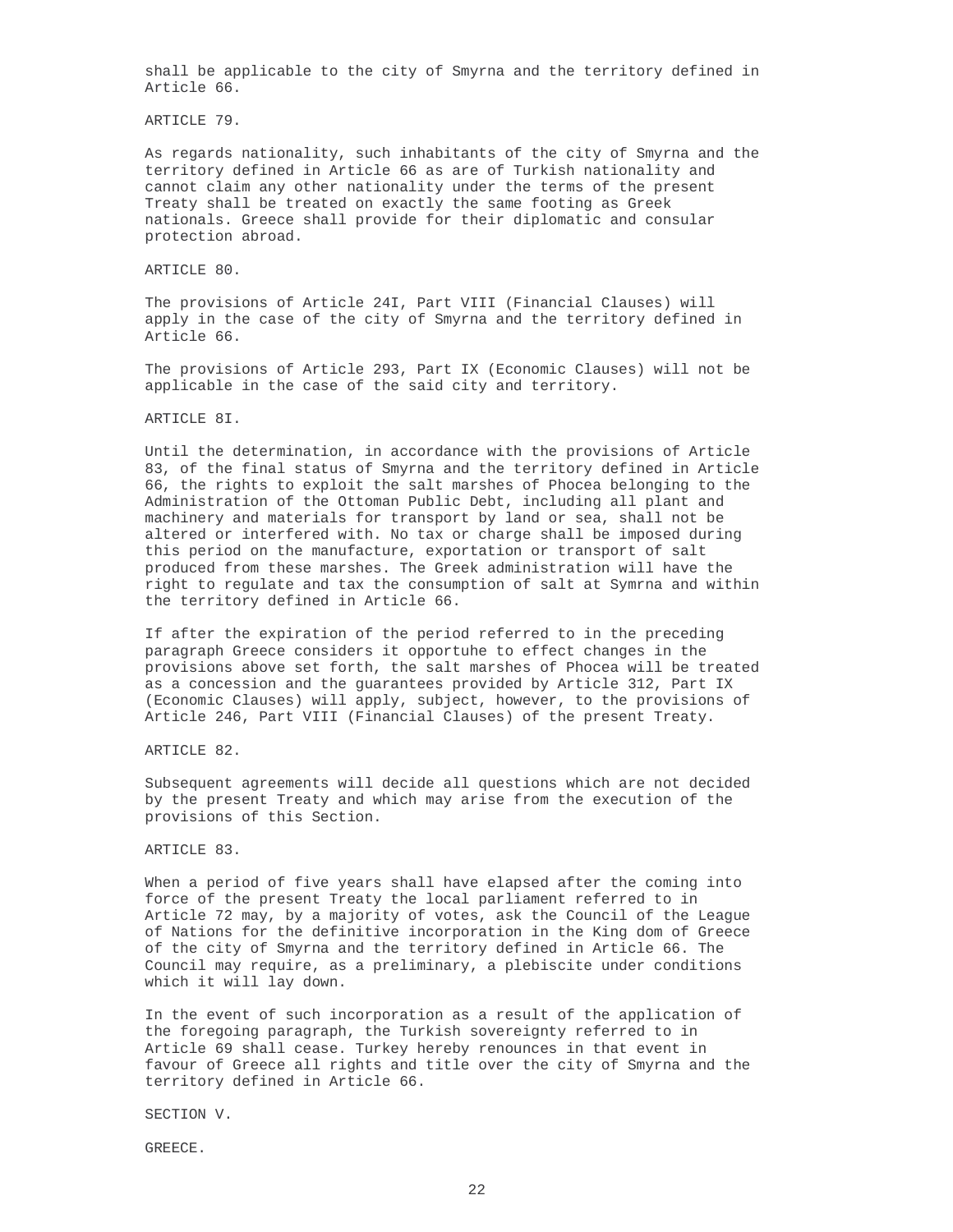shall be applicable to the city of Smyrna and the territory defined in Article 66.

ARTICLE 79.

As regards nationality, such inhabitants of the city of Smyrna and the territory defined in Article 66 as are of Turkish nationality and cannot claim any other nationality under the terms of the present Treaty shall be treated on exactly the same footing as Greek nationals. Greece shall provide for their diplomatic and consular protection abroad.

ARTICLE 80.

The provisions of Article 24I, Part VIII (Financial Clauses) will apply in the case of the city of Smyrna and the territory defined in Article 66.

The provisions of Article 293, Part IX (Economic Clauses) will not be applicable in the case of the said city and territory.

ARTICLE 8I.

Until the determination, in accordance with the provisions of Article 83, of the final status of Smyrna and the territory defined in Article 66, the rights to exploit the salt marshes of Phocea belonging to the Administration of the Ottoman Public Debt, including all plant and machinery and materials for transport by land or sea, shall not be altered or interfered with. No tax or charge shall be imposed during this period on the manufacture, exportation or transport of salt produced from these marshes. The Greek administration will have the right to regulate and tax the consumption of salt at Symrna and within the territory defined in Article 66.

If after the expiration of the period referred to in the preceding paragraph Greece considers it opportuhe to effect changes in the provisions above set forth, the salt marshes of Phocea will be treated as a concession and the guarantees provided by Article 312, Part IX (Economic Clauses) will apply, subject, however, to the provisions of Article 246, Part VIII (Financial Clauses) of the present Treaty.

ARTICLE 82.

Subsequent agreements will decide all questions which are not decided by the present Treaty and which may arise from the execution of the provisions of this Section.

ARTICLE 83.

When a period of five years shall have elapsed after the coming into force of the present Treaty the local parliament referred to in Article 72 may, by a majority of votes, ask the Council of the League of Nations for the definitive incorporation in the King dom of Greece of the city of Smyrna and the territory defined in Article 66. The Council may require, as a preliminary, a plebiscite under conditions which it will lay down.

In the event of such incorporation as a result of the application of the foregoing paragraph, the Turkish sovereignty referred to in Article 69 shall cease. Turkey hereby renounces in that event in favour of Greece all rights and title over the city of Smyrna and the territory defined in Article 66.

SECTION V.

GREECE.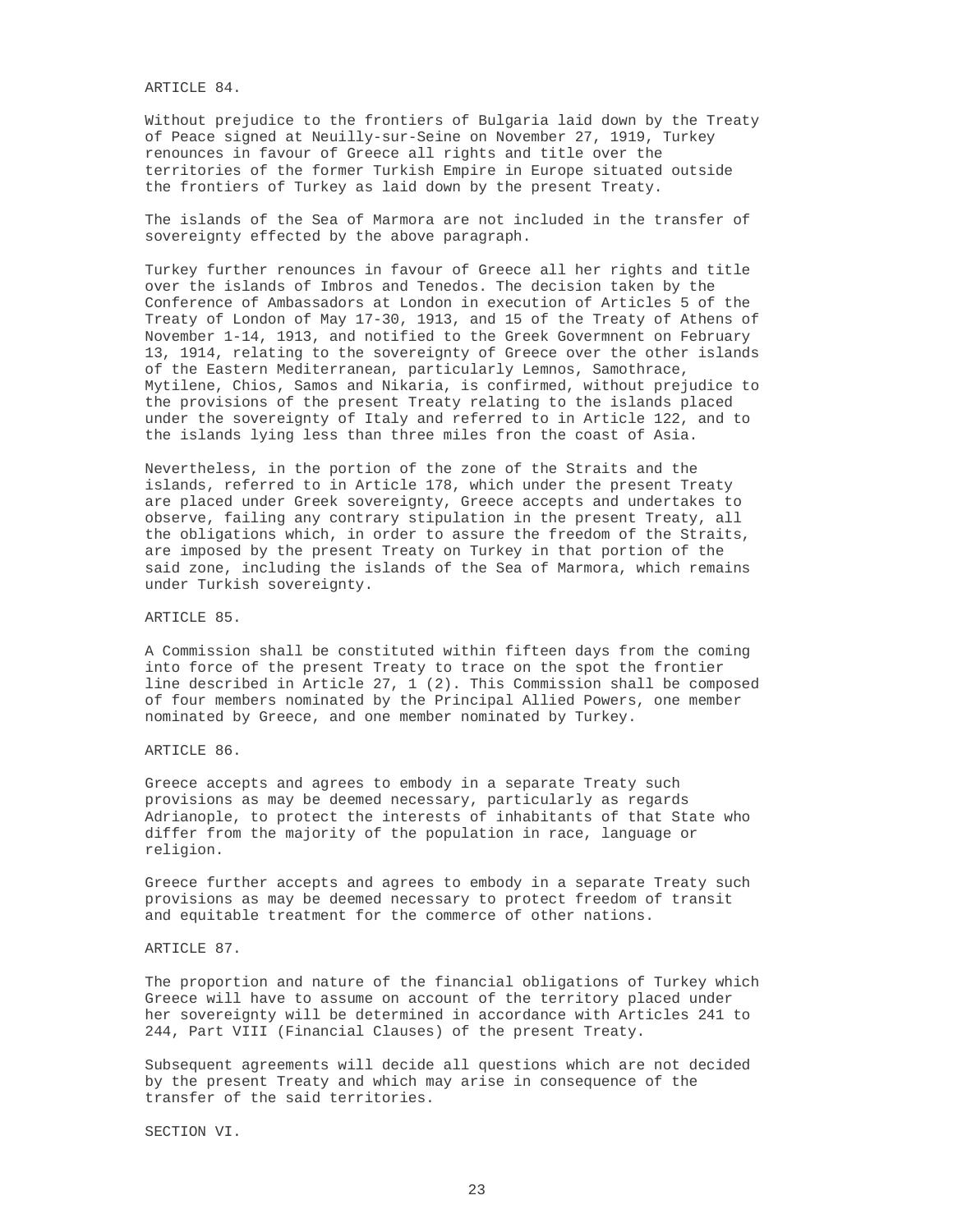ARTICLE 84.

Without prejudice to the frontiers of Bulgaria laid down by the Treaty of Peace signed at Neuilly-sur-Seine on November 27, 1919, Turkey renounces in favour of Greece all rights and title over the territories of the former Turkish Empire in Europe situated outside the frontiers of Turkey as laid down by the present Treaty.

The islands of the Sea of Marmora are not included in the transfer of sovereignty effected by the above paragraph.

Turkey further renounces in favour of Greece all her rights and title over the islands of Imbros and Tenedos. The decision taken by the Conference of Ambassadors at London in execution of Articles 5 of the Treaty of London of May 17-30, 1913, and 15 of the Treaty of Athens of November 1-14, 1913, and notified to the Greek Govermnent on February 13, 1914, relating to the sovereignty of Greece over the other islands of the Eastern Mediterranean, particularly Lemnos, Samothrace, Mytilene, Chios, Samos and Nikaria, is confirmed, without prejudice to the provisions of the present Treaty relating to the islands placed under the sovereignty of Italy and referred to in Article 122, and to the islands lying less than three miles fron the coast of Asia.

Nevertheless, in the portion of the zone of the Straits and the islands, referred to in Article 178, which under the present Treaty are placed under Greek sovereignty, Greece accepts and undertakes to observe, failing any contrary stipulation in the present Treaty, all the obligations which, in order to assure the freedom of the Straits, are imposed by the present Treaty on Turkey in that portion of the said zone, including the islands of the Sea of Marmora, which remains under Turkish sovereignty.

ARTICLE 85.

A Commission shall be constituted within fifteen days from the coming into force of the present Treaty to trace on the spot the frontier line described in Article 27, 1 (2). This Commission shall be composed of four members nominated by the Principal Allied Powers, one member nominated by Greece, and one member nominated by Turkey.

ARTICLE 86.

Greece accepts and agrees to embody in a separate Treaty such provisions as may be deemed necessary, particularly as regards Adrianople, to protect the interests of inhabitants of that State who differ from the majority of the population in race, language or religion.

Greece further accepts and agrees to embody in a separate Treaty such provisions as may be deemed necessary to protect freedom of transit and equitable treatment for the commerce of other nations.

ARTICLE 87.

The proportion and nature of the financial obligations of Turkey which Greece will have to assume on account of the territory placed under her sovereignty will be determined in accordance with Articles 241 to 244, Part VIII (Financial Clauses) of the present Treaty.

Subsequent agreements will decide all questions which are not decided by the present Treaty and which may arise in consequence of the transfer of the said territories.

SECTION VI.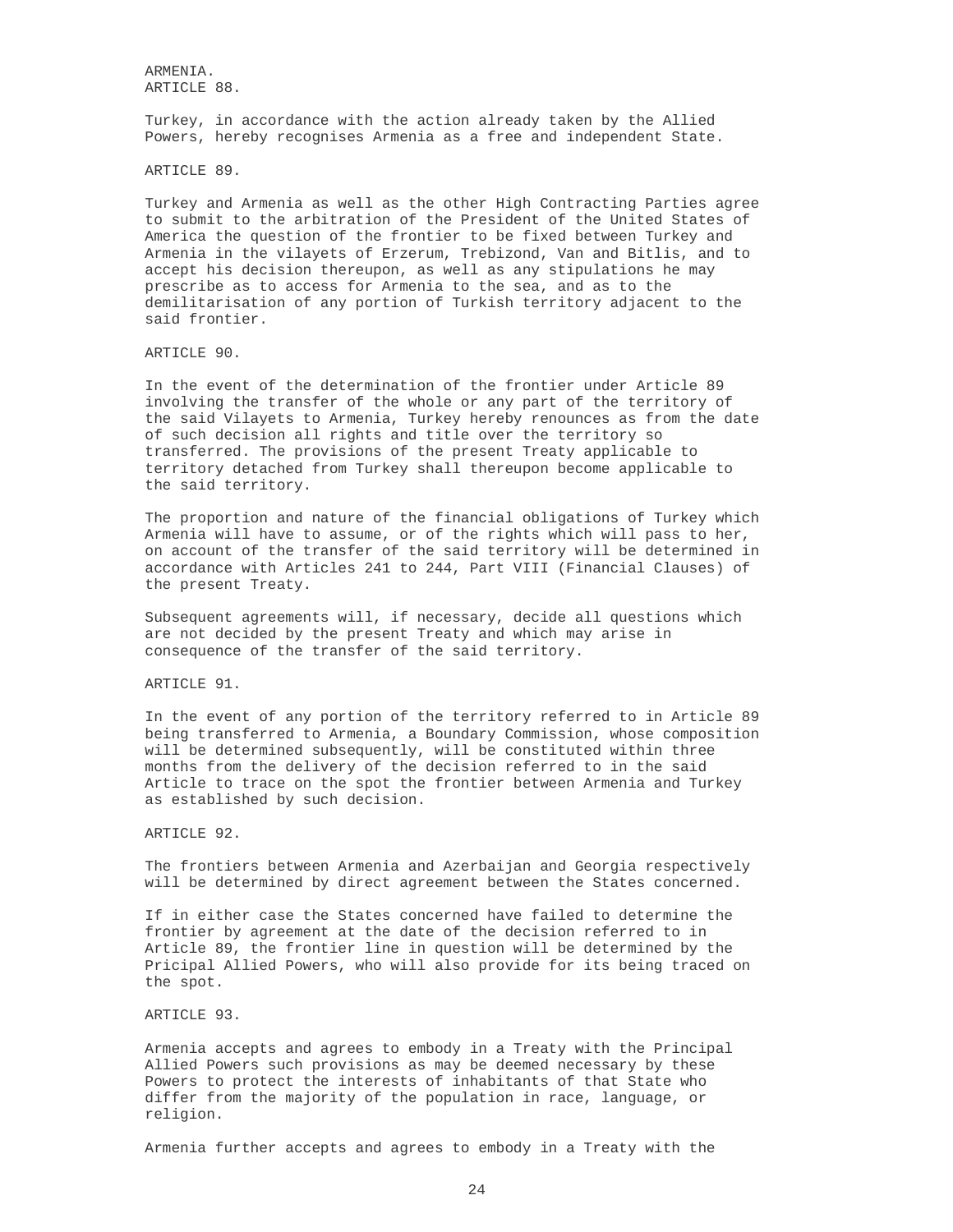ARMENIA. ARTICLE 88.

Turkey, in accordance with the action already taken by the Allied Powers, hereby recognises Armenia as a free and independent State.

ARTICLE 89.

Turkey and Armenia as well as the other High Contracting Parties agree to submit to the arbitration of the President of the United States of America the question of the frontier to be fixed between Turkey and Armenia in the vilayets of Erzerum, Trebizond, Van and Bitlis, and to accept his decision thereupon, as well as any stipulations he may prescribe as to access for Armenia to the sea, and as to the demilitarisation of any portion of Turkish territory adjacent to the said frontier.

ARTICLE 90.

In the event of the determination of the frontier under Article 89 involving the transfer of the whole or any part of the territory of the said Vilayets to Armenia, Turkey hereby renounces as from the date of such decision all rights and title over the territory so transferred. The provisions of the present Treaty applicable to territory detached from Turkey shall thereupon become applicable to the said territory.

The proportion and nature of the financial obligations of Turkey which Armenia will have to assume, or of the rights which will pass to her, on account of the transfer of the said territory will be determined in accordance with Articles 241 to 244, Part VIII (Financial Clauses) of the present Treaty.

Subsequent agreements will, if necessary, decide all questions which are not decided by the present Treaty and which may arise in consequence of the transfer of the said territory.

ARTICLE 91.

In the event of any portion of the territory referred to in Article 89 being transferred to Armenia, a Boundary Commission, whose composition will be determined subsequently, will be constituted within three months from the delivery of the decision referred to in the said Article to trace on the spot the frontier between Armenia and Turkey as established by such decision.

ARTICLE 92.

The frontiers between Armenia and Azerbaijan and Georgia respectively will be determined by direct agreement between the States concerned.

If in either case the States concerned have failed to determine the frontier by agreement at the date of the decision referred to in Article 89, the frontier line in question will be determined by the Pricipal Allied Powers, who will also provide for its being traced on the spot.

ARTICLE 93.

Armenia accepts and agrees to embody in a Treaty with the Principal Allied Powers such provisions as may be deemed necessary by these Powers to protect the interests of inhabitants of that State who differ from the majority of the population in race, language, or religion.

Armenia further accepts and agrees to embody in a Treaty with the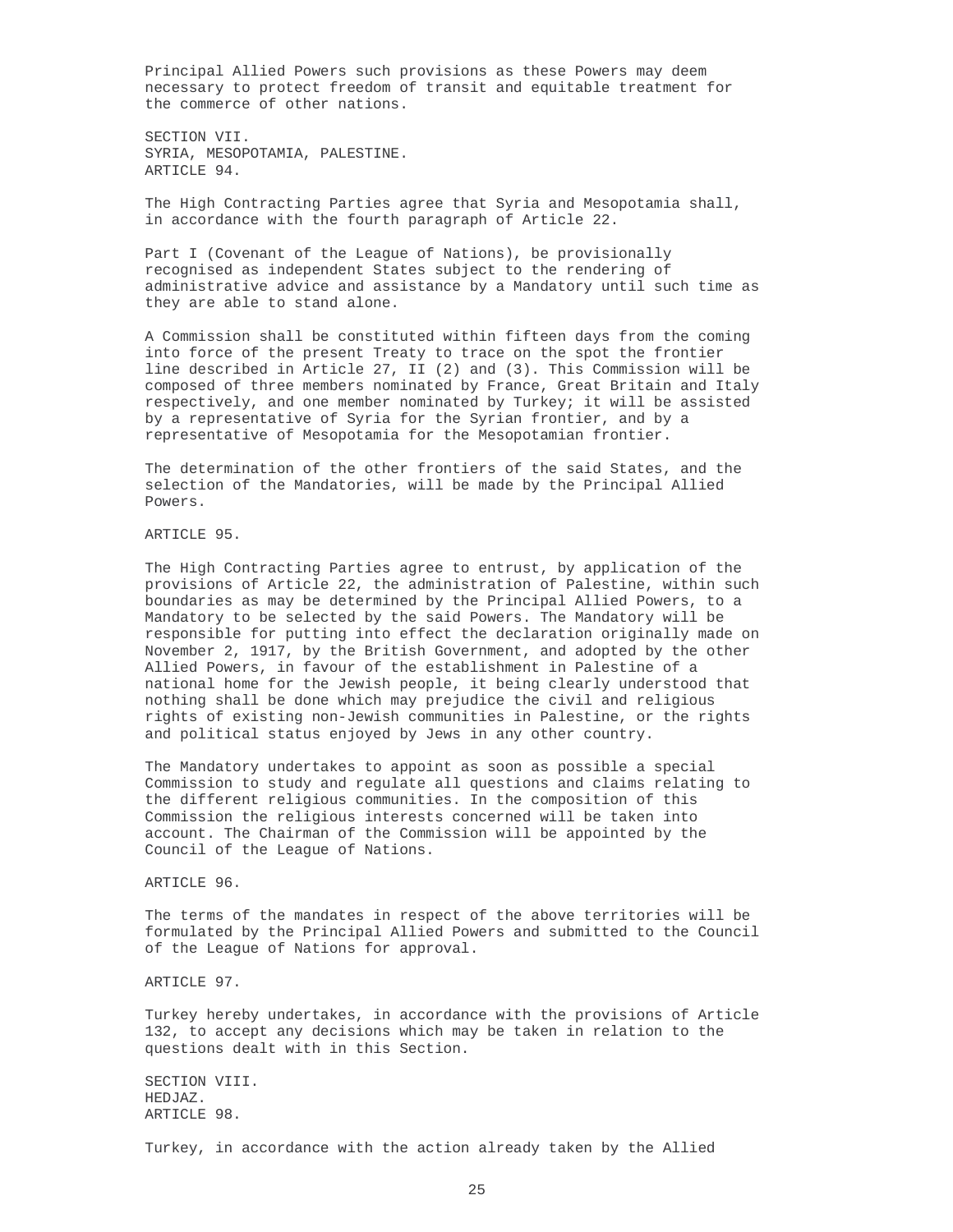Principal Allied Powers such provisions as these Powers may deem necessary to protect freedom of transit and equitable treatment for the commerce of other nations.

SECTION VII. SYRIA, MESOPOTAMIA, PALESTINE. ARTICLE 94.

The High Contracting Parties agree that Syria and Mesopotamia shall, in accordance with the fourth paragraph of Article 22.

Part I (Covenant of the League of Nations), be provisionally recognised as independent States subject to the rendering of administrative advice and assistance by a Mandatory until such time as they are able to stand alone.

A Commission shall be constituted within fifteen days from the coming into force of the present Treaty to trace on the spot the frontier line described in Article 27, II (2) and (3). This Commission will be composed of three members nominated by France, Great Britain and Italy respectively, and one member nominated by Turkey; it will be assisted by a representative of Syria for the Syrian frontier, and by a representative of Mesopotamia for the Mesopotamian frontier.

The determination of the other frontiers of the said States, and the selection of the Mandatories, will be made by the Principal Allied Powers.

ARTICLE 95.

The High Contracting Parties agree to entrust, by application of the provisions of Article 22, the administration of Palestine, within such boundaries as may be determined by the Principal Allied Powers, to a Mandatory to be selected by the said Powers. The Mandatory will be responsible for putting into effect the declaration originally made on November 2, 1917, by the British Government, and adopted by the other Allied Powers, in favour of the establishment in Palestine of a national home for the Jewish people, it being clearly understood that nothing shall be done which may prejudice the civil and religious rights of existing non-Jewish communities in Palestine, or the rights and political status enjoyed by Jews in any other country.

The Mandatory undertakes to appoint as soon as possible a special Commission to study and regulate all questions and claims relating to the different religious communities. In the composition of this Commission the religious interests concerned will be taken into account. The Chairman of the Commission will be appointed by the Council of the League of Nations.

# ARTICLE 96.

The terms of the mandates in respect of the above territories will be formulated by the Principal Allied Powers and submitted to the Council of the League of Nations for approval.

ARTICLE 97.

Turkey hereby undertakes, in accordance with the provisions of Article 132, to accept any decisions which may be taken in relation to the questions dealt with in this Section.

SECTION VIII. HEDJAZ. ARTICLE 98.

Turkey, in accordance with the action already taken by the Allied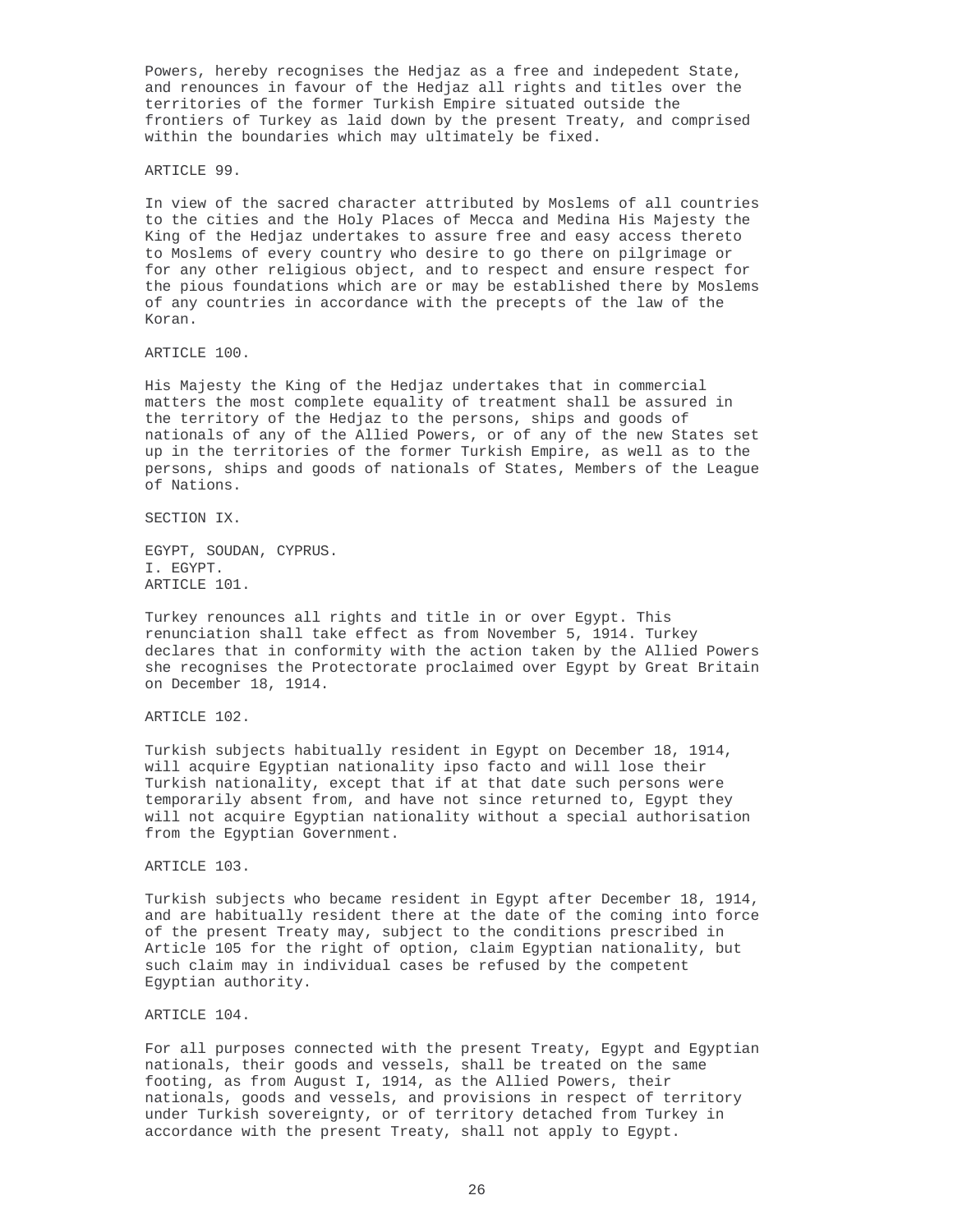Powers, hereby recognises the Hedjaz as a free and indepedent State, and renounces in favour of the Hedjaz all rights and titles over the territories of the former Turkish Empire situated outside the frontiers of Turkey as laid down by the present Treaty, and comprised within the boundaries which may ultimately be fixed.

ARTICLE 99.

In view of the sacred character attributed by Moslems of all countries to the cities and the Holy Places of Mecca and Medina His Majesty the King of the Hedjaz undertakes to assure free and easy access thereto to Moslems of every country who desire to go there on pilgrimage or for any other religious object, and to respect and ensure respect for the pious foundations which are or may be established there by Moslems of any countries in accordance with the precepts of the law of the Koran.

ARTICLE 100.

His Majesty the King of the Hedjaz undertakes that in commercial matters the most complete equality of treatment shall be assured in the territory of the Hedjaz to the persons, ships and goods of nationals of any of the Allied Powers, or of any of the new States set up in the territories of the former Turkish Empire, as well as to the persons, ships and goods of nationals of States, Members of the League of Nations.

SECTION IX.

EGYPT, SOUDAN, CYPRUS. I. EGYPT. ARTICLE 101.

Turkey renounces all rights and title in or over Egypt. This renunciation shall take effect as from November 5, 1914. Turkey declares that in conformity with the action taken by the Allied Powers she recognises the Protectorate proclaimed over Egypt by Great Britain on December 18, 1914.

#### ARTICLE 102.

Turkish subjects habitually resident in Egypt on December 18, 1914, will acquire Egyptian nationality ipso facto and will lose their Turkish nationality, except that if at that date such persons were temporarily absent from, and have not since returned to, Egypt they will not acquire Egyptian nationality without a special authorisation from the Egyptian Government.

# ARTICLE 103.

Turkish subjects who became resident in Egypt after December 18, 1914, and are habitually resident there at the date of the coming into force of the present Treaty may, subject to the conditions prescribed in Article 105 for the right of option, claim Egyptian nationality, but such claim may in individual cases be refused by the competent Egyptian authority.

ARTICLE 104.

For all purposes connected with the present Treaty, Egypt and Egyptian nationals, their goods and vessels, shall be treated on the same footing, as from August I, 1914, as the Allied Powers, their nationals, goods and vessels, and provisions in respect of territory under Turkish sovereignty, or of territory detached from Turkey in accordance with the present Treaty, shall not apply to Egypt.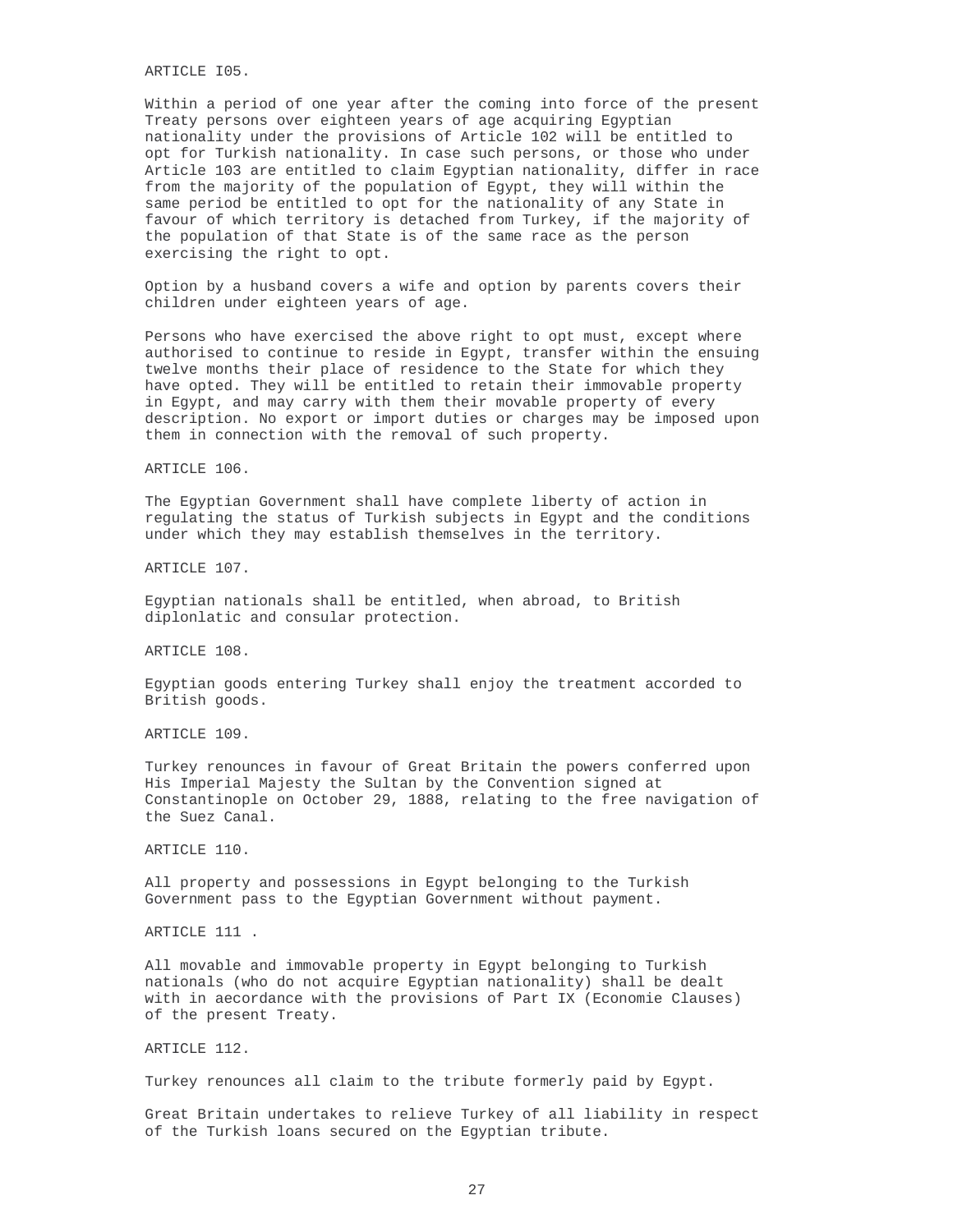ARTICLE I05.

Within a period of one year after the coming into force of the present Treaty persons over eighteen years of age acquiring Egyptian nationality under the provisions of Article 102 will be entitled to opt for Turkish nationality. In case such persons, or those who under Article 103 are entitled to claim Egyptian nationality, differ in race from the majority of the population of Egypt, they will within the same period be entitled to opt for the nationality of any State in favour of which territory is detached from Turkey, if the majority of the population of that State is of the same race as the person exercising the right to opt.

Option by a husband covers a wife and option by parents covers their children under eighteen years of age.

Persons who have exercised the above right to opt must, except where authorised to continue to reside in Egypt, transfer within the ensuing twelve months their place of residence to the State for which they have opted. They will be entitled to retain their immovable property in Egypt, and may carry with them their movable property of every description. No export or import duties or charges may be imposed upon them in connection with the removal of such property.

ARTICLE 106.

The Egyptian Government shall have complete liberty of action in regulating the status of Turkish subjects in Egypt and the conditions under which they may establish themselves in the territory.

ARTICLE 107.

Egyptian nationals shall be entitled, when abroad, to British diplonlatic and consular protection.

ARTICLE 108.

Egyptian goods entering Turkey shall enjoy the treatment accorded to British goods.

ARTICLE 109.

Turkey renounces in favour of Great Britain the powers conferred upon His Imperial Majesty the Sultan by the Convention signed at Constantinople on October 29, 1888, relating to the free navigation of the Suez Canal.

ARTICLE 110.

All property and possessions in Egypt belonging to the Turkish Government pass to the Egyptian Government without payment.

ARTICLE 111 .

All movable and immovable property in Egypt belonging to Turkish nationals (who do not acquire Egyptian nationality) shall be dealt with in aecordance with the provisions of Part IX (Economie Clauses) of the present Treaty.

ARTICLE 112.

Turkey renounces all claim to the tribute formerly paid by Egypt.

Great Britain undertakes to relieve Turkey of all liability in respect of the Turkish loans secured on the Egyptian tribute.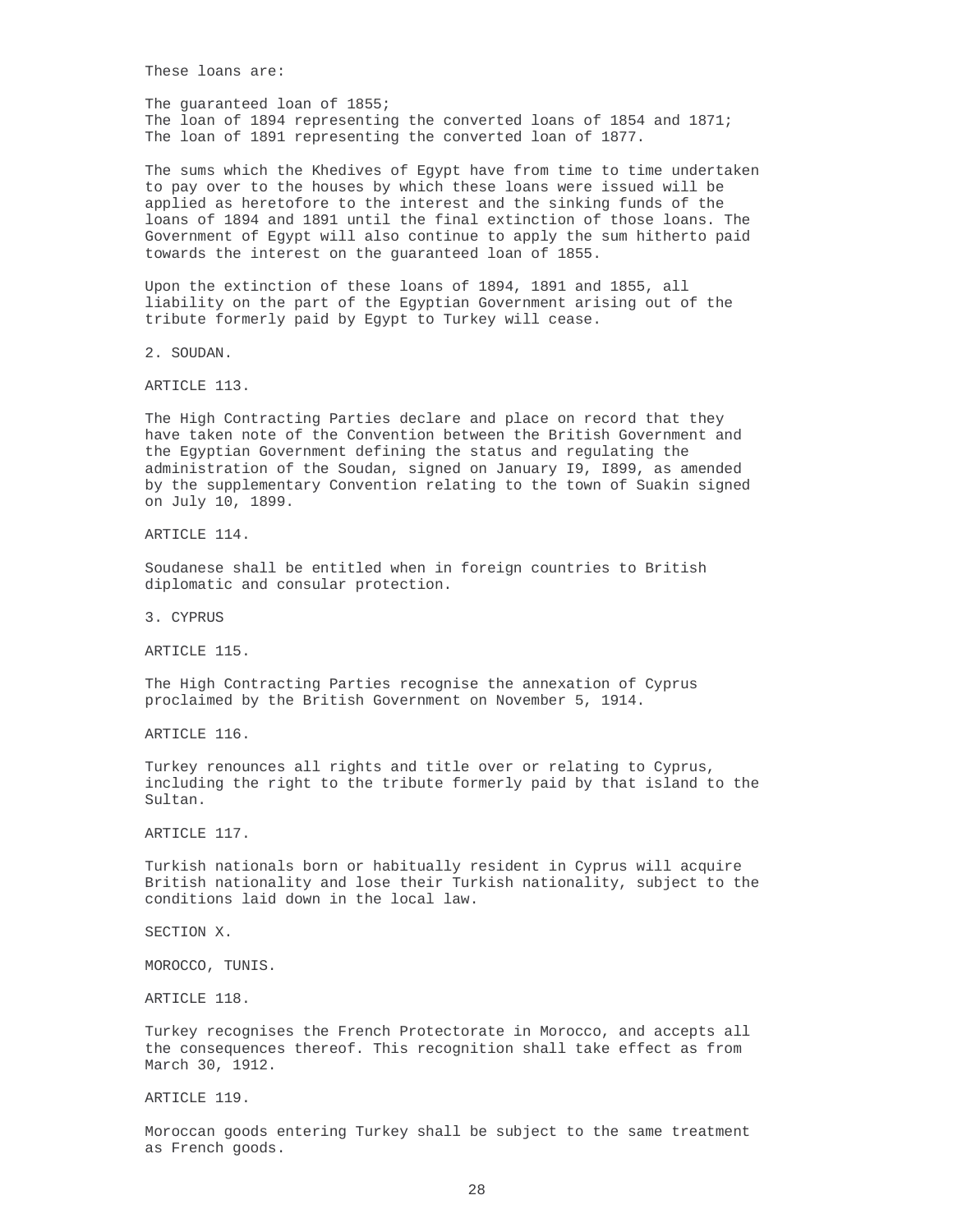These loans are:

The guaranteed loan of 1855; The loan of 1894 representing the converted loans of 1854 and 1871; The loan of 1891 representing the converted loan of 1877.

The sums which the Khedives of Egypt have from time to time undertaken to pay over to the houses by which these loans were issued will be applied as heretofore to the interest and the sinking funds of the loans of 1894 and 1891 until the final extinction of those loans. The Government of Egypt will also continue to apply the sum hitherto paid towards the interest on the guaranteed loan of 1855.

Upon the extinction of these loans of 1894, 1891 and 1855, all liability on the part of the Egyptian Government arising out of the tribute formerly paid by Egypt to Turkey will cease.

2. SOUDAN.

ARTICLE 113.

The High Contracting Parties declare and place on record that they have taken note of the Convention between the British Government and the Egyptian Government defining the status and regulating the administration of the Soudan, signed on January I9, I899, as amended by the supplementary Convention relating to the town of Suakin signed on July 10, 1899.

ARTICLE 114.

Soudanese shall be entitled when in foreign countries to British diplomatic and consular protection.

3. CYPRUS

ARTICLE 115.

The High Contracting Parties recognise the annexation of Cyprus proclaimed by the British Government on November 5, 1914.

ARTICLE 116.

Turkey renounces all rights and title over or relating to Cyprus, including the right to the tribute formerly paid by that island to the Sultan.

ARTICLE 117.

Turkish nationals born or habitually resident in Cyprus will acquire British nationality and lose their Turkish nationality, subject to the conditions laid down in the local law.

SECTION X.

MOROCCO, TUNIS.

ARTICLE 118.

Turkey recognises the French Protectorate in Morocco, and accepts all the consequences thereof. This recognition shall take effect as from March 30, 1912.

ARTICLE 119.

Moroccan goods entering Turkey shall be subject to the same treatment as French goods.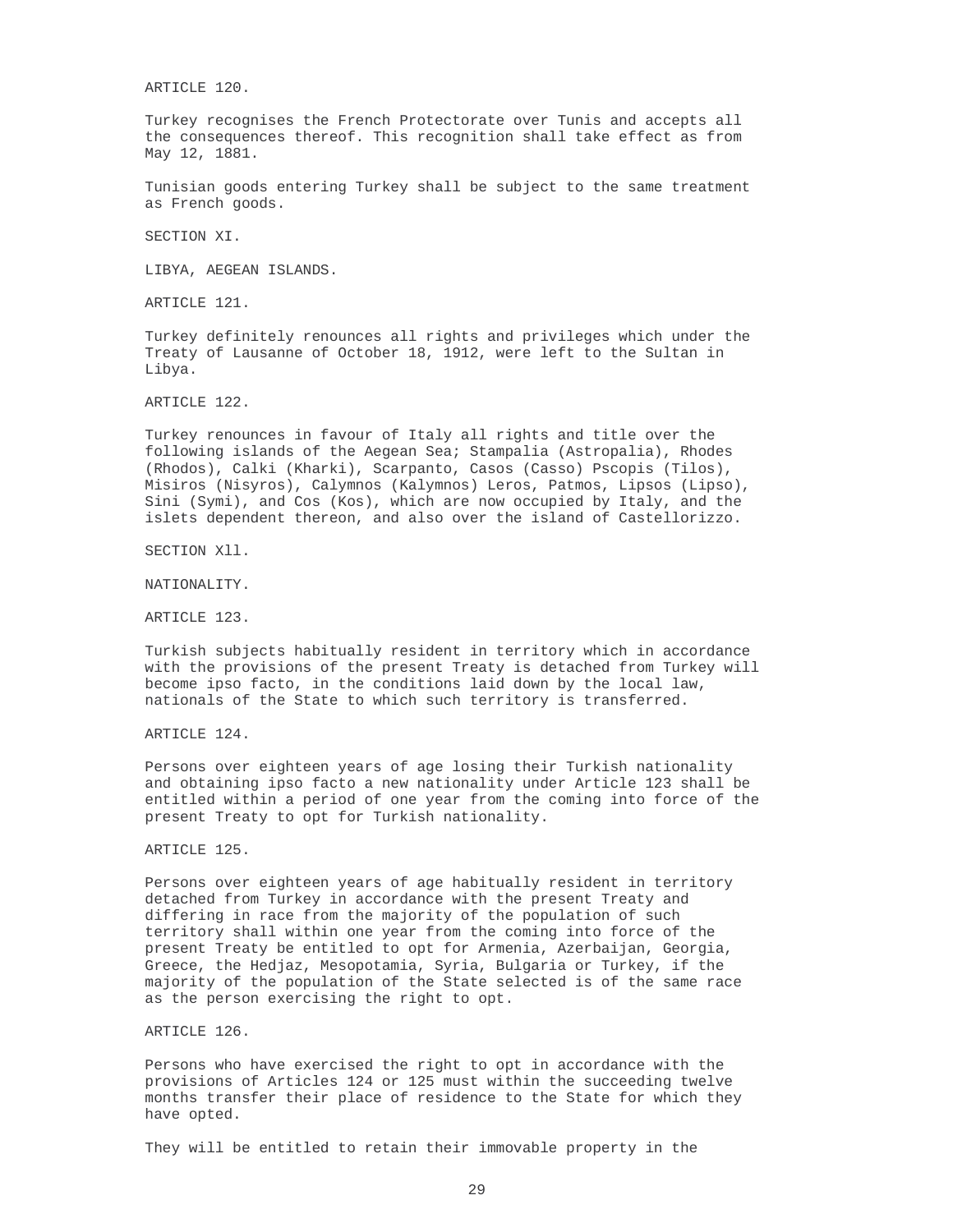ARTICLE 120.

Turkey recognises the French Protectorate over Tunis and accepts all the consequences thereof. This recognition shall take effect as from May 12, 1881.

Tunisian goods entering Turkey shall be subject to the same treatment as French goods.

SECTION XI.

LIBYA, AEGEAN ISLANDS.

ARTICLE 121.

Turkey definitely renounces all rights and privileges which under the Treaty of Lausanne of October 18, 1912, were left to the Sultan in Libya.

ARTICLE 122.

Turkey renounces in favour of Italy all rights and title over the following islands of the Aegean Sea; Stampalia (Astropalia), Rhodes (Rhodos), Calki (Kharki), Scarpanto, Casos (Casso) Pscopis (Tilos), Misiros (Nisyros), Calymnos (Kalymnos) Leros, Patmos, Lipsos (Lipso), Sini (Symi), and Cos (Kos), which are now occupied by Italy, and the islets dependent thereon, and also over the island of Castellorizzo.

SECTION Xll.

NATIONALITY.

ARTICLE 123.

Turkish subjects habitually resident in territory which in accordance with the provisions of the present Treaty is detached from Turkey will become ipso facto, in the conditions laid down by the local law, nationals of the State to which such territory is transferred.

ARTICLE 124.

Persons over eighteen years of age losing their Turkish nationality and obtaining ipso facto a new nationality under Article 123 shall be entitled within a period of one year from the coming into force of the present Treaty to opt for Turkish nationality.

ARTICLE 125.

Persons over eighteen years of age habitually resident in territory detached from Turkey in accordance with the present Treaty and differing in race from the majority of the population of such territory shall within one year from the coming into force of the present Treaty be entitled to opt for Armenia, Azerbaijan, Georgia, Greece, the Hedjaz, Mesopotamia, Syria, Bulgaria or Turkey, if the majority of the population of the State selected is of the same race as the person exercising the right to opt.

ARTICLE 126.

Persons who have exercised the right to opt in accordance with the provisions of Articles 124 or 125 must within the succeeding twelve months transfer their place of residence to the State for which they have opted.

They will be entitled to retain their immovable property in the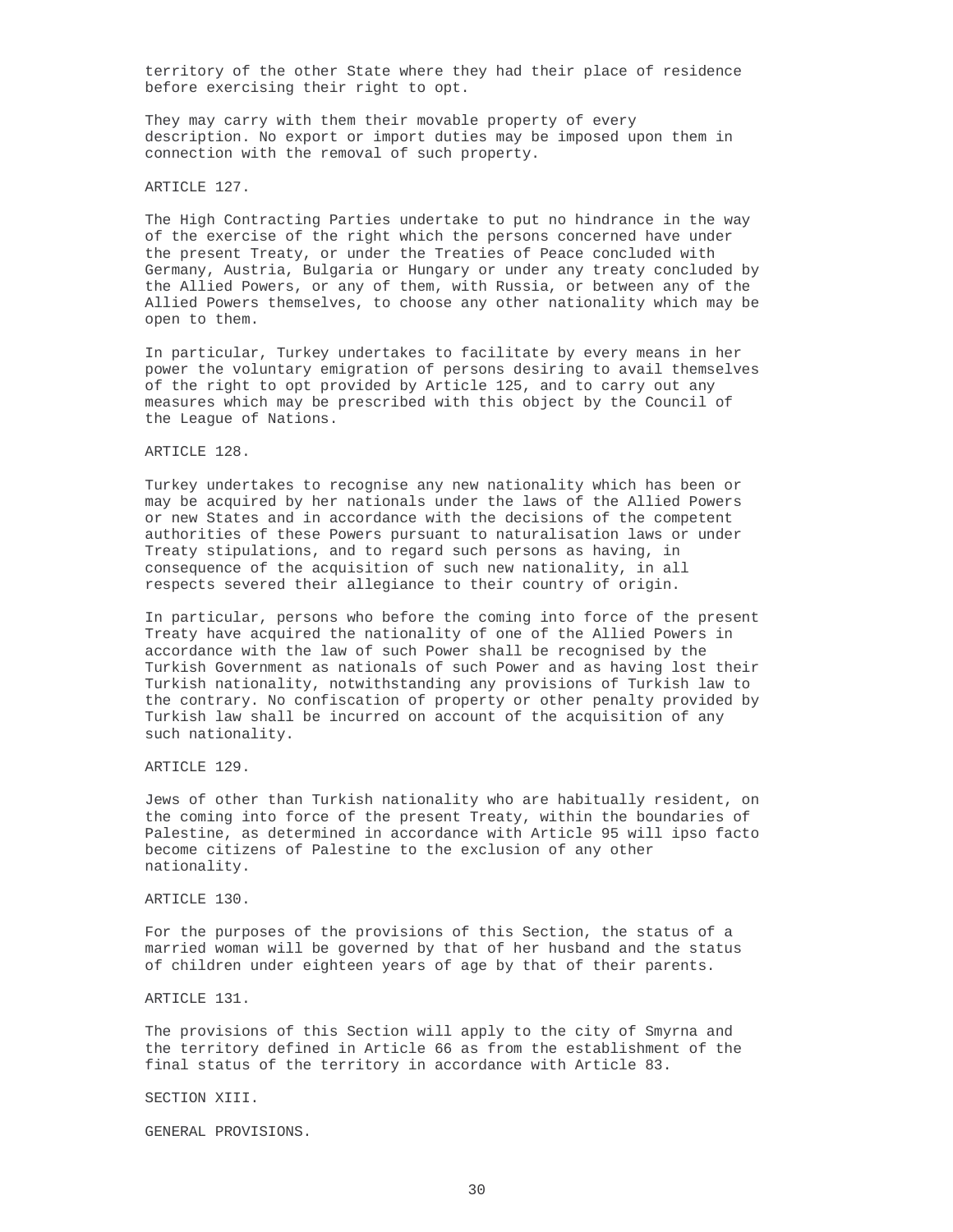territory of the other State where they had their place of residence before exercising their right to opt.

They may carry with them their movable property of every description. No export or import duties may be imposed upon them in connection with the removal of such property.

#### ARTICLE 127.

The High Contracting Parties undertake to put no hindrance in the way of the exercise of the right which the persons concerned have under the present Treaty, or under the Treaties of Peace concluded with Germany, Austria, Bulgaria or Hungary or under any treaty concluded by the Allied Powers, or any of them, with Russia, or between any of the Allied Powers themselves, to choose any other nationality which may be open to them.

In particular, Turkey undertakes to facilitate by every means in her power the voluntary emigration of persons desiring to avail themselves of the right to opt provided by Article 125, and to carry out any measures which may be prescribed with this object by the Council of the League of Nations.

# ARTICLE 128.

Turkey undertakes to recognise any new nationality which has been or may be acquired by her nationals under the laws of the Allied Powers or new States and in accordance with the decisions of the competent authorities of these Powers pursuant to naturalisation laws or under Treaty stipulations, and to regard such persons as having, in consequence of the acquisition of such new nationality, in all respects severed their allegiance to their country of origin.

In particular, persons who before the coming into force of the present Treaty have acquired the nationality of one of the Allied Powers in accordance with the law of such Power shall be recognised by the Turkish Government as nationals of such Power and as having lost their Turkish nationality, notwithstanding any provisions of Turkish law to the contrary. No confiscation of property or other penalty provided by Turkish law shall be incurred on account of the acquisition of any such nationality.

ARTICLE 129.

Jews of other than Turkish nationality who are habitually resident, on the coming into force of the present Treaty, within the boundaries of Palestine, as determined in accordance with Article 95 will ipso facto become citizens of Palestine to the exclusion of any other nationality.

#### ARTICLE 130.

For the purposes of the provisions of this Section, the status of a married woman will be governed by that of her husband and the status of children under eighteen years of age by that of their parents.

ARTICLE 131.

The provisions of this Section will apply to the city of Smyrna and the territory defined in Article 66 as from the establishment of the final status of the territory in accordance with Article 83.

SECTION XIII.

GENERAL PROVISIONS.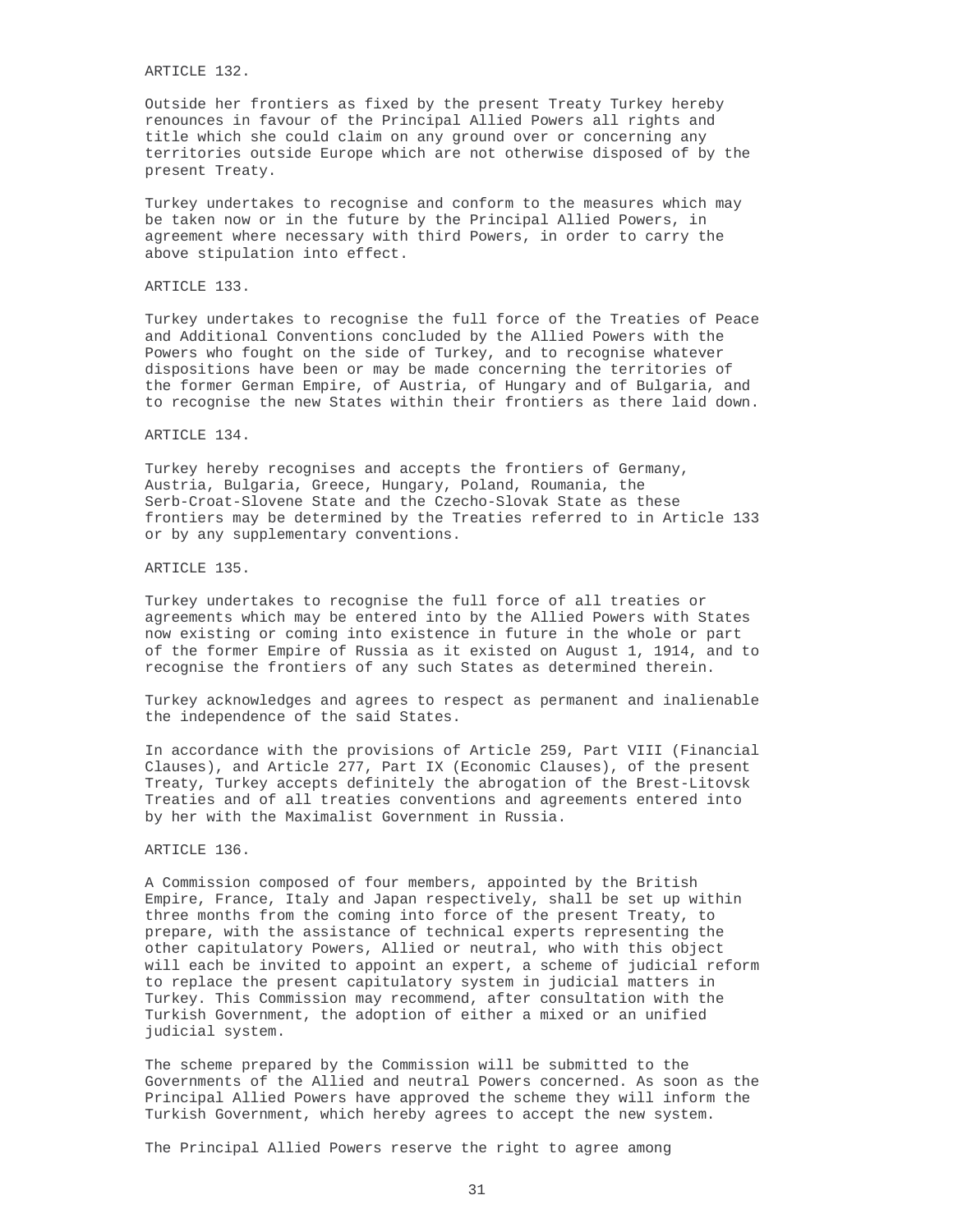ARTICLE 132.

Outside her frontiers as fixed by the present Treaty Turkey hereby renounces in favour of the Principal Allied Powers all rights and title which she could claim on any ground over or concerning any territories outside Europe which are not otherwise disposed of by the present Treaty.

Turkey undertakes to recognise and conform to the measures which may be taken now or in the future by the Principal Allied Powers, in agreement where necessary with third Powers, in order to carry the above stipulation into effect.

#### ARTICLE 133.

Turkey undertakes to recognise the full force of the Treaties of Peace and Additional Conventions concluded by the Allied Powers with the Powers who fought on the side of Turkey, and to recognise whatever dispositions have been or may be made concerning the territories of the former German Empire, of Austria, of Hungary and of Bulgaria, and to recognise the new States within their frontiers as there laid down.

# ARTICLE 134.

Turkey hereby recognises and accepts the frontiers of Germany, Austria, Bulgaria, Greece, Hungary, Poland, Roumania, the Serb-Croat-Slovene State and the Czecho-Slovak State as these frontiers may be determined by the Treaties referred to in Article 133 or by any supplementary conventions.

#### ARTICLE 135.

Turkey undertakes to recognise the full force of all treaties or agreements which may be entered into by the Allied Powers with States now existing or coming into existence in future in the whole or part of the former Empire of Russia as it existed on August 1, 1914, and to recognise the frontiers of any such States as determined therein.

Turkey acknowledges and agrees to respect as permanent and inalienable the independence of the said States.

In accordance with the provisions of Article 259, Part VIII (Financial Clauses), and Article 277, Part IX (Economic Clauses), of the present Treaty, Turkey accepts definitely the abrogation of the Brest-Litovsk Treaties and of all treaties conventions and agreements entered into by her with the Maximalist Government in Russia.

#### ARTICLE 136.

A Commission composed of four members, appointed by the British Empire, France, Italy and Japan respectively, shall be set up within three months from the coming into force of the present Treaty, to prepare, with the assistance of technical experts representing the other capitulatory Powers, Allied or neutral, who with this object will each be invited to appoint an expert, a scheme of judicial reform to replace the present capitulatory system in judicial matters in Turkey. This Commission may recommend, after consultation with the Turkish Government, the adoption of either a mixed or an unified judicial system.

The scheme prepared by the Commission will be submitted to the Governments of the Allied and neutral Powers concerned. As soon as the Principal Allied Powers have approved the scheme they will inform the Turkish Government, which hereby agrees to accept the new system.

The Principal Allied Powers reserve the right to agree among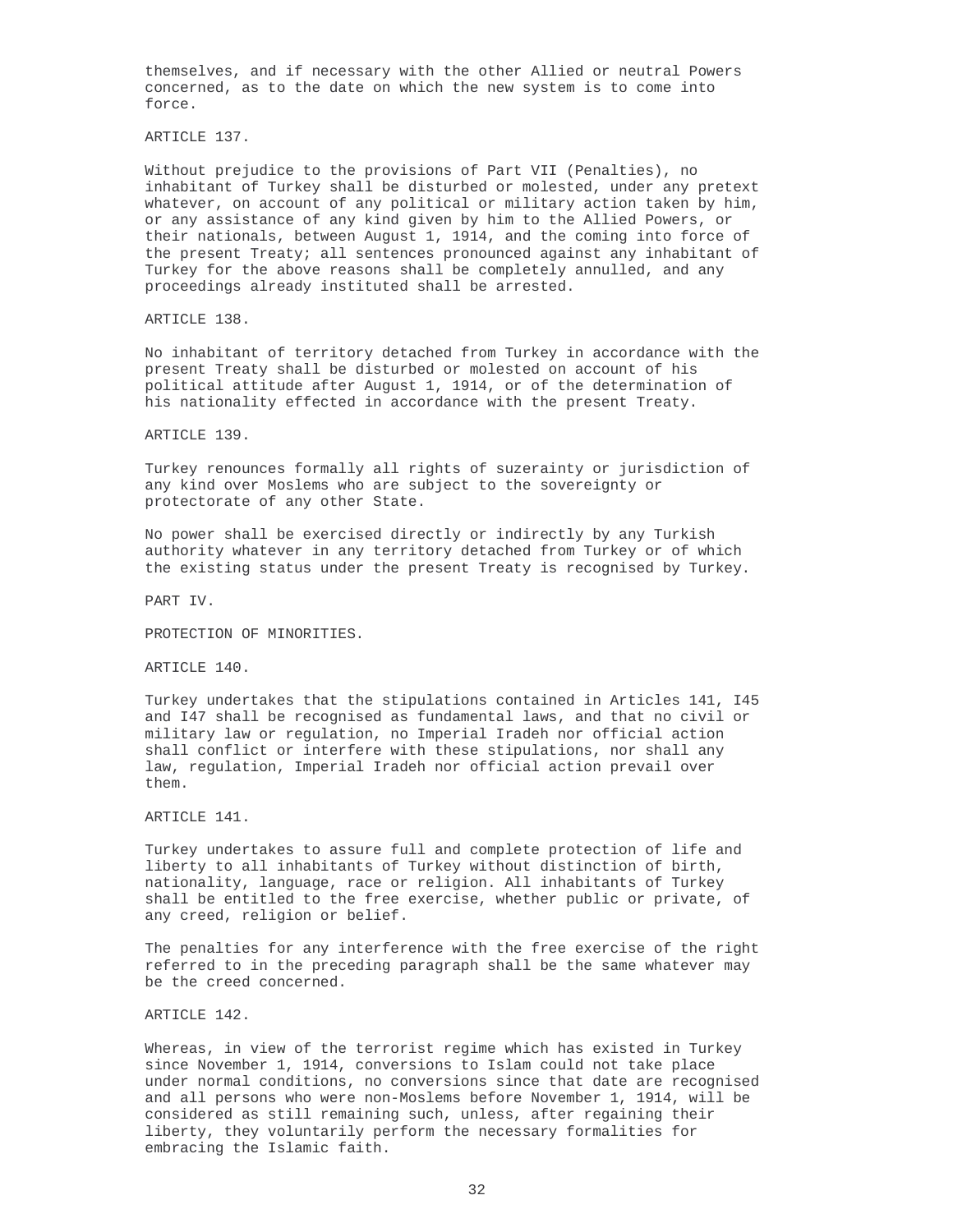themselves, and if necessary with the other Allied or neutral Powers concerned, as to the date on which the new system is to come into force.

ARTICLE 137.

Without prejudice to the provisions of Part VII (Penalties), no inhabitant of Turkey shall be disturbed or molested, under any pretext whatever, on account of any political or military action taken by him, or any assistance of any kind given by him to the Allied Powers, or their nationals, between August 1, 1914, and the coming into force of the present Treaty; all sentences pronounced against any inhabitant of Turkey for the above reasons shall be completely annulled, and any proceedings already instituted shall be arrested.

ARTICLE 138.

No inhabitant of territory detached from Turkey in accordance with the present Treaty shall be disturbed or molested on account of his political attitude after August 1, 1914, or of the determination of his nationality effected in accordance with the present Treaty.

ARTICLE 139.

Turkey renounces formally all rights of suzerainty or jurisdiction of any kind over Moslems who are subject to the sovereignty or protectorate of any other State.

No power shall be exercised directly or indirectly by any Turkish authority whatever in any territory detached from Turkey or of which the existing status under the present Treaty is recognised by Turkey.

PART IV.

PROTECTION OF MINORITIES.

ARTICLE 140.

Turkey undertakes that the stipulations contained in Articles 141, I45 and I47 shall be recognised as fundamental laws, and that no civil or military law or regulation, no Imperial Iradeh nor official action shall conflict or interfere with these stipulations, nor shall any law, regulation, Imperial Iradeh nor official action prevail over them.

ARTICLE 141.

Turkey undertakes to assure full and complete protection of life and liberty to all inhabitants of Turkey without distinction of birth, nationality, language, race or religion. All inhabitants of Turkey shall be entitled to the free exercise, whether public or private, of any creed, religion or belief.

The penalties for any interference with the free exercise of the right referred to in the preceding paragraph shall be the same whatever may be the creed concerned.

ARTICLE 142.

Whereas, in view of the terrorist regime which has existed in Turkey since November 1, 1914, conversions to Islam could not take place under normal conditions, no conversions since that date are recognised and all persons who were non-Moslems before November 1, 1914, will be considered as still remaining such, unless, after regaining their liberty, they voluntarily perform the necessary formalities for embracing the Islamic faith.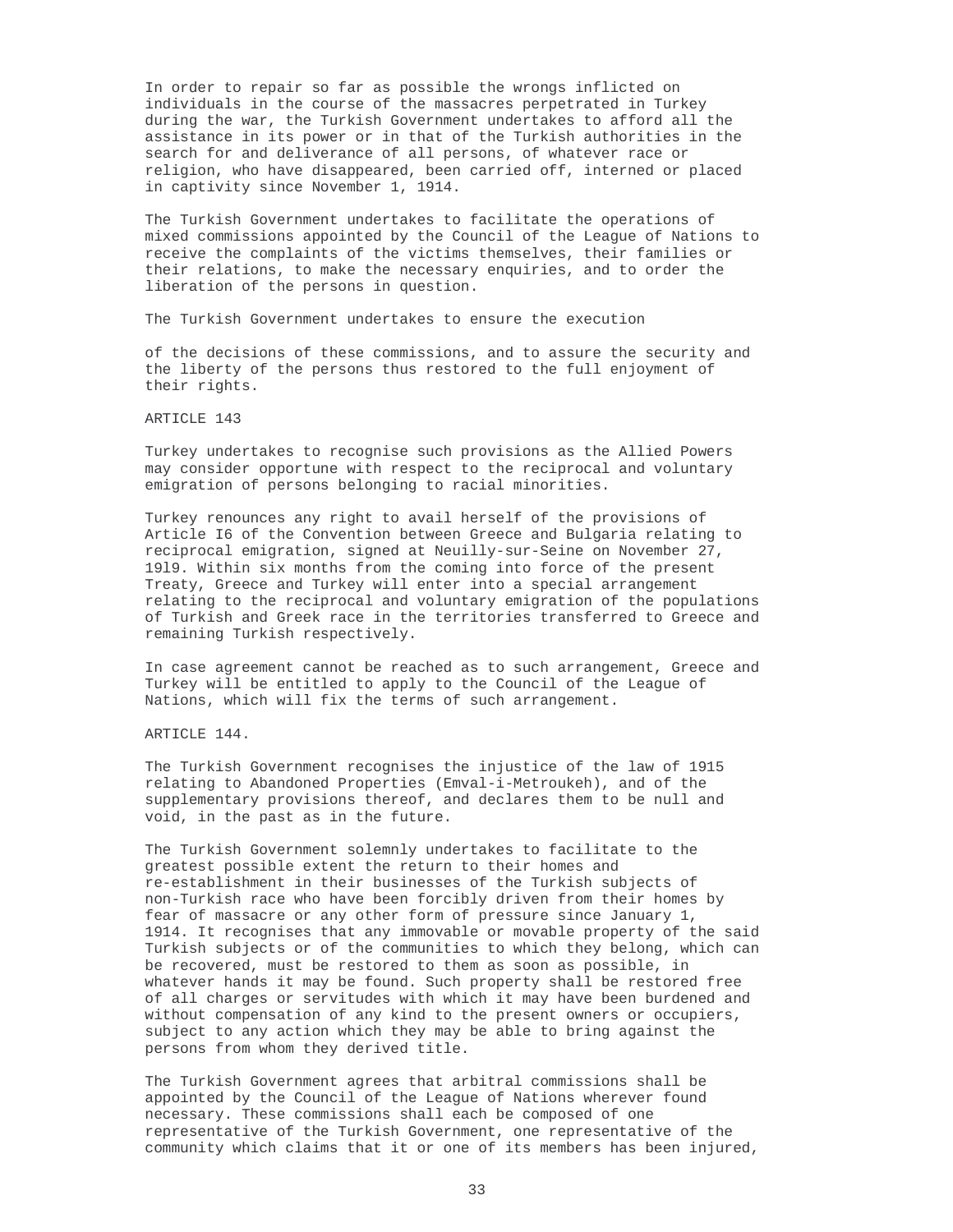In order to repair so far as possible the wrongs inflicted on individuals in the course of the massacres perpetrated in Turkey during the war, the Turkish Government undertakes to afford all the assistance in its power or in that of the Turkish authorities in the search for and deliverance of all persons, of whatever race or religion, who have disappeared, been carried off, interned or placed in captivity since November 1, 1914.

The Turkish Government undertakes to facilitate the operations of mixed commissions appointed by the Council of the League of Nations to receive the complaints of the victims themselves, their families or their relations, to make the necessary enquiries, and to order the liberation of the persons in question.

The Turkish Government undertakes to ensure the execution

of the decisions of these commissions, and to assure the security and the liberty of the persons thus restored to the full enjoyment of their rights.

#### ARTICLE 143

Turkey undertakes to recognise such provisions as the Allied Powers may consider opportune with respect to the reciprocal and voluntary emigration of persons belonging to racial minorities.

Turkey renounces any right to avail herself of the provisions of Article I6 of the Convention between Greece and Bulgaria relating to reciprocal emigration, signed at Neuilly-sur-Seine on November 27, 19l9. Within six months from the coming into force of the present Treaty, Greece and Turkey will enter into a special arrangement relating to the reciprocal and voluntary emigration of the populations of Turkish and Greek race in the territories transferred to Greece and remaining Turkish respectively.

In case agreement cannot be reached as to such arrangement, Greece and Turkey will be entitled to apply to the Council of the League of Nations, which will fix the terms of such arrangement.

ARTICLE 144.

The Turkish Government recognises the injustice of the law of 1915 relating to Abandoned Properties (Emval-i-Metroukeh), and of the supplementary provisions thereof, and declares them to be null and void, in the past as in the future.

The Turkish Government solemnly undertakes to facilitate to the greatest possible extent the return to their homes and re-establishment in their businesses of the Turkish subjects of non-Turkish race who have been forcibly driven from their homes by fear of massacre or any other form of pressure since January 1, 1914. It recognises that any immovable or movable property of the said Turkish subjects or of the communities to which they belong, which can be recovered, must be restored to them as soon as possible, in whatever hands it may be found. Such property shall be restored free of all charges or servitudes with which it may have been burdened and without compensation of any kind to the present owners or occupiers, subject to any action which they may be able to bring against the persons from whom they derived title.

The Turkish Government agrees that arbitral commissions shall be appointed by the Council of the League of Nations wherever found necessary. These commissions shall each be composed of one representative of the Turkish Government, one representative of the community which claims that it or one of its members has been injured,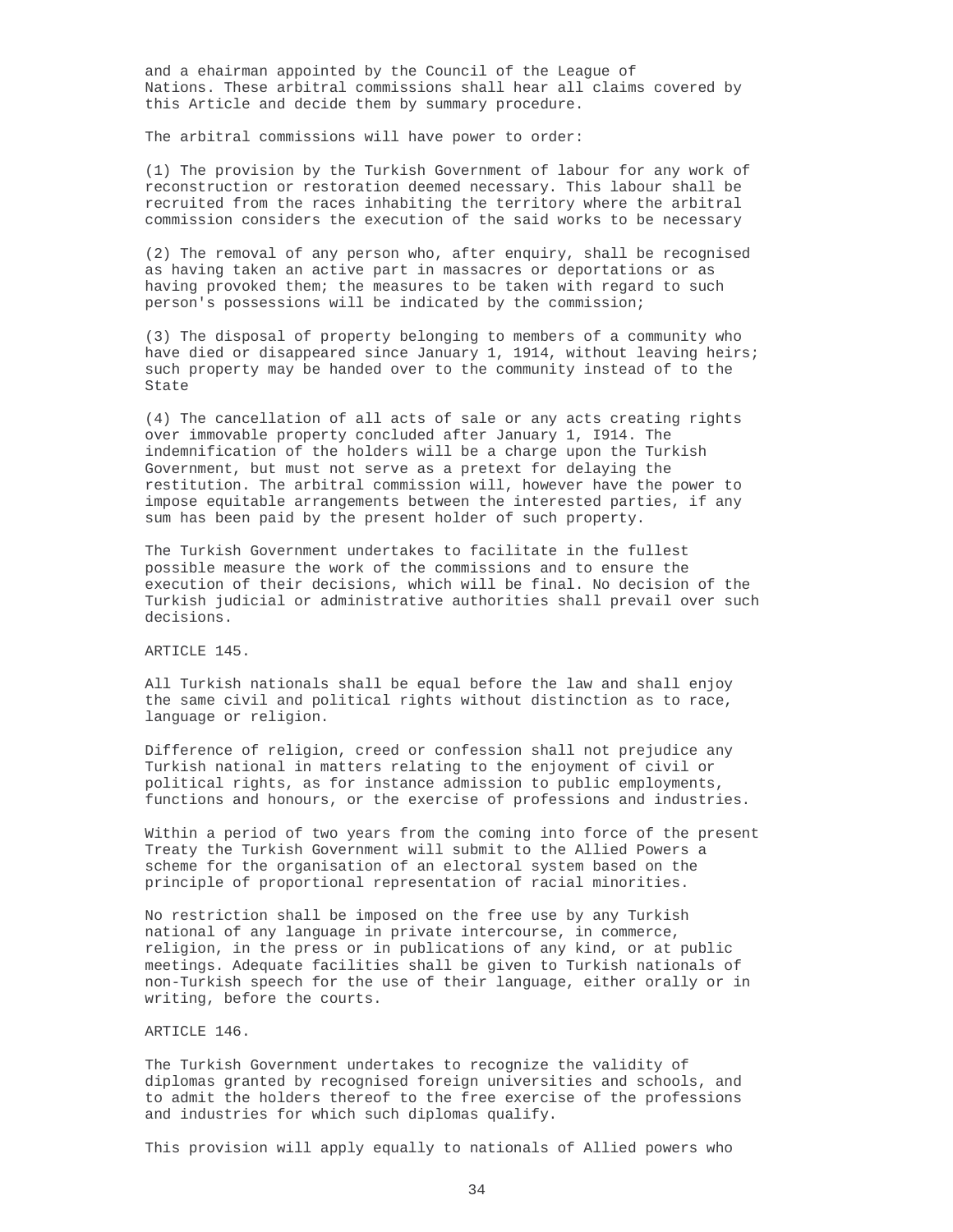and a ehairman appointed by the Council of the League of Nations. These arbitral commissions shall hear all claims covered by this Article and decide them by summary procedure.

The arbitral commissions will have power to order:

(1) The provision by the Turkish Government of labour for any work of reconstruction or restoration deemed necessary. This labour shall be recruited from the races inhabiting the territory where the arbitral commission considers the execution of the said works to be necessary

(2) The removal of any person who, after enquiry, shall be recognised as having taken an active part in massacres or deportations or as having provoked them; the measures to be taken with regard to such person's possessions will be indicated by the commission;

(3) The disposal of property belonging to members of a community who have died or disappeared since January 1, 1914, without leaving heirs; such property may be handed over to the community instead of to the State

(4) The cancellation of all acts of sale or any acts creating rights over immovable property concluded after January 1, I914. The indemnification of the holders will be a charge upon the Turkish Government, but must not serve as a pretext for delaying the restitution. The arbitral commission will, however have the power to impose equitable arrangements between the interested parties, if any sum has been paid by the present holder of such property.

The Turkish Government undertakes to facilitate in the fullest possible measure the work of the commissions and to ensure the execution of their decisions, which will be final. No decision of the Turkish judicial or administrative authorities shall prevail over such decisions.

ARTICLE 145.

All Turkish nationals shall be equal before the law and shall enjoy the same civil and political rights without distinction as to race, language or religion.

Difference of religion, creed or confession shall not prejudice any Turkish national in matters relating to the enjoyment of civil or political rights, as for instance admission to public employments, functions and honours, or the exercise of professions and industries.

Within a period of two years from the coming into force of the present Treaty the Turkish Government will submit to the Allied Powers a scheme for the organisation of an electoral system based on the principle of proportional representation of racial minorities.

No restriction shall be imposed on the free use by any Turkish national of any language in private intercourse, in commerce, religion, in the press or in publications of any kind, or at public meetings. Adequate facilities shall be given to Turkish nationals of non-Turkish speech for the use of their language, either orally or in writing, before the courts.

ARTICLE 146.

The Turkish Government undertakes to recognize the validity of diplomas granted by recognised foreign universities and schools, and to admit the holders thereof to the free exercise of the professions and industries for which such diplomas qualify.

This provision will apply equally to nationals of Allied powers who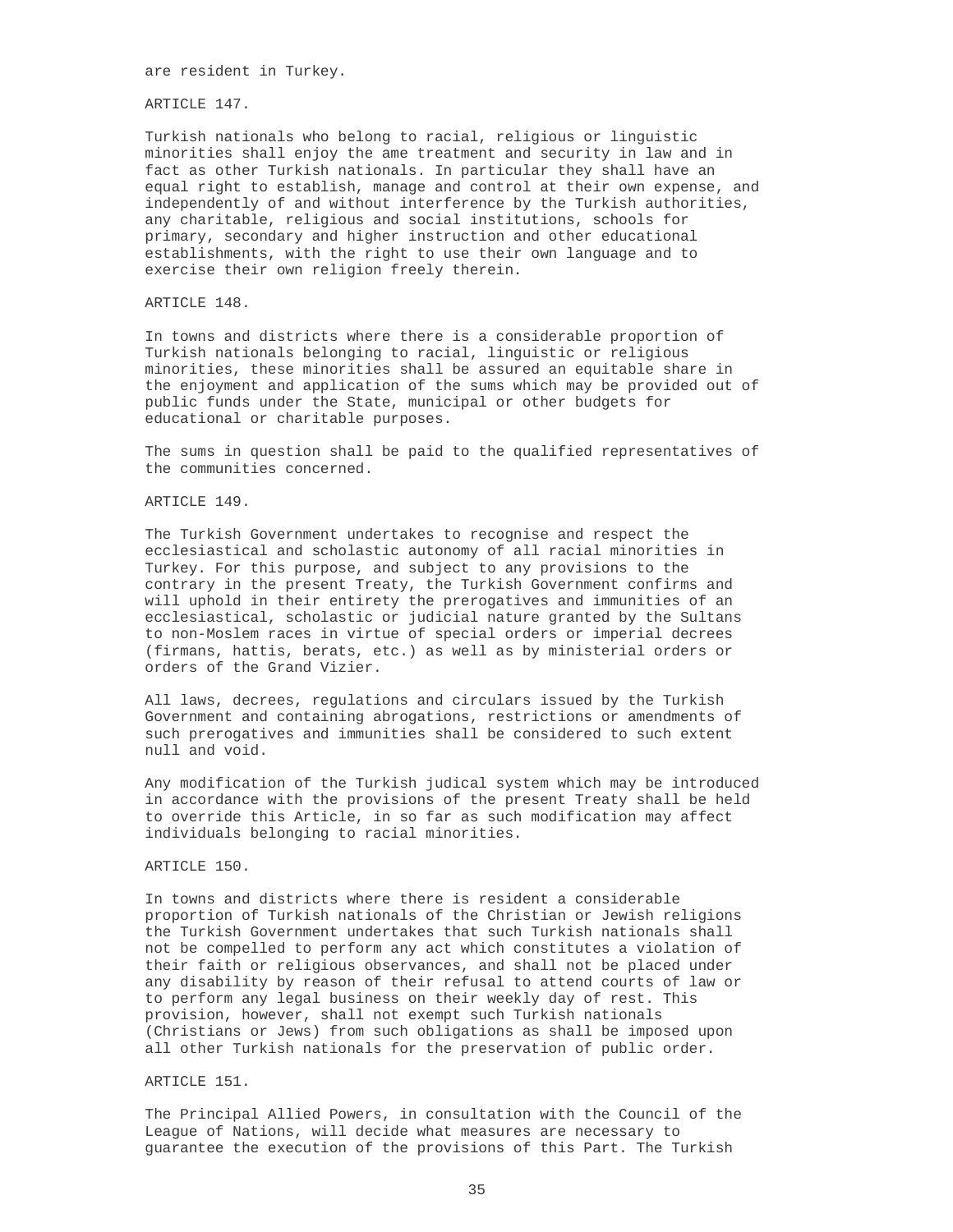are resident in Turkey.

ARTICLE 147.

Turkish nationals who belong to racial, religious or linguistic minorities shall enjoy the ame treatment and security in law and in fact as other Turkish nationals. In particular they shall have an equal right to establish, manage and control at their own expense, and independently of and without interference by the Turkish authorities, any charitable, religious and social institutions, schools for primary, secondary and higher instruction and other educational establishments, with the right to use their own language and to exercise their own religion freely therein.

ARTICLE 148.

In towns and districts where there is a considerable proportion of Turkish nationals belonging to racial, linguistic or religious minorities, these minorities shall be assured an equitable share in the enjoyment and application of the sums which may be provided out of public funds under the State, municipal or other budgets for educational or charitable purposes.

The sums in question shall be paid to the qualified representatives of the communities concerned.

ARTICLE 149.

The Turkish Government undertakes to recognise and respect the ecclesiastical and scholastic autonomy of all racial minorities in Turkey. For this purpose, and subject to any provisions to the contrary in the present Treaty, the Turkish Government confirms and will uphold in their entirety the prerogatives and immunities of an ecclesiastical, scholastic or judicial nature granted by the Sultans to non-Moslem races in virtue of special orders or imperial decrees (firmans, hattis, berats, etc.) as well as by ministerial orders or orders of the Grand Vizier.

All laws, decrees, regulations and circulars issued by the Turkish Government and containing abrogations, restrictions or amendments of such prerogatives and immunities shall be considered to such extent null and void.

Any modification of the Turkish judical system which may be introduced in accordance with the provisions of the present Treaty shall be held to override this Article, in so far as such modification may affect individuals belonging to racial minorities.

# ARTICLE 150.

In towns and districts where there is resident a considerable proportion of Turkish nationals of the Christian or Jewish religions the Turkish Government undertakes that such Turkish nationals shall not be compelled to perform any act which constitutes a violation of their faith or religious observances, and shall not be placed under any disability by reason of their refusal to attend courts of law or to perform any legal business on their weekly day of rest. This provision, however, shall not exempt such Turkish nationals (Christians or Jews) from such obligations as shall be imposed upon all other Turkish nationals for the preservation of public order.

ARTICLE 151.

The Principal Allied Powers, in consultation with the Council of the League of Nations, will decide what measures are necessary to guarantee the execution of the provisions of this Part. The Turkish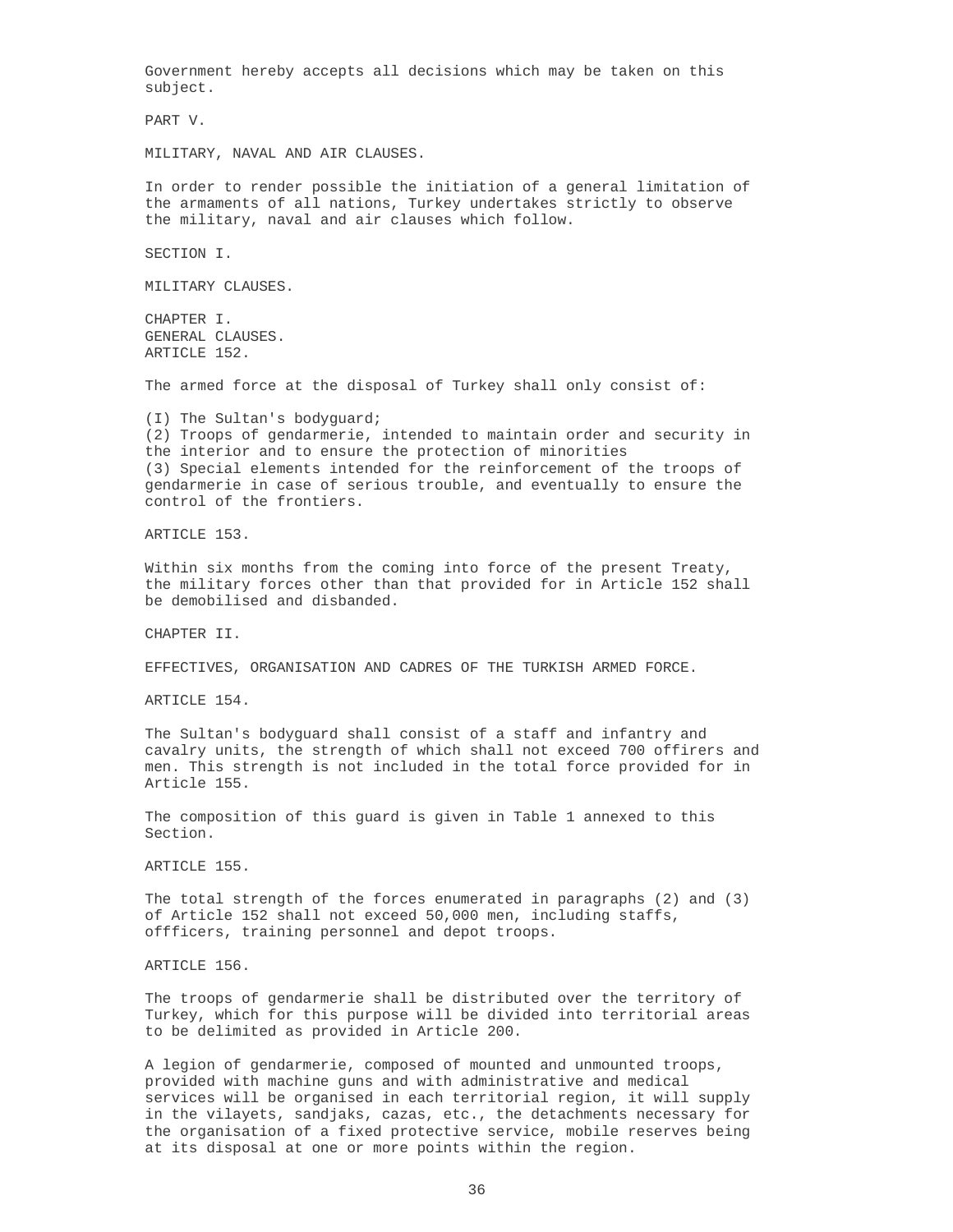Government hereby accepts all decisions which may be taken on this subject. PART V. MILITARY, NAVAL AND AIR CLAUSES. In order to render possible the initiation of a general limitation of the armaments of all nations, Turkey undertakes strictly to observe the military, naval and air clauses which follow. SECTION I. MILITARY CLAUSES. CHAPTER I. GENERAL CLAUSES. ARTICLE 152. The armed force at the disposal of Turkey shall only consist of: (I) The Sultan's bodyguard; (2) Troops of gendarmerie, intended to maintain order and security in the interior and to ensure the protection of minorities (3) Special elements intended for the reinforcement of the troops of gendarmerie in case of serious trouble, and eventually to ensure the control of the frontiers. ARTICLE 153. Within six months from the coming into force of the present Treaty, the military forces other than that provided for in Article 152 shall be demobilised and disbanded. CHAPTER II.

EFFECTIVES, ORGANISATION AND CADRES OF THE TURKISH ARMED FORCE.

ARTICLE 154.

The Sultan's bodyguard shall consist of a staff and infantry and cavalry units, the strength of which shall not exceed 700 offirers and men. This strength is not included in the total force provided for in Article 155.

The composition of this guard is given in Table 1 annexed to this Section.

ARTICLE 155.

The total strength of the forces enumerated in paragraphs (2) and (3) of Article 152 shall not exceed 50,000 men, including staffs, offficers, training personnel and depot troops.

ARTICLE 156.

The troops of gendarmerie shall be distributed over the territory of Turkey, which for this purpose will be divided into territorial areas to be delimited as provided in Article 200.

A legion of gendarmerie, composed of mounted and unmounted troops, provided with machine guns and with administrative and medical services will be organised in each territorial region, it will supply in the vilayets, sandjaks, cazas, etc., the detachments necessary for the organisation of a fixed protective service, mobile reserves being at its disposal at one or more points within the region.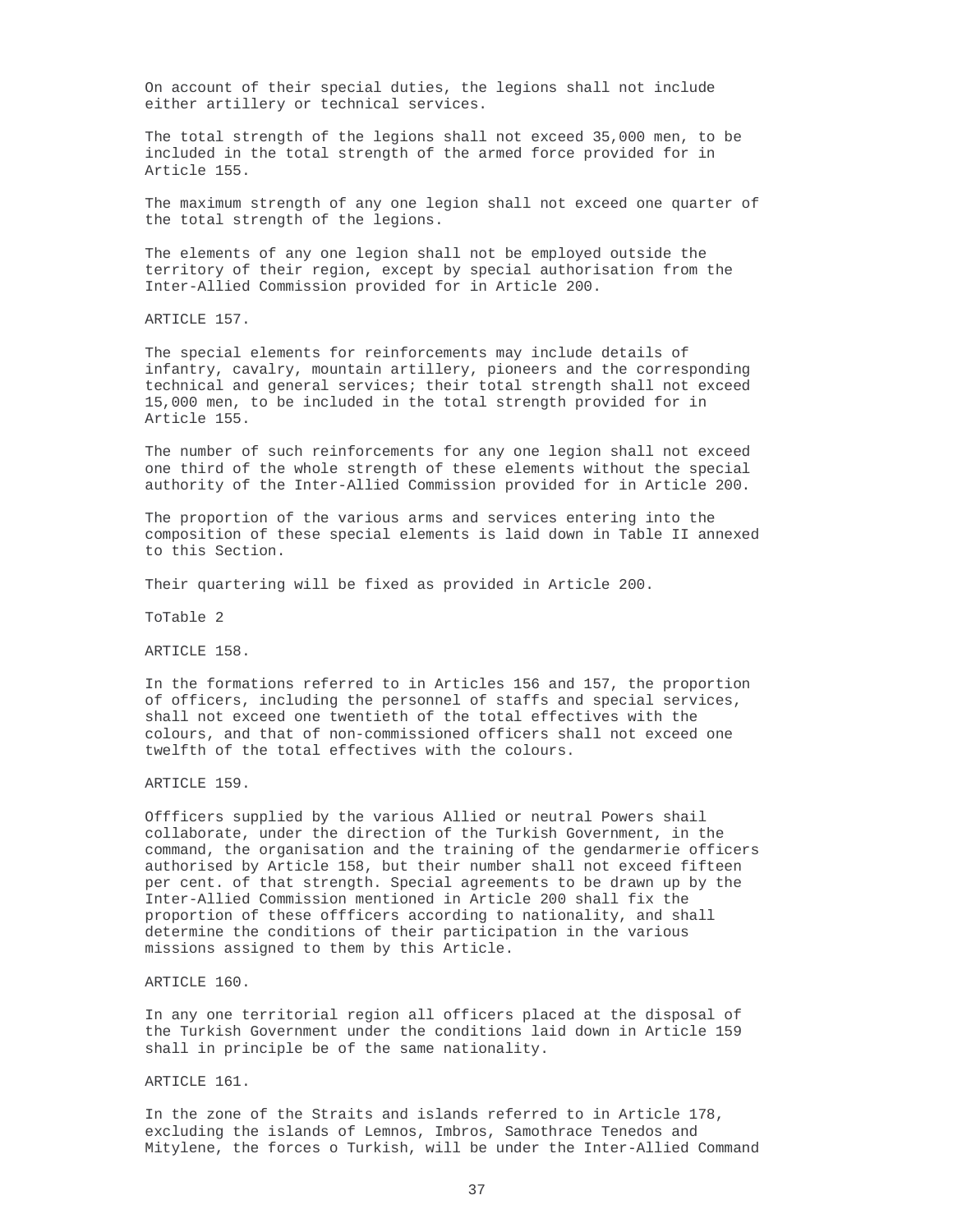On account of their special duties, the legions shall not include either artillery or technical services.

The total strength of the legions shall not exceed 35,000 men, to be included in the total strength of the armed force provided for in Article 155.

The maximum strength of any one legion shall not exceed one quarter of the total strength of the legions.

The elements of any one legion shall not be employed outside the territory of their region, except by special authorisation from the Inter-Allied Commission provided for in Article 200.

ARTICLE 157.

The special elements for reinforcements may include details of infantry, cavalry, mountain artillery, pioneers and the corresponding technical and general services; their total strength shall not exceed 15,000 men, to be included in the total strength provided for in Article 155.

The number of such reinforcements for any one legion shall not exceed one third of the whole strength of these elements without the special authority of the Inter-Allied Commission provided for in Article 200.

The proportion of the various arms and services entering into the composition of these special elements is laid down in Table II annexed to this Section.

Their quartering will be fixed as provided in Article 200.

ToTable 2

ARTICLE 158.

In the formations referred to in Articles 156 and 157, the proportion of officers, including the personnel of staffs and special services, shall not exceed one twentieth of the total effectives with the colours, and that of non-commissioned officers shall not exceed one twelfth of the total effectives with the colours.

ARTICLE 159.

Offficers supplied by the various Allied or neutral Powers shail collaborate, under the direction of the Turkish Government, in the command, the organisation and the training of the gendarmerie officers authorised by Article 158, but their number shall not exceed fifteen per cent. of that strength. Special agreements to be drawn up by the Inter-Allied Commission mentioned in Article 200 shall fix the proportion of these offficers according to nationality, and shall determine the conditions of their participation in the various missions assigned to them by this Article.

ARTICLE 160.

In any one territorial region all officers placed at the disposal of the Turkish Government under the conditions laid down in Article 159 shall in principle be of the same nationality.

ARTICLE 161.

In the zone of the Straits and islands referred to in Article 178, excluding the islands of Lemnos, Imbros, Samothrace Tenedos and Mitylene, the forces o Turkish, will be under the Inter-Allied Command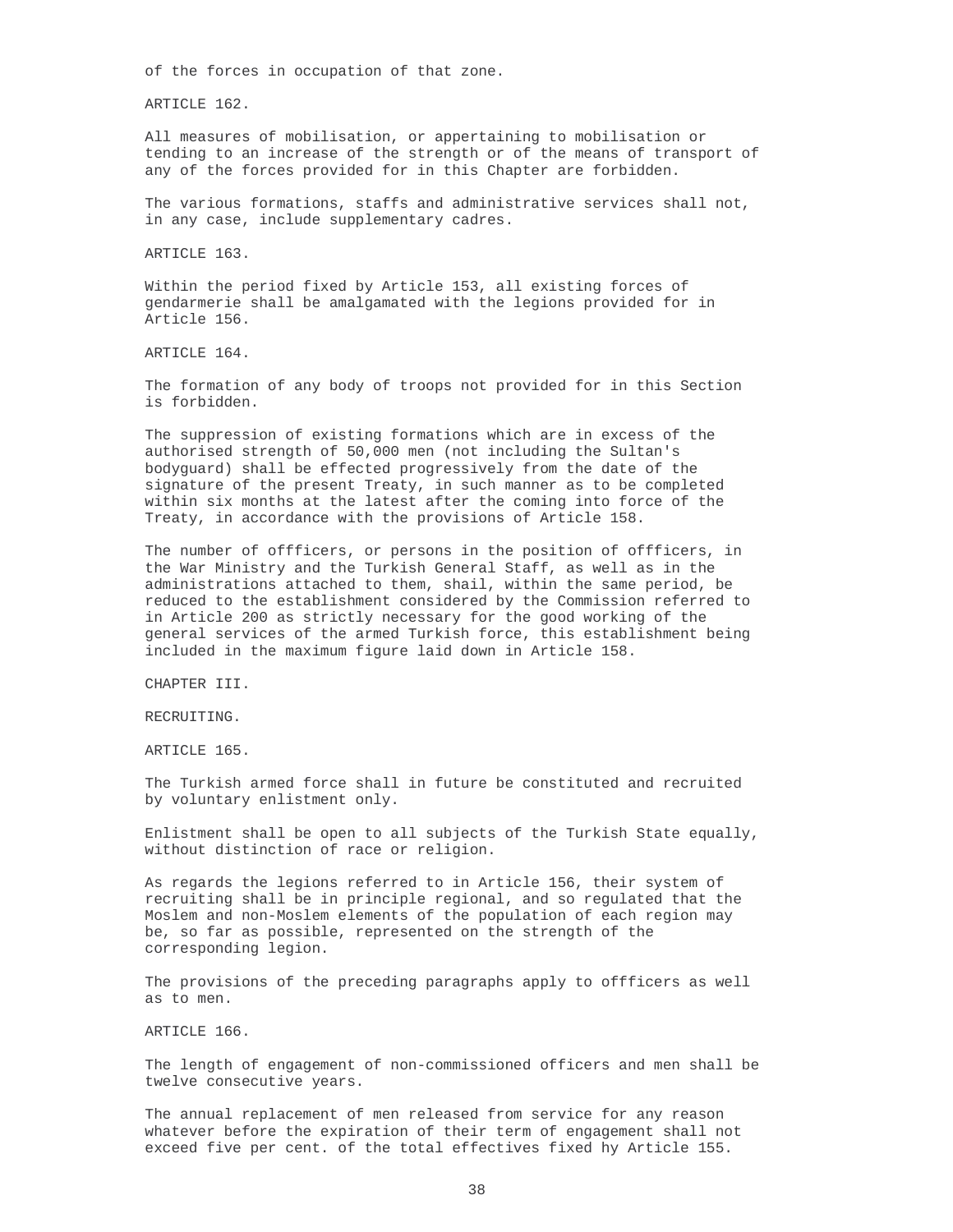of the forces in occupation of that zone.

ARTICLE 162.

All measures of mobilisation, or appertaining to mobilisation or tending to an increase of the strength or of the means of transport of any of the forces provided for in this Chapter are forbidden.

The various formations, staffs and administrative services shall not, in any case, include supplementary cadres.

ARTICLE 163.

Within the period fixed by Article 153, all existing forces of gendarmerie shall be amalgamated with the legions provided for in Article 156.

ARTICLE 164.

The formation of any body of troops not provided for in this Section is forbidden.

The suppression of existing formations which are in excess of the authorised strength of 50,000 men (not including the Sultan's bodyguard) shall be effected progressively from the date of the signature of the present Treaty, in such manner as to be completed within six months at the latest after the coming into force of the Treaty, in accordance with the provisions of Article 158.

The number of offficers, or persons in the position of offficers, in the War Ministry and the Turkish General Staff, as well as in the administrations attached to them, shail, within the same period, be reduced to the establishment considered by the Commission referred to in Article 200 as strictly necessary for the good working of the general services of the armed Turkish force, this establishment being included in the maximum figure laid down in Article 158.

CHAPTER III.

RECRUITING.

ARTICLE 165.

The Turkish armed force shall in future be constituted and recruited by voluntary enlistment only.

Enlistment shall be open to all subjects of the Turkish State equally, without distinction of race or religion.

As regards the legions referred to in Article 156, their system of recruiting shall be in principle regional, and so regulated that the Moslem and non-Moslem elements of the population of each region may be, so far as possible, represented on the strength of the corresponding legion.

The provisions of the preceding paragraphs apply to offficers as well as to men.

ARTICLE 166.

The length of engagement of non-commissioned officers and men shall be twelve consecutive years.

The annual replacement of men released from service for any reason whatever before the expiration of their term of engagement shall not exceed five per cent. of the total effectives fixed hy Article 155.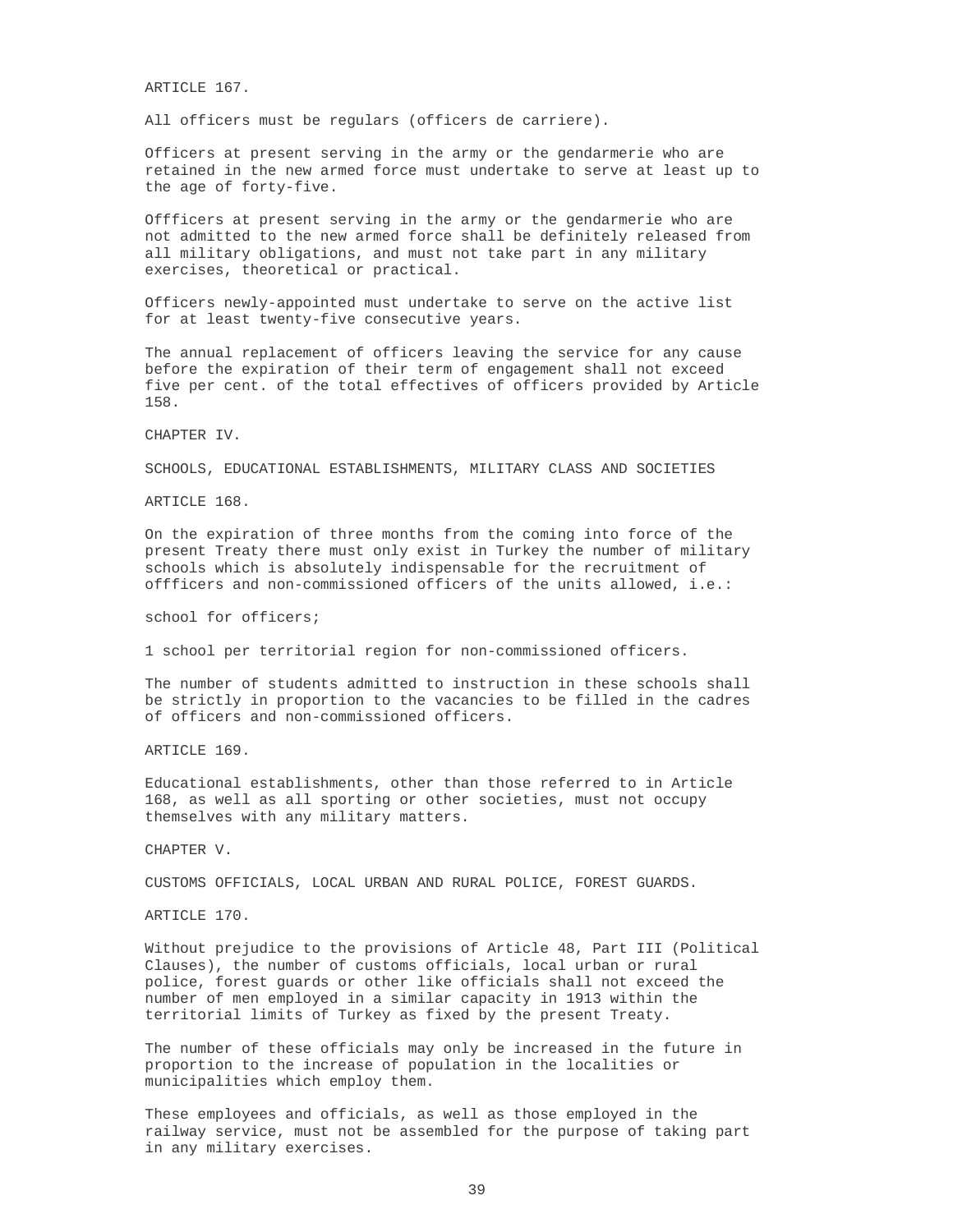ARTICLE 167.

All officers must be regulars (officers de carriere).

Officers at present serving in the army or the gendarmerie who are retained in the new armed force must undertake to serve at least up to the age of forty-five.

Offficers at present serving in the army or the gendarmerie who are not admitted to the new armed force shall be definitely released from all military obligations, and must not take part in any military exercises, theoretical or practical.

Officers newly-appointed must undertake to serve on the active list for at least twenty-five consecutive years.

The annual replacement of officers leaving the service for any cause before the expiration of their term of engagement shall not exceed five per cent. of the total effectives of officers provided by Article 158.

CHAPTER IV.

SCHOOLS, EDUCATIONAL ESTABLISHMENTS, MILITARY CLASS AND SOCIETIES

ARTICLE 168.

On the expiration of three months from the coming into force of the present Treaty there must only exist in Turkey the number of military schools which is absolutely indispensable for the recruitment of offficers and non-commissioned officers of the units allowed, i.e.:

school for officers;

1 school per territorial region for non-commissioned officers.

The number of students admitted to instruction in these schools shall be strictly in proportion to the vacancies to be filled in the cadres of officers and non-commissioned officers.

ARTICLE 169.

Educational establishments, other than those referred to in Article 168, as well as all sporting or other societies, must not occupy themselves with any military matters.

CHAPTER V.

CUSTOMS OFFICIALS, LOCAL URBAN AND RURAL POLICE, FOREST GUARDS.

ARTICLE 170.

Without prejudice to the provisions of Article 48, Part III (Political Clauses), the number of customs officials, local urban or rural police, forest guards or other like officials shall not exceed the number of men employed in a similar capacity in 1913 within the territorial limits of Turkey as fixed by the present Treaty.

The number of these officials may only be increased in the future in proportion to the increase of population in the localities or municipalities which employ them.

These employees and officials, as well as those employed in the railway service, must not be assembled for the purpose of taking part in any military exercises.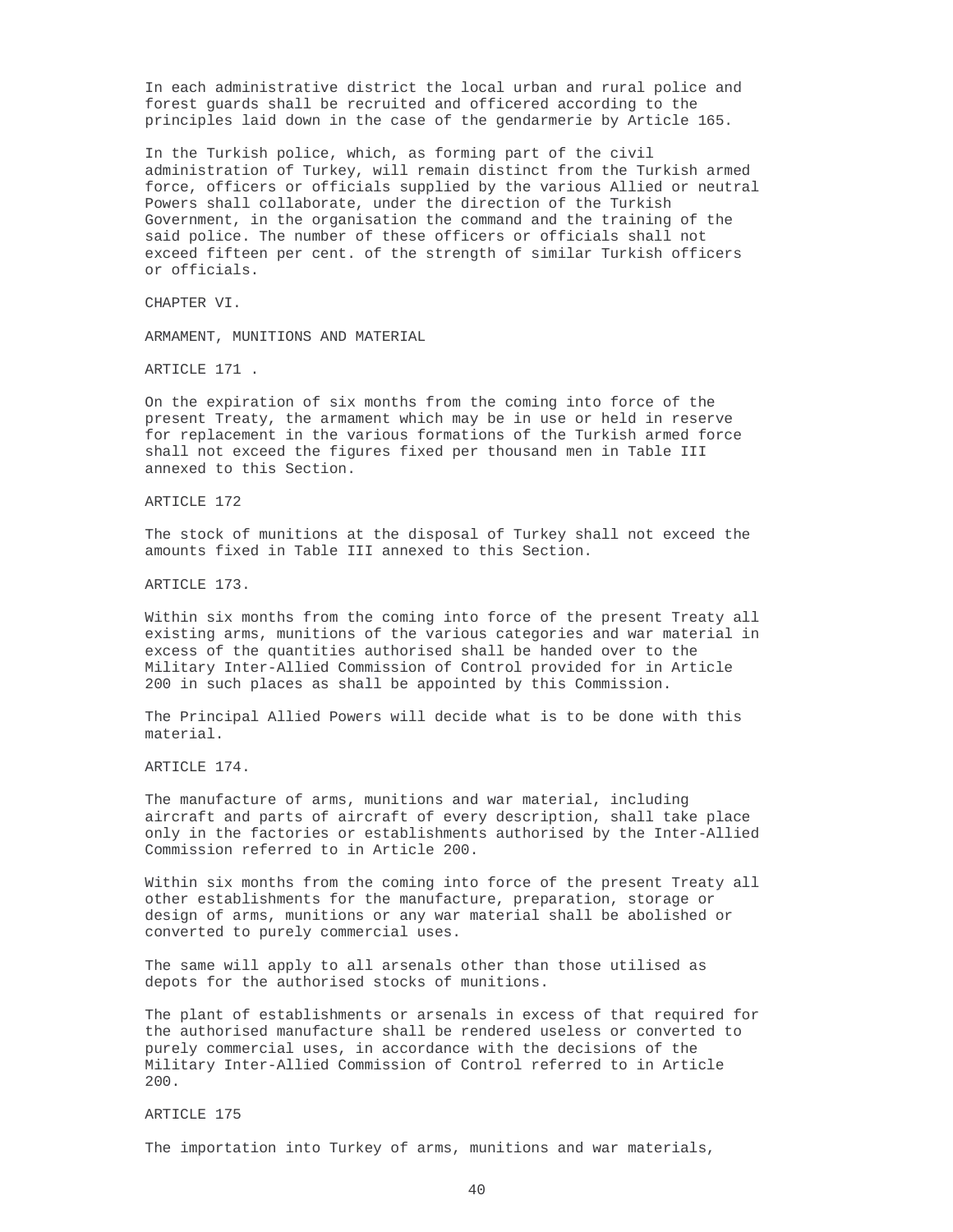In each administrative district the local urban and rural police and forest guards shall be recruited and officered according to the principles laid down in the case of the gendarmerie by Article 165.

In the Turkish police, which, as forming part of the civil administration of Turkey, will remain distinct from the Turkish armed force, officers or officials supplied by the various Allied or neutral Powers shall collaborate, under the direction of the Turkish Government, in the organisation the command and the training of the said police. The number of these officers or officials shall not exceed fifteen per cent. of the strength of similar Turkish officers or officials.

CHAPTER VI.

ARMAMENT, MUNITIONS AND MATERIAL

ARTICLE 171 .

On the expiration of six months from the coming into force of the present Treaty, the armament which may be in use or held in reserve for replacement in the various formations of the Turkish armed force shall not exceed the figures fixed per thousand men in Table III annexed to this Section.

ARTICLE 172

The stock of munitions at the disposal of Turkey shall not exceed the amounts fixed in Table III annexed to this Section.

ARTICLE 173.

Within six months from the coming into force of the present Treaty all existing arms, munitions of the various categories and war material in excess of the quantities authorised shall be handed over to the Military Inter-Allied Commission of Control provided for in Article 200 in such places as shall be appointed by this Commission.

The Principal Allied Powers will decide what is to be done with this material.

ARTICLE 174.

The manufacture of arms, munitions and war material, including aircraft and parts of aircraft of every description, shall take place only in the factories or establishments authorised by the Inter-Allied Commission referred to in Article 200.

Within six months from the coming into force of the present Treaty all other establishments for the manufacture, preparation, storage or design of arms, munitions or any war material shall be abolished or converted to purely commercial uses.

The same will apply to all arsenals other than those utilised as depots for the authorised stocks of munitions.

The plant of establishments or arsenals in excess of that required for the authorised manufacture shall be rendered useless or converted to purely commercial uses, in accordance with the decisions of the Military Inter-Allied Commission of Control referred to in Article 200.

ARTICLE 175

The importation into Turkey of arms, munitions and war materials,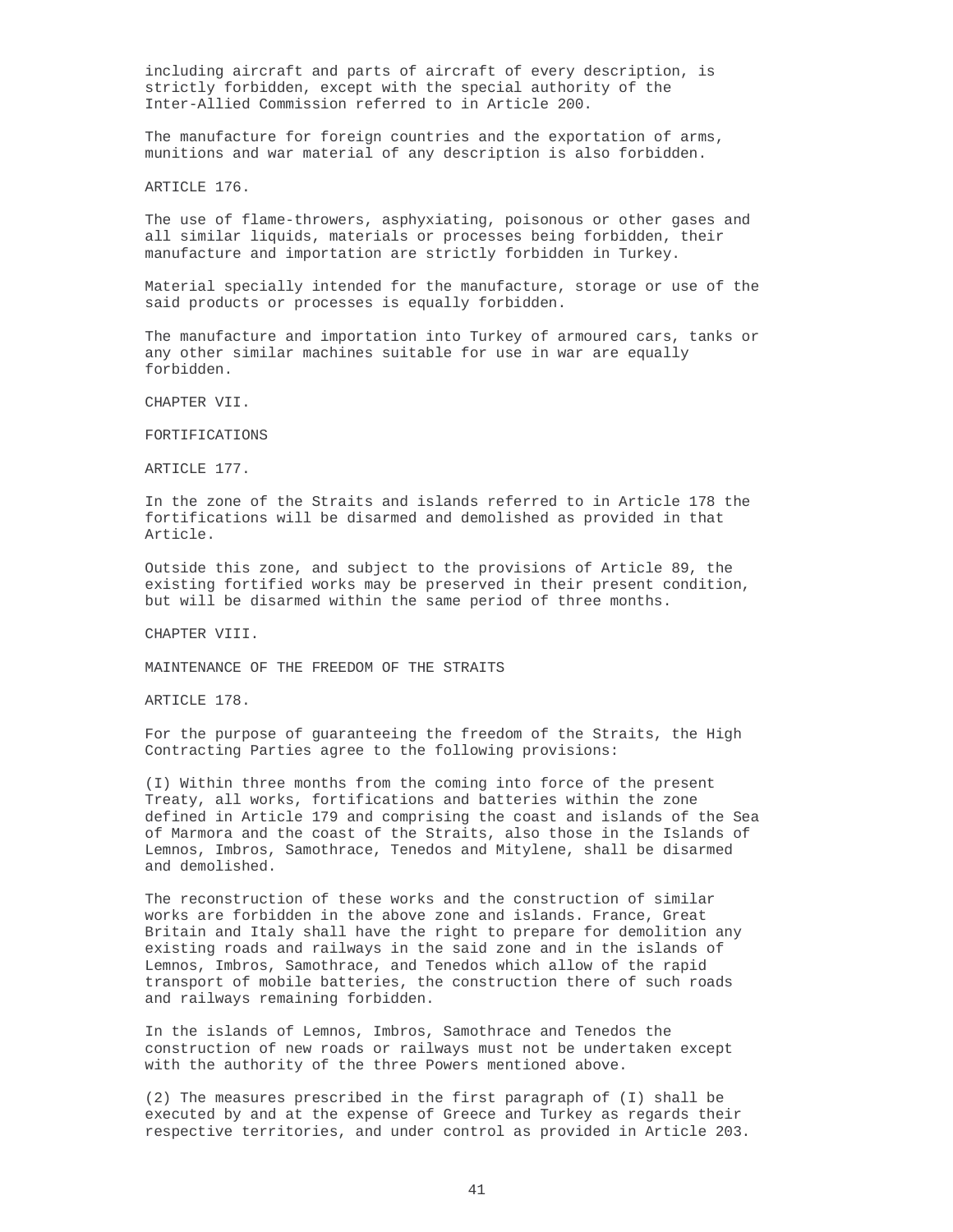including aircraft and parts of aircraft of every description, is strictly forbidden, except with the special authority of the Inter-Allied Commission referred to in Article 200.

The manufacture for foreign countries and the exportation of arms, munitions and war material of any description is also forbidden.

ARTICLE 176.

The use of flame-throwers, asphyxiating, poisonous or other gases and all similar liquids, materials or processes being forbidden, their manufacture and importation are strictly forbidden in Turkey.

Material specially intended for the manufacture, storage or use of the said products or processes is equally forbidden.

The manufacture and importation into Turkey of armoured cars, tanks or any other similar machines suitable for use in war are equally forbidden.

CHAPTER VII.

FORTIFICATIONS

ARTICLE 177.

In the zone of the Straits and islands referred to in Article 178 the fortifications will be disarmed and demolished as provided in that Article.

Outside this zone, and subject to the provisions of Article 89, the existing fortified works may be preserved in their present condition, but will be disarmed within the same period of three months.

CHAPTER VIII.

MAINTENANCE OF THE FREEDOM OF THE STRAITS

ARTICLE 178.

For the purpose of guaranteeing the freedom of the Straits, the High Contracting Parties agree to the following provisions:

(I) Within three months from the coming into force of the present Treaty, all works, fortifications and batteries within the zone defined in Article 179 and comprising the coast and islands of the Sea of Marmora and the coast of the Straits, also those in the Islands of Lemnos, Imbros, Samothrace, Tenedos and Mitylene, shall be disarmed and demolished.

The reconstruction of these works and the construction of similar works are forbidden in the above zone and islands. France, Great Britain and Italy shall have the right to prepare for demolition any existing roads and railways in the said zone and in the islands of Lemnos, Imbros, Samothrace, and Tenedos which allow of the rapid transport of mobile batteries, the construction there of such roads and railways remaining forbidden.

In the islands of Lemnos, Imbros, Samothrace and Tenedos the construction of new roads or railways must not be undertaken except with the authority of the three Powers mentioned above.

(2) The measures prescribed in the first paragraph of (I) shall be executed by and at the expense of Greece and Turkey as regards their respective territories, and under control as provided in Article 203.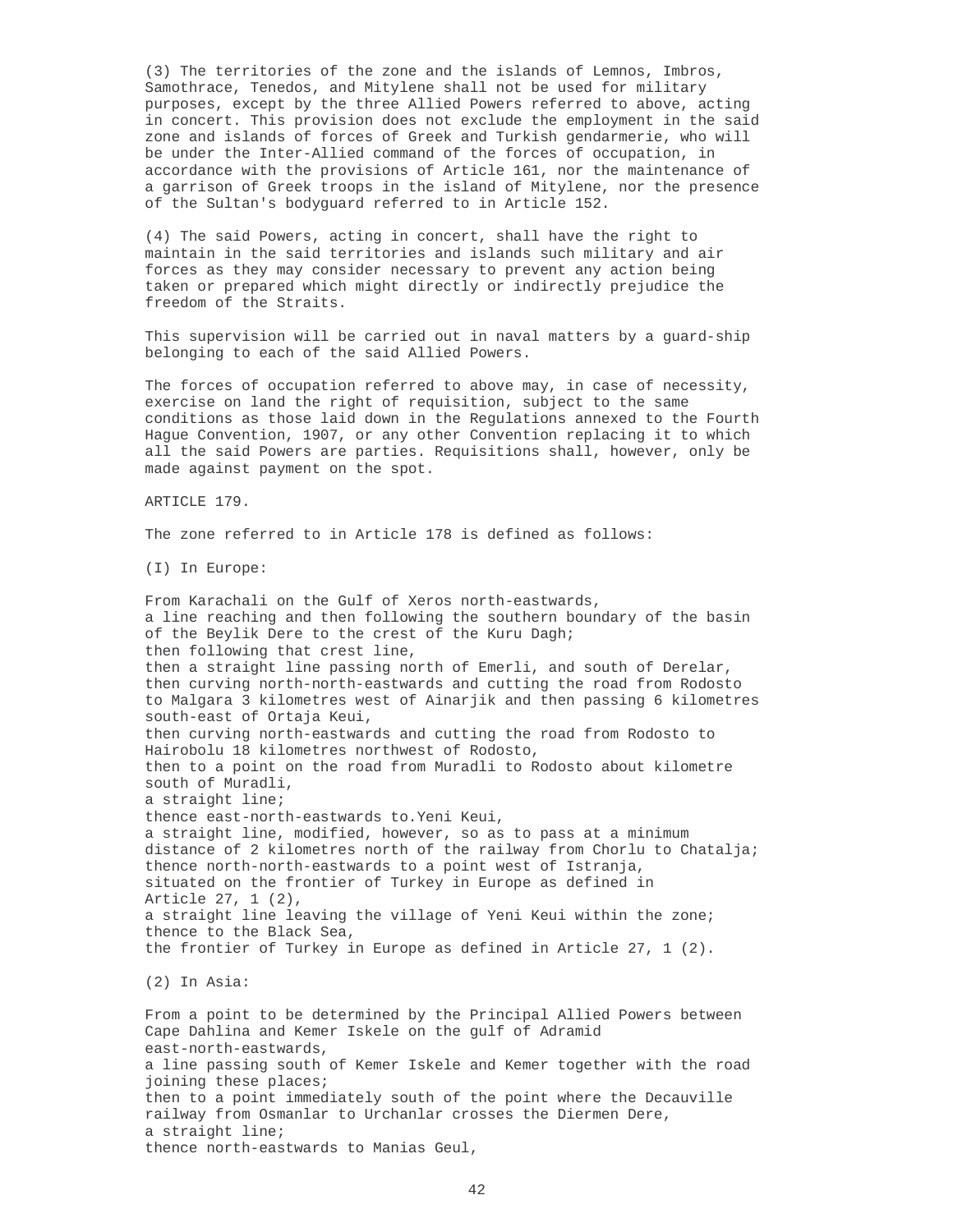(3) The territories of the zone and the islands of Lemnos, Imbros, Samothrace, Tenedos, and Mitylene shall not be used for military purposes, except by the three Allied Powers referred to above, acting in concert. This provision does not exclude the employment in the said zone and islands of forces of Greek and Turkish gendarmerie, who will be under the Inter-Allied command of the forces of occupation, in accordance with the provisions of Article 161, nor the maintenance of a garrison of Greek troops in the island of Mitylene, nor the presence of the Sultan's bodyguard referred to in Article 152.

(4) The said Powers, acting in concert, shall have the right to maintain in the said territories and islands such military and air forces as they may consider necessary to prevent any action being taken or prepared which might directly or indirectly prejudice the freedom of the Straits.

This supervision will be carried out in naval matters by a guard-ship belonging to each of the said Allied Powers.

The forces of occupation referred to above may, in case of necessity, exercise on land the right of requisition, subject to the same conditions as those laid down in the Regulations annexed to the Fourth Hague Convention, 1907, or any other Convention replacing it to which all the said Powers are parties. Requisitions shall, however, only be made against payment on the spot.

ARTICLE 179.

The zone referred to in Article 178 is defined as follows:

(I) In Europe:

From Karachali on the Gulf of Xeros north-eastwards, a line reaching and then following the southern boundary of the basin of the Beylik Dere to the crest of the Kuru Dagh; then following that crest line, then a straight line passing north of Emerli, and south of Derelar, then curving north-north-eastwards and cutting the road from Rodosto to Malgara 3 kilometres west of Ainarjik and then passing 6 kilometres south-east of Ortaja Keui, then curving north-eastwards and cutting the road from Rodosto to Hairobolu 18 kilometres northwest of Rodosto, then to a point on the road from Muradli to Rodosto about kilometre south of Muradli, a straight line; thence east-north-eastwards to.Yeni Keui, a straight line, modified, however, so as to pass at a minimum distance of 2 kilometres north of the railway from Chorlu to Chatalja; thence north-north-eastwards to a point west of Istranja, situated on the frontier of Turkey in Europe as defined in Article 27, 1 (2), a straight line leaving the village of Yeni Keui within the zone; thence to the Black Sea, the frontier of Turkey in Europe as defined in Article 27, 1 (2). (2) In Asia: From a point to be determined by the Principal Allied Powers between Cape Dahlina and Kemer Iskele on the gulf of Adramid east-north-eastwards, a line passing south of Kemer Iskele and Kemer together with the road joining these places; then to a point immediately south of the point where the Decauville railway from Osmanlar to Urchanlar crosses the Diermen Dere, a straight line;

thence north-eastwards to Manias Geul,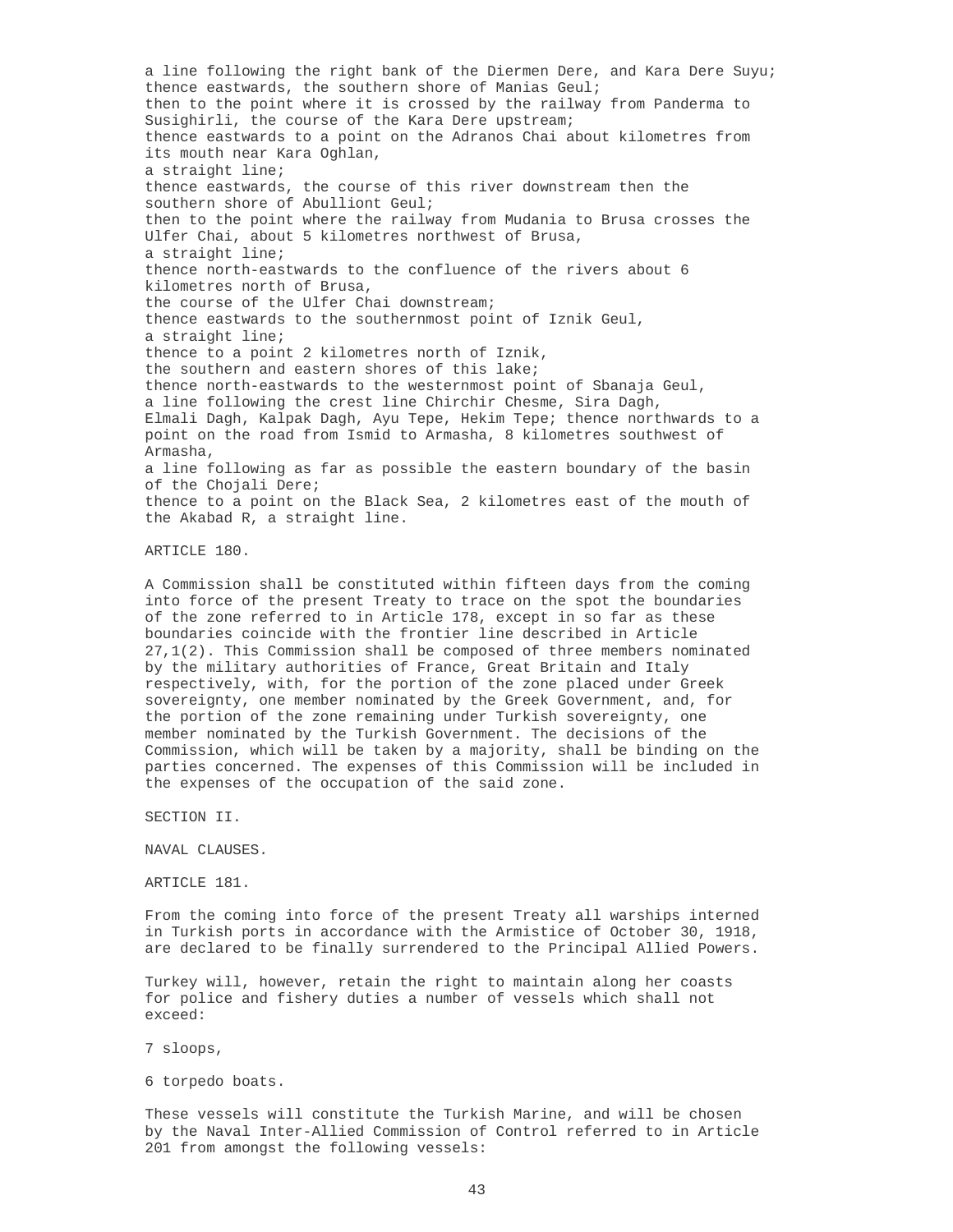a line following the right bank of the Diermen Dere, and Kara Dere Suyu; thence eastwards, the southern shore of Manias Geul; then to the point where it is crossed by the railway from Panderma to Susighirli, the course of the Kara Dere upstream; thence eastwards to a point on the Adranos Chai about kilometres from its mouth near Kara Oghlan, a straight line; thence eastwards, the course of this river downstream then the southern shore of Abulliont Geul; then to the point where the railway from Mudania to Brusa crosses the Ulfer Chai, about 5 kilometres northwest of Brusa, a straight line; thence north-eastwards to the confluence of the rivers about 6 kilometres north of Brusa, the course of the Ulfer Chai downstream; thence eastwards to the southernmost point of Iznik Geul, a straight line; thence to a point 2 kilometres north of Iznik, the southern and eastern shores of this lake; thence north-eastwards to the westernmost point of Sbanaja Geul, a line following the crest line Chirchir Chesme, Sira Dagh, Elmali Dagh, Kalpak Dagh, Ayu Tepe, Hekim Tepe; thence northwards to a point on the road from Ismid to Armasha, 8 kilometres southwest of Armasha, a line following as far as possible the eastern boundary of the basin of the Chojali Dere; thence to a point on the Black Sea, 2 kilometres east of the mouth of the Akabad R, a straight line.

ARTICLE 180.

A Commission shall be constituted within fifteen days from the coming into force of the present Treaty to trace on the spot the boundaries of the zone referred to in Article 178, except in so far as these boundaries coincide with the frontier line described in Article 27,1(2). This Commission shall be composed of three members nominated by the military authorities of France, Great Britain and Italy respectively, with, for the portion of the zone placed under Greek sovereignty, one member nominated by the Greek Government, and, for the portion of the zone remaining under Turkish sovereignty, one member nominated by the Turkish Government. The decisions of the Commission, which will be taken by a majority, shall be binding on the parties concerned. The expenses of this Commission will be included in the expenses of the occupation of the said zone.

SECTION II.

NAVAL CLAUSES.

ARTICLE 181.

From the coming into force of the present Treaty all warships interned in Turkish ports in accordance with the Armistice of October 30, 1918, are declared to be finally surrendered to the Principal Allied Powers.

Turkey will, however, retain the right to maintain along her coasts for police and fishery duties a number of vessels which shall not exceed:

7 sloops,

6 torpedo boats.

These vessels will constitute the Turkish Marine, and will be chosen by the Naval Inter-Allied Commission of Control referred to in Article 201 from amongst the following vessels: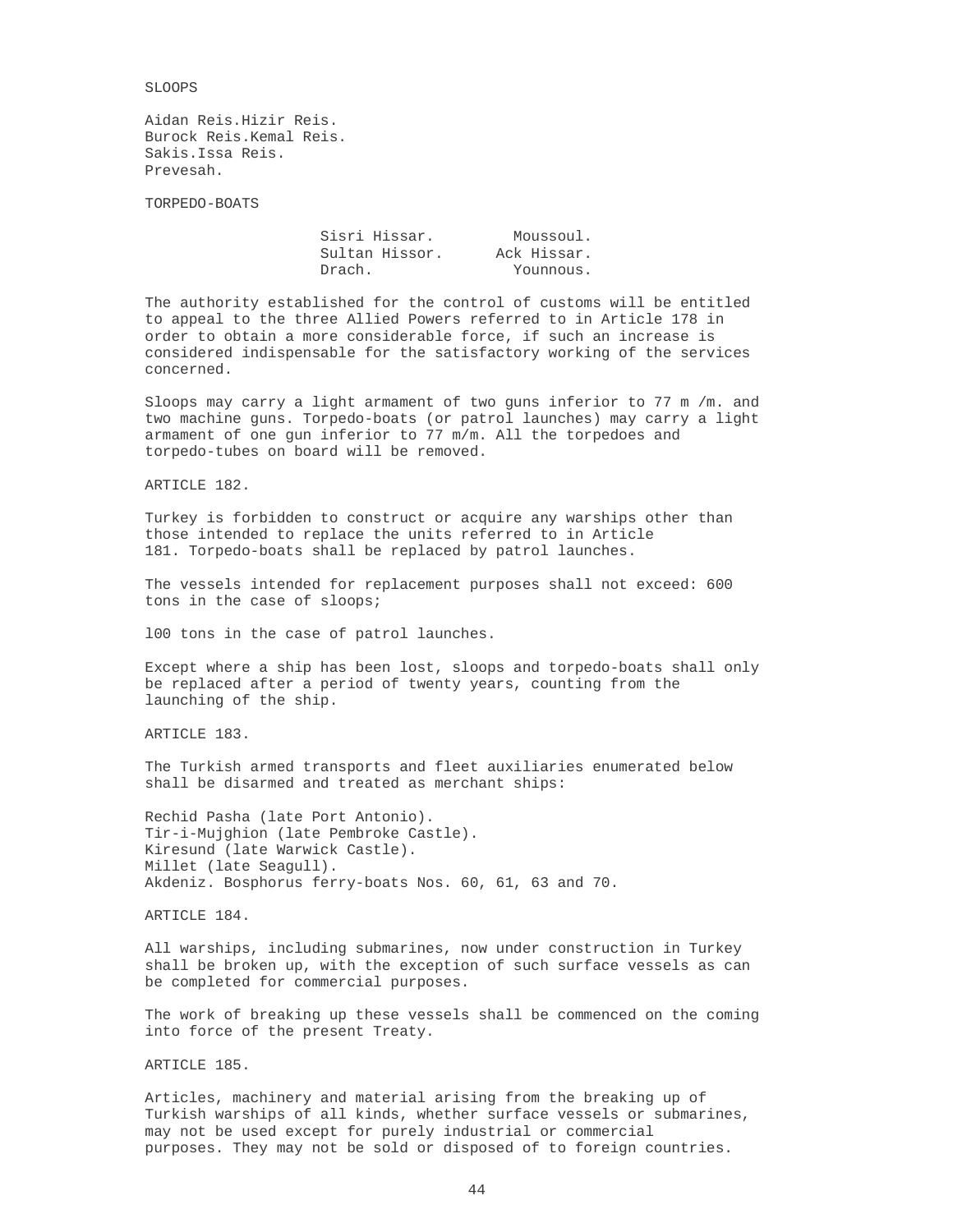SLOOPS

Aidan Reis.Hizir Reis. Burock Reis.Kemal Reis. Sakis.Issa Reis. Prevesah.

TORPEDO-BOATS

| Sisri Hissar.  | Moussoul.   |
|----------------|-------------|
| Sultan Hissor. | Ack Hissar. |
| Drach.         | Younnous.   |

The authority established for the control of customs will be entitled to appeal to the three Allied Powers referred to in Article 178 in order to obtain a more considerable force, if such an increase is considered indispensable for the satisfactory working of the services concerned.

Sloops may carry a light armament of two guns inferior to 77 m /m. and two machine guns. Torpedo-boats (or patrol launches) may carry a light armament of one gun inferior to 77 m/m. All the torpedoes and torpedo-tubes on board will be removed.

ARTICLE 182.

Turkey is forbidden to construct or acquire any warships other than those intended to replace the units referred to in Article 181. Torpedo-boats shall be replaced by patrol launches.

The vessels intended for replacement purposes shall not exceed: 600 tons in the case of sloops;

l00 tons in the case of patrol launches.

Except where a ship has been lost, sloops and torpedo-boats shall only be replaced after a period of twenty years, counting from the launching of the ship.

ARTICLE 183.

The Turkish armed transports and fleet auxiliaries enumerated below shall be disarmed and treated as merchant ships:

Rechid Pasha (late Port Antonio). Tir-i-Mujghion (late Pembroke Castle). Kiresund (late Warwick Castle). Millet (late Seagull). Akdeniz. Bosphorus ferry-boats Nos. 60, 61, 63 and 70.

ARTICLE 184.

All warships, including submarines, now under construction in Turkey shall be broken up, with the exception of such surface vessels as can be completed for commercial purposes.

The work of breaking up these vessels shall be commenced on the coming into force of the present Treaty.

ARTICLE 185.

Articles, machinery and material arising from the breaking up of Turkish warships of all kinds, whether surface vessels or submarines, may not be used except for purely industrial or commercial purposes. They may not be sold or disposed of to foreign countries.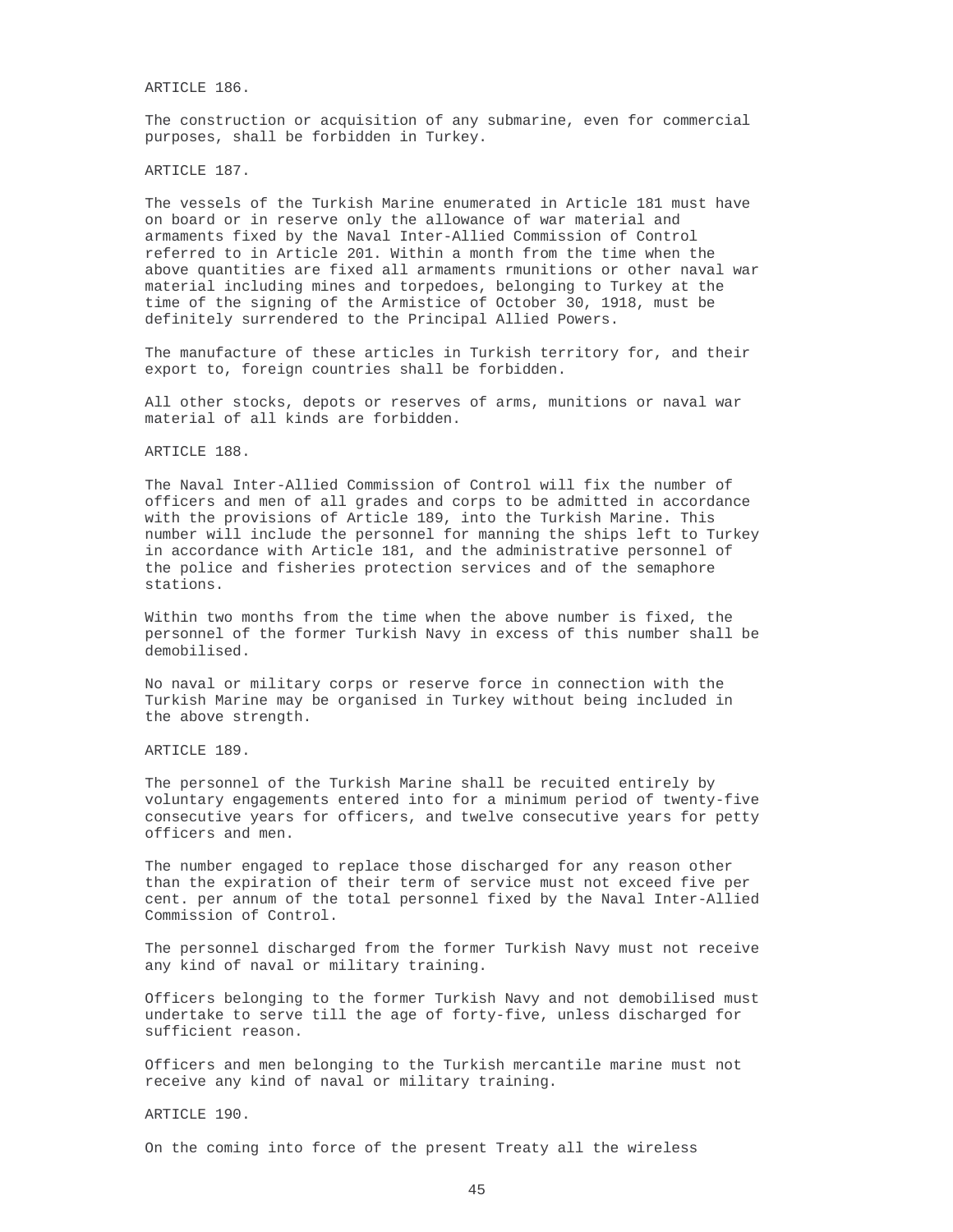ARTICLE 186.

The construction or acquisition of any submarine, even for commercial purposes, shall be forbidden in Turkey.

ARTICLE 187.

The vessels of the Turkish Marine enumerated in Article 181 must have on board or in reserve only the allowance of war material and armaments fixed by the Naval Inter-Allied Commission of Control referred to in Article 201. Within a month from the time when the above quantities are fixed all armaments rmunitions or other naval war material including mines and torpedoes, belonging to Turkey at the time of the signing of the Armistice of October 30, 1918, must be definitely surrendered to the Principal Allied Powers.

The manufacture of these articles in Turkish territory for, and their export to, foreign countries shall be forbidden.

All other stocks, depots or reserves of arms, munitions or naval war material of all kinds are forbidden.

ARTICLE 188.

The Naval Inter-Allied Commission of Control will fix the number of officers and men of all grades and corps to be admitted in accordance with the provisions of Article 189, into the Turkish Marine. This number will include the personnel for manning the ships left to Turkey in accordance with Article 181, and the administrative personnel of the police and fisheries protection services and of the semaphore stations.

Within two months from the time when the above number is fixed, the personnel of the former Turkish Navy in excess of this number shall be demobilised.

No naval or military corps or reserve force in connection with the Turkish Marine may be organised in Turkey without being included in the above strength.

ARTICLE 189.

The personnel of the Turkish Marine shall be recuited entirely by voluntary engagements entered into for a minimum period of twenty-five consecutive years for officers, and twelve consecutive years for petty officers and men.

The number engaged to replace those discharged for any reason other than the expiration of their term of service must not exceed five per cent. per annum of the total personnel fixed by the Naval Inter-Allied Commission of Control.

The personnel discharged from the former Turkish Navy must not receive any kind of naval or military training.

Officers belonging to the former Turkish Navy and not demobilised must undertake to serve till the age of forty-five, unless discharged for sufficient reason.

Officers and men belonging to the Turkish mercantile marine must not receive any kind of naval or military training.

ARTICLE 190.

On the coming into force of the present Treaty all the wireless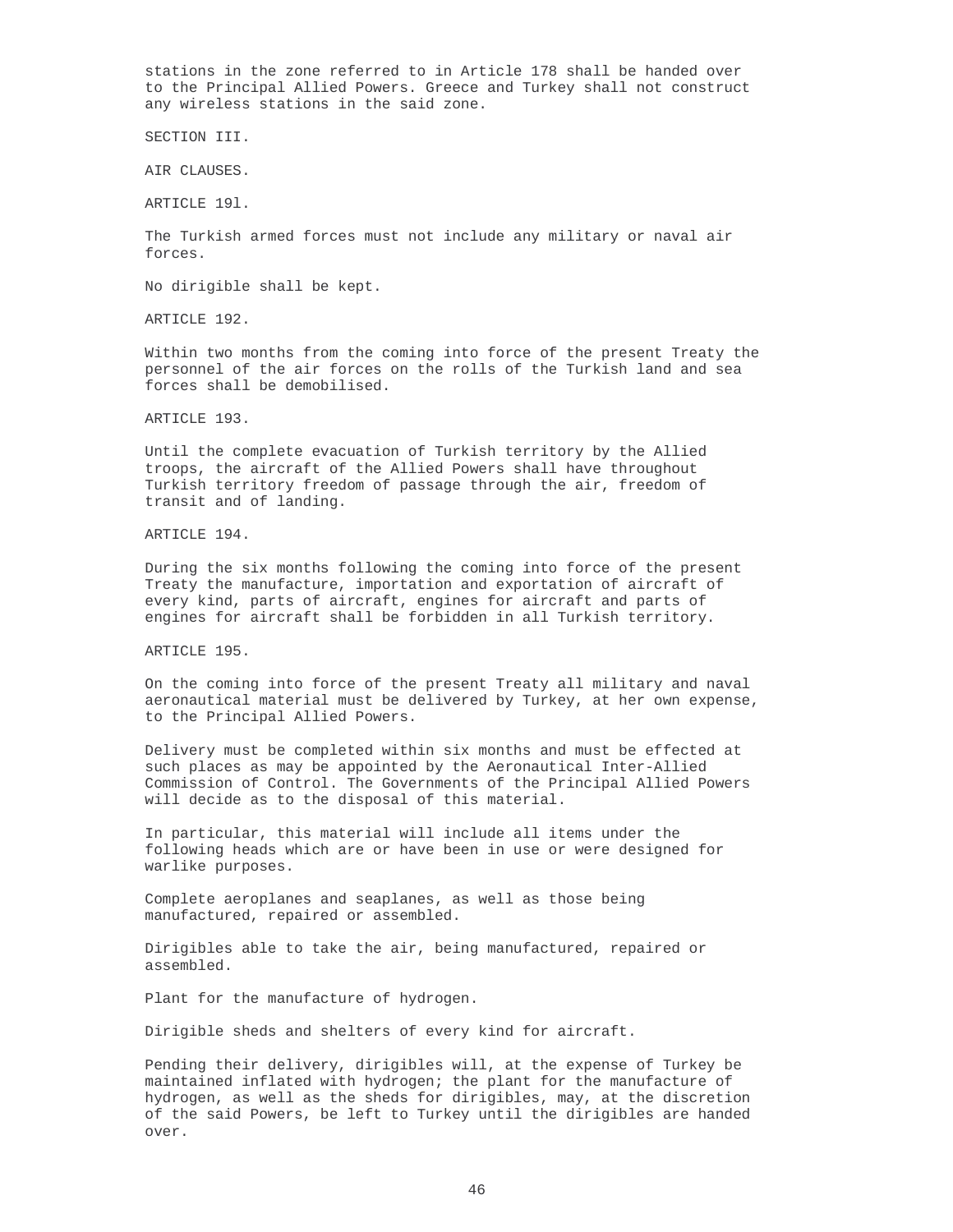stations in the zone referred to in Article 178 shall be handed over to the Principal Allied Powers. Greece and Turkey shall not construct any wireless stations in the said zone.

SECTION III.

AIR CLAUSES.

ARTICLE 19l.

The Turkish armed forces must not include any military or naval air forces.

No dirigible shall be kept.

ARTICLE 192.

Within two months from the coming into force of the present Treaty the personnel of the air forces on the rolls of the Turkish land and sea forces shall be demobilised.

ARTICLE 193.

Until the complete evacuation of Turkish territory by the Allied troops, the aircraft of the Allied Powers shall have throughout Turkish territory freedom of passage through the air, freedom of transit and of landing.

ARTICLE 194.

During the six months following the coming into force of the present Treaty the manufacture, importation and exportation of aircraft of every kind, parts of aircraft, engines for aircraft and parts of engines for aircraft shall be forbidden in all Turkish territory.

ARTICLE 195.

On the coming into force of the present Treaty all military and naval aeronautical material must be delivered by Turkey, at her own expense, to the Principal Allied Powers.

Delivery must be completed within six months and must be effected at such places as may be appointed by the Aeronautical Inter-Allied Commission of Control. The Governments of the Principal Allied Powers will decide as to the disposal of this material.

In particular, this material will include all items under the following heads which are or have been in use or were designed for warlike purposes.

Complete aeroplanes and seaplanes, as well as those being manufactured, repaired or assembled.

Dirigibles able to take the air, being manufactured, repaired or assembled.

Plant for the manufacture of hydrogen.

Dirigible sheds and shelters of every kind for aircraft.

Pending their delivery, dirigibles will, at the expense of Turkey be maintained inflated with hydrogen; the plant for the manufacture of hydrogen, as well as the sheds for dirigibles, may, at the discretion of the said Powers, be left to Turkey until the dirigibles are handed over.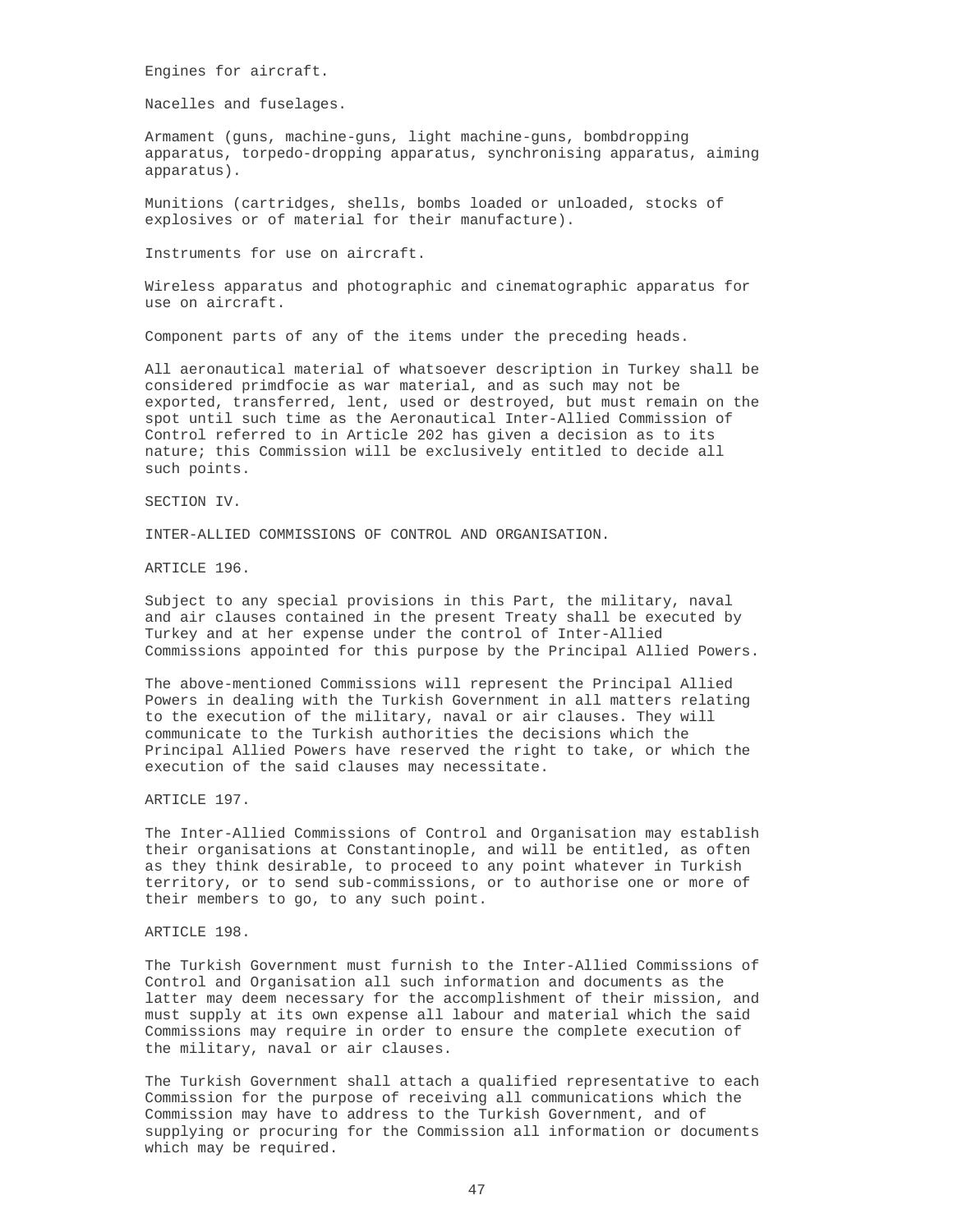Engines for aircraft.

Nacelles and fuselages.

Armament (guns, machine-guns, light machine-guns, bombdropping apparatus, torpedo-dropping apparatus, synchronising apparatus, aiming apparatus).

Munitions (cartridges, shells, bombs loaded or unloaded, stocks of explosives or of material for their manufacture).

Instruments for use on aircraft.

Wireless apparatus and photographic and cinematographic apparatus for use on aircraft.

Component parts of any of the items under the preceding heads.

All aeronautical material of whatsoever description in Turkey shall be considered primdfocie as war material, and as such may not be exported, transferred, lent, used or destroyed, but must remain on the spot until such time as the Aeronautical Inter-Allied Commission of Control referred to in Article 202 has given a decision as to its nature; this Commission will be exclusively entitled to decide all such points.

SECTION IV.

INTER-ALLIED COMMISSIONS OF CONTROL AND ORGANISATION.

ARTICLE 196.

Subject to any special provisions in this Part, the military, naval and air clauses contained in the present Treaty shall be executed by Turkey and at her expense under the control of Inter-Allied Commissions appointed for this purpose by the Principal Allied Powers.

The above-mentioned Commissions will represent the Principal Allied Powers in dealing with the Turkish Government in all matters relating to the execution of the military, naval or air clauses. They will communicate to the Turkish authorities the decisions which the Principal Allied Powers have reserved the right to take, or which the execution of the said clauses may necessitate.

ARTICLE 197.

The Inter-Allied Commissions of Control and Organisation may establish their organisations at Constantinople, and will be entitled, as often as they think desirable, to proceed to any point whatever in Turkish territory, or to send sub-commissions, or to authorise one or more of their members to go, to any such point.

ARTICLE 198.

The Turkish Government must furnish to the Inter-Allied Commissions of Control and Organisation all such information and documents as the latter may deem necessary for the accomplishment of their mission, and must supply at its own expense all labour and material which the said Commissions may require in order to ensure the complete execution of the military, naval or air clauses.

The Turkish Government shall attach a qualified representative to each Commission for the purpose of receiving all communications which the Commission may have to address to the Turkish Government, and of supplying or procuring for the Commission all information or documents which may be required.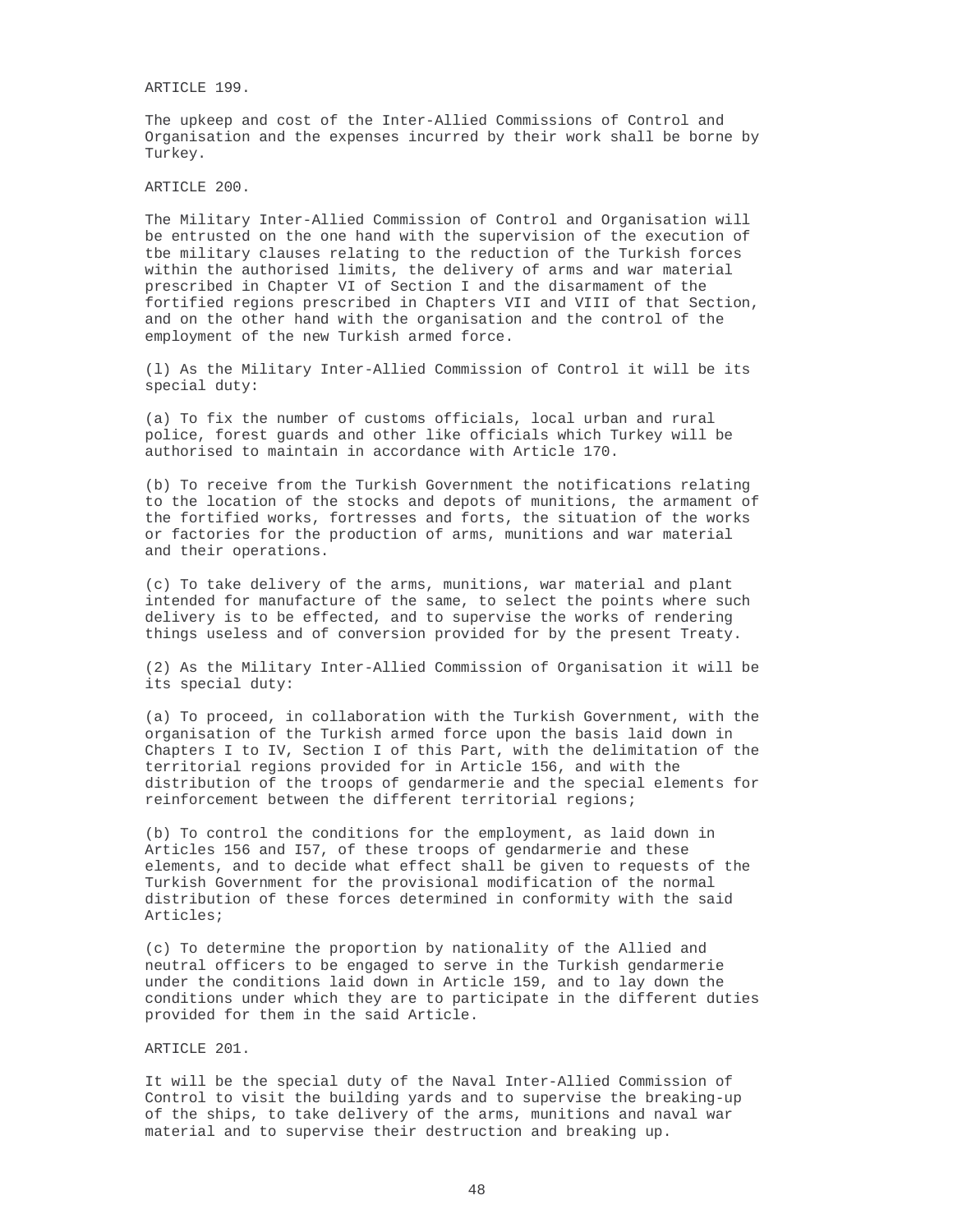ARTICLE 199.

The upkeep and cost of the Inter-Allied Commissions of Control and Organisation and the expenses incurred by their work shall be borne by Turkey.

ARTICLE 200.

The Military Inter-Allied Commission of Control and Organisation will be entrusted on the one hand with the supervision of the execution of tbe military clauses relating to the reduction of the Turkish forces within the authorised limits, the delivery of arms and war material prescribed in Chapter VI of Section I and the disarmament of the fortified regions prescribed in Chapters VII and VIII of that Section, and on the other hand with the organisation and the control of the employment of the new Turkish armed force.

(l) As the Military Inter-Allied Commission of Control it will be its special duty:

(a) To fix the number of customs officials, local urban and rural police, forest guards and other like officials which Turkey will be authorised to maintain in accordance with Article 170.

(b) To receive from the Turkish Government the notifications relating to the location of the stocks and depots of munitions, the armament of the fortified works, fortresses and forts, the situation of the works or factories for the production of arms, munitions and war material and their operations.

(c) To take delivery of the arms, munitions, war material and plant intended for manufacture of the same, to select the points where such delivery is to be effected, and to supervise the works of rendering things useless and of conversion provided for by the present Treaty.

(2) As the Military Inter-Allied Commission of Organisation it will be its special duty:

(a) To proceed, in collaboration with the Turkish Government, with the organisation of the Turkish armed force upon the basis laid down in Chapters I to IV, Section I of this Part, with the delimitation of the territorial regions provided for in Article 156, and with the distribution of the troops of gendarmerie and the special elements for reinforcement between the different territorial regions;

(b) To control the conditions for the employment, as laid down in Articles 156 and I57, of these troops of gendarmerie and these elements, and to decide what effect shall be given to requests of the Turkish Government for the provisional modification of the normal distribution of these forces determined in conformity with the said Articles;

(c) To determine the proportion by nationality of the Allied and neutral officers to be engaged to serve in the Turkish gendarmerie under the conditions laid down in Article 159, and to lay down the conditions under which they are to participate in the different duties provided for them in the said Article.

ARTICLE 201.

It will be the special duty of the Naval Inter-Allied Commission of Control to visit the building yards and to supervise the breaking-up of the ships, to take delivery of the arms, munitions and naval war material and to supervise their destruction and breaking up.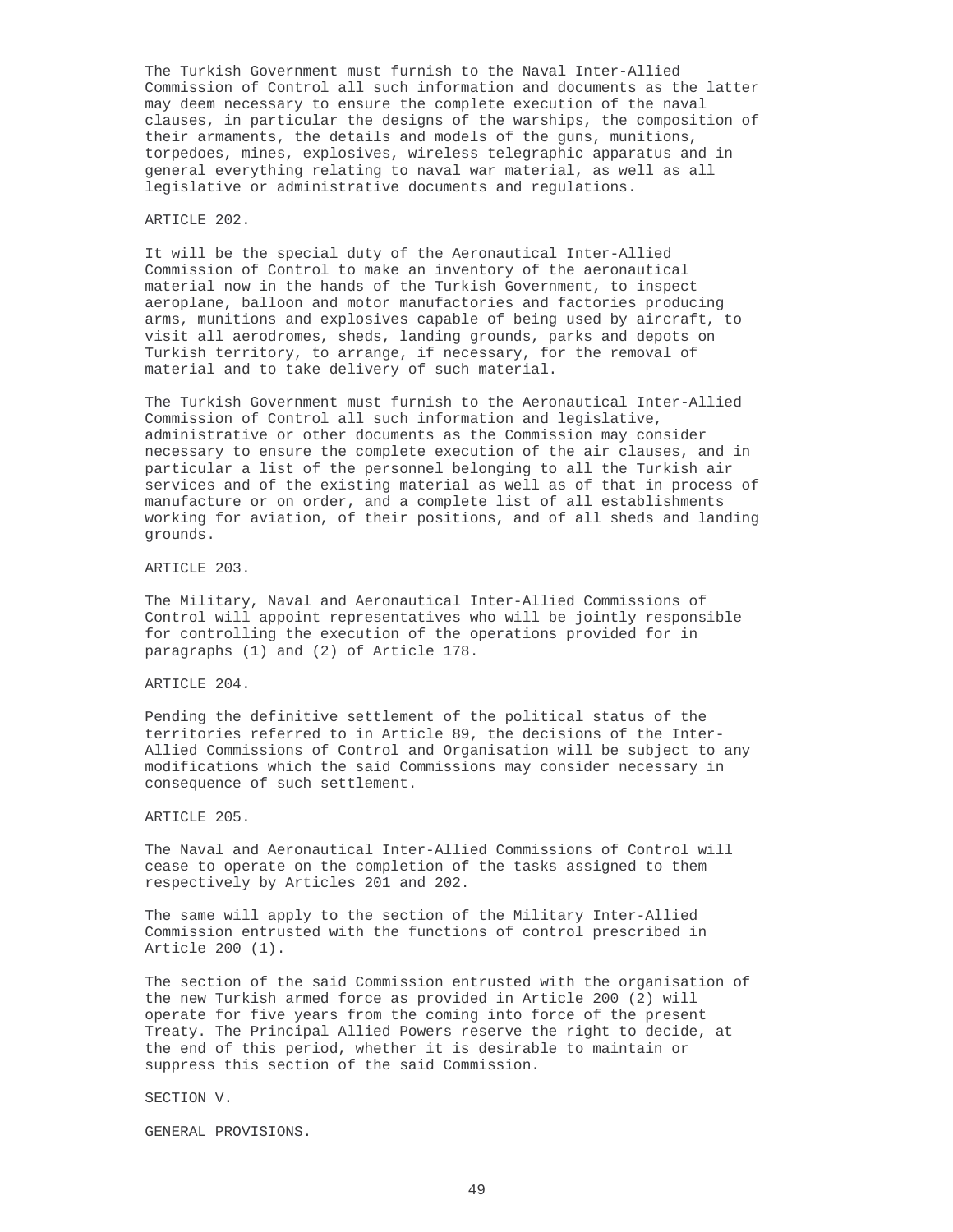The Turkish Government must furnish to the Naval Inter-Allied Commission of Control all such information and documents as the latter may deem necessary to ensure the complete execution of the naval clauses, in particular the designs of the warships, the composition of their armaments, the details and models of the guns, munitions, torpedoes, mines, explosives, wireless telegraphic apparatus and in general everything relating to naval war material, as well as all legislative or administrative documents and regulations.

ARTICLE 202.

It will be the special duty of the Aeronautical Inter-Allied Commission of Control to make an inventory of the aeronautical material now in the hands of the Turkish Government, to inspect aeroplane, balloon and motor manufactories and factories producing arms, munitions and explosives capable of being used by aircraft, to visit all aerodromes, sheds, landing grounds, parks and depots on Turkish territory, to arrange, if necessary, for the removal of material and to take delivery of such material.

The Turkish Government must furnish to the Aeronautical Inter-Allied Commission of Control all such information and legislative, administrative or other documents as the Commission may consider necessary to ensure the complete execution of the air clauses, and in particular a list of the personnel belonging to all the Turkish air services and of the existing material as well as of that in process of manufacture or on order, and a complete list of all establishments working for aviation, of their positions, and of all sheds and landing grounds.

ARTICLE 203.

The Military, Naval and Aeronautical Inter-Allied Commissions of Control will appoint representatives who will be jointly responsible for controlling the execution of the operations provided for in paragraphs (1) and (2) of Article 178.

ARTICLE 204.

Pending the definitive settlement of the political status of the territories referred to in Article 89, the decisions of the Inter-Allied Commissions of Control and Organisation will be subject to any modifications which the said Commissions may consider necessary in consequence of such settlement.

ARTICLE 205.

The Naval and Aeronautical Inter-Allied Commissions of Control will cease to operate on the completion of the tasks assigned to them respectively by Articles 201 and 202.

The same will apply to the section of the Military Inter-Allied Commission entrusted with the functions of control prescribed in Article 200 (1).

The section of the said Commission entrusted with the organisation of the new Turkish armed force as provided in Article 200 (2) will operate for five years from the coming into force of the present Treaty. The Principal Allied Powers reserve the right to decide, at the end of this period, whether it is desirable to maintain or suppress this section of the said Commission.

SECTION V.

GENERAL PROVISIONS.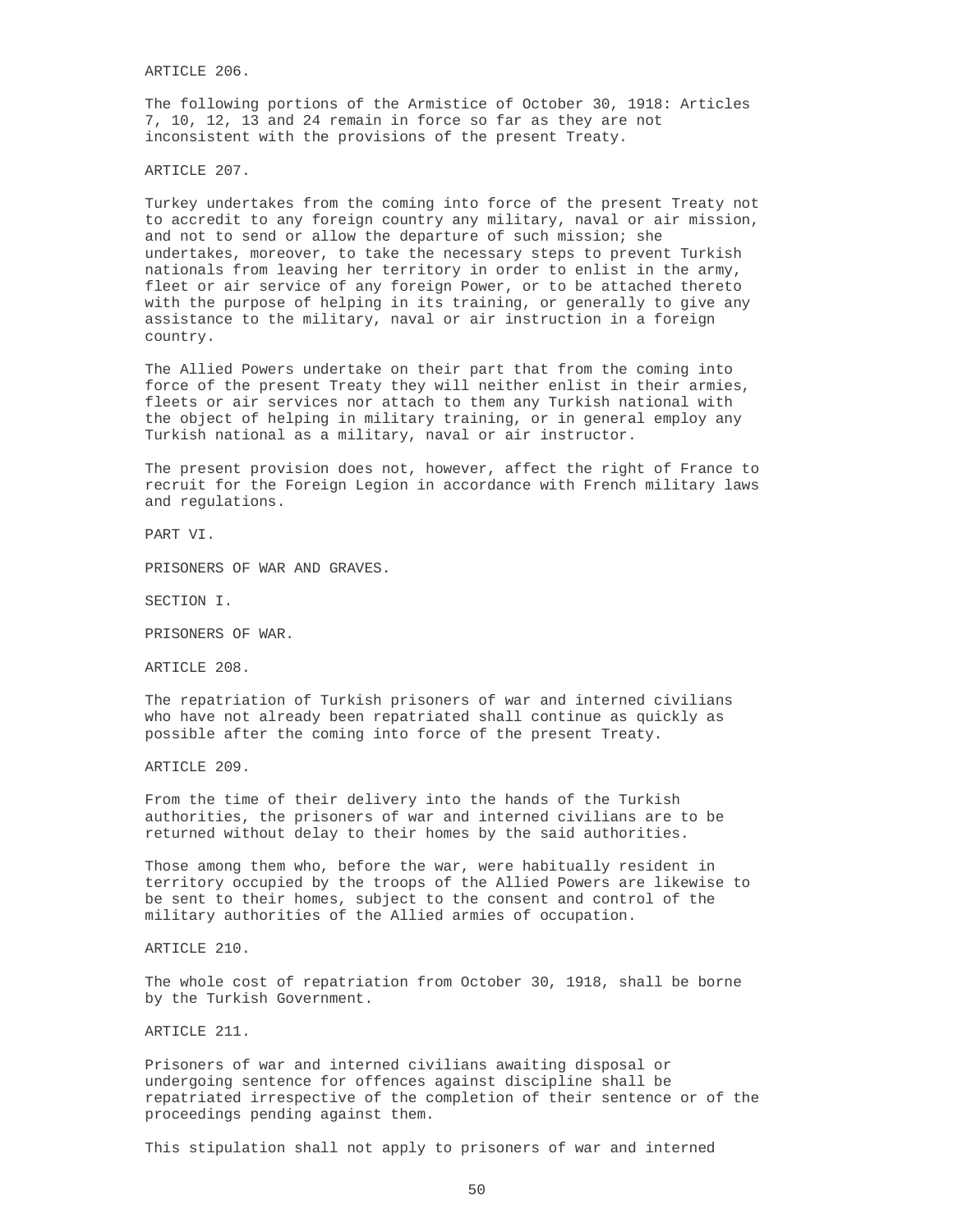ARTICLE 206.

The following portions of the Armistice of October 30, 1918: Articles 7, 10, 12, 13 and 24 remain in force so far as they are not inconsistent with the provisions of the present Treaty.

ARTICLE 207.

Turkey undertakes from the coming into force of the present Treaty not to accredit to any foreign country any military, naval or air mission, and not to send or allow the departure of such mission; she undertakes, moreover, to take the necessary steps to prevent Turkish nationals from leaving her territory in order to enlist in the army, fleet or air service of any foreign Power, or to be attached thereto with the purpose of helping in its training, or generally to give any assistance to the military, naval or air instruction in a foreign country.

The Allied Powers undertake on their part that from the coming into force of the present Treaty they will neither enlist in their armies, fleets or air services nor attach to them any Turkish national with the object of helping in military training, or in general employ any Turkish national as a military, naval or air instructor.

The present provision does not, however, affect the right of France to recruit for the Foreign Legion in accordance with French military laws and regulations.

PART VI.

PRISONERS OF WAR AND GRAVES.

SECTION I.

PRISONERS OF WAR.

ARTICLE 208.

The repatriation of Turkish prisoners of war and interned civilians who have not already been repatriated shall continue as quickly as possible after the coming into force of the present Treaty.

ARTICLE 209.

From the time of their delivery into the hands of the Turkish authorities, the prisoners of war and interned civilians are to be returned without delay to their homes by the said authorities.

Those among them who, before the war, were habitually resident in territory occupied by the troops of the Allied Powers are likewise to be sent to their homes, subject to the consent and control of the military authorities of the Allied armies of occupation.

ARTICLE 210.

The whole cost of repatriation from October 30, 1918, shall be borne by the Turkish Government.

ARTICLE 211.

Prisoners of war and interned civilians awaiting disposal or undergoing sentence for offences against discipline shall be repatriated irrespective of the completion of their sentence or of the proceedings pending against them.

This stipulation shall not apply to prisoners of war and interned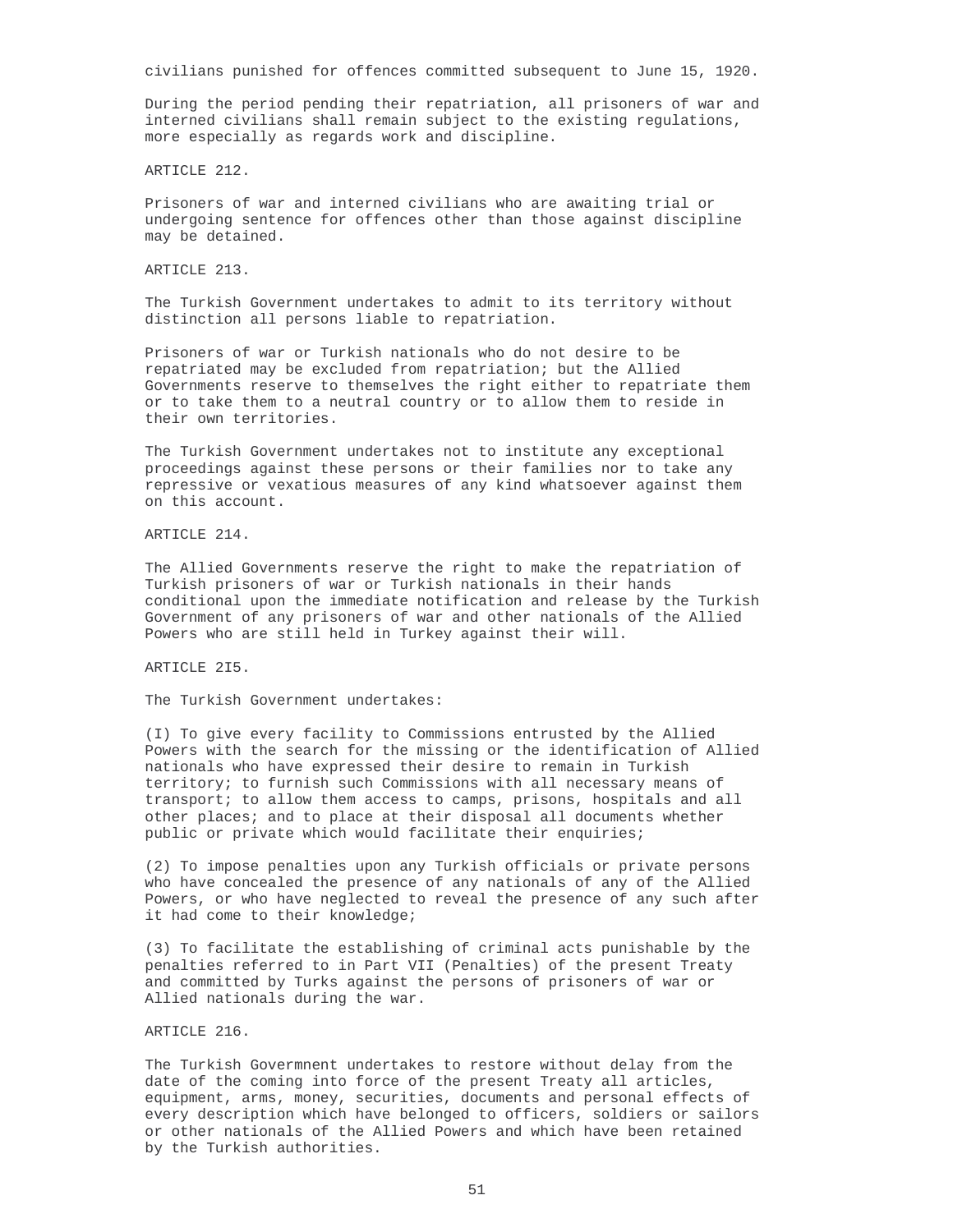civilians punished for offences committed subsequent to June 15, 1920.

During the period pending their repatriation, all prisoners of war and interned civilians shall remain subject to the existing regulations, more especially as regards work and discipline.

ARTICLE 212.

Prisoners of war and interned civilians who are awaiting trial or undergoing sentence for offences other than those against discipline may be detained.

ARTICLE 213.

The Turkish Government undertakes to admit to its territory without distinction all persons liable to repatriation.

Prisoners of war or Turkish nationals who do not desire to be repatriated may be excluded from repatriation; but the Allied Governments reserve to themselves the right either to repatriate them or to take them to a neutral country or to allow them to reside in their own territories.

The Turkish Government undertakes not to institute any exceptional proceedings against these persons or their families nor to take any repressive or vexatious measures of any kind whatsoever against them on this account.

ARTICLE 214.

The Allied Governments reserve the right to make the repatriation of Turkish prisoners of war or Turkish nationals in their hands conditional upon the immediate notification and release by the Turkish Government of any prisoners of war and other nationals of the Allied Powers who are still held in Turkey against their will.

ARTICLE 2I5.

The Turkish Government undertakes:

(I) To give every facility to Commissions entrusted by the Allied Powers with the search for the missing or the identification of Allied nationals who have expressed their desire to remain in Turkish territory; to furnish such Commissions with all necessary means of transport; to allow them access to camps, prisons, hospitals and all other places; and to place at their disposal all documents whether public or private which would facilitate their enquiries;

(2) To impose penalties upon any Turkish officials or private persons who have concealed the presence of any nationals of any of the Allied Powers, or who have neglected to reveal the presence of any such after it had come to their knowledge;

(3) To facilitate the establishing of criminal acts punishable by the penalties referred to in Part VII (Penalties) of the present Treaty and committed by Turks against the persons of prisoners of war or Allied nationals during the war.

ARTICLE 216.

The Turkish Govermnent undertakes to restore without delay from the date of the coming into force of the present Treaty all articles, equipment, arms, money, securities, documents and personal effects of every description which have belonged to officers, soldiers or sailors or other nationals of the Allied Powers and which have been retained by the Turkish authorities.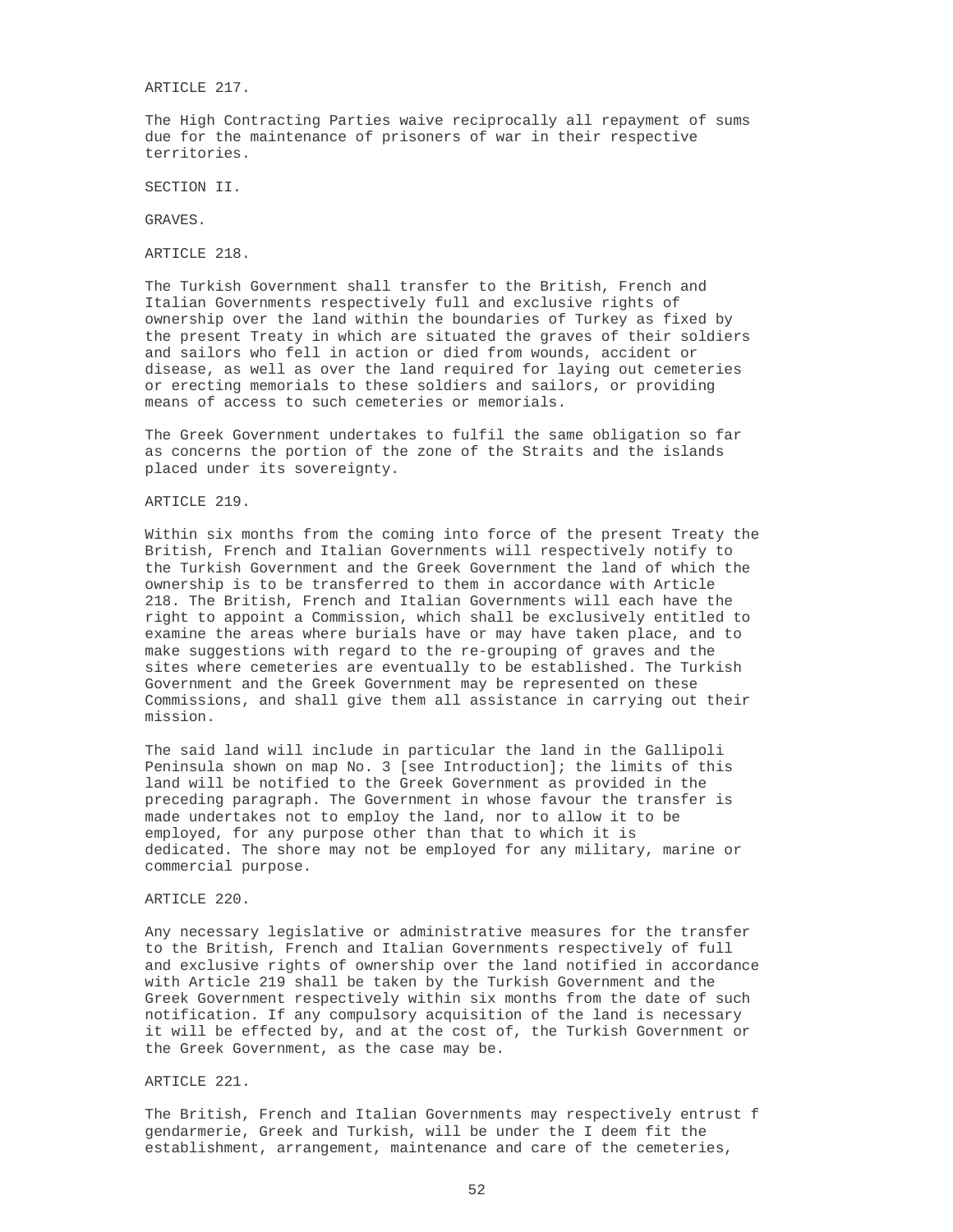ARTICLE 217.

The High Contracting Parties waive reciprocally all repayment of sums due for the maintenance of prisoners of war in their respective territories.

SECTION II.

GRAVES.

ARTICLE 218.

The Turkish Government shall transfer to the British, French and Italian Governments respectively full and exclusive rights of ownership over the land within the boundaries of Turkey as fixed by the present Treaty in which are situated the graves of their soldiers and sailors who fell in action or died from wounds, accident or disease, as well as over the land required for laying out cemeteries or erecting memorials to these soldiers and sailors, or providing means of access to such cemeteries or memorials.

The Greek Government undertakes to fulfil the same obligation so far as concerns the portion of the zone of the Straits and the islands placed under its sovereignty.

#### ARTICLE 219.

Within six months from the coming into force of the present Treaty the British, French and Italian Governments will respectively notify to the Turkish Government and the Greek Government the land of which the ownership is to be transferred to them in accordance with Article 218. The British, French and Italian Governments will each have the right to appoint a Commission, which shall be exclusively entitled to examine the areas where burials have or may have taken place, and to make suggestions with regard to the re-grouping of graves and the sites where cemeteries are eventually to be established. The Turkish Government and the Greek Government may be represented on these Commissions, and shall give them all assistance in carrying out their mission.

The said land will include in particular the land in the Gallipoli Peninsula shown on map No. 3 [see Introduction]; the limits of this land will be notified to the Greek Government as provided in the preceding paragraph. The Government in whose favour the transfer is made undertakes not to employ the land, nor to allow it to be employed, for any purpose other than that to which it is dedicated. The shore may not be employed for any military, marine or commercial purpose.

## ARTICLE 220.

Any necessary legislative or administrative measures for the transfer to the British, French and Italian Governments respectively of full and exclusive rights of ownership over the land notified in accordance with Article 219 shall be taken by the Turkish Government and the Greek Government respectively within six months from the date of such notification. If any compulsory acquisition of the land is necessary it will be effected by, and at the cost of, the Turkish Government or the Greek Government, as the case may be.

# ARTICLE 221.

The British, French and Italian Governments may respectively entrust f gendarmerie, Greek and Turkish, will be under the I deem fit the establishment, arrangement, maintenance and care of the cemeteries,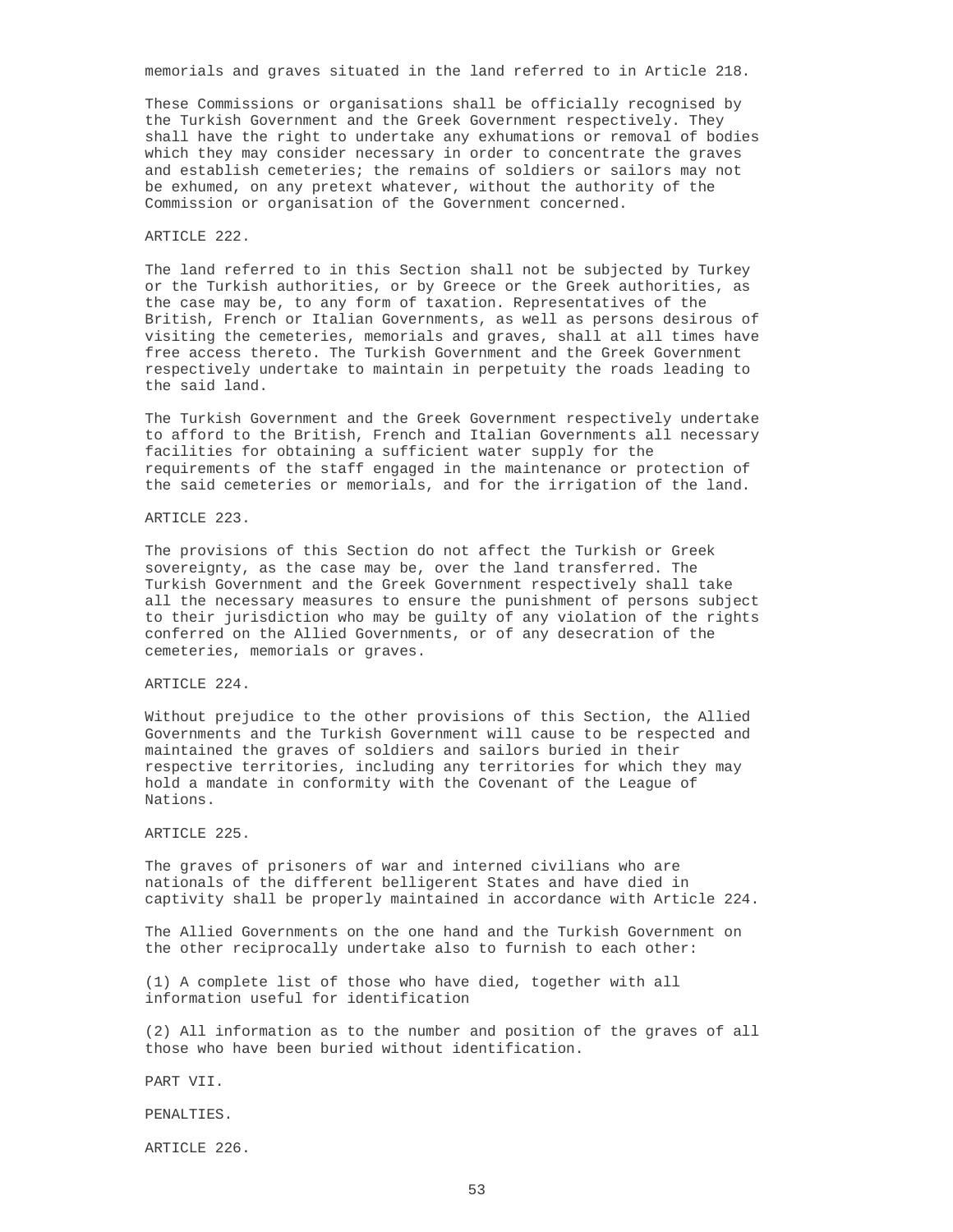memorials and graves situated in the land referred to in Article 218.

These Commissions or organisations shall be officially recognised by the Turkish Government and the Greek Government respectively. They shall have the right to undertake any exhumations or removal of bodies which they may consider necessary in order to concentrate the graves and establish cemeteries; the remains of soldiers or sailors may not be exhumed, on any pretext whatever, without the authority of the Commission or organisation of the Government concerned.

#### ARTICLE 222.

The land referred to in this Section shall not be subjected by Turkey or the Turkish authorities, or by Greece or the Greek authorities, as the case may be, to any form of taxation. Representatives of the British, French or Italian Governments, as well as persons desirous of visiting the cemeteries, memorials and graves, shall at all times have free access thereto. The Turkish Government and the Greek Government respectively undertake to maintain in perpetuity the roads leading to the said land.

The Turkish Government and the Greek Government respectively undertake to afford to the British, French and Italian Governments all necessary facilities for obtaining a sufficient water supply for the requirements of the staff engaged in the maintenance or protection of the said cemeteries or memorials, and for the irrigation of the land.

# ARTICLE 223.

The provisions of this Section do not affect the Turkish or Greek sovereignty, as the case may be, over the land transferred. The Turkish Government and the Greek Government respectively shall take all the necessary measures to ensure the punishment of persons subject to their jurisdiction who may be guilty of any violation of the rights conferred on the Allied Governments, or of any desecration of the cemeteries, memorials or graves.

## ARTICLE 224.

Without prejudice to the other provisions of this Section, the Allied Governments and the Turkish Government will cause to be respected and maintained the graves of soldiers and sailors buried in their respective territories, including any territories for which they may hold a mandate in conformity with the Covenant of the League of Nations.

#### ARTICLE 225.

The graves of prisoners of war and interned civilians who are nationals of the different belligerent States and have died in captivity shall be properly maintained in accordance with Article 224.

The Allied Governments on the one hand and the Turkish Government on the other reciprocally undertake also to furnish to each other:

(1) A complete list of those who have died, together with all information useful for identification

(2) All information as to the number and position of the graves of all those who have been buried without identification.

PART VII.

PENALTIES.

ARTICLE 226.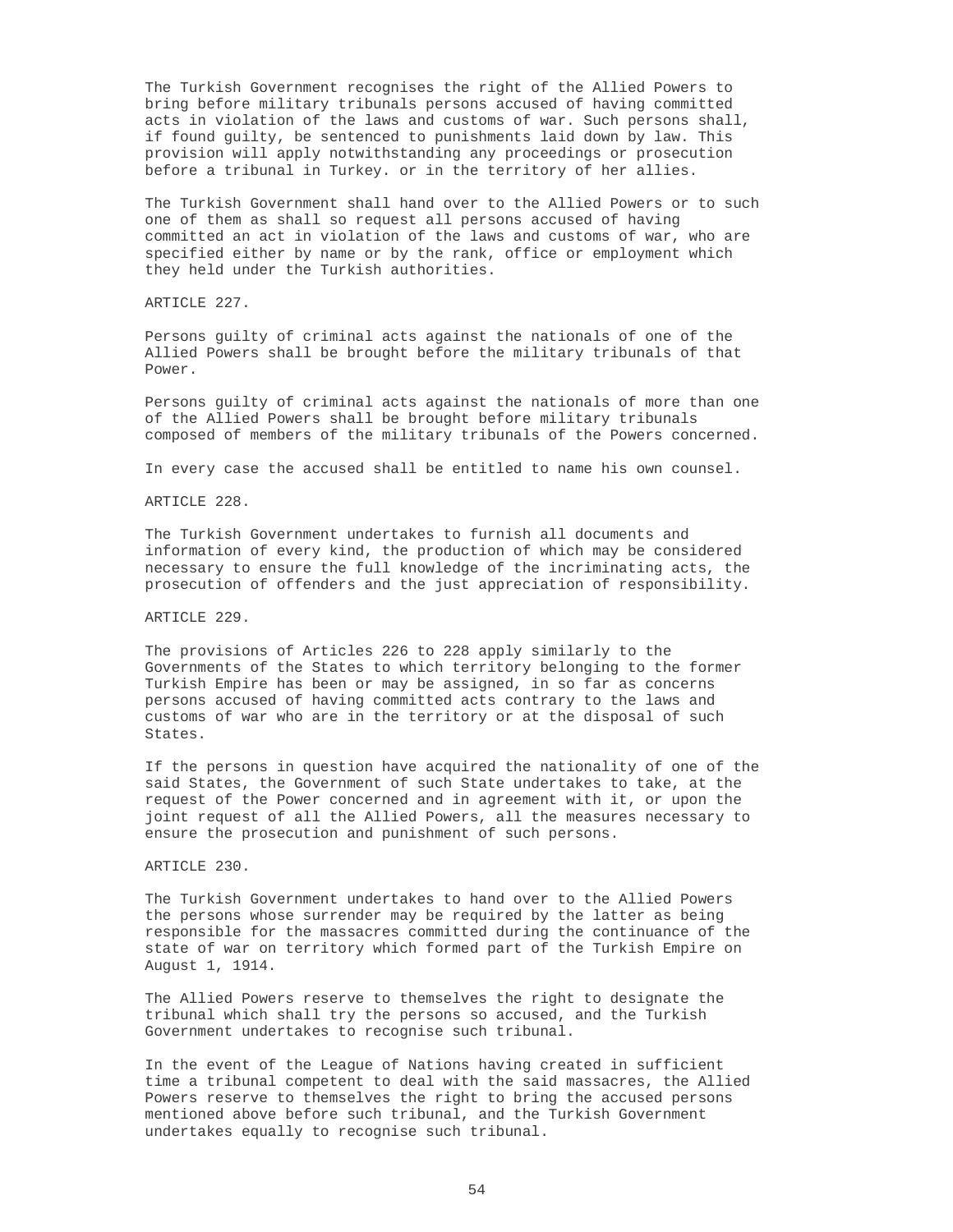The Turkish Government recognises the right of the Allied Powers to bring before military tribunals persons accused of having committed acts in violation of the laws and customs of war. Such persons shall, if found guilty, be sentenced to punishments laid down by law. This provision will apply notwithstanding any proceedings or prosecution before a tribunal in Turkey. or in the territory of her allies.

The Turkish Government shall hand over to the Allied Powers or to such one of them as shall so request all persons accused of having committed an act in violation of the laws and customs of war, who are specified either by name or by the rank, office or employment which they held under the Turkish authorities.

ARTICLE 227.

Persons guilty of criminal acts against the nationals of one of the Allied Powers shall be brought before the military tribunals of that Power.

Persons guilty of criminal acts against the nationals of more than one of the Allied Powers shall be brought before military tribunals composed of members of the military tribunals of the Powers concerned.

In every case the accused shall be entitled to name his own counsel.

ARTICLE 228.

The Turkish Government undertakes to furnish all documents and information of every kind, the production of which may be considered necessary to ensure the full knowledge of the incriminating acts, the prosecution of offenders and the just appreciation of responsibility.

ARTICLE 229.

The provisions of Articles 226 to 228 apply similarly to the Governments of the States to which territory belonging to the former Turkish Empire has been or may be assigned, in so far as concerns persons accused of having committed acts contrary to the laws and customs of war who are in the territory or at the disposal of such States.

If the persons in question have acquired the nationality of one of the said States, the Government of such State undertakes to take, at the request of the Power concerned and in agreement with it, or upon the joint request of all the Allied Powers, all the measures necessary to ensure the prosecution and punishment of such persons.

ARTICLE 230.

The Turkish Government undertakes to hand over to the Allied Powers the persons whose surrender may be required by the latter as being responsible for the massacres committed during the continuance of the state of war on territory which formed part of the Turkish Empire on August 1, 1914.

The Allied Powers reserve to themselves the right to designate the tribunal which shall try the persons so accused, and the Turkish Government undertakes to recognise such tribunal.

In the event of the League of Nations having created in sufficient time a tribunal competent to deal with the said massacres, the Allied Powers reserve to themselves the right to bring the accused persons mentioned above before such tribunal, and the Turkish Government undertakes equally to recognise such tribunal.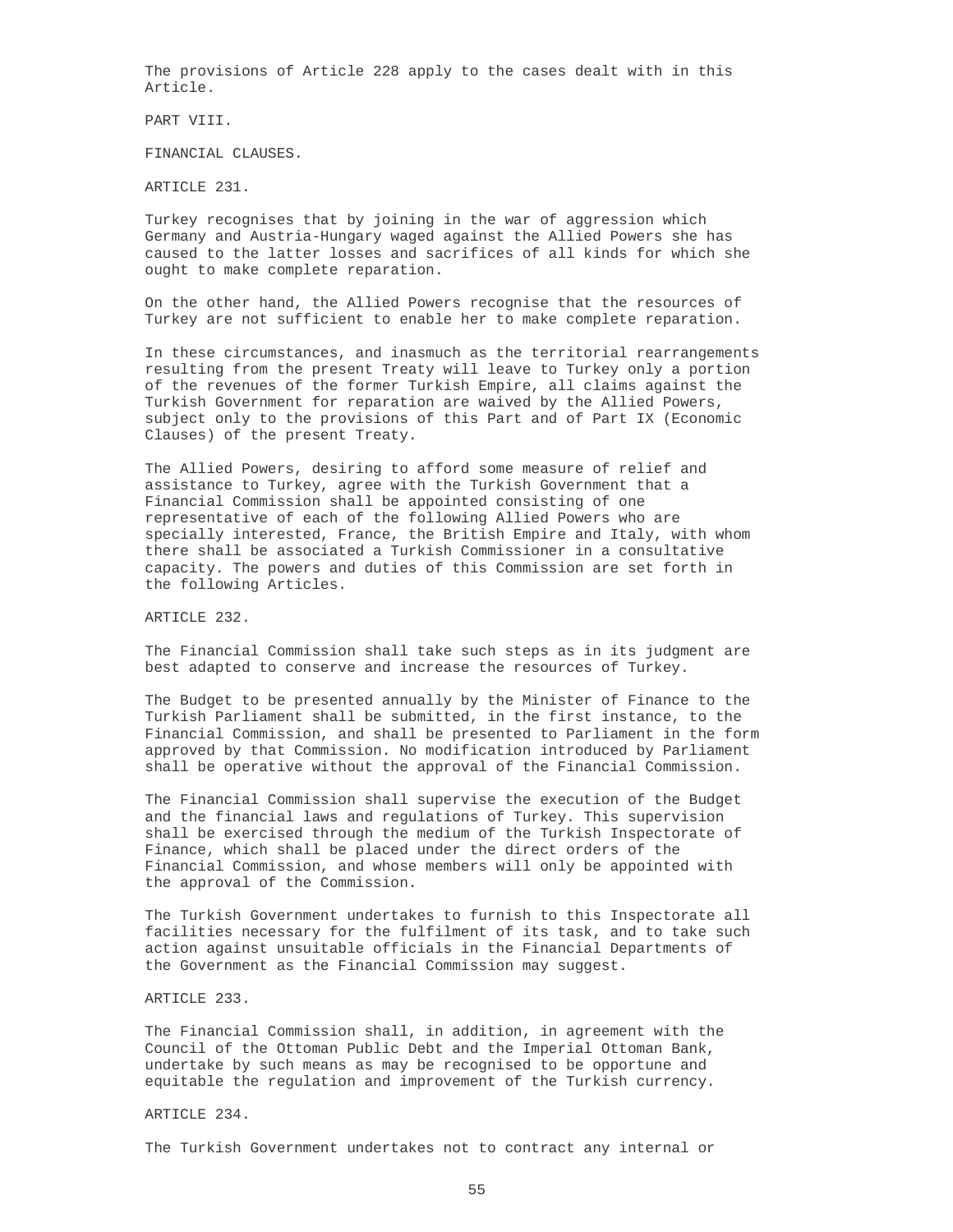The provisions of Article 228 apply to the cases dealt with in this Article.

PART VIII.

FINANCIAL CLAUSES.

ARTICLE 231.

Turkey recognises that by joining in the war of aggression which Germany and Austria-Hungary waged against the Allied Powers she has caused to the latter losses and sacrifices of all kinds for which she ought to make complete reparation.

On the other hand, the Allied Powers recognise that the resources of Turkey are not sufficient to enable her to make complete reparation.

In these circumstances, and inasmuch as the territorial rearrangements resulting from the present Treaty will leave to Turkey only a portion of the revenues of the former Turkish Empire, all claims against the Turkish Government for reparation are waived by the Allied Powers, subject only to the provisions of this Part and of Part IX (Economic Clauses) of the present Treaty.

The Allied Powers, desiring to afford some measure of relief and assistance to Turkey, agree with the Turkish Government that a Financial Commission shall be appointed consisting of one representative of each of the following Allied Powers who are specially interested, France, the British Empire and Italy, with whom there shall be associated a Turkish Commissioner in a consultative capacity. The powers and duties of this Commission are set forth in the following Articles.

ARTICLE 232.

The Financial Commission shall take such steps as in its judgment are best adapted to conserve and increase the resources of Turkey.

The Budget to be presented annually by the Minister of Finance to the Turkish Parliament shall be submitted, in the first instance, to the Financial Commission, and shall be presented to Parliament in the form approved by that Commission. No modification introduced by Parliament shall be operative without the approval of the Financial Commission.

The Financial Commission shall supervise the execution of the Budget and the financial laws and regulations of Turkey. This supervision shall be exercised through the medium of the Turkish Inspectorate of Finance, which shall be placed under the direct orders of the Financial Commission, and whose members will only be appointed with the approval of the Commission.

The Turkish Government undertakes to furnish to this Inspectorate all facilities necessary for the fulfilment of its task, and to take such action against unsuitable officials in the Financial Departments of the Government as the Financial Commission may suggest.

ARTICLE 233.

The Financial Commission shall, in addition, in agreement with the Council of the Ottoman Public Debt and the Imperial Ottoman Bank, undertake by such means as may be recognised to be opportune and equitable the regulation and improvement of the Turkish currency.

## ARTICLE 234.

The Turkish Government undertakes not to contract any internal or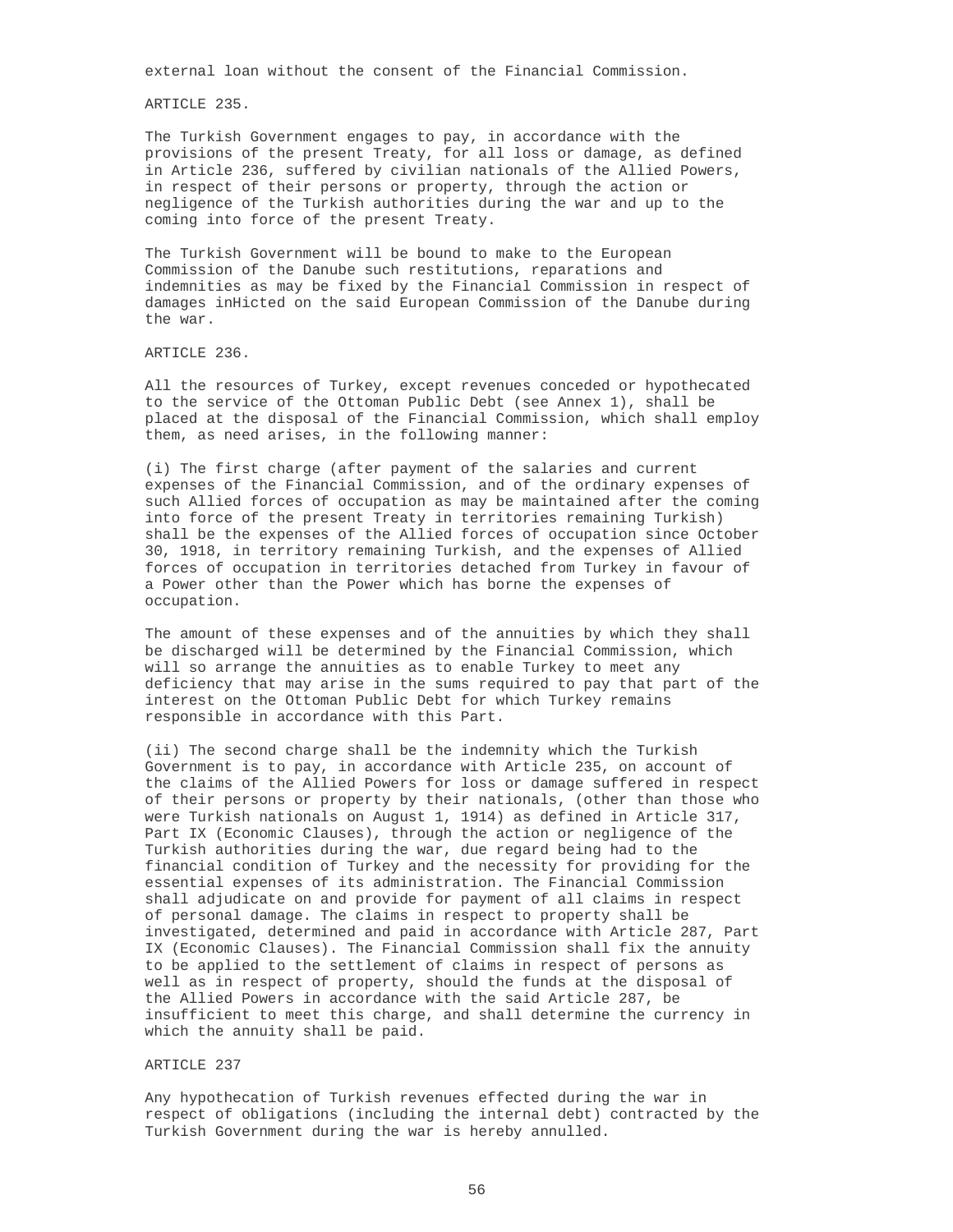external loan without the consent of the Financial Commission.

ARTICLE 235.

The Turkish Government engages to pay, in accordance with the provisions of the present Treaty, for all loss or damage, as defined in Article 236, suffered by civilian nationals of the Allied Powers, in respect of their persons or property, through the action or negligence of the Turkish authorities during the war and up to the coming into force of the present Treaty.

The Turkish Government will be bound to make to the European Commission of the Danube such restitutions, reparations and indemnities as may be fixed by the Financial Commission in respect of damages inHicted on the said European Commission of the Danube during the war.

ARTICLE 236.

All the resources of Turkey, except revenues conceded or hypothecated to the service of the Ottoman Public Debt (see Annex 1), shall be placed at the disposal of the Financial Commission, which shall employ them, as need arises, in the following manner:

(i) The first charge (after payment of the salaries and current expenses of the Financial Commission, and of the ordinary expenses of such Allied forces of occupation as may be maintained after the coming into force of the present Treaty in territories remaining Turkish) shall be the expenses of the Allied forces of occupation since October 30, 1918, in territory remaining Turkish, and the expenses of Allied forces of occupation in territories detached from Turkey in favour of a Power other than the Power which has borne the expenses of occupation.

The amount of these expenses and of the annuities by which they shall be discharged will be determined by the Financial Commission, which will so arrange the annuities as to enable Turkey to meet any deficiency that may arise in the sums required to pay that part of the interest on the Ottoman Public Debt for which Turkey remains responsible in accordance with this Part.

(ii) The second charge shall be the indemnity which the Turkish Government is to pay, in accordance with Article 235, on account of the claims of the Allied Powers for loss or damage suffered in respect of their persons or property by their nationals, (other than those who were Turkish nationals on August 1, 1914) as defined in Article 317, Part IX (Economic Clauses), through the action or negligence of the Turkish authorities during the war, due regard being had to the financial condition of Turkey and the necessity for providing for the essential expenses of its administration. The Financial Commission shall adjudicate on and provide for payment of all claims in respect of personal damage. The claims in respect to property shall be investigated, determined and paid in accordance with Article 287, Part IX (Economic Clauses). The Financial Commission shall fix the annuity to be applied to the settlement of claims in respect of persons as well as in respect of property, should the funds at the disposal of the Allied Powers in accordance with the said Article 287, be insufficient to meet this charge, and shall determine the currency in which the annuity shall be paid.

## ARTICLE 237

Any hypothecation of Turkish revenues effected during the war in respect of obligations (including the internal debt) contracted by the Turkish Government during the war is hereby annulled.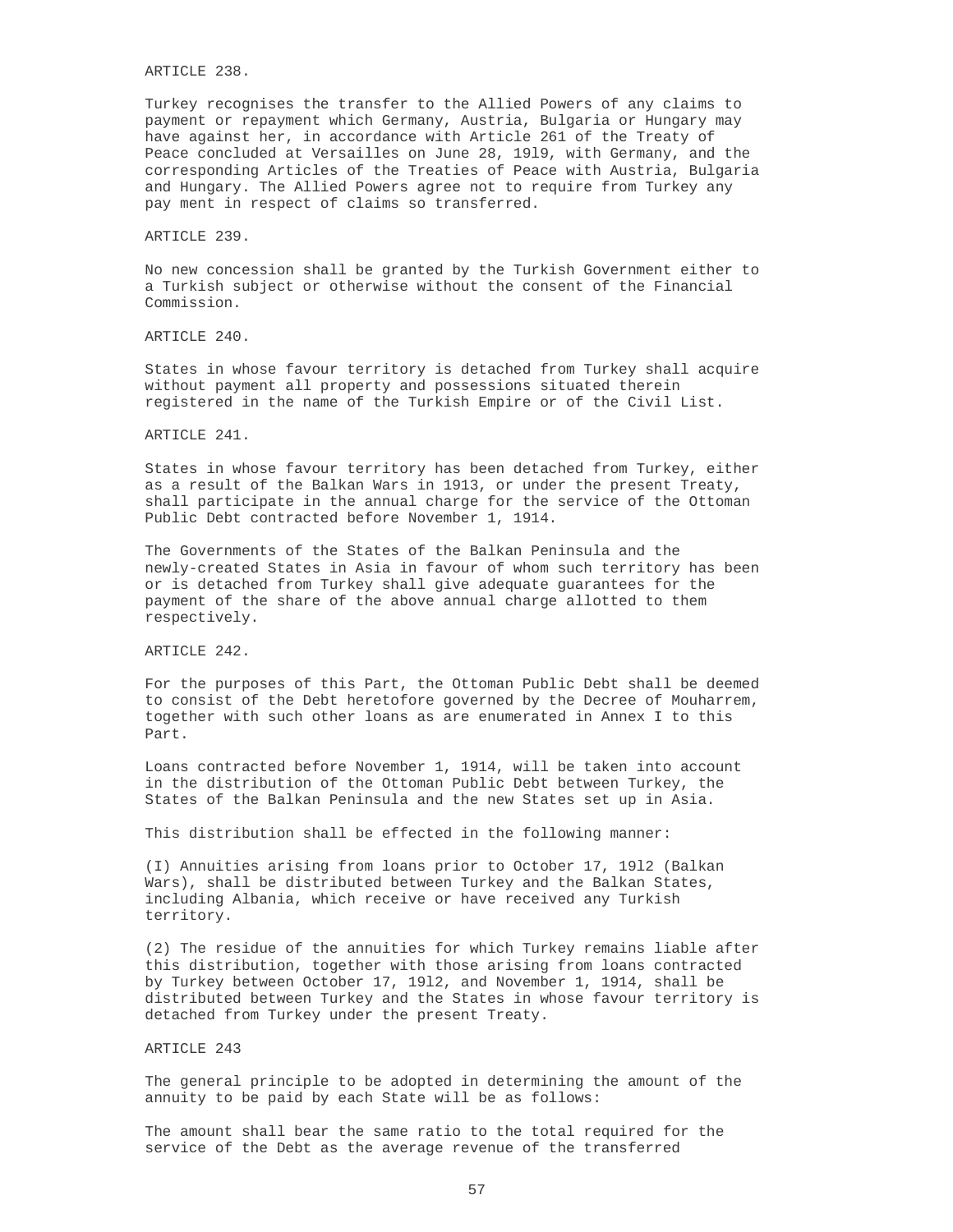### ARTICLE 238.

Turkey recognises the transfer to the Allied Powers of any claims to payment or repayment which Germany, Austria, Bulgaria or Hungary may have against her, in accordance with Article 261 of the Treaty of Peace concluded at Versailles on June 28, 19l9, with Germany, and the corresponding Articles of the Treaties of Peace with Austria, Bulgaria and Hungary. The Allied Powers agree not to require from Turkey any pay ment in respect of claims so transferred.

### ARTICLE 239.

No new concession shall be granted by the Turkish Government either to a Turkish subject or otherwise without the consent of the Financial Commission.

ARTICLE 240.

States in whose favour territory is detached from Turkey shall acquire without payment all property and possessions situated therein registered in the name of the Turkish Empire or of the Civil List.

## ARTICLE 241.

States in whose favour territory has been detached from Turkey, either as a result of the Balkan Wars in 1913, or under the present Treaty, shall participate in the annual charge for the service of the Ottoman Public Debt contracted before November 1, 1914.

The Governments of the States of the Balkan Peninsula and the newly-created States in Asia in favour of whom such territory has been or is detached from Turkey shall give adequate guarantees for the payment of the share of the above annual charge allotted to them respectively.

ARTICLE 242.

For the purposes of this Part, the Ottoman Public Debt shall be deemed to consist of the Debt heretofore governed by the Decree of Mouharrem, together with such other loans as are enumerated in Annex I to this Part.

Loans contracted before November 1, 1914, will be taken into account in the distribution of the Ottoman Public Debt between Turkey, the States of the Balkan Peninsula and the new States set up in Asia.

This distribution shall be effected in the following manner:

(I) Annuities arising from loans prior to October 17, 19l2 (Balkan Wars), shall be distributed between Turkey and the Balkan States, including Albania, which receive or have received any Turkish territory.

(2) The residue of the annuities for which Turkey remains liable after this distribution, together with those arising from loans contracted by Turkey between October 17, 19l2, and November 1, 1914, shall be distributed between Turkey and the States in whose favour territory is detached from Turkey under the present Treaty.

## ARTICLE 243

The general principle to be adopted in determining the amount of the annuity to be paid by each State will be as follows:

The amount shall bear the same ratio to the total required for the service of the Debt as the average revenue of the transferred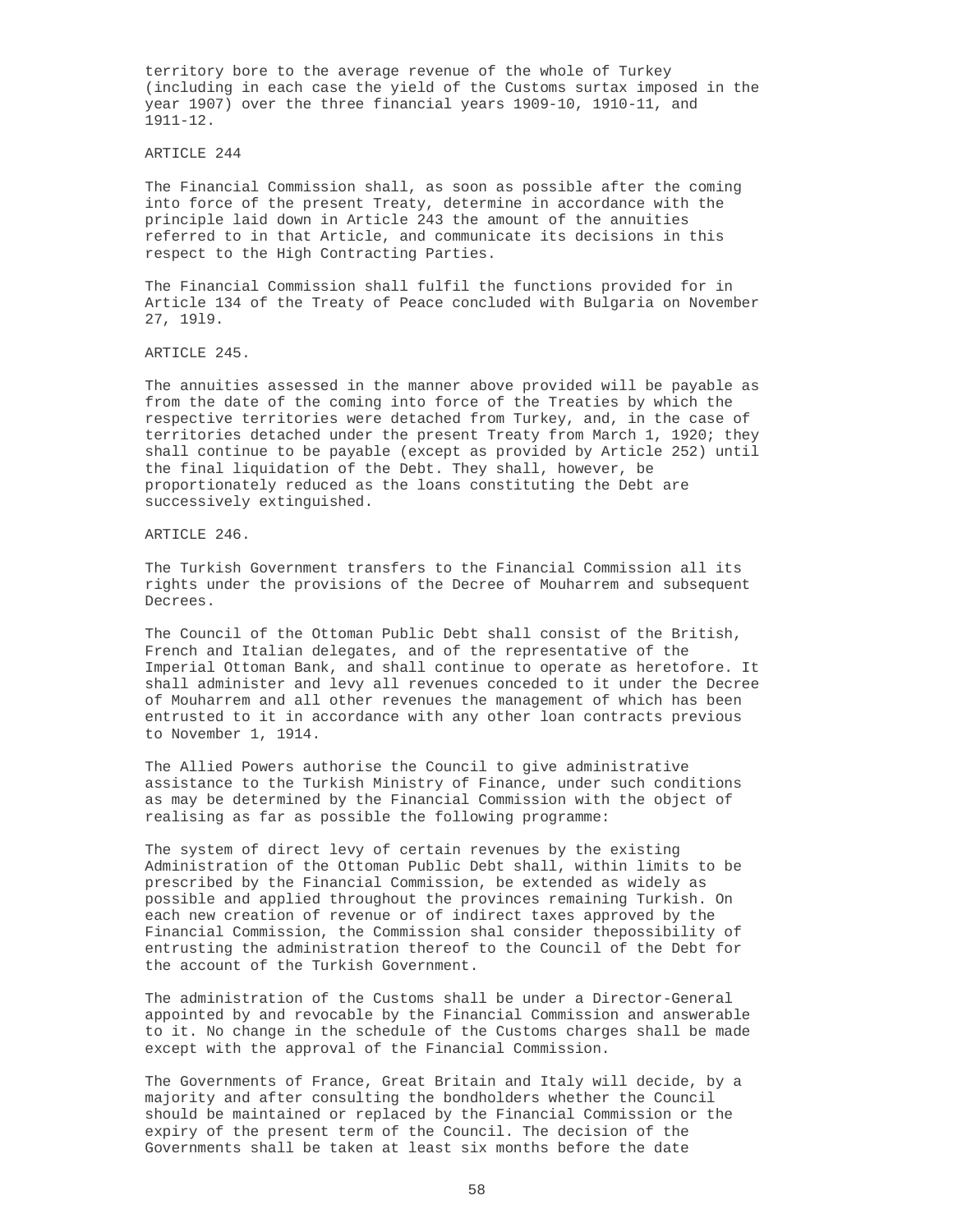territory bore to the average revenue of the whole of Turkey (including in each case the yield of the Customs surtax imposed in the year 1907) over the three financial years 1909-10, 1910-11, and 1911-12.

# ARTICLE 244

The Financial Commission shall, as soon as possible after the coming into force of the present Treaty, determine in accordance with the principle laid down in Article 243 the amount of the annuities referred to in that Article, and communicate its decisions in this respect to the High Contracting Parties.

The Financial Commission shall fulfil the functions provided for in Article 134 of the Treaty of Peace concluded with Bulgaria on November 27, 19l9.

ARTICLE 245.

The annuities assessed in the manner above provided will be payable as from the date of the coming into force of the Treaties by which the respective territories were detached from Turkey, and, in the case of territories detached under the present Treaty from March 1, 1920; they shall continue to be payable (except as provided by Article 252) until the final liquidation of the Debt. They shall, however, be proportionately reduced as the loans constituting the Debt are successively extinguished.

ARTICLE 246.

The Turkish Government transfers to the Financial Commission all its rights under the provisions of the Decree of Mouharrem and subsequent Decrees.

The Council of the Ottoman Public Debt shall consist of the British, French and Italian delegates, and of the representative of the Imperial Ottoman Bank, and shall continue to operate as heretofore. It shall administer and levy all revenues conceded to it under the Decree of Mouharrem and all other revenues the management of which has been entrusted to it in accordance with any other loan contracts previous to November 1, 1914.

The Allied Powers authorise the Council to give administrative assistance to the Turkish Ministry of Finance, under such conditions as may be determined by the Financial Commission with the object of realising as far as possible the following programme:

The system of direct levy of certain revenues by the existing Administration of the Ottoman Public Debt shall, within limits to be prescribed by the Financial Commission, be extended as widely as possible and applied throughout the provinces remaining Turkish. On each new creation of revenue or of indirect taxes approved by the Financial Commission, the Commission shal consider thepossibility of entrusting the administration thereof to the Council of the Debt for the account of the Turkish Government.

The administration of the Customs shall be under a Director-General appointed by and revocable by the Financial Commission and answerable to it. No change in the schedule of the Customs charges shall be made except with the approval of the Financial Commission.

The Governments of France, Great Britain and Italy will decide, by a majority and after consulting the bondholders whether the Council should be maintained or replaced by the Financial Commission or the expiry of the present term of the Council. The decision of the Governments shall be taken at least six months before the date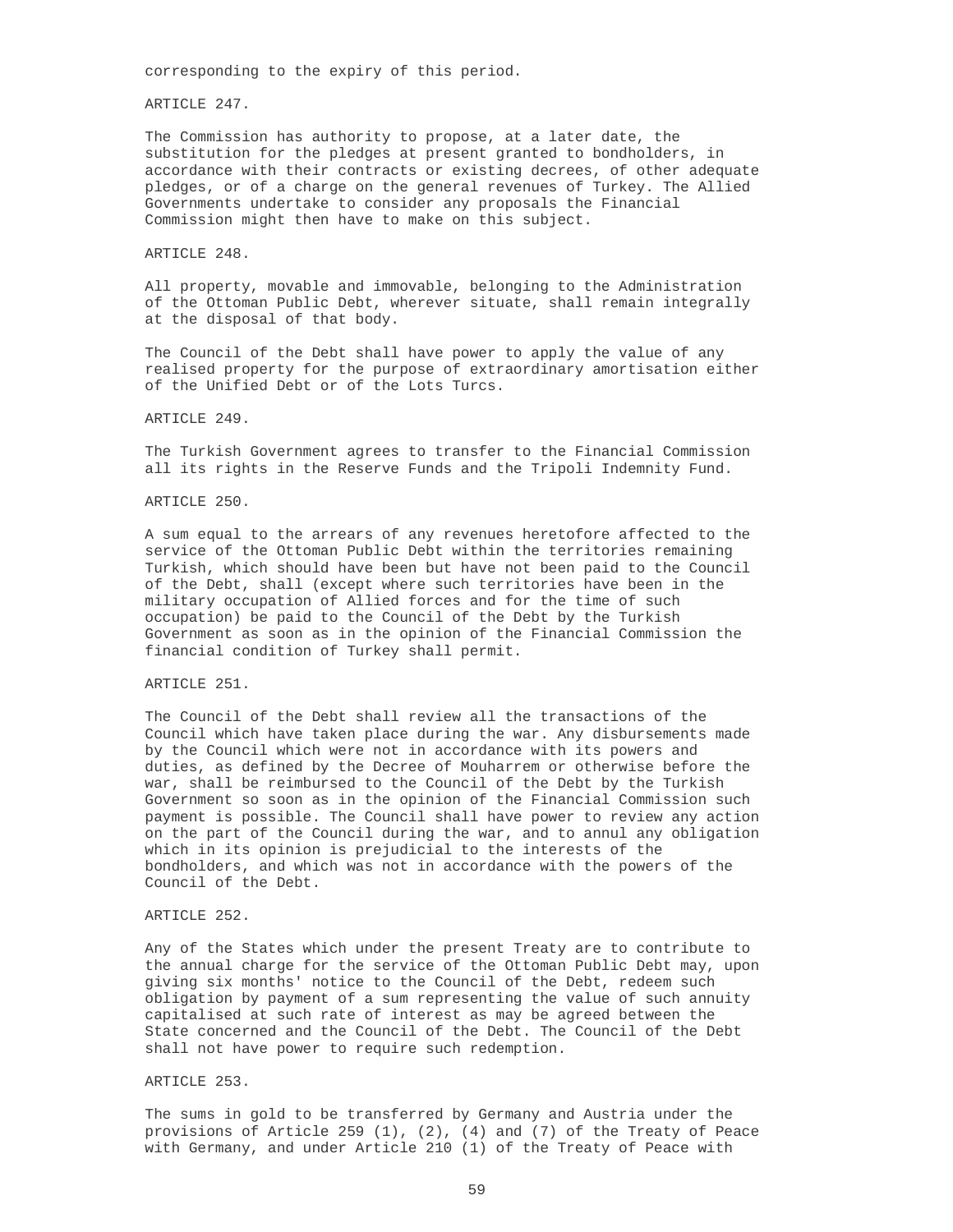corresponding to the expiry of this period.

ARTICLE 247.

The Commission has authority to propose, at a later date, the substitution for the pledges at present granted to bondholders, in accordance with their contracts or existing decrees, of other adequate pledges, or of a charge on the general revenues of Turkey. The Allied Governments undertake to consider any proposals the Financial Commission might then have to make on this subject.

#### ARTICLE 248.

All property, movable and immovable, belonging to the Administration of the Ottoman Public Debt, wherever situate, shall remain integrally at the disposal of that body.

The Council of the Debt shall have power to apply the value of any realised property for the purpose of extraordinary amortisation either of the Unified Debt or of the Lots Turcs.

ARTICLE 249.

The Turkish Government agrees to transfer to the Financial Commission all its rights in the Reserve Funds and the Tripoli Indemnity Fund.

#### ARTICLE 250.

A sum equal to the arrears of any revenues heretofore affected to the service of the Ottoman Public Debt within the territories remaining Turkish, which should have been but have not been paid to the Council of the Debt, shall (except where such territories have been in the military occupation of Allied forces and for the time of such occupation) be paid to the Council of the Debt by the Turkish Government as soon as in the opinion of the Financial Commission the financial condition of Turkey shall permit.

## ARTICLE 251.

The Council of the Debt shall review all the transactions of the Council which have taken place during the war. Any disbursements made by the Council which were not in accordance with its powers and duties, as defined by the Decree of Mouharrem or otherwise before the war, shall be reimbursed to the Council of the Debt by the Turkish Government so soon as in the opinion of the Financial Commission such payment is possible. The Council shall have power to review any action on the part of the Council during the war, and to annul any obligation which in its opinion is prejudicial to the interests of the bondholders, and which was not in accordance with the powers of the Council of the Debt.

## ARTICLE 252.

Any of the States which under the present Treaty are to contribute to the annual charge for the service of the Ottoman Public Debt may, upon giving six months' notice to the Council of the Debt, redeem such obligation by payment of a sum representing the value of such annuity capitalised at such rate of interest as may be agreed between the State concerned and the Council of the Debt. The Council of the Debt shall not have power to require such redemption.

# ARTICLE 253.

The sums in gold to be transferred by Germany and Austria under the provisions of Article 259 (1), (2), (4) and (7) of the Treaty of Peace with Germany, and under Article 210 (1) of the Treaty of Peace with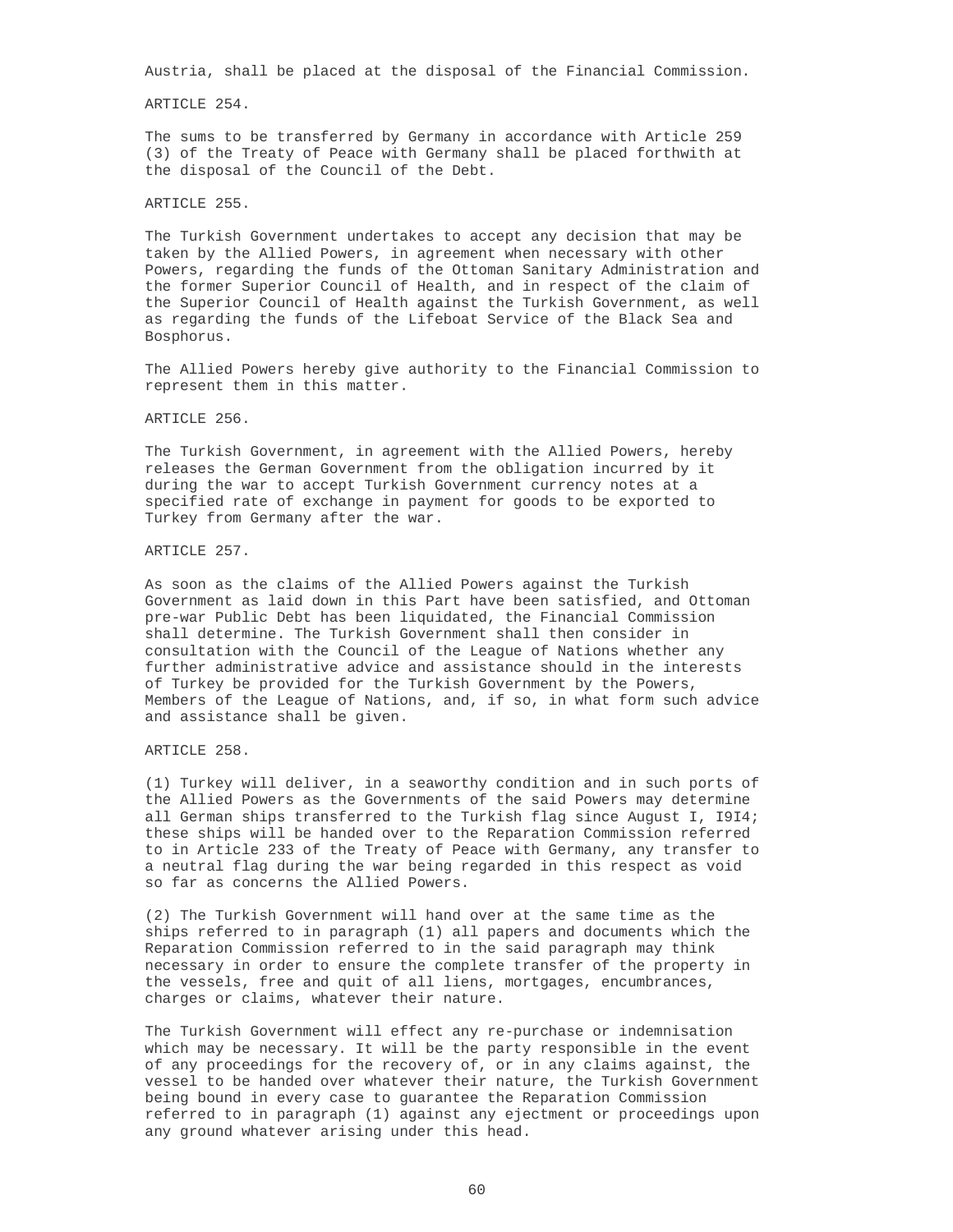Austria, shall be placed at the disposal of the Financial Commission.

ARTICLE 254.

The sums to be transferred by Germany in accordance with Article 259 (3) of the Treaty of Peace with Germany shall be placed forthwith at the disposal of the Council of the Debt.

ARTICLE 255.

The Turkish Government undertakes to accept any decision that may be taken by the Allied Powers, in agreement when necessary with other Powers, regarding the funds of the Ottoman Sanitary Administration and the former Superior Council of Health, and in respect of the claim of the Superior Council of Health against the Turkish Government, as well as regarding the funds of the Lifeboat Service of the Black Sea and Bosphorus.

The Allied Powers hereby give authority to the Financial Commission to represent them in this matter.

ARTICLE 256.

The Turkish Government, in agreement with the Allied Powers, hereby releases the German Government from the obligation incurred by it during the war to accept Turkish Government currency notes at a specified rate of exchange in payment for goods to be exported to Turkey from Germany after the war.

ARTICLE 257.

As soon as the claims of the Allied Powers against the Turkish Government as laid down in this Part have been satisfied, and Ottoman pre-war Public Debt has been liquidated, the Financial Commission shall determine. The Turkish Government shall then consider in consultation with the Council of the League of Nations whether any further administrative advice and assistance should in the interests of Turkey be provided for the Turkish Government by the Powers, Members of the League of Nations, and, if so, in what form such advice and assistance shall be given.

ARTICLE 258.

(1) Turkey will deliver, in a seaworthy condition and in such ports of the Allied Powers as the Governments of the said Powers may determine all German ships transferred to the Turkish flag since August I, I9I4; these ships will be handed over to the Reparation Commission referred to in Article 233 of the Treaty of Peace with Germany, any transfer to a neutral flag during the war being regarded in this respect as void so far as concerns the Allied Powers.

(2) The Turkish Government will hand over at the same time as the ships referred to in paragraph (1) all papers and documents which the Reparation Commission referred to in the said paragraph may think necessary in order to ensure the complete transfer of the property in the vessels, free and quit of all liens, mortgages, encumbrances, charges or claims, whatever their nature.

The Turkish Government will effect any re-purchase or indemnisation which may be necessary. It will be the party responsible in the event of any proceedings for the recovery of, or in any claims against, the vessel to be handed over whatever their nature, the Turkish Government being bound in every case to guarantee the Reparation Commission referred to in paragraph (1) against any ejectment or proceedings upon any ground whatever arising under this head.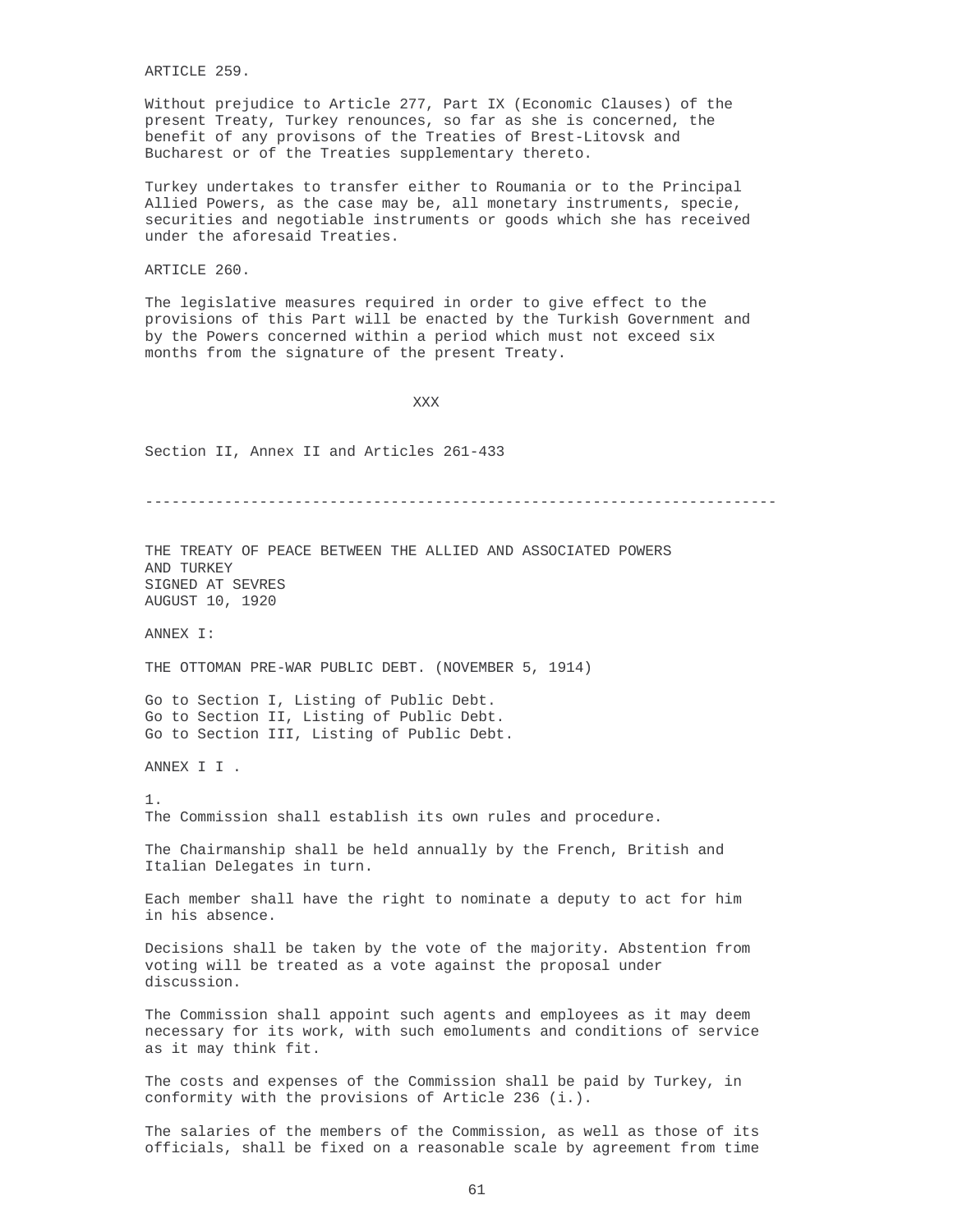ARTICLE 259.

Without prejudice to Article 277, Part IX (Economic Clauses) of the present Treaty, Turkey renounces, so far as she is concerned, the benefit of any provisons of the Treaties of Brest-Litovsk and Bucharest or of the Treaties supplementary thereto.

Turkey undertakes to transfer either to Roumania or to the Principal Allied Powers, as the case may be, all monetary instruments, specie, securities and negotiable instruments or goods which she has received under the aforesaid Treaties.

ARTICLE 260.

The legislative measures required in order to give effect to the provisions of this Part will be enacted by the Turkish Government and by the Powers concerned within a period which must not exceed six months from the signature of the present Treaty.

XXX

Section II, Annex II and Articles 261-433

------------------------------------------------------------------------

THE TREATY OF PEACE BETWEEN THE ALLIED AND ASSOCIATED POWERS AND TURKEY SIGNED AT SEVRES AUGUST 10, 1920

ANNEX I:

THE OTTOMAN PRE-WAR PUBLIC DEBT. (NOVEMBER 5, 1914)

Go to Section I, Listing of Public Debt. Go to Section II, Listing of Public Debt. Go to Section III, Listing of Public Debt.

ANNEX I I .

1. The Commission shall establish its own rules and procedure.

The Chairmanship shall be held annually by the French, British and Italian Delegates in turn.

Each member shall have the right to nominate a deputy to act for him in his absence.

Decisions shall be taken by the vote of the majority. Abstention from voting will be treated as a vote against the proposal under discussion.

The Commission shall appoint such agents and employees as it may deem necessary for its work, with such emoluments and conditions of service as it may think fit.

The costs and expenses of the Commission shall be paid by Turkey, in conformity with the provisions of Article 236 (i.).

The salaries of the members of the Commission, as well as those of its officials, shall be fixed on a reasonable scale by agreement from time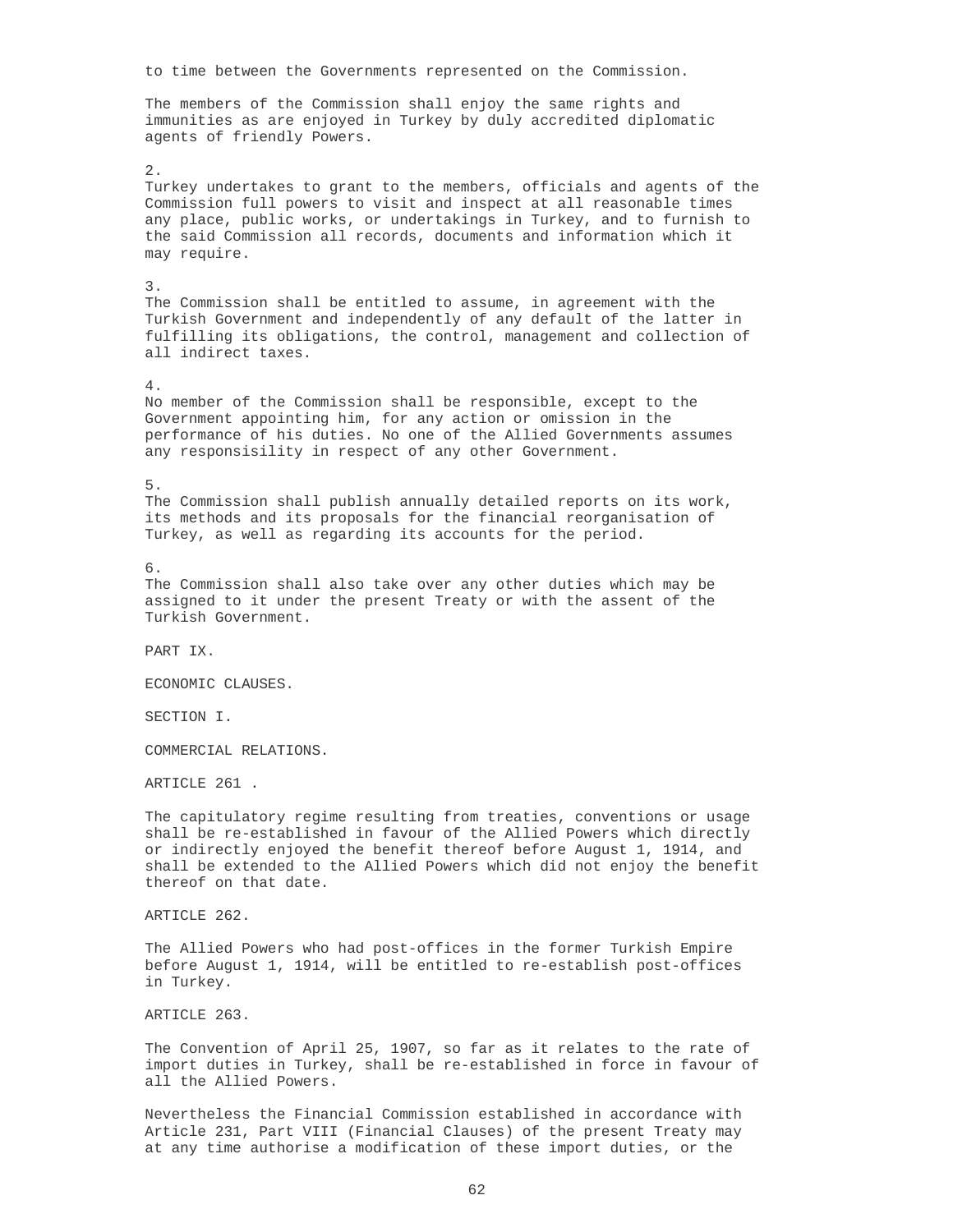The members of the Commission shall enjoy the same rights and immunities as are enjoyed in Turkey by duly accredited diplomatic agents of friendly Powers. 2. Turkey undertakes to grant to the members, officials and agents of the Commission full powers to visit and inspect at all reasonable times any place, public works, or undertakings in Turkey, and to furnish to the said Commission all records, documents and information which it may require. 3. The Commission shall be entitled to assume, in agreement with the Turkish Government and independently of any default of the latter in fulfilling its obligations, the control, management and collection of all indirect taxes. 4. No member of the Commission shall be responsible, except to the Government appointing him, for any action or omission in the performance of his duties. No one of the Allied Governments assumes any responsisility in respect of any other Government. 5. The Commission shall publish annually detailed reports on its work, its methods and its proposals for the financial reorganisation of Turkey, as well as regarding its accounts for the period. 6. The Commission shall also take over any other duties which may be assigned to it under the present Treaty or with the assent of the Turkish Government. PART IX. ECONOMIC CLAUSES. SECTION I. COMMERCIAL RELATIONS. ARTICLE 261 . The capitulatory regime resulting from treaties, conventions or usage shall be re-established in favour of the Allied Powers which directly or indirectly enjoyed the benefit thereof before August 1, 1914, and shall be extended to the Allied Powers which did not enjoy the benefit thereof on that date. ARTICLE 262. The Allied Powers who had post-offices in the former Turkish Empire before August 1, 1914, will be entitled to re-establish post-offices in Turkey. ARTICLE 263. The Convention of April 25, 1907, so far as it relates to the rate of import duties in Turkey, shall be re-established in force in favour of

to time between the Governments represented on the Commission.

Nevertheless the Financial Commission established in accordance with Article 231, Part VIII (Financial Clauses) of the present Treaty may at any time authorise a modification of these import duties, or the

all the Allied Powers.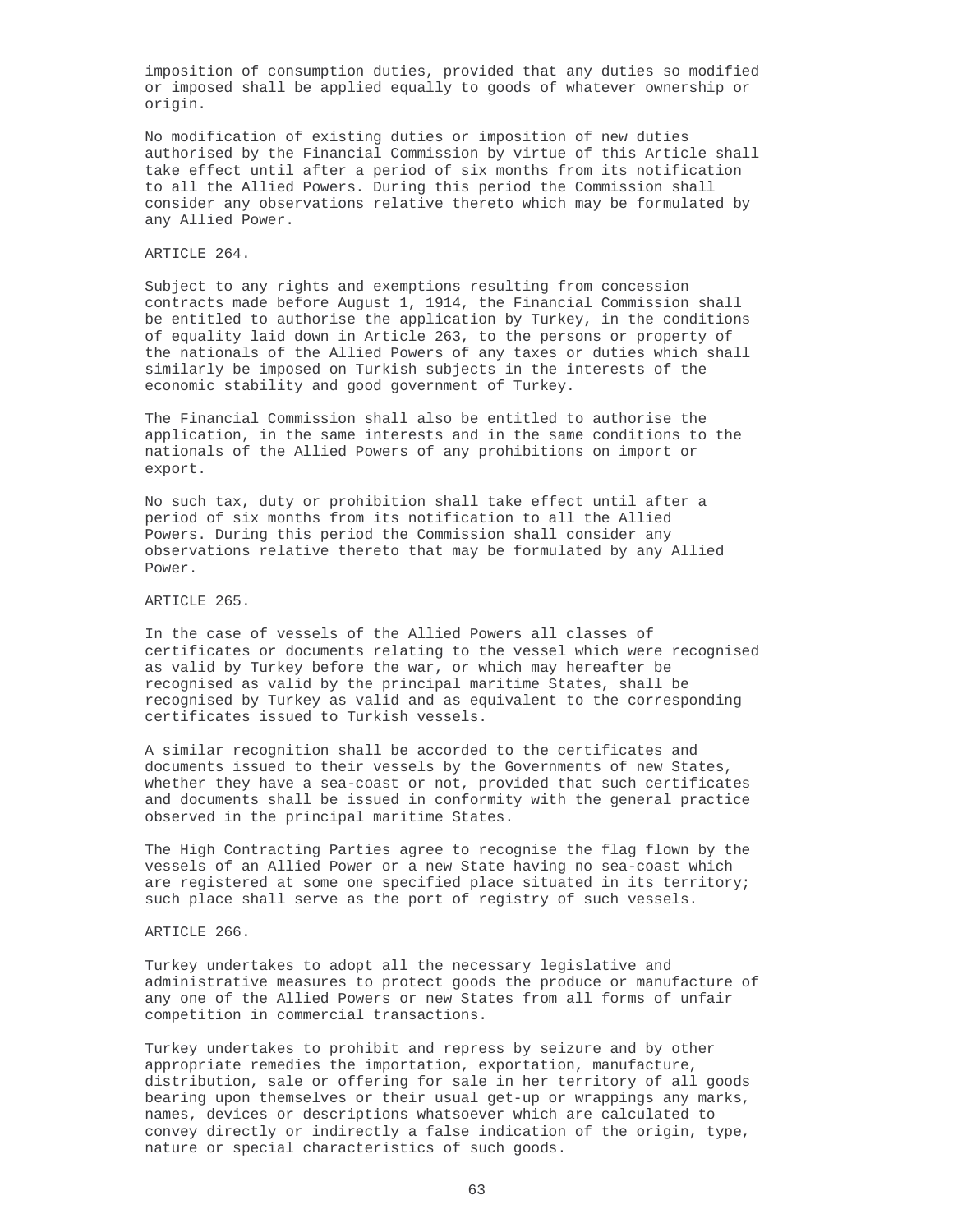imposition of consumption duties, provided that any duties so modified or imposed shall be applied equally to goods of whatever ownership or origin.

No modification of existing duties or imposition of new duties authorised by the Financial Commission by virtue of this Article shall take effect until after a period of six months from its notification to all the Allied Powers. During this period the Commission shall consider any observations relative thereto which may be formulated by any Allied Power.

### ARTICLE 264.

Subject to any rights and exemptions resulting from concession contracts made before August 1, 1914, the Financial Commission shall be entitled to authorise the application by Turkey, in the conditions of equality laid down in Article 263, to the persons or property of the nationals of the Allied Powers of any taxes or duties which shall similarly be imposed on Turkish subjects in the interests of the economic stability and good government of Turkey.

The Financial Commission shall also be entitled to authorise the application, in the same interests and in the same conditions to the nationals of the Allied Powers of any prohibitions on import or export.

No such tax, duty or prohibition shall take effect until after a period of six months from its notification to all the Allied Powers. During this period the Commission shall consider any observations relative thereto that may be formulated by any Allied Power.

## ARTICLE 265.

In the case of vessels of the Allied Powers all classes of certificates or documents relating to the vessel which were recognised as valid by Turkey before the war, or which may hereafter be recognised as valid by the principal maritime States, shall be recognised by Turkey as valid and as equivalent to the corresponding certificates issued to Turkish vessels.

A similar recognition shall be accorded to the certificates and documents issued to their vessels by the Governments of new States, whether they have a sea-coast or not, provided that such certificates and documents shall be issued in conformity with the general practice observed in the principal maritime States.

The High Contracting Parties agree to recognise the flag flown by the vessels of an Allied Power or a new State having no sea-coast which are registered at some one specified place situated in its territory; such place shall serve as the port of registry of such vessels.

### ARTICLE 266.

Turkey undertakes to adopt all the necessary legislative and administrative measures to protect goods the produce or manufacture of any one of the Allied Powers or new States from all forms of unfair competition in commercial transactions.

Turkey undertakes to prohibit and repress by seizure and by other appropriate remedies the importation, exportation, manufacture, distribution, sale or offering for sale in her territory of all goods bearing upon themselves or their usual get-up or wrappings any marks, names, devices or descriptions whatsoever which are calculated to convey directly or indirectly a false indication of the origin, type, nature or special characteristics of such goods.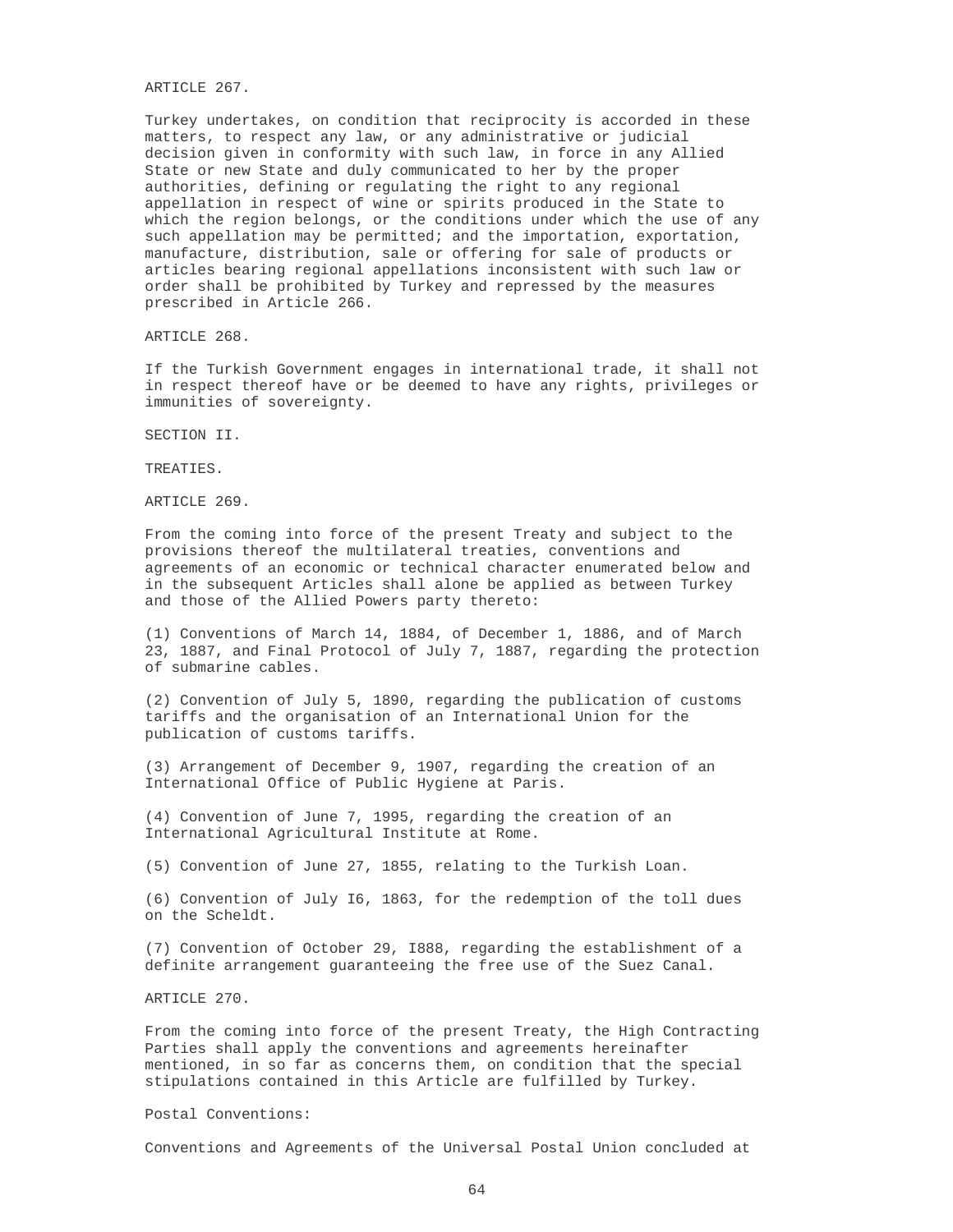### ARTICLE 267.

Turkey undertakes, on condition that reciprocity is accorded in these matters, to respect any law, or any administrative or judicial decision given in conformity with such law, in force in any Allied State or new State and duly communicated to her by the proper authorities, defining or regulating the right to any regional appellation in respect of wine or spirits produced in the State to which the region belongs, or the conditions under which the use of any such appellation may be permitted; and the importation, exportation, manufacture, distribution, sale or offering for sale of products or articles bearing regional appellations inconsistent with such law or order shall be prohibited by Turkey and repressed by the measures prescribed in Article 266.

ARTICLE 268.

If the Turkish Government engages in international trade, it shall not in respect thereof have or be deemed to have any rights, privileges or immunities of sovereignty.

SECTION II.

TREATIES.

ARTICLE 269.

From the coming into force of the present Treaty and subject to the provisions thereof the multilateral treaties, conventions and agreements of an economic or technical character enumerated below and in the subsequent Articles shall alone be applied as between Turkey and those of the Allied Powers party thereto:

(1) Conventions of March 14, 1884, of December 1, 1886, and of March 23, 1887, and Final Protocol of July 7, 1887, regarding the protection of submarine cables.

(2) Convention of July 5, 1890, regarding the publication of customs tariffs and the organisation of an International Union for the publication of customs tariffs.

(3) Arrangement of December 9, 1907, regarding the creation of an International Office of Public Hygiene at Paris.

(4) Convention of June 7, 1995, regarding the creation of an International Agricultural Institute at Rome.

(5) Convention of June 27, 1855, relating to the Turkish Loan.

(6) Convention of July I6, 1863, for the redemption of the toll dues on the Scheldt.

(7) Convention of October 29, I888, regarding the establishment of a definite arrangement guaranteeing the free use of the Suez Canal.

ARTICLE 270.

From the coming into force of the present Treaty, the High Contracting Parties shall apply the conventions and agreements hereinafter mentioned, in so far as concerns them, on condition that the special stipulations contained in this Article are fulfilled by Turkey.

Postal Conventions:

Conventions and Agreements of the Universal Postal Union concluded at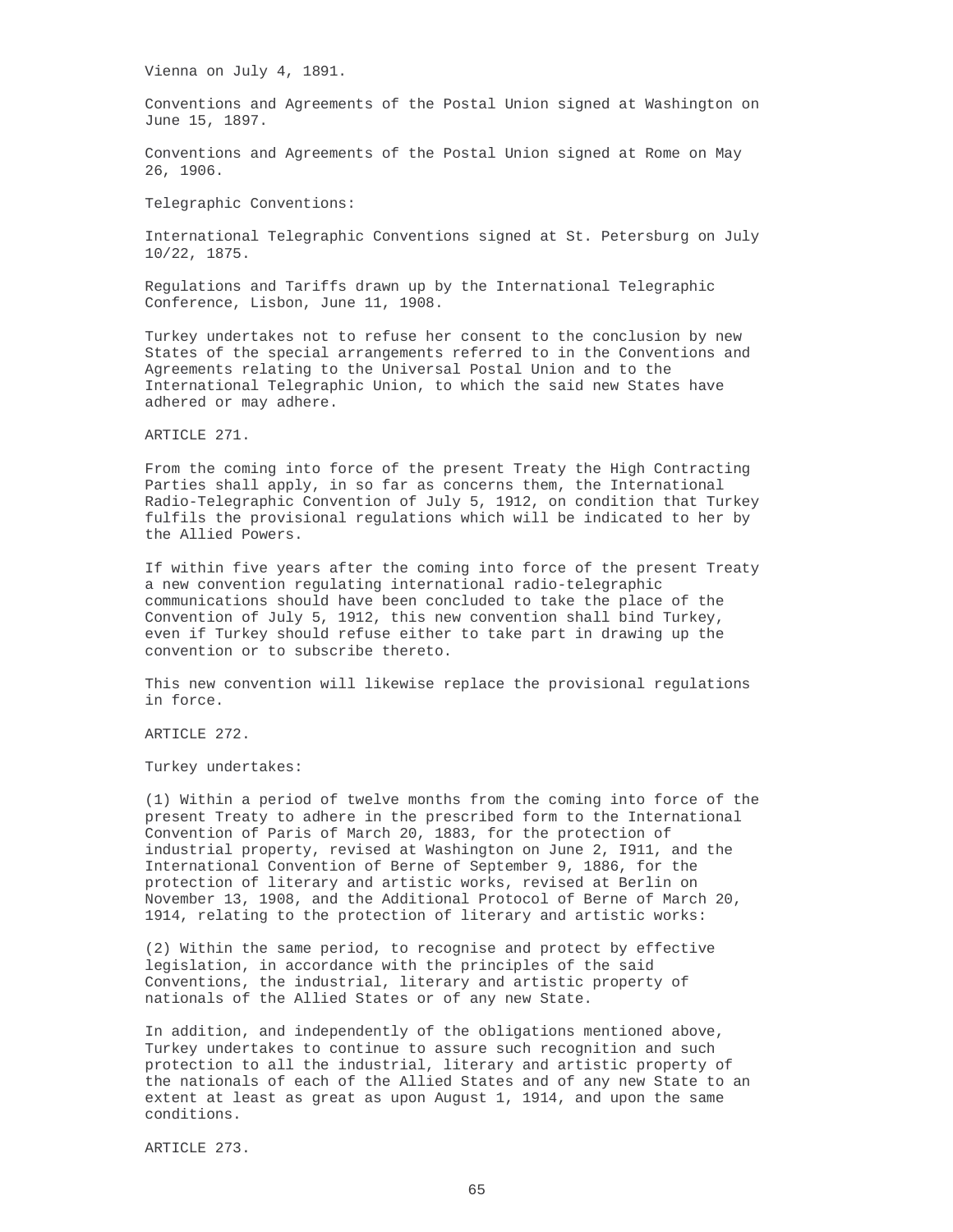Vienna on July 4, 1891.

Conventions and Agreements of the Postal Union signed at Washington on June 15, 1897.

Conventions and Agreements of the Postal Union signed at Rome on May 26, 1906.

Telegraphic Conventions:

International Telegraphic Conventions signed at St. Petersburg on July 10/22, 1875.

Regulations and Tariffs drawn up by the International Telegraphic Conference, Lisbon, June 11, 1908.

Turkey undertakes not to refuse her consent to the conclusion by new States of the special arrangements referred to in the Conventions and Agreements relating to the Universal Postal Union and to the International Telegraphic Union, to which the said new States have adhered or may adhere.

ARTICLE 271.

From the coming into force of the present Treaty the High Contracting Parties shall apply, in so far as concerns them, the International Radio-Telegraphic Convention of July 5, 1912, on condition that Turkey fulfils the provisional regulations which will be indicated to her by the Allied Powers.

If within five years after the coming into force of the present Treaty a new convention regulating international radio-telegraphic communications should have been concluded to take the place of the Convention of July 5, 1912, this new convention shall bind Turkey, even if Turkey should refuse either to take part in drawing up the convention or to subscribe thereto.

This new convention will likewise replace the provisional regulations in force.

ARTICLE 272.

Turkey undertakes:

(1) Within a period of twelve months from the coming into force of the present Treaty to adhere in the prescribed form to the International Convention of Paris of March 20, 1883, for the protection of industrial property, revised at Washington on June 2, I911, and the International Convention of Berne of September 9, 1886, for the protection of literary and artistic works, revised at Berlin on November 13, 1908, and the Additional Protocol of Berne of March 20, 1914, relating to the protection of literary and artistic works:

(2) Within the same period, to recognise and protect by effective legislation, in accordance with the principles of the said Conventions, the industrial, literary and artistic property of nationals of the Allied States or of any new State.

In addition, and independently of the obligations mentioned above, Turkey undertakes to continue to assure such recognition and such protection to all the industrial, literary and artistic property of the nationals of each of the Allied States and of any new State to an extent at least as great as upon August 1, 1914, and upon the same conditions.

ARTICLE 273.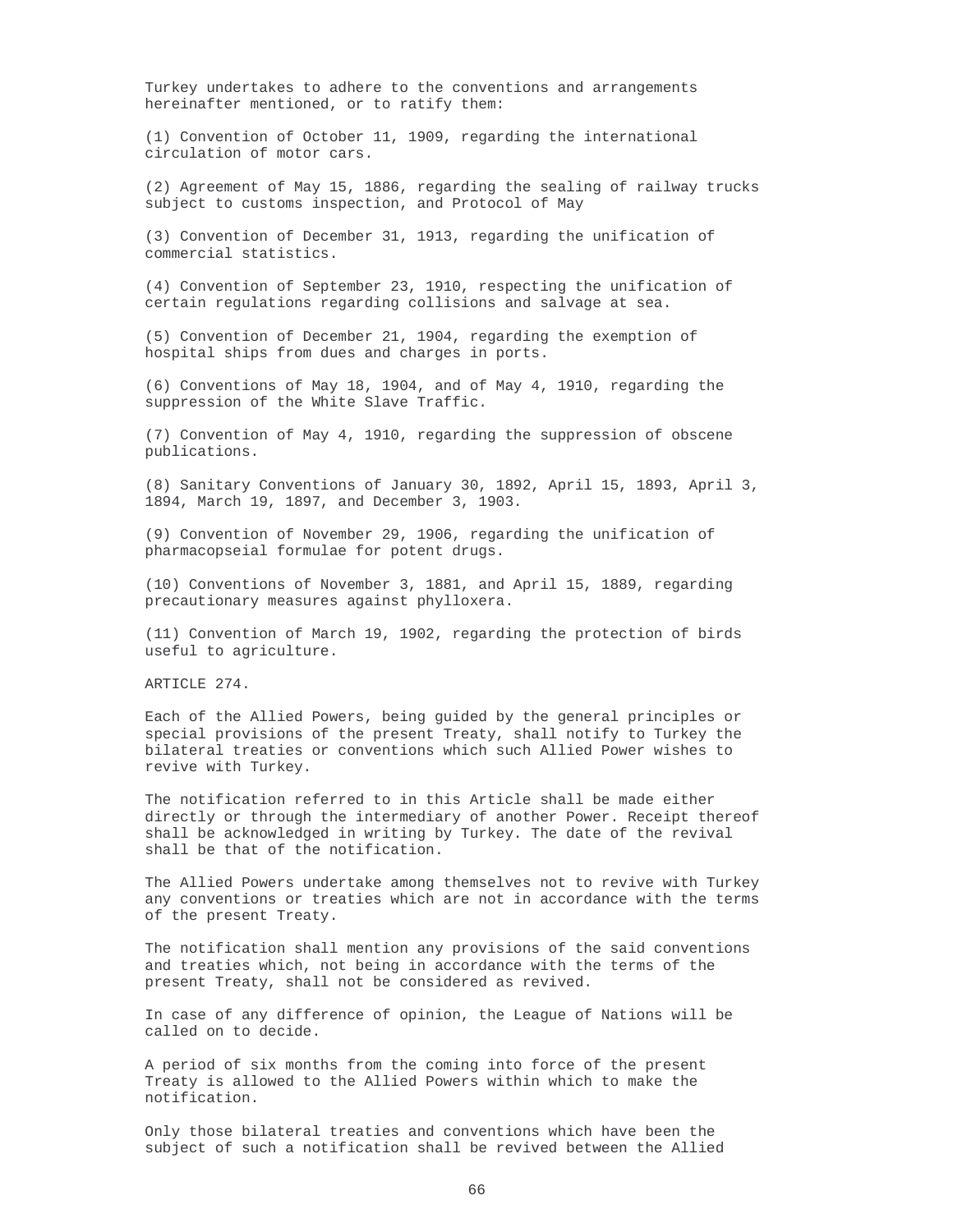Turkey undertakes to adhere to the conventions and arrangements hereinafter mentioned, or to ratify them:

(1) Convention of October 11, 1909, regarding the international circulation of motor cars.

(2) Agreement of May 15, 1886, regarding the sealing of railway trucks subject to customs inspection, and Protocol of May

(3) Convention of December 31, 1913, regarding the unification of commercial statistics.

(4) Convention of September 23, 1910, respecting the unification of certain regulations regarding collisions and salvage at sea.

(5) Convention of December 21, 1904, regarding the exemption of hospital ships from dues and charges in ports.

(6) Conventions of May 18, 1904, and of May 4, 1910, regarding the suppression of the White Slave Traffic.

(7) Convention of May 4, 1910, regarding the suppression of obscene publications.

(8) Sanitary Conventions of January 30, 1892, April 15, 1893, April 3, 1894, March 19, 1897, and December 3, 1903.

(9) Convention of November 29, 1906, regarding the unification of pharmacopseial formulae for potent drugs.

(10) Conventions of November 3, 1881, and April 15, 1889, regarding precautionary measures against phylloxera.

(11) Convention of March 19, 1902, regarding the protection of birds useful to agriculture.

ARTICLE 274.

Each of the Allied Powers, being guided by the general principles or special provisions of the present Treaty, shall notify to Turkey the bilateral treaties or conventions which such Allied Power wishes to revive with Turkey.

The notification referred to in this Article shall be made either directly or through the intermediary of another Power. Receipt thereof shall be acknowledged in writing by Turkey. The date of the revival shall be that of the notification.

The Allied Powers undertake among themselves not to revive with Turkey any conventions or treaties which are not in accordance with the terms of the present Treaty.

The notification shall mention any provisions of the said conventions and treaties which, not being in accordance with the terms of the present Treaty, shall not be considered as revived.

In case of any difference of opinion, the League of Nations will be called on to decide.

A period of six months from the coming into force of the present Treaty is allowed to the Allied Powers within which to make the notification.

Only those bilateral treaties and conventions which have been the subject of such a notification shall be revived between the Allied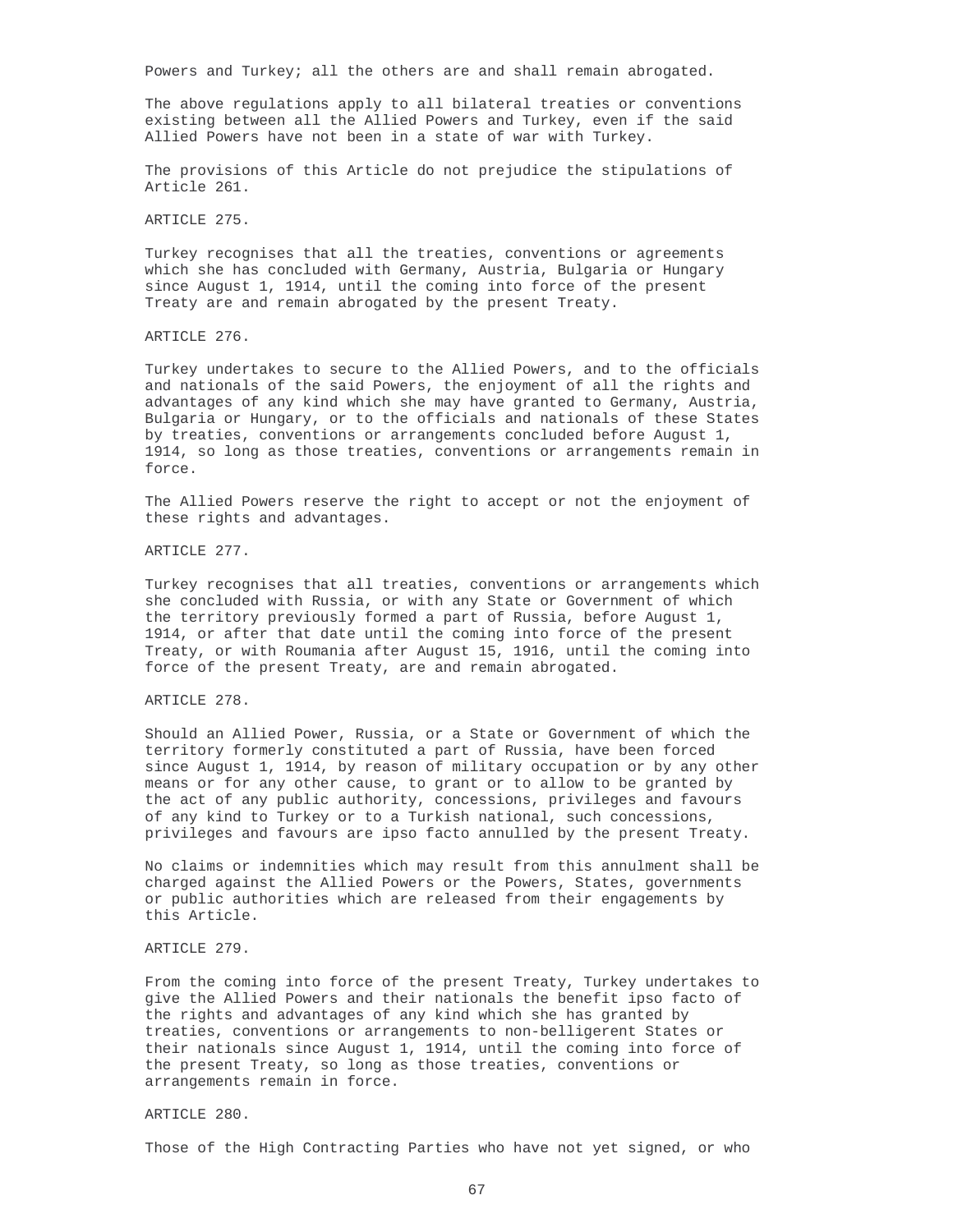Powers and Turkey; all the others are and shall remain abrogated.

The above regulations apply to all bilateral treaties or conventions existing between all the Allied Powers and Turkey, even if the said Allied Powers have not been in a state of war with Turkey.

The provisions of this Article do not prejudice the stipulations of Article 261.

ARTICLE 275.

Turkey recognises that all the treaties, conventions or agreements which she has concluded with Germany, Austria, Bulgaria or Hungary since August 1, 1914, until the coming into force of the present Treaty are and remain abrogated by the present Treaty.

ARTICLE 276.

Turkey undertakes to secure to the Allied Powers, and to the officials and nationals of the said Powers, the enjoyment of all the rights and advantages of any kind which she may have granted to Germany, Austria, Bulgaria or Hungary, or to the officials and nationals of these States by treaties, conventions or arrangements concluded before August 1, 1914, so long as those treaties, conventions or arrangements remain in force.

The Allied Powers reserve the right to accept or not the enjoyment of these rights and advantages.

ARTICLE 277.

Turkey recognises that all treaties, conventions or arrangements which she concluded with Russia, or with any State or Government of which the territory previously formed a part of Russia, before August 1, 1914, or after that date until the coming into force of the present Treaty, or with Roumania after August 15, 1916, until the coming into force of the present Treaty, are and remain abrogated.

## ARTICLE 278.

Should an Allied Power, Russia, or a State or Government of which the territory formerly constituted a part of Russia, have been forced since August 1, 1914, by reason of military occupation or by any other means or for any other cause, to grant or to allow to be granted by the act of any public authority, concessions, privileges and favours of any kind to Turkey or to a Turkish national, such concessions, privileges and favours are ipso facto annulled by the present Treaty.

No claims or indemnities which may result from this annulment shall be charged against the Allied Powers or the Powers, States, governments or public authorities which are released from their engagements by this Article.

# ARTICLE 279.

From the coming into force of the present Treaty, Turkey undertakes to give the Allied Powers and their nationals the benefit ipso facto of the rights and advantages of any kind which she has granted by treaties, conventions or arrangements to non-belligerent States or their nationals since August 1, 1914, until the coming into force of the present Treaty, so long as those treaties, conventions or arrangements remain in force.

# ARTICLE 280.

Those of the High Contracting Parties who have not yet signed, or who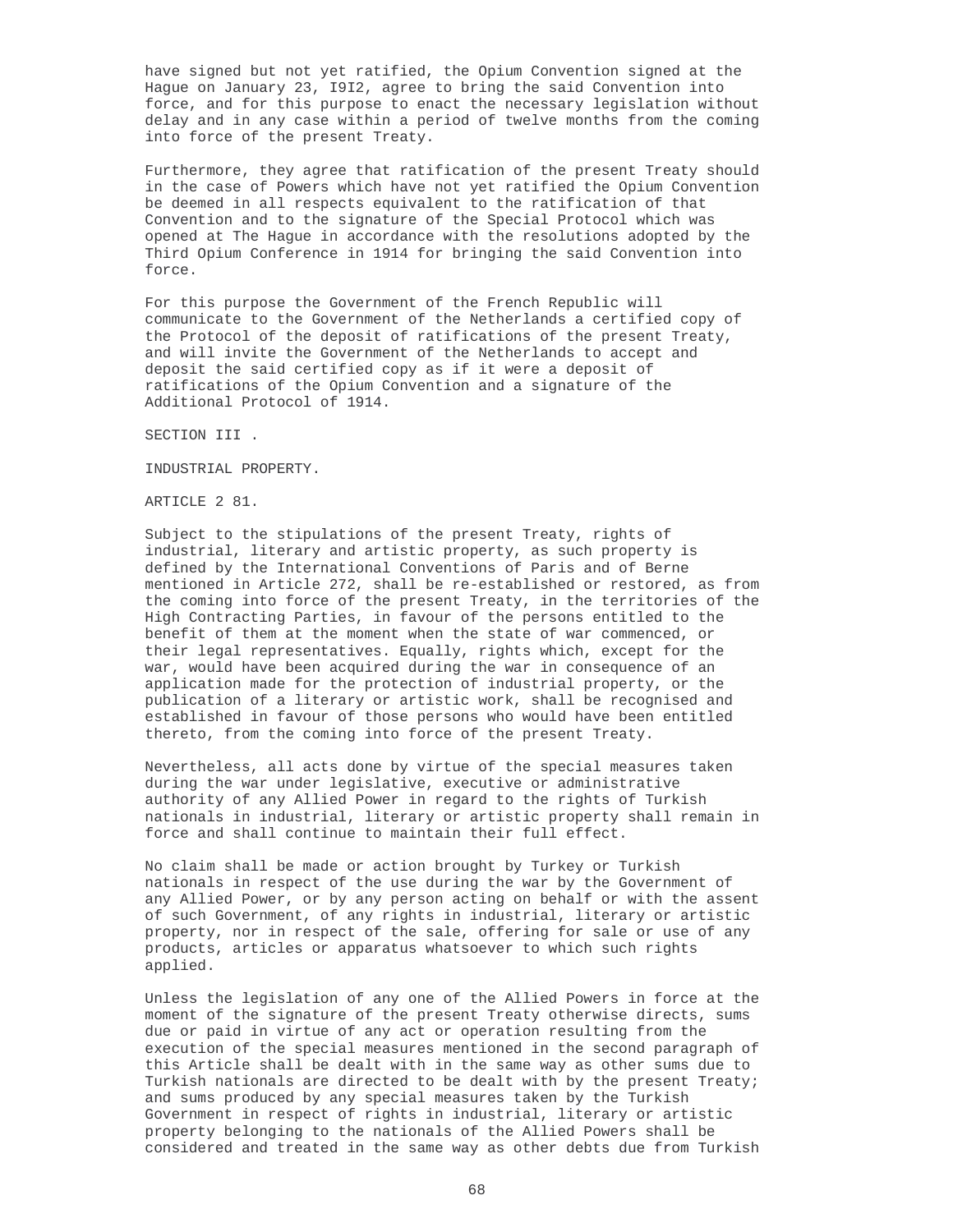have signed but not yet ratified, the Opium Convention signed at the Hague on January 23, I9I2, agree to bring the said Convention into force, and for this purpose to enact the necessary legislation without delay and in any case within a period of twelve months from the coming into force of the present Treaty.

Furthermore, they agree that ratification of the present Treaty should in the case of Powers which have not yet ratified the Opium Convention be deemed in all respects equivalent to the ratification of that Convention and to the signature of the Special Protocol which was opened at The Hague in accordance with the resolutions adopted by the Third Opium Conference in 1914 for bringing the said Convention into force.

For this purpose the Government of the French Republic will communicate to the Government of the Netherlands a certified copy of the Protocol of the deposit of ratifications of the present Treaty, and will invite the Government of the Netherlands to accept and deposit the said certified copy as if it were a deposit of ratifications of the Opium Convention and a signature of the Additional Protocol of 1914.

SECTION III .

INDUSTRIAL PROPERTY.

ARTICLE 2 81.

Subject to the stipulations of the present Treaty, rights of industrial, literary and artistic property, as such property is defined by the International Conventions of Paris and of Berne mentioned in Article 272, shall be re-established or restored, as from the coming into force of the present Treaty, in the territories of the High Contracting Parties, in favour of the persons entitled to the benefit of them at the moment when the state of war commenced, or their legal representatives. Equally, rights which, except for the war, would have been acquired during the war in consequence of an application made for the protection of industrial property, or the publication of a literary or artistic work, shall be recognised and established in favour of those persons who would have been entitled thereto, from the coming into force of the present Treaty.

Nevertheless, all acts done by virtue of the special measures taken during the war under legislative, executive or administrative authority of any Allied Power in regard to the rights of Turkish nationals in industrial, literary or artistic property shall remain in force and shall continue to maintain their full effect.

No claim shall be made or action brought by Turkey or Turkish nationals in respect of the use during the war by the Government of any Allied Power, or by any person acting on behalf or with the assent of such Government, of any rights in industrial, literary or artistic property, nor in respect of the sale, offering for sale or use of any products, articles or apparatus whatsoever to which such rights applied.

Unless the legislation of any one of the Allied Powers in force at the moment of the signature of the present Treaty otherwise directs, sums due or paid in virtue of any act or operation resulting from the execution of the special measures mentioned in the second paragraph of this Article shall be dealt with in the same way as other sums due to Turkish nationals are directed to be dealt with by the present Treaty; and sums produced by any special measures taken by the Turkish Government in respect of rights in industrial, literary or artistic property belonging to the nationals of the Allied Powers shall be considered and treated in the same way as other debts due from Turkish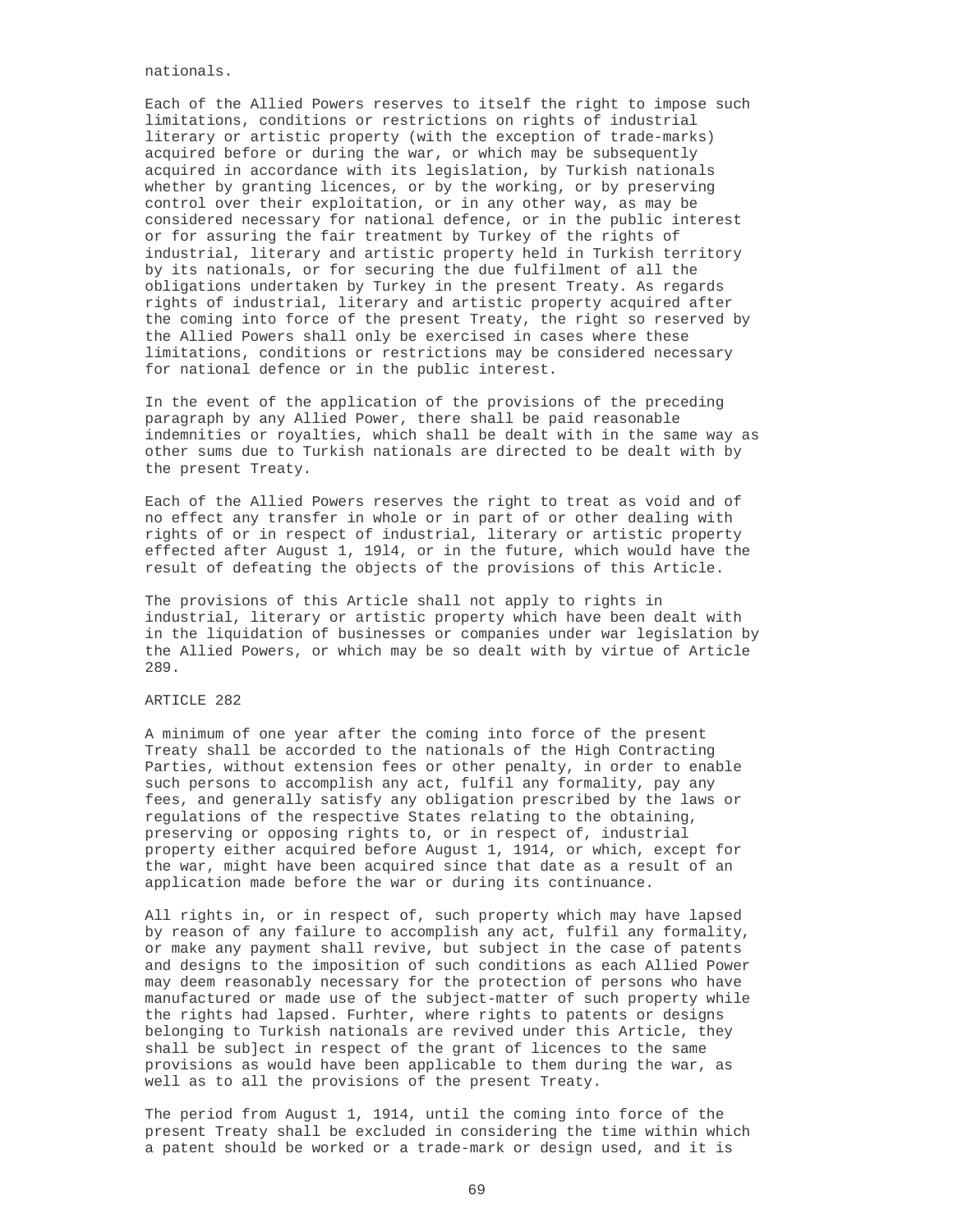nationals.

Each of the Allied Powers reserves to itself the right to impose such limitations, conditions or restrictions on rights of industrial literary or artistic property (with the exception of trade-marks) acquired before or during the war, or which may be subsequently acquired in accordance with its legislation, by Turkish nationals whether by granting licences, or by the working, or by preserving control over their exploitation, or in any other way, as may be considered necessary for national defence, or in the public interest or for assuring the fair treatment by Turkey of the rights of industrial, literary and artistic property held in Turkish territory by its nationals, or for securing the due fulfilment of all the obligations undertaken by Turkey in the present Treaty. As regards rights of industrial, literary and artistic property acquired after the coming into force of the present Treaty, the right so reserved by the Allied Powers shall only be exercised in cases where these limitations, conditions or restrictions may be considered necessary for national defence or in the public interest.

In the event of the application of the provisions of the preceding paragraph by any Allied Power, there shall be paid reasonable indemnities or royalties, which shall be dealt with in the same way as other sums due to Turkish nationals are directed to be dealt with by the present Treaty.

Each of the Allied Powers reserves the right to treat as void and of no effect any transfer in whole or in part of or other dealing with rights of or in respect of industrial, literary or artistic property effected after August 1, 19l4, or in the future, which would have the result of defeating the objects of the provisions of this Article.

The provisions of this Article shall not apply to rights in industrial, literary or artistic property which have been dealt with in the liquidation of businesses or companies under war legislation by the Allied Powers, or which may be so dealt with by virtue of Article 289.

### ARTICLE 282

A minimum of one year after the coming into force of the present Treaty shall be accorded to the nationals of the High Contracting Parties, without extension fees or other penalty, in order to enable such persons to accomplish any act, fulfil any formality, pay any fees, and generally satisfy any obligation prescribed by the laws or regulations of the respective States relating to the obtaining, preserving or opposing rights to, or in respect of, industrial property either acquired before August 1, 1914, or which, except for the war, might have been acquired since that date as a result of an application made before the war or during its continuance.

All rights in, or in respect of, such property which may have lapsed by reason of any failure to accomplish any act, fulfil any formality, or make any payment shall revive, but subject in the case of patents and designs to the imposition of such conditions as each Allied Power may deem reasonably necessary for the protection of persons who have manufactured or made use of the subject-matter of such property while the rights had lapsed. Furhter, where rights to patents or designs belonging to Turkish nationals are revived under this Article, they shall be sub]ect in respect of the grant of licences to the same provisions as would have been applicable to them during the war, as well as to all the provisions of the present Treaty.

The period from August 1, 1914, until the coming into force of the present Treaty shall be excluded in considering the time within which a patent should be worked or a trade-mark or design used, and it is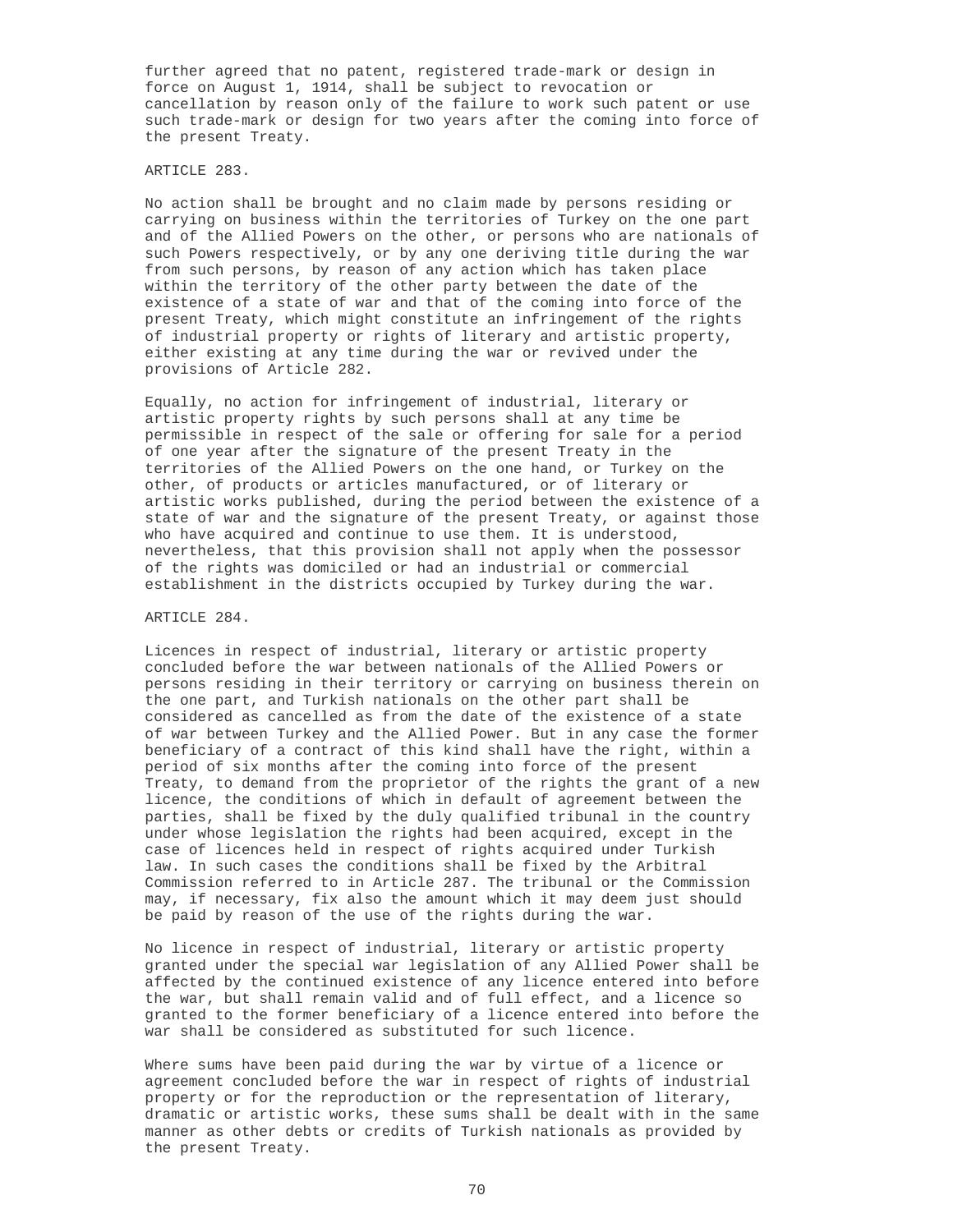further agreed that no patent, registered trade-mark or design in force on August 1, 1914, shall be subject to revocation or cancellation by reason only of the failure to work such patent or use such trade-mark or design for two years after the coming into force of the present Treaty.

ARTICLE 283.

No action shall be brought and no claim made by persons residing or carrying on business within the territories of Turkey on the one part and of the Allied Powers on the other, or persons who are nationals of such Powers respectively, or by any one deriving title during the war from such persons, by reason of any action which has taken place within the territory of the other party between the date of the existence of a state of war and that of the coming into force of the present Treaty, which might constitute an infringement of the rights of industrial property or rights of literary and artistic property, either existing at any time during the war or revived under the provisions of Article 282.

Equally, no action for infringement of industrial, literary or artistic property rights by such persons shall at any time be permissible in respect of the sale or offering for sale for a period of one year after the signature of the present Treaty in the territories of the Allied Powers on the one hand, or Turkey on the other, of products or articles manufactured, or of literary or artistic works published, during the period between the existence of a state of war and the signature of the present Treaty, or against those who have acquired and continue to use them. It is understood, nevertheless, that this provision shall not apply when the possessor of the rights was domiciled or had an industrial or commercial establishment in the districts occupied by Turkey during the war.

ARTICLE 284.

Licences in respect of industrial, literary or artistic property concluded before the war between nationals of the Allied Powers or persons residing in their territory or carrying on business therein on the one part, and Turkish nationals on the other part shall be considered as cancelled as from the date of the existence of a state of war between Turkey and the Allied Power. But in any case the former beneficiary of a contract of this kind shall have the right, within a period of six months after the coming into force of the present Treaty, to demand from the proprietor of the rights the grant of a new licence, the conditions of which in default of agreement between the parties, shall be fixed by the duly qualified tribunal in the country under whose legislation the rights had been acquired, except in the case of licences held in respect of rights acquired under Turkish law. In such cases the conditions shall be fixed by the Arbitral Commission referred to in Article 287. The tribunal or the Commission may, if necessary, fix also the amount which it may deem just should be paid by reason of the use of the rights during the war.

No licence in respect of industrial, literary or artistic property granted under the special war legislation of any Allied Power shall be affected by the continued existence of any licence entered into before the war, but shall remain valid and of full effect, and a licence so granted to the former beneficiary of a licence entered into before the war shall be considered as substituted for such licence.

Where sums have been paid during the war by virtue of a licence or agreement concluded before the war in respect of rights of industrial property or for the reproduction or the representation of literary, dramatic or artistic works, these sums shall be dealt with in the same manner as other debts or credits of Turkish nationals as provided by the present Treaty.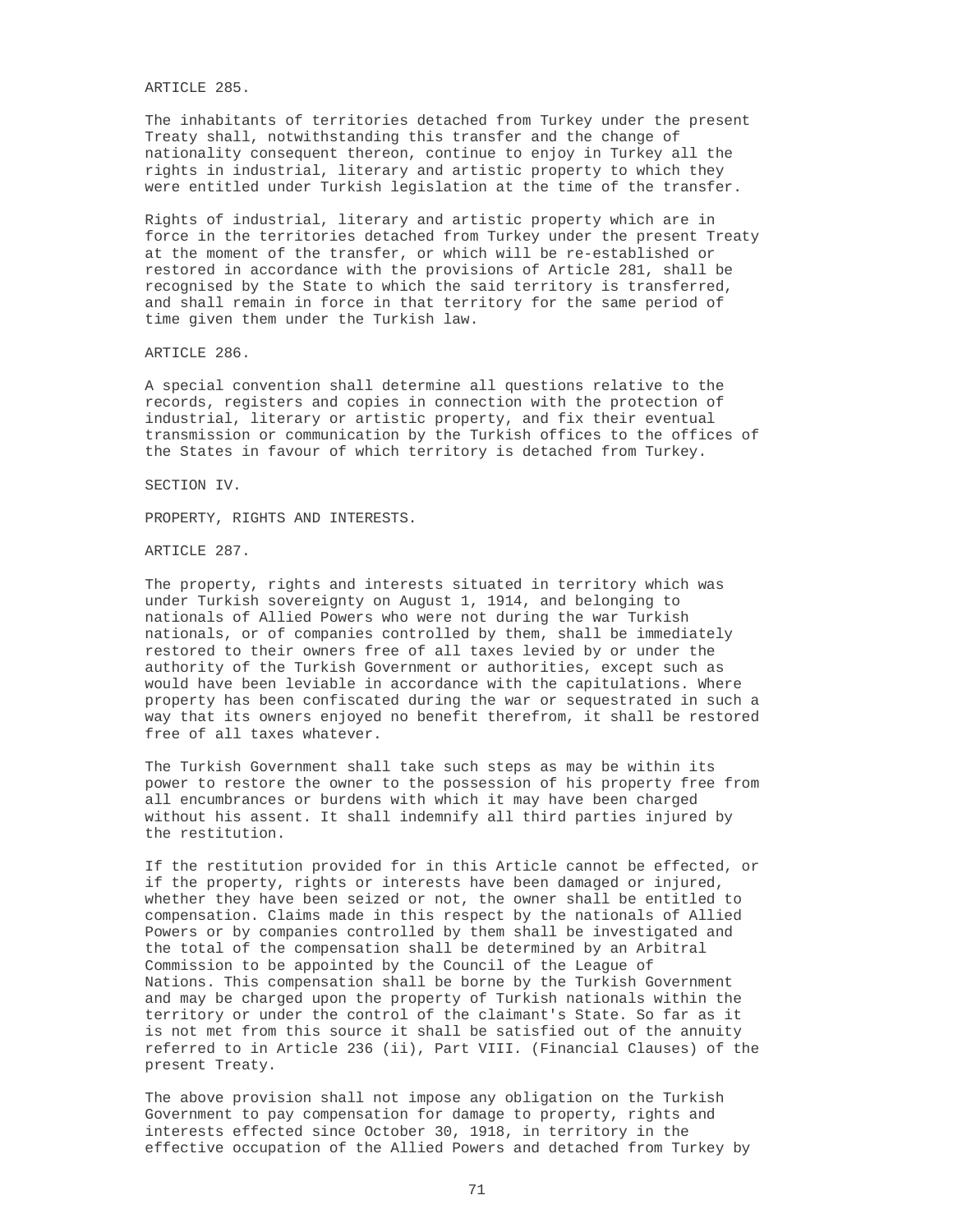ARTICLE 285.

The inhabitants of territories detached from Turkey under the present Treaty shall, notwithstanding this transfer and the change of nationality consequent thereon, continue to enjoy in Turkey all the rights in industrial, literary and artistic property to which they were entitled under Turkish legislation at the time of the transfer.

Rights of industrial, literary and artistic property which are in force in the territories detached from Turkey under the present Treaty at the moment of the transfer, or which will be re-established or restored in accordance with the provisions of Article 281, shall be recognised by the State to which the said territory is transferred, and shall remain in force in that territory for the same period of time given them under the Turkish law.

ARTICLE 286.

A special convention shall determine all questions relative to the records, registers and copies in connection with the protection of industrial, literary or artistic property, and fix their eventual transmission or communication by the Turkish offices to the offices of the States in favour of which territory is detached from Turkey.

SECTION IV.

PROPERTY, RIGHTS AND INTERESTS.

ARTICLE 287.

The property, rights and interests situated in territory which was under Turkish sovereignty on August 1, 1914, and belonging to nationals of Allied Powers who were not during the war Turkish nationals, or of companies controlled by them, shall be immediately restored to their owners free of all taxes levied by or under the authority of the Turkish Government or authorities, except such as would have been leviable in accordance with the capitulations. Where property has been confiscated during the war or sequestrated in such a way that its owners enjoyed no benefit therefrom, it shall be restored free of all taxes whatever.

The Turkish Government shall take such steps as may be within its power to restore the owner to the possession of his property free from all encumbrances or burdens with which it may have been charged without his assent. It shall indemnify all third parties injured by the restitution.

If the restitution provided for in this Article cannot be effected, or if the property, rights or interests have been damaged or injured, whether they have been seized or not, the owner shall be entitled to compensation. Claims made in this respect by the nationals of Allied Powers or by companies controlled by them shall be investigated and the total of the compensation shall be determined by an Arbitral Commission to be appointed by the Council of the League of Nations. This compensation shall be borne by the Turkish Government and may be charged upon the property of Turkish nationals within the territory or under the control of the claimant's State. So far as it is not met from this source it shall be satisfied out of the annuity referred to in Article 236 (ii), Part VIII. (Financial Clauses) of the present Treaty.

The above provision shall not impose any obligation on the Turkish Government to pay compensation for damage to property, rights and interests effected since October 30, 1918, in territory in the effective occupation of the Allied Powers and detached from Turkey by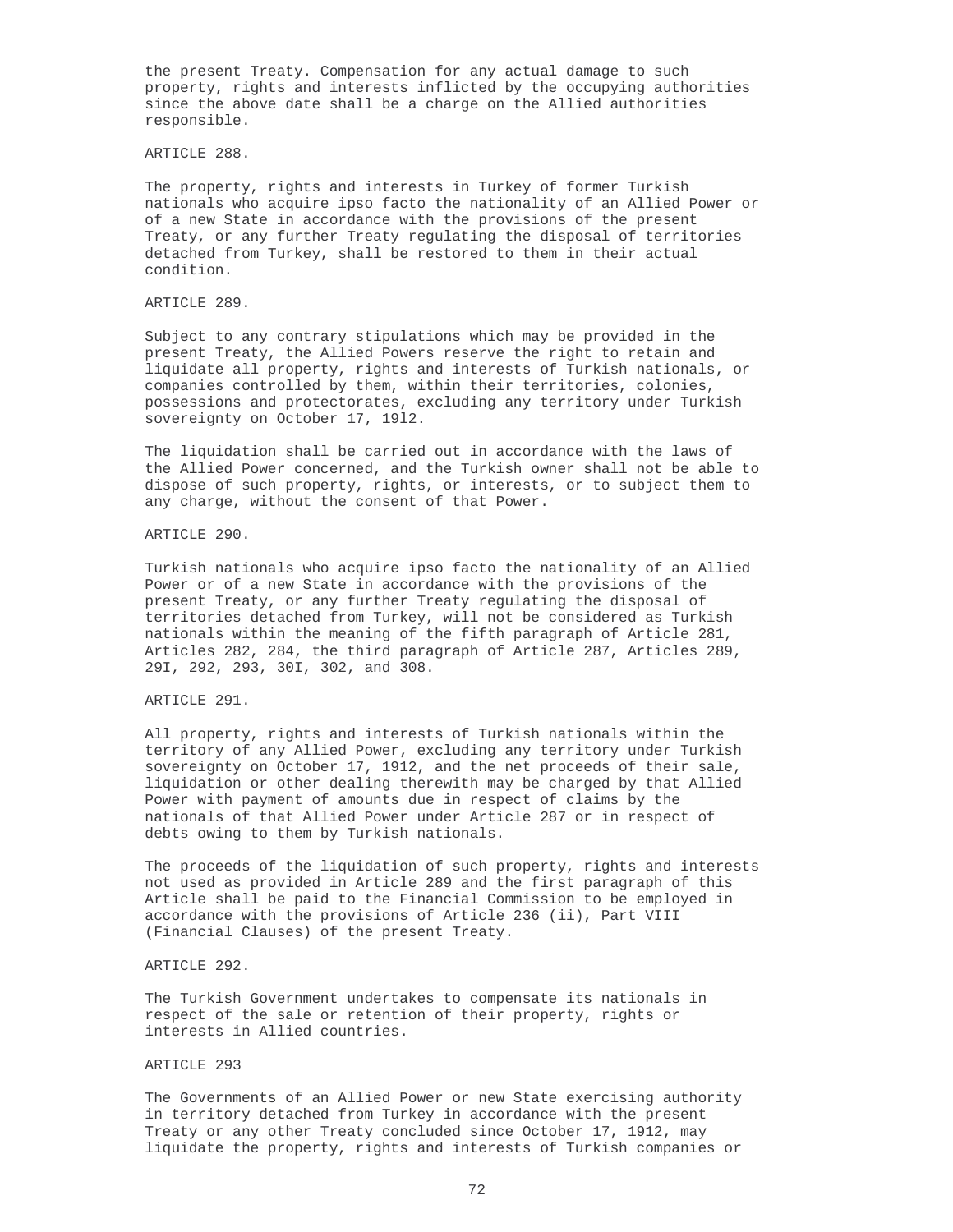the present Treaty. Compensation for any actual damage to such property, rights and interests inflicted by the occupying authorities since the above date shall be a charge on the Allied authorities responsible.

ARTICLE 288.

The property, rights and interests in Turkey of former Turkish nationals who acquire ipso facto the nationality of an Allied Power or of a new State in accordance with the provisions of the present Treaty, or any further Treaty regulating the disposal of territories detached from Turkey, shall be restored to them in their actual condition.

#### ARTICLE 289.

Subject to any contrary stipulations which may be provided in the present Treaty, the Allied Powers reserve the right to retain and liquidate all property, rights and interests of Turkish nationals, or companies controlled by them, within their territories, colonies, possessions and protectorates, excluding any territory under Turkish sovereignty on October 17, 19l2.

The liquidation shall be carried out in accordance with the laws of the Allied Power concerned, and the Turkish owner shall not be able to dispose of such property, rights, or interests, or to subject them to any charge, without the consent of that Power.

ARTICLE 290.

Turkish nationals who acquire ipso facto the nationality of an Allied Power or of a new State in accordance with the provisions of the present Treaty, or any further Treaty regulating the disposal of territories detached from Turkey, will not be considered as Turkish nationals within the meaning of the fifth paragraph of Article 281, Articles 282, 284, the third paragraph of Article 287, Articles 289, 29I, 292, 293, 30I, 302, and 308.

## ARTICLE 291.

All property, rights and interests of Turkish nationals within the territory of any Allied Power, excluding any territory under Turkish sovereignty on October 17, 1912, and the net proceeds of their sale, liquidation or other dealing therewith may be charged by that Allied Power with payment of amounts due in respect of claims by the nationals of that Allied Power under Article 287 or in respect of debts owing to them by Turkish nationals.

The proceeds of the liquidation of such property, rights and interests not used as provided in Article 289 and the first paragraph of this Article shall be paid to the Financial Commission to be employed in accordance with the provisions of Article 236 (ii), Part VIII (Financial Clauses) of the present Treaty.

# ARTICLE 292.

The Turkish Government undertakes to compensate its nationals in respect of the sale or retention of their property, rights or interests in Allied countries.

# ARTICLE 293

The Governments of an Allied Power or new State exercising authority in territory detached from Turkey in accordance with the present Treaty or any other Treaty concluded since October 17, 1912, may liquidate the property, rights and interests of Turkish companies or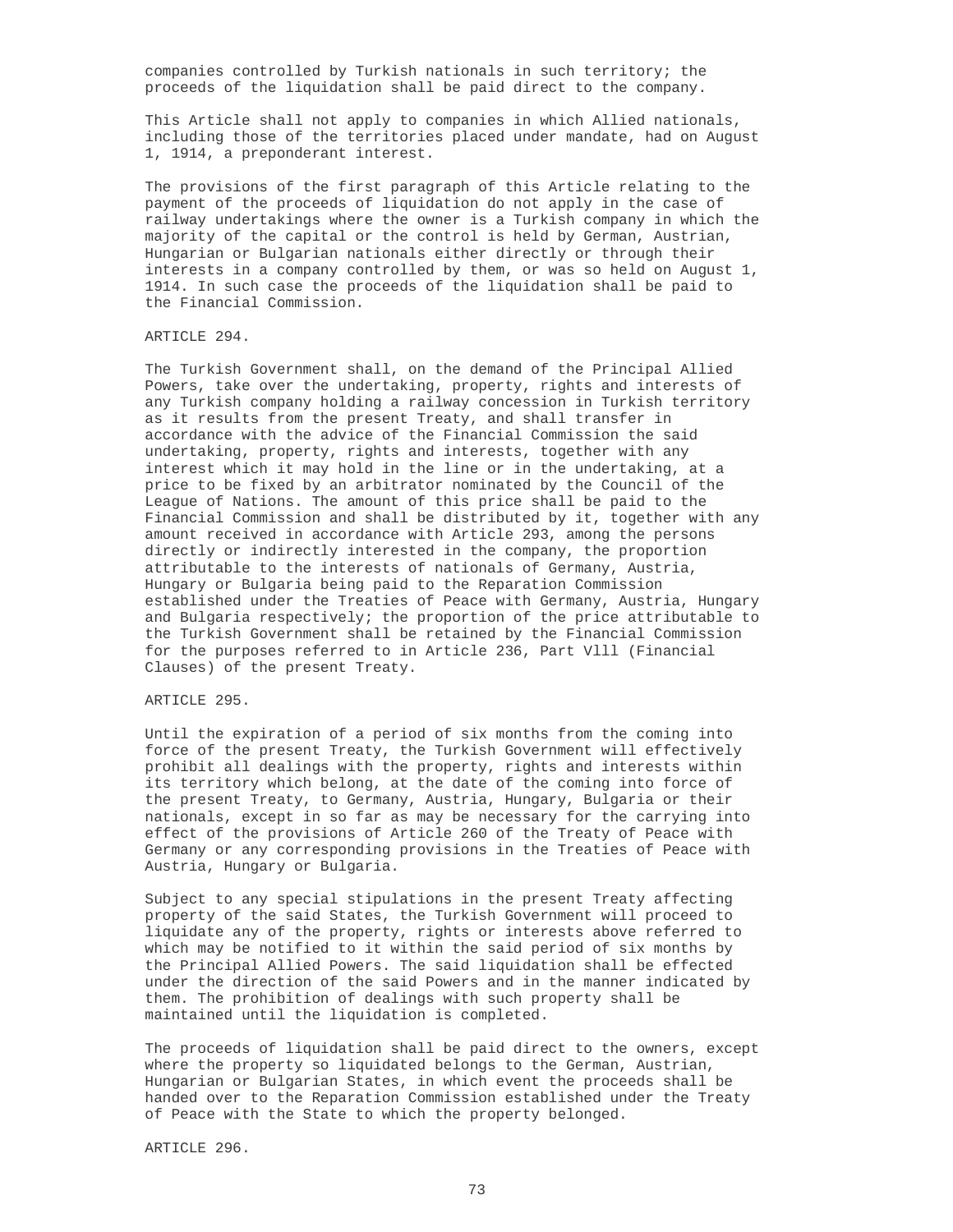companies controlled by Turkish nationals in such territory; the proceeds of the liquidation shall be paid direct to the company.

This Article shall not apply to companies in which Allied nationals, including those of the territories placed under mandate, had on August 1, 1914, a preponderant interest.

The provisions of the first paragraph of this Article relating to the payment of the proceeds of liquidation do not apply in the case of railway undertakings where the owner is a Turkish company in which the majority of the capital or the control is held by German, Austrian, Hungarian or Bulgarian nationals either directly or through their interests in a company controlled by them, or was so held on August 1, 1914. In such case the proceeds of the liquidation shall be paid to the Financial Commission.

#### ARTICLE 294.

The Turkish Government shall, on the demand of the Principal Allied Powers, take over the undertaking, property, rights and interests of any Turkish company holding a railway concession in Turkish territory as it results from the present Treaty, and shall transfer in accordance with the advice of the Financial Commission the said undertaking, property, rights and interests, together with any interest which it may hold in the line or in the undertaking, at a price to be fixed by an arbitrator nominated by the Council of the League of Nations. The amount of this price shall be paid to the Financial Commission and shall be distributed by it, together with any amount received in accordance with Article 293, among the persons directly or indirectly interested in the company, the proportion attributable to the interests of nationals of Germany, Austria, Hungary or Bulgaria being paid to the Reparation Commission established under the Treaties of Peace with Germany, Austria, Hungary and Bulgaria respectively; the proportion of the price attributable to the Turkish Government shall be retained by the Financial Commission for the purposes referred to in Article 236, Part Vlll (Financial Clauses) of the present Treaty.

#### ARTICLE 295.

Until the expiration of a period of six months from the coming into force of the present Treaty, the Turkish Government will effectively prohibit all dealings with the property, rights and interests within its territory which belong, at the date of the coming into force of the present Treaty, to Germany, Austria, Hungary, Bulgaria or their nationals, except in so far as may be necessary for the carrying into effect of the provisions of Article 260 of the Treaty of Peace with Germany or any corresponding provisions in the Treaties of Peace with Austria, Hungary or Bulgaria.

Subject to any special stipulations in the present Treaty affecting property of the said States, the Turkish Government will proceed to liquidate any of the property, rights or interests above referred to which may be notified to it within the said period of six months by the Principal Allied Powers. The said liquidation shall be effected under the direction of the said Powers and in the manner indicated by them. The prohibition of dealings with such property shall be maintained until the liquidation is completed.

The proceeds of liquidation shall be paid direct to the owners, except where the property so liquidated belongs to the German, Austrian, Hungarian or Bulgarian States, in which event the proceeds shall be handed over to the Reparation Commission established under the Treaty of Peace with the State to which the property belonged.

ARTICLE 296.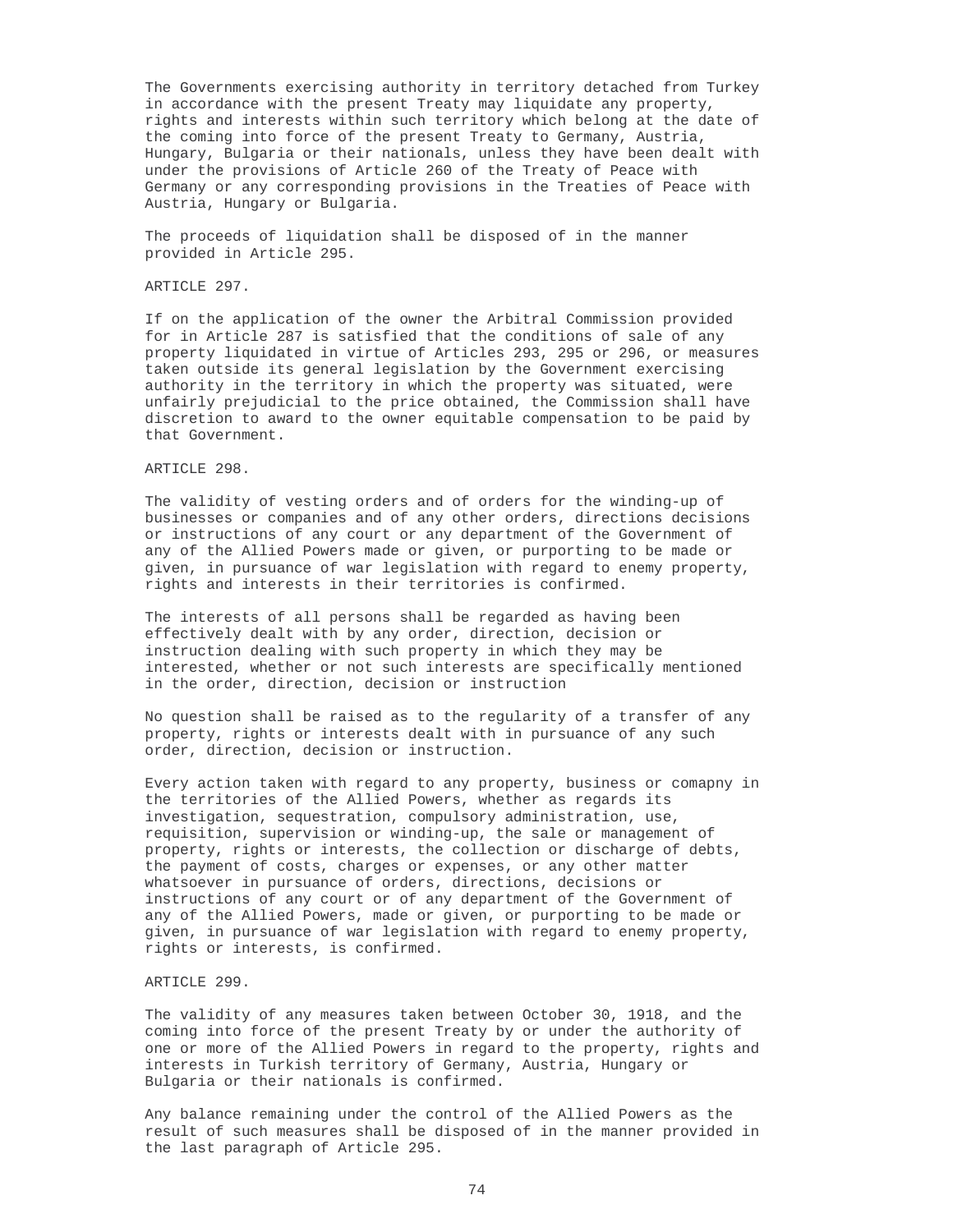The Governments exercising authority in territory detached from Turkey in accordance with the present Treaty may liquidate any property, rights and interests within such territory which belong at the date of the coming into force of the present Treaty to Germany, Austria, Hungary, Bulgaria or their nationals, unless they have been dealt with under the provisions of Article 260 of the Treaty of Peace with Germany or any corresponding provisions in the Treaties of Peace with Austria, Hungary or Bulgaria.

The proceeds of liquidation shall be disposed of in the manner provided in Article 295.

#### ARTICLE 297.

If on the application of the owner the Arbitral Commission provided for in Article 287 is satisfied that the conditions of sale of any property liquidated in virtue of Articles 293, 295 or 296, or measures taken outside its general legislation by the Government exercising authority in the territory in which the property was situated, were unfairly prejudicial to the price obtained, the Commission shall have discretion to award to the owner equitable compensation to be paid by that Government.

### ARTICLE 298.

The validity of vesting orders and of orders for the winding-up of businesses or companies and of any other orders, directions decisions or instructions of any court or any department of the Government of any of the Allied Powers made or given, or purporting to be made or given, in pursuance of war legislation with regard to enemy property, rights and interests in their territories is confirmed.

The interests of all persons shall be regarded as having been effectively dealt with by any order, direction, decision or instruction dealing with such property in which they may be interested, whether or not such interests are specifically mentioned in the order, direction, decision or instruction

No question shall be raised as to the regularity of a transfer of any property, rights or interests dealt with in pursuance of any such order, direction, decision or instruction.

Every action taken with regard to any property, business or comapny in the territories of the Allied Powers, whether as regards its investigation, sequestration, compulsory administration, use, requisition, supervision or winding-up, the sale or management of property, rights or interests, the collection or discharge of debts, the payment of costs, charges or expenses, or any other matter whatsoever in pursuance of orders, directions, decisions or instructions of any court or of any department of the Government of any of the Allied Powers, made or given, or purporting to be made or given, in pursuance of war legislation with regard to enemy property, rights or interests, is confirmed.

#### ARTICLE 299.

The validity of any measures taken between October 30, 1918, and the coming into force of the present Treaty by or under the authority of one or more of the Allied Powers in regard to the property, rights and interests in Turkish territory of Germany, Austria, Hungary or Bulgaria or their nationals is confirmed.

Any balance remaining under the control of the Allied Powers as the result of such measures shall be disposed of in the manner provided in the last paragraph of Article 295.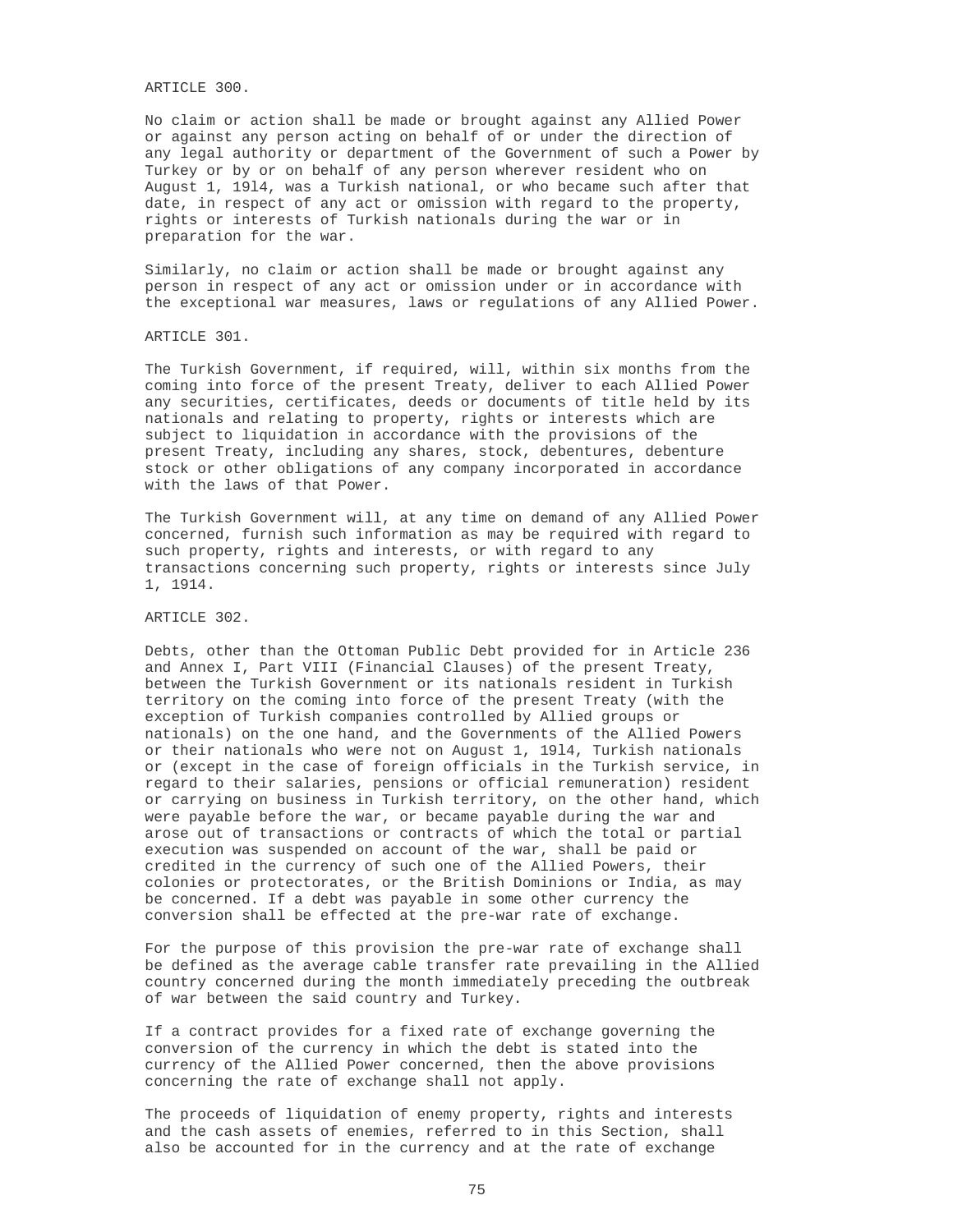### ARTICLE 300.

No claim or action shall be made or brought against any Allied Power or against any person acting on behalf of or under the direction of any legal authority or department of the Government of such a Power by Turkey or by or on behalf of any person wherever resident who on August 1, 19l4, was a Turkish national, or who became such after that date, in respect of any act or omission with regard to the property, rights or interests of Turkish nationals during the war or in preparation for the war.

Similarly, no claim or action shall be made or brought against any person in respect of any act or omission under or in accordance with the exceptional war measures, laws or regulations of any Allied Power.

ARTICLE 301.

The Turkish Government, if required, will, within six months from the coming into force of the present Treaty, deliver to each Allied Power any securities, certificates, deeds or documents of title held by its nationals and relating to property, rights or interests which are subject to liquidation in accordance with the provisions of the present Treaty, including any shares, stock, debentures, debenture stock or other obligations of any company incorporated in accordance with the laws of that Power.

The Turkish Government will, at any time on demand of any Allied Power concerned, furnish such information as may be required with regard to such property, rights and interests, or with regard to any transactions concerning such property, rights or interests since July 1, 1914.

### ARTICLE 302.

Debts, other than the Ottoman Public Debt provided for in Article 236 and Annex I, Part VIII (Financial Clauses) of the present Treaty, between the Turkish Government or its nationals resident in Turkish territory on the coming into force of the present Treaty (with the exception of Turkish companies controlled by Allied groups or nationals) on the one hand, and the Governments of the Allied Powers or their nationals who were not on August 1, 19l4, Turkish nationals or (except in the case of foreign officials in the Turkish service, in regard to their salaries, pensions or official remuneration) resident or carrying on business in Turkish territory, on the other hand, which were payable before the war, or became payable during the war and arose out of transactions or contracts of which the total or partial execution was suspended on account of the war, shall be paid or credited in the currency of such one of the Allied Powers, their colonies or protectorates, or the British Dominions or India, as may be concerned. If a debt was payable in some other currency the conversion shall be effected at the pre-war rate of exchange.

For the purpose of this provision the pre-war rate of exchange shall be defined as the average cable transfer rate prevailing in the Allied country concerned during the month immediately preceding the outbreak of war between the said country and Turkey.

If a contract provides for a fixed rate of exchange governing the conversion of the currency in which the debt is stated into the currency of the Allied Power concerned, then the above provisions concerning the rate of exchange shall not apply.

The proceeds of liquidation of enemy property, rights and interests and the cash assets of enemies, referred to in this Section, shall also be accounted for in the currency and at the rate of exchange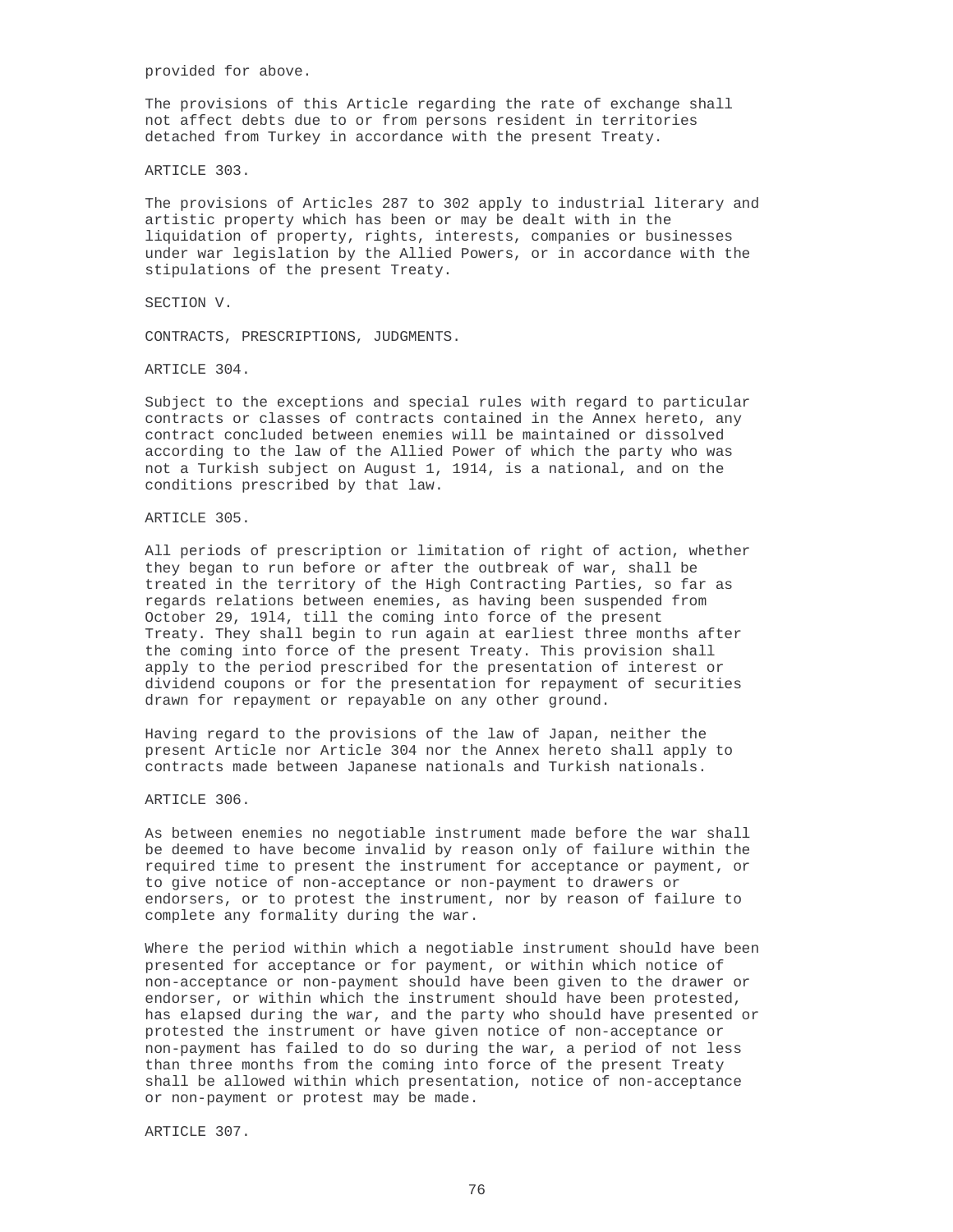provided for above.

The provisions of this Article regarding the rate of exchange shall not affect debts due to or from persons resident in territories detached from Turkey in accordance with the present Treaty.

ARTICLE 303.

The provisions of Articles 287 to 302 apply to industrial literary and artistic property which has been or may be dealt with in the liquidation of property, rights, interests, companies or businesses under war legislation by the Allied Powers, or in accordance with the stipulations of the present Treaty.

SECTION V.

CONTRACTS, PRESCRIPTIONS, JUDGMENTS.

ARTICLE 304.

Subject to the exceptions and special rules with regard to particular contracts or classes of contracts contained in the Annex hereto, any contract concluded between enemies will be maintained or dissolved according to the law of the Allied Power of which the party who was not a Turkish subject on August 1, 1914, is a national, and on the conditions prescribed by that law.

ARTICLE 305.

All periods of prescription or limitation of right of action, whether they began to run before or after the outbreak of war, shall be treated in the territory of the High Contracting Parties, so far as regards relations between enemies, as having been suspended from October 29, 19l4, till the coming into force of the present Treaty. They shall begin to run again at earliest three months after the coming into force of the present Treaty. This provision shall apply to the period prescribed for the presentation of interest or dividend coupons or for the presentation for repayment of securities drawn for repayment or repayable on any other ground.

Having regard to the provisions of the law of Japan, neither the present Article nor Article 304 nor the Annex hereto shall apply to contracts made between Japanese nationals and Turkish nationals.

ARTICLE 306.

As between enemies no negotiable instrument made before the war shall be deemed to have become invalid by reason only of failure within the required time to present the instrument for acceptance or payment, or to give notice of non-acceptance or non-payment to drawers or endorsers, or to protest the instrument, nor by reason of failure to complete any formality during the war.

Where the period within which a negotiable instrument should have been presented for acceptance or for payment, or within which notice of non-acceptance or non-payment should have been given to the drawer or endorser, or within which the instrument should have been protested, has elapsed during the war, and the party who should have presented or protested the instrument or have given notice of non-acceptance or non-payment has failed to do so during the war, a period of not less than three months from the coming into force of the present Treaty shall be allowed within which presentation, notice of non-acceptance or non-payment or protest may be made.

ARTICLE 307.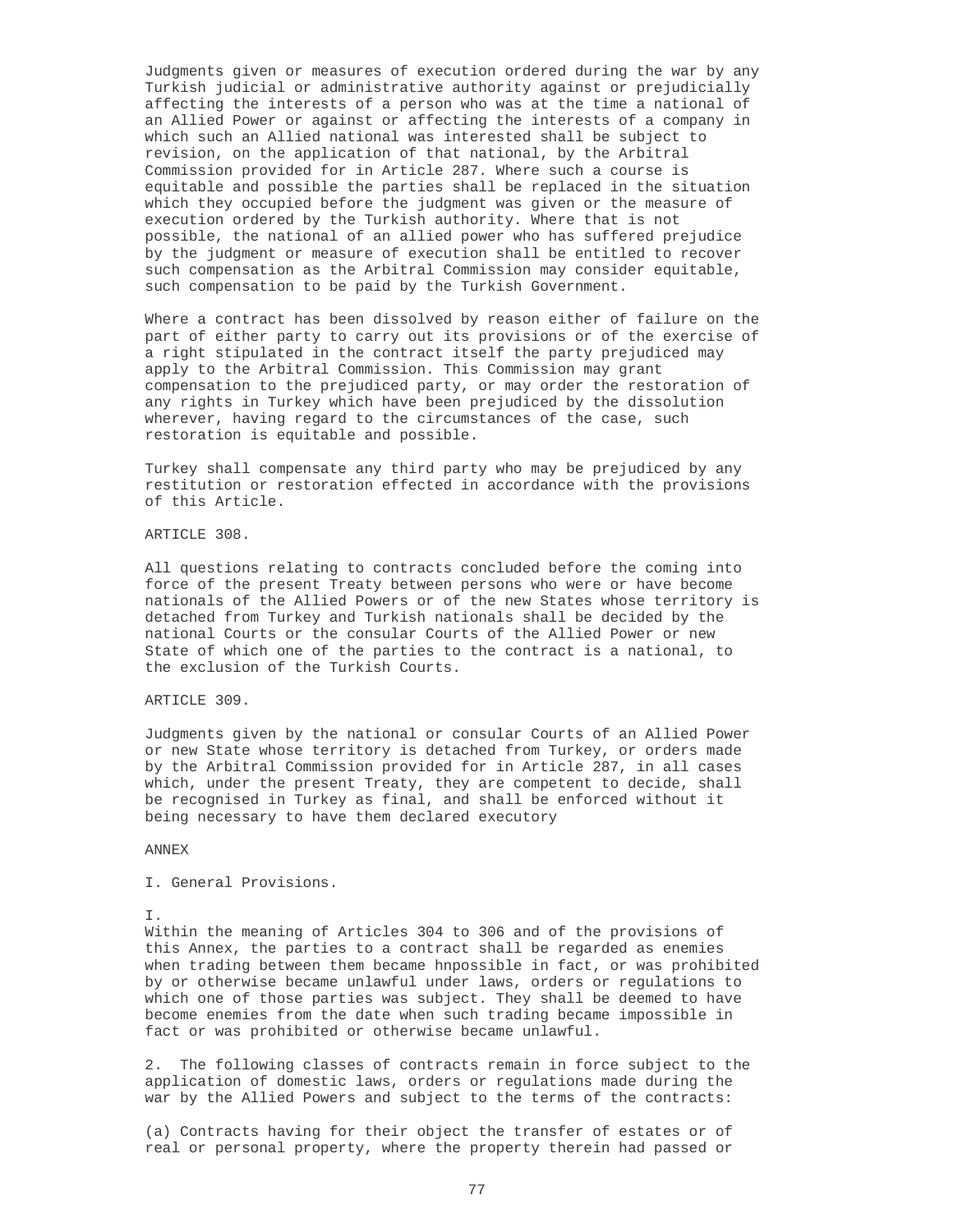Judgments given or measures of execution ordered during the war by any Turkish judicial or administrative authority against or prejudicially affecting the interests of a person who was at the time a national of an Allied Power or against or affecting the interests of a company in which such an Allied national was interested shall be subject to revision, on the application of that national, by the Arbitral Commission provided for in Article 287. Where such a course is equitable and possible the parties shall be replaced in the situation which they occupied before the judgment was given or the measure of execution ordered by the Turkish authority. Where that is not possible, the national of an allied power who has suffered prejudice by the judgment or measure of execution shall be entitled to recover such compensation as the Arbitral Commission may consider equitable, such compensation to be paid by the Turkish Government.

Where a contract has been dissolved by reason either of failure on the part of either party to carry out its provisions or of the exercise of a right stipulated in the contract itself the party prejudiced may apply to the Arbitral Commission. This Commission may grant compensation to the prejudiced party, or may order the restoration of any rights in Turkey which have been prejudiced by the dissolution wherever, having regard to the circumstances of the case, such restoration is equitable and possible.

Turkey shall compensate any third party who may be prejudiced by any restitution or restoration effected in accordance with the provisions of this Article.

ARTICLE 308.

All questions relating to contracts concluded before the coming into force of the present Treaty between persons who were or have become nationals of the Allied Powers or of the new States whose territory is detached from Turkey and Turkish nationals shall be decided by the national Courts or the consular Courts of the Allied Power or new State of which one of the parties to the contract is a national, to the exclusion of the Turkish Courts.

#### ARTICLE 309.

Judgments given by the national or consular Courts of an Allied Power or new State whose territory is detached from Turkey, or orders made by the Arbitral Commission provided for in Article 287, in all cases which, under the present Treaty, they are competent to decide, shall be recognised in Turkey as final, and shall be enforced without it being necessary to have them declared executory

ANNEX

I. General Provisions.

I.

Within the meaning of Articles 304 to 306 and of the provisions of this Annex, the parties to a contract shall be regarded as enemies when trading between them became hnpossible in fact, or was prohibited by or otherwise became unlawful under laws, orders or regulations to which one of those parties was subject. They shall be deemed to have become enemies from the date when such trading became impossible in fact or was prohibited or otherwise became unlawful.

2. The following classes of contracts remain in force subject to the application of domestic laws, orders or regulations made during the war by the Allied Powers and subject to the terms of the contracts:

(a) Contracts having for their object the transfer of estates or of real or personal property, where the property therein had passed or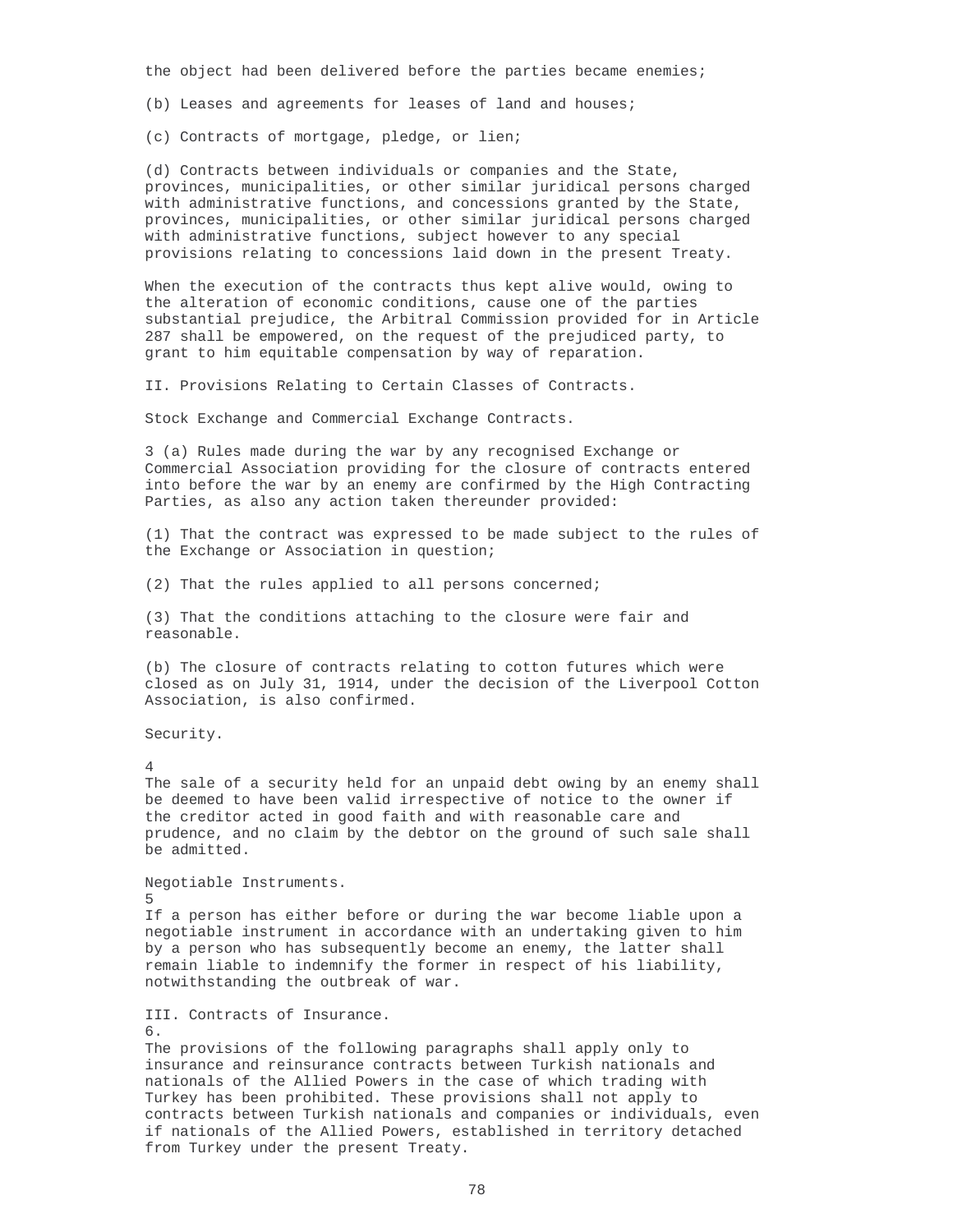the object had been delivered before the parties became enemies;

(b) Leases and agreements for leases of land and houses;

(c) Contracts of mortgage, pledge, or lien;

(d) Contracts between individuals or companies and the State, provinces, municipalities, or other similar juridical persons charged with administrative functions, and concessions granted by the State, provinces, municipalities, or other similar juridical persons charged with administrative functions, subject however to any special provisions relating to concessions laid down in the present Treaty.

When the execution of the contracts thus kept alive would, owing to the alteration of economic conditions, cause one of the parties substantial prejudice, the Arbitral Commission provided for in Article 287 shall be empowered, on the request of the prejudiced party, to grant to him equitable compensation by way of reparation.

II. Provisions Relating to Certain Classes of Contracts.

Stock Exchange and Commercial Exchange Contracts.

3 (a) Rules made during the war by any recognised Exchange or Commercial Association providing for the closure of contracts entered into before the war by an enemy are confirmed by the High Contracting Parties, as also any action taken thereunder provided:

(1) That the contract was expressed to be made subject to the rules of the Exchange or Association in question;

(2) That the rules applied to all persons concerned;

(3) That the conditions attaching to the closure were fair and reasonable.

(b) The closure of contracts relating to cotton futures which were closed as on July 31, 1914, under the decision of the Liverpool Cotton Association, is also confirmed.

Security.

4

The sale of a security held for an unpaid debt owing by an enemy shall be deemed to have been valid irrespective of notice to the owner if the creditor acted in good faith and with reasonable care and prudence, and no claim by the debtor on the ground of such sale shall be admitted.

Negotiable Instruments.

5

If a person has either before or during the war become liable upon a negotiable instrument in accordance with an undertaking given to him by a person who has subsequently become an enemy, the latter shall remain liable to indemnify the former in respect of his liability, notwithstanding the outbreak of war.

III. Contracts of Insurance. 6.

The provisions of the following paragraphs shall apply only to insurance and reinsurance contracts between Turkish nationals and nationals of the Allied Powers in the case of which trading with Turkey has been prohibited. These provisions shall not apply to contracts between Turkish nationals and companies or individuals, even if nationals of the Allied Powers, established in territory detached from Turkey under the present Treaty.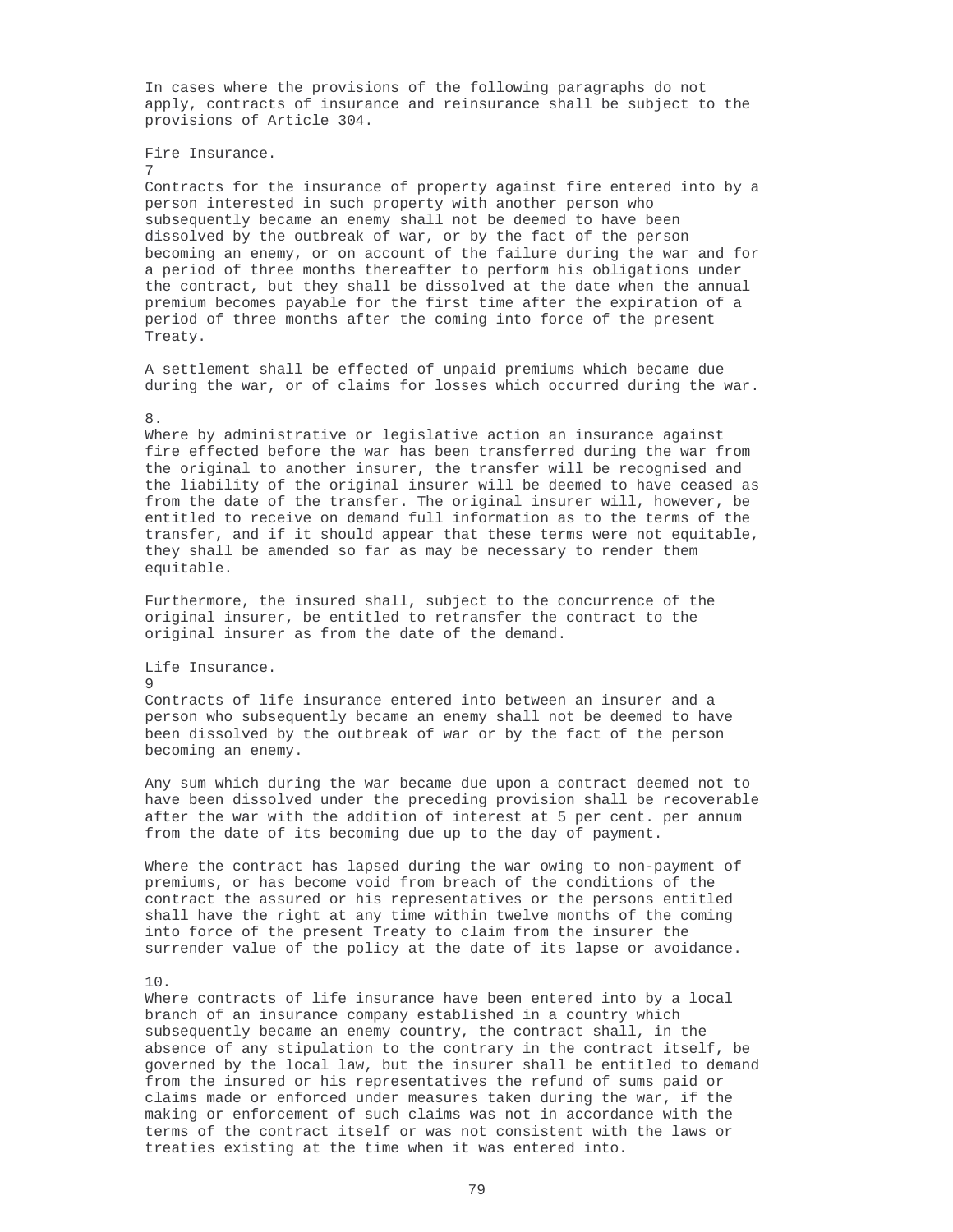In cases where the provisions of the following paragraphs do not apply, contracts of insurance and reinsurance shall be subject to the provisions of Article 304.

Fire Insurance.  $\mathcal{L}$ 

Contracts for the insurance of property against fire entered into by a person interested in such property with another person who subsequently became an enemy shall not be deemed to have been dissolved by the outbreak of war, or by the fact of the person becoming an enemy, or on account of the failure during the war and for a period of three months thereafter to perform his obligations under the contract, but they shall be dissolved at the date when the annual premium becomes payable for the first time after the expiration of a period of three months after the coming into force of the present Treaty.

A settlement shall be effected of unpaid premiums which became due during the war, or of claims for losses which occurred during the war.

#### 8.

Where by administrative or legislative action an insurance against fire effected before the war has been transferred during the war from the original to another insurer, the transfer will be recognised and the liability of the original insurer will be deemed to have ceased as from the date of the transfer. The original insurer will, however, be entitled to receive on demand full information as to the terms of the transfer, and if it should appear that these terms were not equitable, they shall be amended so far as may be necessary to render them equitable.

Furthermore, the insured shall, subject to the concurrence of the original insurer, be entitled to retransfer the contract to the original insurer as from the date of the demand.

# Life Insurance.

 $\Omega$ 

Contracts of life insurance entered into between an insurer and a person who subsequently became an enemy shall not be deemed to have been dissolved by the outbreak of war or by the fact of the person becoming an enemy.

Any sum which during the war became due upon a contract deemed not to have been dissolved under the preceding provision shall be recoverable after the war with the addition of interest at 5 per cent. per annum from the date of its becoming due up to the day of payment.

Where the contract has lapsed during the war owing to non-payment of premiums, or has become void from breach of the conditions of the contract the assured or his representatives or the persons entitled shall have the right at any time within twelve months of the coming into force of the present Treaty to claim from the insurer the surrender value of the policy at the date of its lapse or avoidance.

### 10.

Where contracts of life insurance have been entered into by a local branch of an insurance company established in a country which subsequently became an enemy country, the contract shall, in the absence of any stipulation to the contrary in the contract itself, be governed by the local law, but the insurer shall be entitled to demand from the insured or his representatives the refund of sums paid or claims made or enforced under measures taken during the war, if the making or enforcement of such claims was not in accordance with the terms of the contract itself or was not consistent with the laws or treaties existing at the time when it was entered into.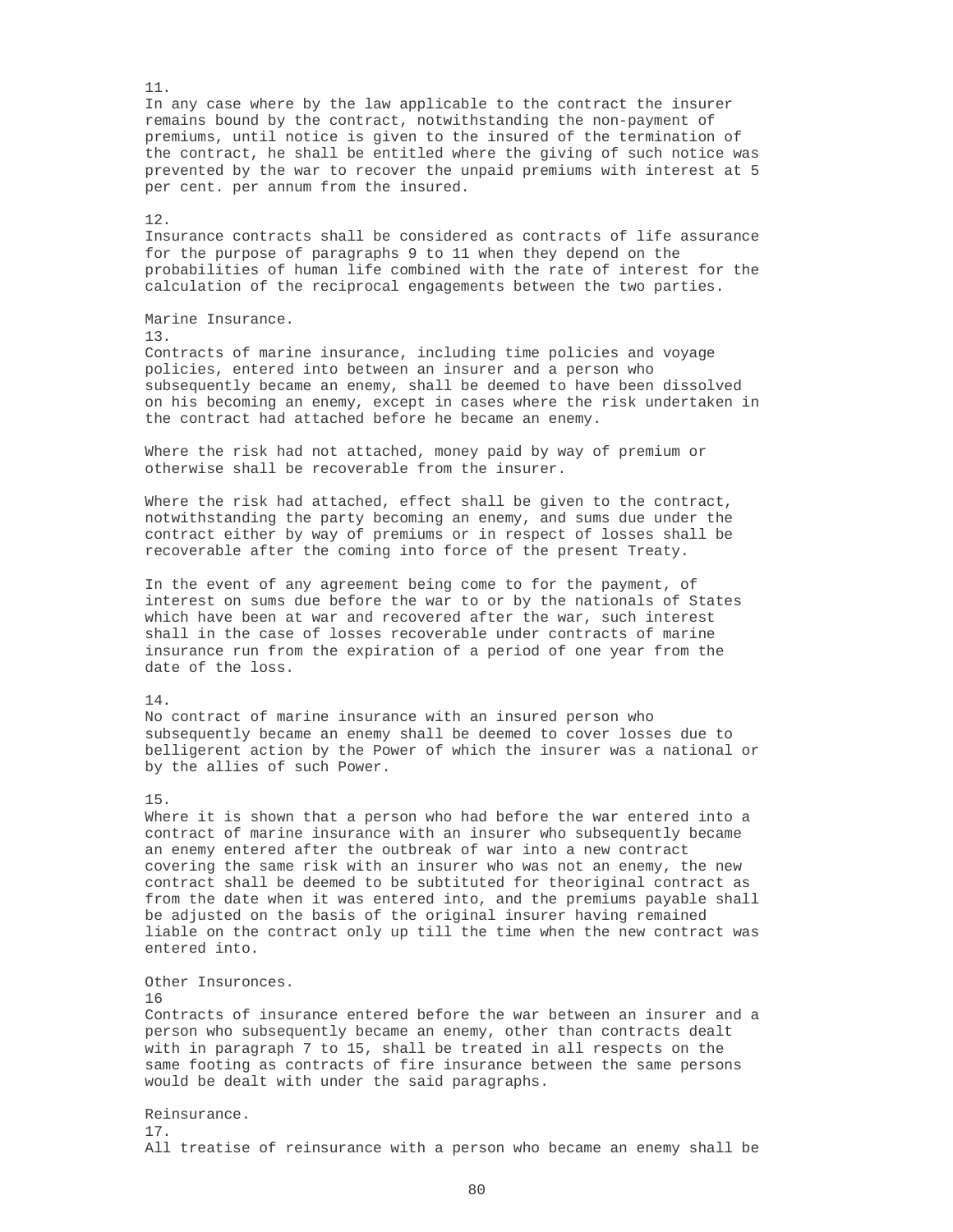In any case where by the law applicable to the contract the insurer remains bound by the contract, notwithstanding the non-payment of premiums, until notice is given to the insured of the termination of the contract, he shall be entitled where the giving of such notice was prevented by the war to recover the unpaid premiums with interest at 5 per cent. per annum from the insured.

#### 12.

11.

Insurance contracts shall be considered as contracts of life assurance for the purpose of paragraphs 9 to 11 when they depend on the probabilities of human life combined with the rate of interest for the calculation of the reciprocal engagements between the two parties.

Marine Insurance.

13.

Contracts of marine insurance, including time policies and voyage policies, entered into between an insurer and a person who subsequently became an enemy, shall be deemed to have been dissolved on his becoming an enemy, except in cases where the risk undertaken in the contract had attached before he became an enemy.

Where the risk had not attached, money paid by way of premium or otherwise shall be recoverable from the insurer.

Where the risk had attached, effect shall be given to the contract, notwithstanding the party becoming an enemy, and sums due under the contract either by way of premiums or in respect of losses shall be recoverable after the coming into force of the present Treaty.

In the event of any agreement being come to for the payment, of interest on sums due before the war to or by the nationals of States which have been at war and recovered after the war, such interest shall in the case of losses recoverable under contracts of marine insurance run from the expiration of a period of one year from the date of the loss.

#### 14.

No contract of marine insurance with an insured person who subsequently became an enemy shall be deemed to cover losses due to belligerent action by the Power of which the insurer was a national or by the allies of such Power.

#### 15.

Where it is shown that a person who had before the war entered into a contract of marine insurance with an insurer who subsequently became an enemy entered after the outbreak of war into a new contract covering the same risk with an insurer who was not an enemy, the new contract shall be deemed to be subtituted for theoriginal contract as from the date when it was entered into, and the premiums payable shall be adjusted on the basis of the original insurer having remained liable on the contract only up till the time when the new contract was entered into.

Other Insuronces.

16

Contracts of insurance entered before the war between an insurer and a person who subsequently became an enemy, other than contracts dealt with in paragraph 7 to 15, shall be treated in all respects on the same footing as contracts of fire insurance between the same persons would be dealt with under the said paragraphs.

Reinsurance. 17. All treatise of reinsurance with a person who became an enemy shall be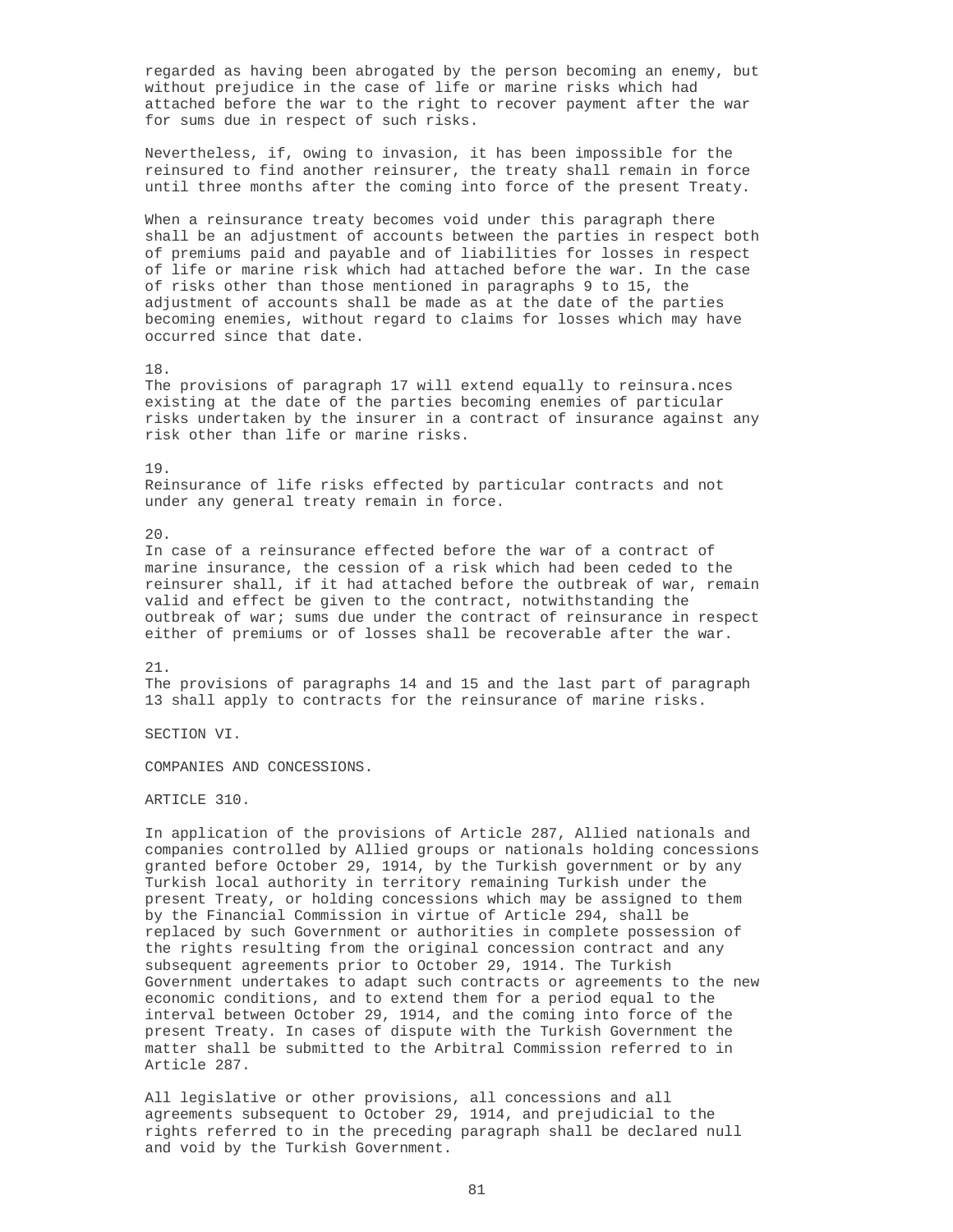regarded as having been abrogated by the person becoming an enemy, but without prejudice in the case of life or marine risks which had attached before the war to the right to recover payment after the war for sums due in respect of such risks.

Nevertheless, if, owing to invasion, it has been impossible for the reinsured to find another reinsurer, the treaty shall remain in force until three months after the coming into force of the present Treaty.

When a reinsurance treaty becomes void under this paragraph there shall be an adjustment of accounts between the parties in respect both of premiums paid and payable and of liabilities for losses in respect of life or marine risk which had attached before the war. In the case of risks other than those mentioned in paragraphs 9 to 15, the adjustment of accounts shall be made as at the date of the parties becoming enemies, without regard to claims for losses which may have occurred since that date.

18.

The provisions of paragraph 17 will extend equally to reinsura.nces existing at the date of the parties becoming enemies of particular risks undertaken by the insurer in a contract of insurance against any risk other than life or marine risks.

19.

Reinsurance of life risks effected by particular contracts and not under any general treaty remain in force.

20.

In case of a reinsurance effected before the war of a contract of marine insurance, the cession of a risk which had been ceded to the reinsurer shall, if it had attached before the outbreak of war, remain valid and effect be given to the contract, notwithstanding the outbreak of war; sums due under the contract of reinsurance in respect either of premiums or of losses shall be recoverable after the war.

21.

The provisions of paragraphs 14 and 15 and the last part of paragraph 13 shall apply to contracts for the reinsurance of marine risks.

SECTION VI.

COMPANIES AND CONCESSIONS.

ARTICLE 310.

In application of the provisions of Article 287, Allied nationals and companies controlled by Allied groups or nationals holding concessions granted before October 29, 1914, by the Turkish government or by any Turkish local authority in territory remaining Turkish under the present Treaty, or holding concessions which may be assigned to them by the Financial Commission in virtue of Article 294, shall be replaced by such Government or authorities in complete possession of the rights resulting from the original concession contract and any subsequent agreements prior to October 29, 1914. The Turkish Government undertakes to adapt such contracts or agreements to the new economic conditions, and to extend them for a period equal to the interval between October 29, 1914, and the coming into force of the present Treaty. In cases of dispute with the Turkish Government the matter shall be submitted to the Arbitral Commission referred to in Article 287.

All legislative or other provisions, all concessions and all agreements subsequent to October 29, 1914, and prejudicial to the rights referred to in the preceding paragraph shall be declared null and void by the Turkish Government.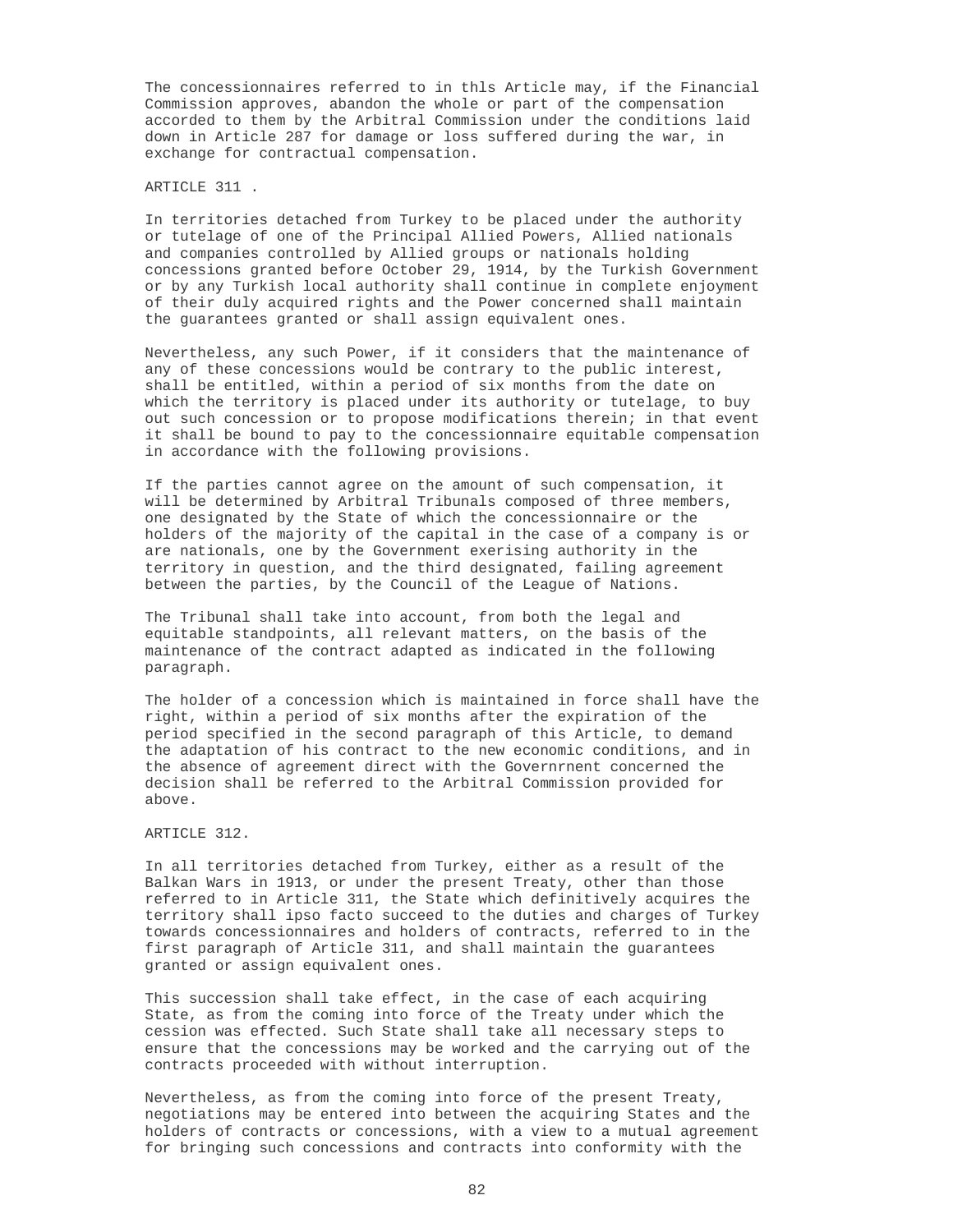The concessionnaires referred to in thls Article may, if the Financial Commission approves, abandon the whole or part of the compensation accorded to them by the Arbitral Commission under the conditions laid down in Article 287 for damage or loss suffered during the war, in exchange for contractual compensation.

ARTICLE 311 .

In territories detached from Turkey to be placed under the authority or tutelage of one of the Principal Allied Powers, Allied nationals and companies controlled by Allied groups or nationals holding concessions granted before October 29, 1914, by the Turkish Government or by any Turkish local authority shall continue in complete enjoyment of their duly acquired rights and the Power concerned shall maintain the guarantees granted or shall assign equivalent ones.

Nevertheless, any such Power, if it considers that the maintenance of any of these concessions would be contrary to the public interest, shall be entitled, within a period of six months from the date on which the territory is placed under its authority or tutelage, to buy out such concession or to propose modifications therein; in that event it shall be bound to pay to the concessionnaire equitable compensation in accordance with the following provisions.

If the parties cannot agree on the amount of such compensation, it will be determined by Arbitral Tribunals composed of three members, one designated by the State of which the concessionnaire or the holders of the majority of the capital in the case of a company is or are nationals, one by the Government exerising authority in the territory in question, and the third designated, failing agreement between the parties, by the Council of the League of Nations.

The Tribunal shall take into account, from both the legal and equitable standpoints, all relevant matters, on the basis of the maintenance of the contract adapted as indicated in the following paragraph.

The holder of a concession which is maintained in force shall have the right, within a period of six months after the expiration of the period specified in the second paragraph of this Article, to demand the adaptation of his contract to the new economic conditions, and in the absence of agreement direct with the Governrnent concerned the decision shall be referred to the Arbitral Commission provided for above.

#### ARTICLE 312.

In all territories detached from Turkey, either as a result of the Balkan Wars in 1913, or under the present Treaty, other than those referred to in Article 311, the State which definitively acquires the territory shall ipso facto succeed to the duties and charges of Turkey towards concessionnaires and holders of contracts, referred to in the first paragraph of Article 311, and shall maintain the guarantees granted or assign equivalent ones.

This succession shall take effect, in the case of each acquiring State, as from the coming into force of the Treaty under which the cession was effected. Such State shall take all necessary steps to ensure that the concessions may be worked and the carrying out of the contracts proceeded with without interruption.

Nevertheless, as from the coming into force of the present Treaty, negotiations may be entered into between the acquiring States and the holders of contracts or concessions, with a view to a mutual agreement for bringing such concessions and contracts into conformity with the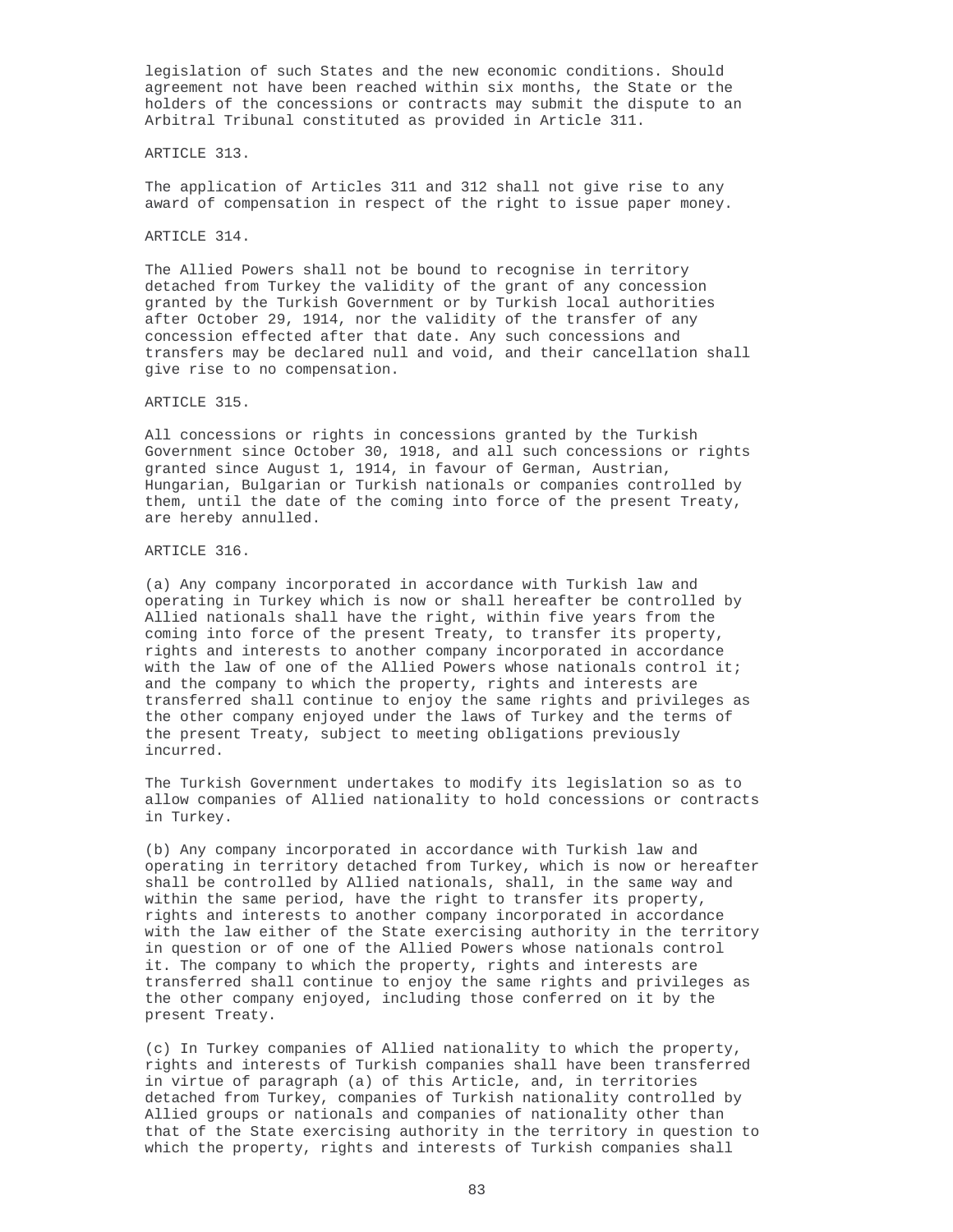legislation of such States and the new economic conditions. Should agreement not have been reached within six months, the State or the holders of the concessions or contracts may submit the dispute to an Arbitral Tribunal constituted as provided in Article 311.

ARTICLE 313.

The application of Articles 311 and 312 shall not give rise to any award of compensation in respect of the right to issue paper money.

ARTICLE 314.

The Allied Powers shall not be bound to recognise in territory detached from Turkey the validity of the grant of any concession granted by the Turkish Government or by Turkish local authorities after October 29, 1914, nor the validity of the transfer of any concession effected after that date. Any such concessions and transfers may be declared null and void, and their cancellation shall give rise to no compensation.

ARTICLE 315.

All concessions or rights in concessions granted by the Turkish Government since October 30, 1918, and all such concessions or rights granted since August 1, 1914, in favour of German, Austrian, Hungarian, Bulgarian or Turkish nationals or companies controlled by them, until the date of the coming into force of the present Treaty, are hereby annulled.

ARTICLE 316.

(a) Any company incorporated in accordance with Turkish law and operating in Turkey which is now or shall hereafter be controlled by Allied nationals shall have the right, within five years from the coming into force of the present Treaty, to transfer its property, rights and interests to another company incorporated in accordance with the law of one of the Allied Powers whose nationals control it; and the company to which the property, rights and interests are transferred shall continue to enjoy the same rights and privileges as the other company enjoyed under the laws of Turkey and the terms of the present Treaty, subject to meeting obligations previously incurred.

The Turkish Government undertakes to modify its legislation so as to allow companies of Allied nationality to hold concessions or contracts in Turkey.

(b) Any company incorporated in accordance with Turkish law and operating in territory detached from Turkey, which is now or hereafter shall be controlled by Allied nationals, shall, in the same way and within the same period, have the right to transfer its property, rights and interests to another company incorporated in accordance with the law either of the State exercising authority in the territory in question or of one of the Allied Powers whose nationals control it. The company to which the property, rights and interests are transferred shall continue to enjoy the same rights and privileges as the other company enjoyed, including those conferred on it by the present Treaty.

(c) In Turkey companies of Allied nationality to which the property, rights and interests of Turkish companies shall have been transferred in virtue of paragraph (a) of this Article, and, in territories detached from Turkey, companies of Turkish nationality controlled by Allied groups or nationals and companies of nationality other than that of the State exercising authority in the territory in question to which the property, rights and interests of Turkish companies shall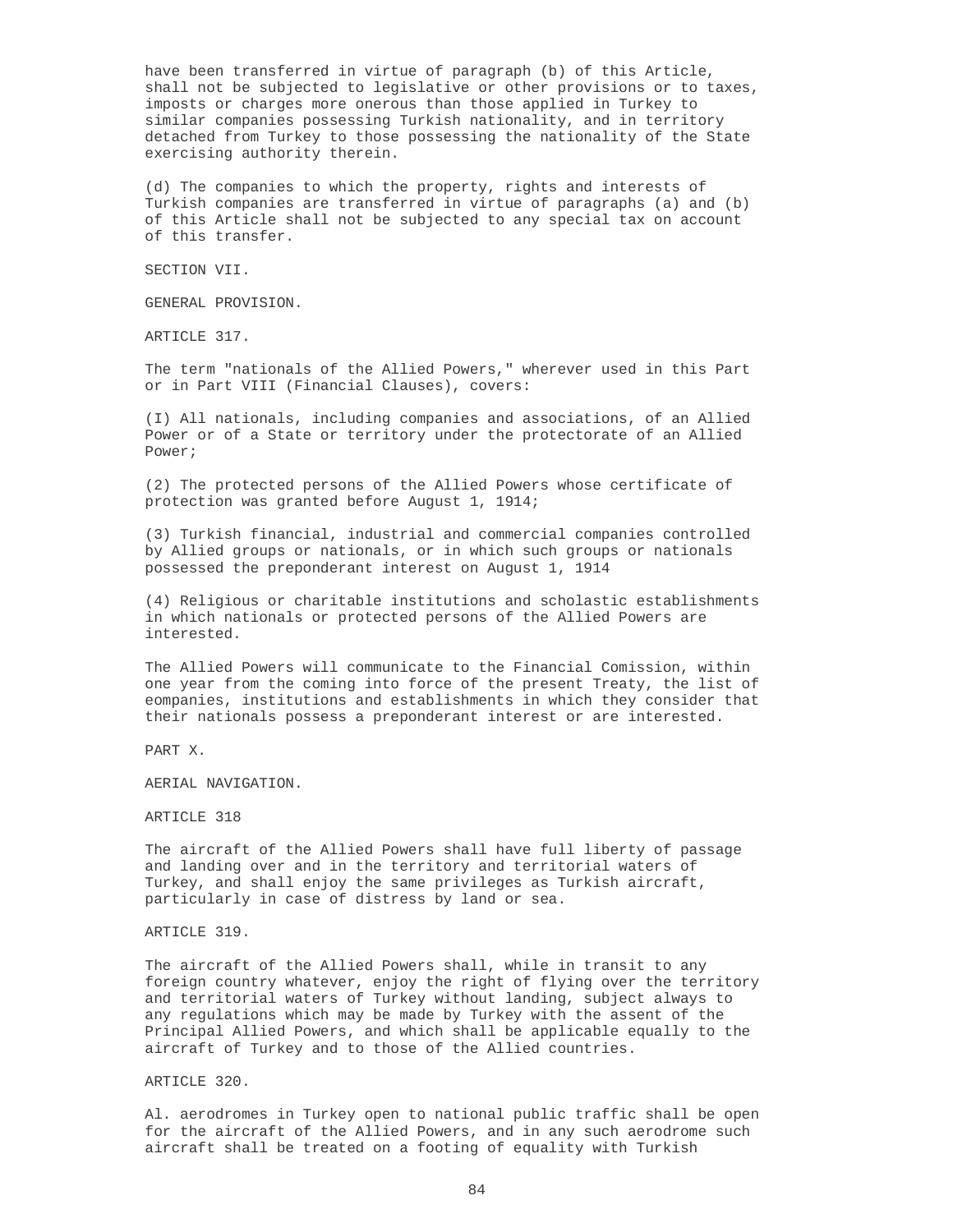have been transferred in virtue of paragraph (b) of this Article, shall not be subjected to legislative or other provisions or to taxes, imposts or charges more onerous than those applied in Turkey to similar companies possessing Turkish nationality, and in territory detached from Turkey to those possessing the nationality of the State exercising authority therein.

(d) The companies to which the property, rights and interests of Turkish companies are transferred in virtue of paragraphs (a) and (b) of this Article shall not be subjected to any special tax on account of this transfer.

SECTION VII.

GENERAL PROVISION.

ARTICLE 317.

The term "nationals of the Allied Powers," wherever used in this Part or in Part VIII (Financial Clauses), covers:

(I) All nationals, including companies and associations, of an Allied Power or of a State or territory under the protectorate of an Allied Power;

(2) The protected persons of the Allied Powers whose certificate of protection was granted before August 1, 1914;

(3) Turkish financial, industrial and commercial companies controlled by Allied groups or nationals, or in which such groups or nationals possessed the preponderant interest on August 1, 1914

(4) Religious or charitable institutions and scholastic establishments in which nationals or protected persons of the Allied Powers are interested.

The Allied Powers will communicate to the Financial Comission, within one year from the coming into force of the present Treaty, the list of eompanies, institutions and establishments in which they consider that their nationals possess a preponderant interest or are interested.

PART X.

AERIAL NAVIGATION.

ARTICLE 318

The aircraft of the Allied Powers shall have full liberty of passage and landing over and in the territory and territorial waters of Turkey, and shall enjoy the same privileges as Turkish aircraft, particularly in case of distress by land or sea.

ARTICLE 319.

The aircraft of the Allied Powers shall, while in transit to any foreign country whatever, enjoy the right of flying over the territory and territorial waters of Turkey without landing, subject always to any regulations which may be made by Turkey with the assent of the Principal Allied Powers, and which shall be applicable equally to the aircraft of Turkey and to those of the Allied countries.

ARTICLE 320.

Al. aerodromes in Turkey open to national public traffic shall be open for the aircraft of the Allied Powers, and in any such aerodrome such aircraft shall be treated on a footing of equality with Turkish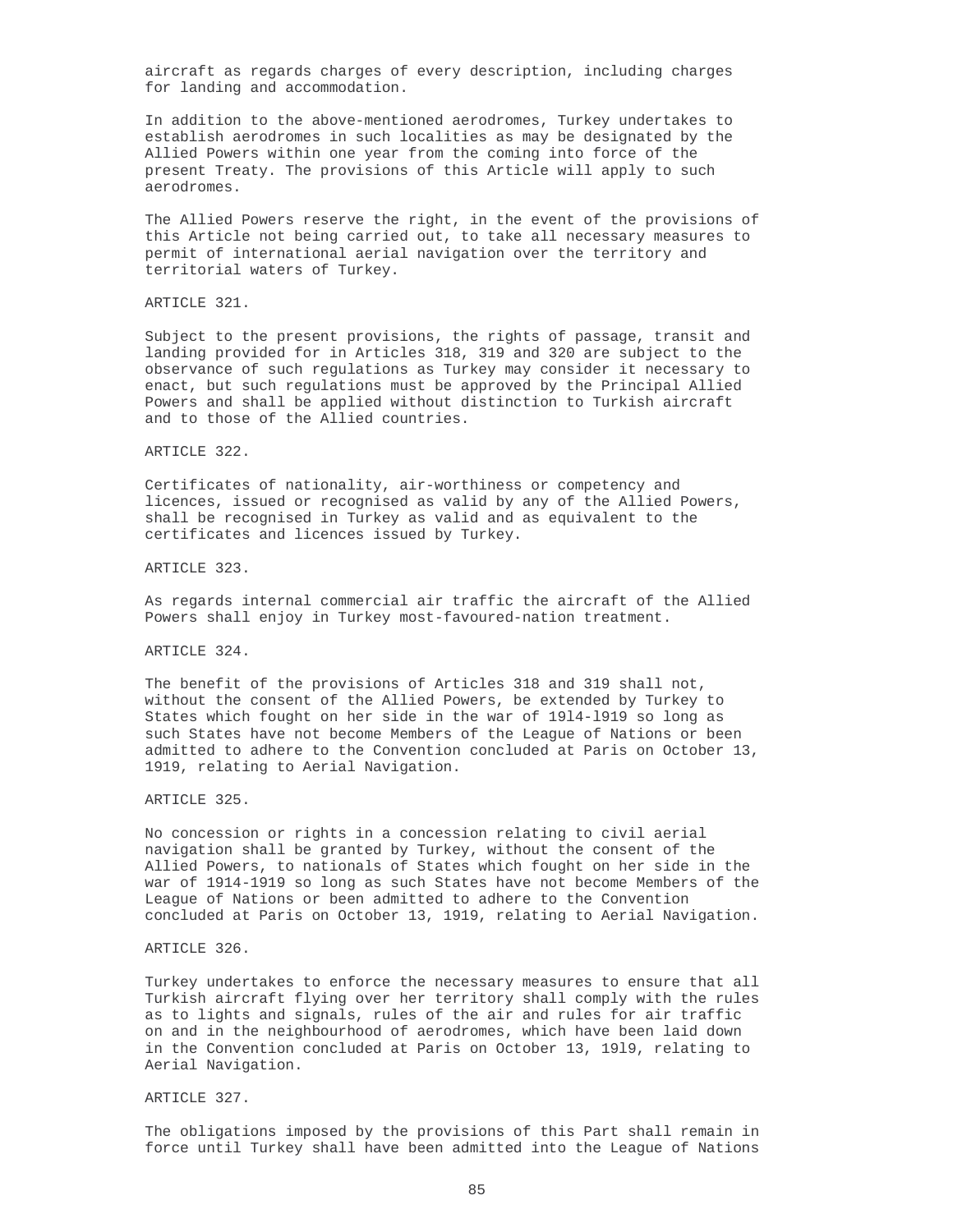aircraft as regards charges of every description, including charges for landing and accommodation.

In addition to the above-mentioned aerodromes, Turkey undertakes to establish aerodromes in such localities as may be designated by the Allied Powers within one year from the coming into force of the present Treaty. The provisions of this Article will apply to such aerodromes.

The Allied Powers reserve the right, in the event of the provisions of this Article not being carried out, to take all necessary measures to permit of international aerial navigation over the territory and territorial waters of Turkey.

#### ARTICLE 321.

Subject to the present provisions, the rights of passage, transit and landing provided for in Articles 318, 319 and 320 are subject to the observance of such regulations as Turkey may consider it necessary to enact, but such regulations must be approved by the Principal Allied Powers and shall be applied without distinction to Turkish aircraft and to those of the Allied countries.

# ARTICLE 322.

Certificates of nationality, air-worthiness or competency and licences, issued or recognised as valid by any of the Allied Powers, shall be recognised in Turkey as valid and as equivalent to the certificates and licences issued by Turkey.

#### ARTICLE 323.

As regards internal commercial air traffic the aircraft of the Allied Powers shall enjoy in Turkey most-favoured-nation treatment.

# ARTICLE 324.

The benefit of the provisions of Articles 318 and 319 shall not, without the consent of the Allied Powers, be extended by Turkey to States which fought on her side in the war of 19l4-l919 so long as such States have not become Members of the League of Nations or been admitted to adhere to the Convention concluded at Paris on October 13, 1919, relating to Aerial Navigation.

#### ARTICLE 325.

No concession or rights in a concession relating to civil aerial navigation shall be granted by Turkey, without the consent of the Allied Powers, to nationals of States which fought on her side in the war of 1914-1919 so long as such States have not become Members of the League of Nations or been admitted to adhere to the Convention concluded at Paris on October 13, 1919, relating to Aerial Navigation.

### ARTICLE 326.

Turkey undertakes to enforce the necessary measures to ensure that all Turkish aircraft flying over her territory shall comply with the rules as to lights and signals, rules of the air and rules for air traffic on and in the neighbourhood of aerodromes, which have been laid down in the Convention concluded at Paris on October 13, 19l9, relating to Aerial Navigation.

#### ARTICLE 327.

The obligations imposed by the provisions of this Part shall remain in force until Turkey shall have been admitted into the League of Nations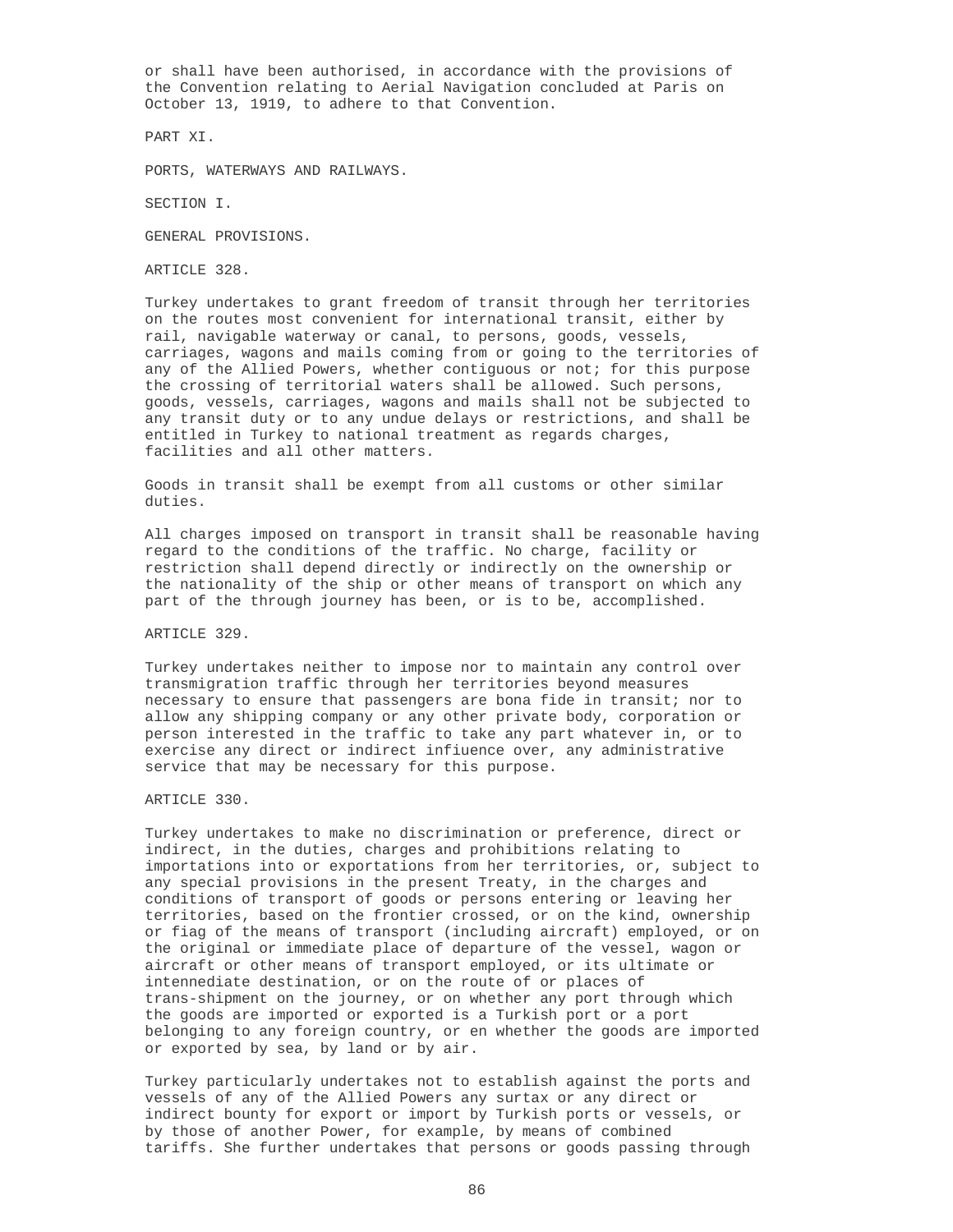or shall have been authorised, in accordance with the provisions of the Convention relating to Aerial Navigation concluded at Paris on October 13, 1919, to adhere to that Convention.

PART XI.

PORTS, WATERWAYS AND RAILWAYS.

SECTION I.

GENERAL PROVISIONS.

ARTICLE 328.

Turkey undertakes to grant freedom of transit through her territories on the routes most convenient for international transit, either by rail, navigable waterway or canal, to persons, goods, vessels, carriages, wagons and mails coming from or going to the territories of any of the Allied Powers, whether contiguous or not; for this purpose the crossing of territorial waters shall be allowed. Such persons, goods, vessels, carriages, wagons and mails shall not be subjected to any transit duty or to any undue delays or restrictions, and shall be entitled in Turkey to national treatment as regards charges, facilities and all other matters.

Goods in transit shall be exempt from all customs or other similar duties.

All charges imposed on transport in transit shall be reasonable having regard to the conditions of the traffic. No charge, facility or restriction shall depend directly or indirectly on the ownership or the nationality of the ship or other means of transport on which any part of the through journey has been, or is to be, accomplished.

ARTICLE 329.

Turkey undertakes neither to impose nor to maintain any control over transmigration traffic through her territories beyond measures necessary to ensure that passengers are bona fide in transit; nor to allow any shipping company or any other private body, corporation or person interested in the traffic to take any part whatever in, or to exercise any direct or indirect infiuence over, any administrative service that may be necessary for this purpose.

ARTICLE 330.

Turkey undertakes to make no discrimination or preference, direct or indirect, in the duties, charges and prohibitions relating to importations into or exportations from her territories, or, subject to any special provisions in the present Treaty, in the charges and conditions of transport of goods or persons entering or leaving her territories, based on the frontier crossed, or on the kind, ownership or fiag of the means of transport (including aircraft) employed, or on the original or immediate place of departure of the vessel, wagon or aircraft or other means of transport employed, or its ultimate or intennediate destination, or on the route of or places of trans-shipment on the journey, or on whether any port through which the goods are imported or exported is a Turkish port or a port belonging to any foreign country, or en whether the goods are imported or exported by sea, by land or by air.

Turkey particularly undertakes not to establish against the ports and vessels of any of the Allied Powers any surtax or any direct or indirect bounty for export or import by Turkish ports or vessels, or by those of another Power, for example, by means of combined tariffs. She further undertakes that persons or goods passing through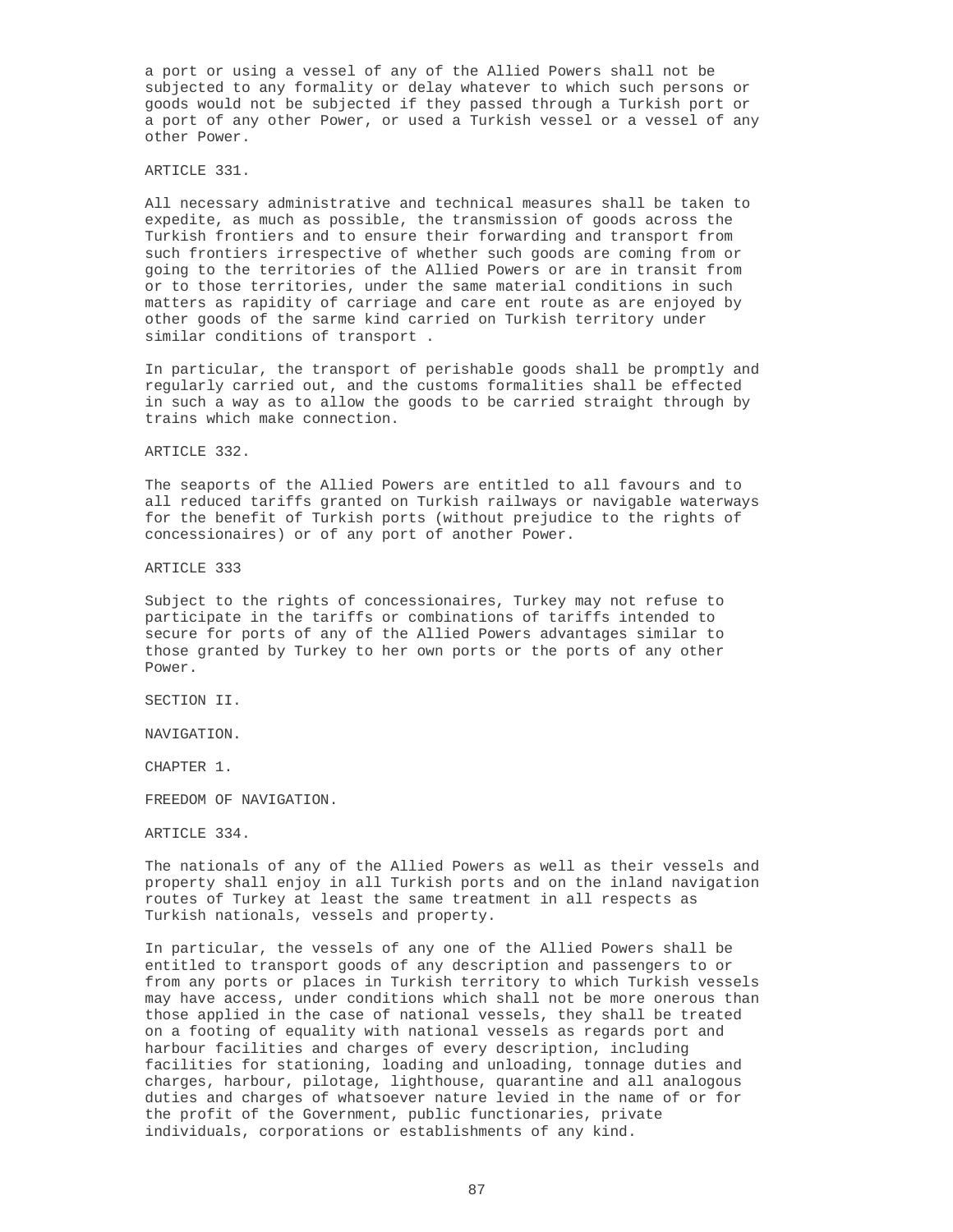a port or using a vessel of any of the Allied Powers shall not be subjected to any formality or delay whatever to which such persons or goods would not be subjected if they passed through a Turkish port or a port of any other Power, or used a Turkish vessel or a vessel of any other Power.

ARTICLE 331.

All necessary administrative and technical measures shall be taken to expedite, as much as possible, the transmission of goods across the Turkish frontiers and to ensure their forwarding and transport from such frontiers irrespective of whether such goods are coming from or going to the territories of the Allied Powers or are in transit from or to those territories, under the same material conditions in such matters as rapidity of carriage and care ent route as are enjoyed by other goods of the sarme kind carried on Turkish territory under similar conditions of transport .

In particular, the transport of perishable goods shall be promptly and regularly carried out, and the customs formalities shall be effected in such a way as to allow the goods to be carried straight through by trains which make connection.

ARTICLE 332.

The seaports of the Allied Powers are entitled to all favours and to all reduced tariffs granted on Turkish railways or navigable waterways for the benefit of Turkish ports (without prejudice to the rights of concessionaires) or of any port of another Power.

ARTICLE 333

Subject to the rights of concessionaires, Turkey may not refuse to participate in the tariffs or combinations of tariffs intended to secure for ports of any of the Allied Powers advantages similar to those granted by Turkey to her own ports or the ports of any other Power.

SECTION II.

NAVIGATION.

CHAPTER 1.

FREEDOM OF NAVIGATION.

ARTICLE 334.

The nationals of any of the Allied Powers as well as their vessels and property shall enjoy in all Turkish ports and on the inland navigation routes of Turkey at least the same treatment in all respects as Turkish nationals, vessels and property.

In particular, the vessels of any one of the Allied Powers shall be entitled to transport goods of any description and passengers to or from any ports or places in Turkish territory to which Turkish vessels may have access, under conditions which shall not be more onerous than those applied in the case of national vessels, they shall be treated on a footing of equality with national vessels as regards port and harbour facilities and charges of every description, including facilities for stationing, loading and unloading, tonnage duties and charges, harbour, pilotage, lighthouse, quarantine and all analogous duties and charges of whatsoever nature levied in the name of or for the profit of the Government, public functionaries, private individuals, corporations or establishments of any kind.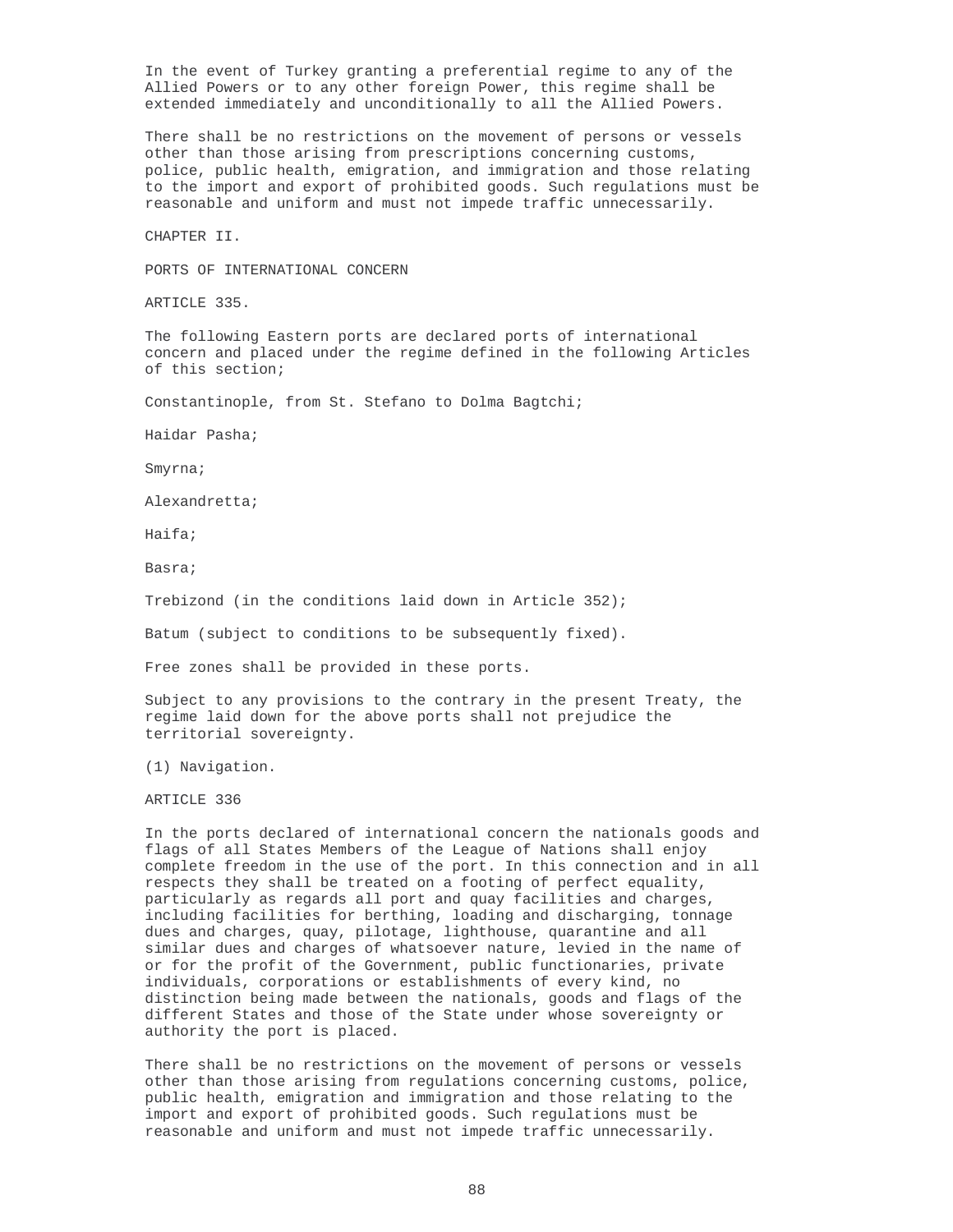In the event of Turkey granting a preferential regime to any of the Allied Powers or to any other foreign Power, this regime shall be extended immediately and unconditionally to all the Allied Powers.

There shall be no restrictions on the movement of persons or vessels other than those arising from prescriptions concerning customs, police, public health, emigration, and immigration and those relating to the import and export of prohibited goods. Such regulations must be reasonable and uniform and must not impede traffic unnecessarily.

CHAPTER II.

PORTS OF INTERNATIONAL CONCERN

ARTICLE 335.

The following Eastern ports are declared ports of international concern and placed under the regime defined in the following Articles of this section;

Constantinople, from St. Stefano to Dolma Bagtchi;

Haidar Pasha;

Smyrna;

Alexandretta;

Haifa;

Basra;

Trebizond (in the conditions laid down in Article 352);

Batum (subject to conditions to be subsequently fixed).

Free zones shall be provided in these ports.

Subject to any provisions to the contrary in the present Treaty, the regime laid down for the above ports shall not prejudice the territorial sovereignty.

(1) Navigation.

ARTICLE 336

In the ports declared of international concern the nationals goods and flags of all States Members of the League of Nations shall enjoy complete freedom in the use of the port. In this connection and in all respects they shall be treated on a footing of perfect equality, particularly as regards all port and quay facilities and charges, including facilities for berthing, loading and discharging, tonnage dues and charges, quay, pilotage, lighthouse, quarantine and all similar dues and charges of whatsoever nature, levied in the name of or for the profit of the Government, public functionaries, private individuals, corporations or establishments of every kind, no distinction being made between the nationals, goods and flags of the different States and those of the State under whose sovereignty or authority the port is placed.

There shall be no restrictions on the movement of persons or vessels other than those arising from regulations concerning customs, police, public health, emigration and immigration and those relating to the import and export of prohibited goods. Such regulations must be reasonable and uniform and must not impede traffic unnecessarily.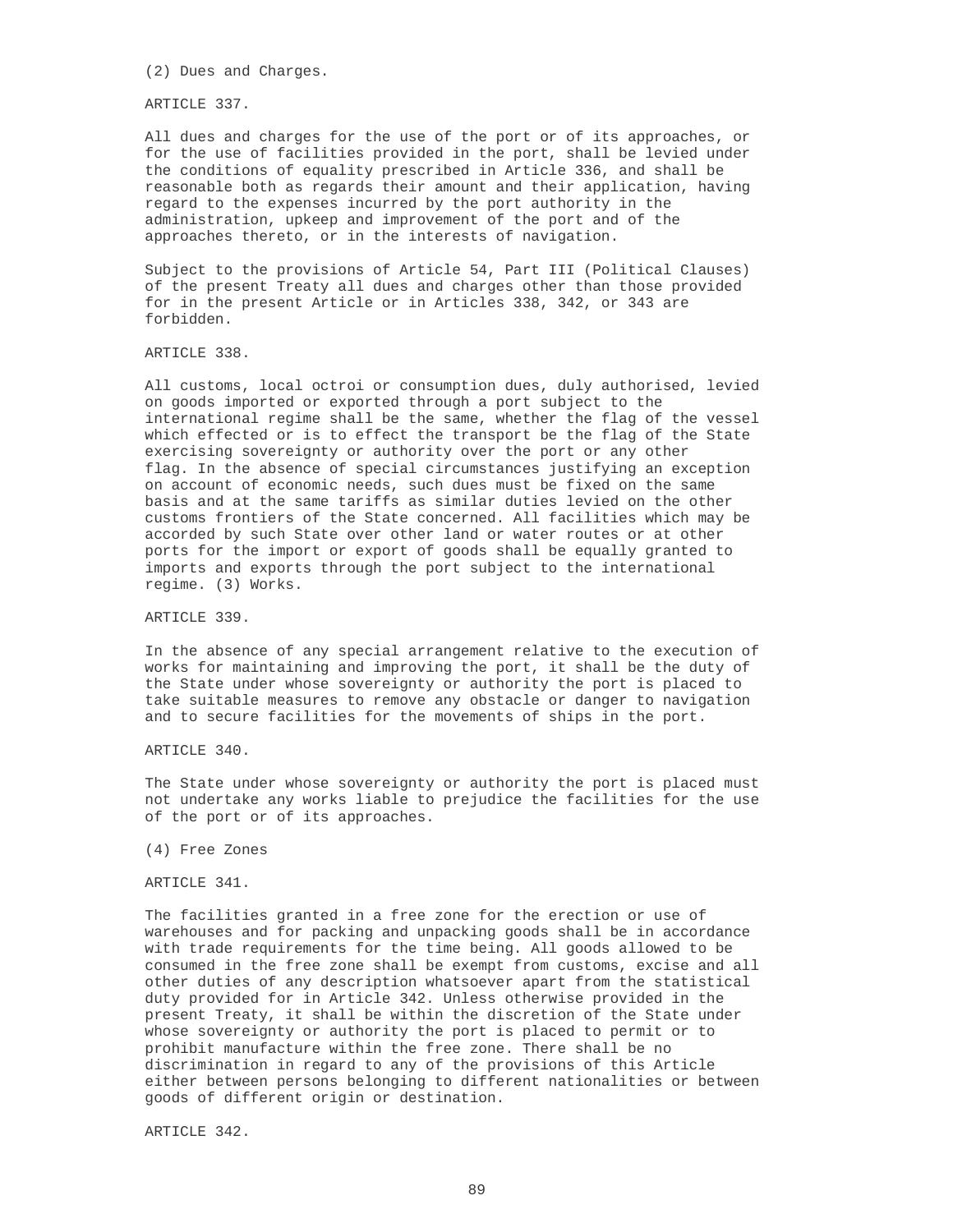(2) Dues and Charges.

ARTICLE 337.

All dues and charges for the use of the port or of its approaches, or for the use of facilities provided in the port, shall be levied under the conditions of equality prescribed in Article 336, and shall be reasonable both as regards their amount and their application, having regard to the expenses incurred by the port authority in the administration, upkeep and improvement of the port and of the approaches thereto, or in the interests of navigation.

Subject to the provisions of Article 54, Part III (Political Clauses) of the present Treaty all dues and charges other than those provided for in the present Article or in Articles 338, 342, or 343 are forbidden.

ARTICLE 338.

All customs, local octroi or consumption dues, duly authorised, levied on goods imported or exported through a port subject to the international regime shall be the same, whether the flag of the vessel which effected or is to effect the transport be the flag of the State exercising sovereignty or authority over the port or any other flag. In the absence of special circumstances justifying an exception on account of economic needs, such dues must be fixed on the same basis and at the same tariffs as similar duties levied on the other customs frontiers of the State concerned. All facilities which may be accorded by such State over other land or water routes or at other ports for the import or export of goods shall be equally granted to imports and exports through the port subject to the international regime. (3) Works.

ARTICLE 339.

In the absence of any special arrangement relative to the execution of works for maintaining and improving the port, it shall be the duty of the State under whose sovereignty or authority the port is placed to take suitable measures to remove any obstacle or danger to navigation and to secure facilities for the movements of ships in the port.

ARTICLE 340.

The State under whose sovereignty or authority the port is placed must not undertake any works liable to prejudice the facilities for the use of the port or of its approaches.

(4) Free Zones

ARTICLE 341.

The facilities granted in a free zone for the erection or use of warehouses and for packing and unpacking goods shall be in accordance with trade requirements for the time being. All goods allowed to be consumed in the free zone shall be exempt from customs, excise and all other duties of any description whatsoever apart from the statistical duty provided for in Article 342. Unless otherwise provided in the present Treaty, it shall be within the discretion of the State under whose sovereignty or authority the port is placed to permit or to prohibit manufacture within the free zone. There shall be no discrimination in regard to any of the provisions of this Article either between persons belonging to different nationalities or between goods of different origin or destination.

ARTICLE 342.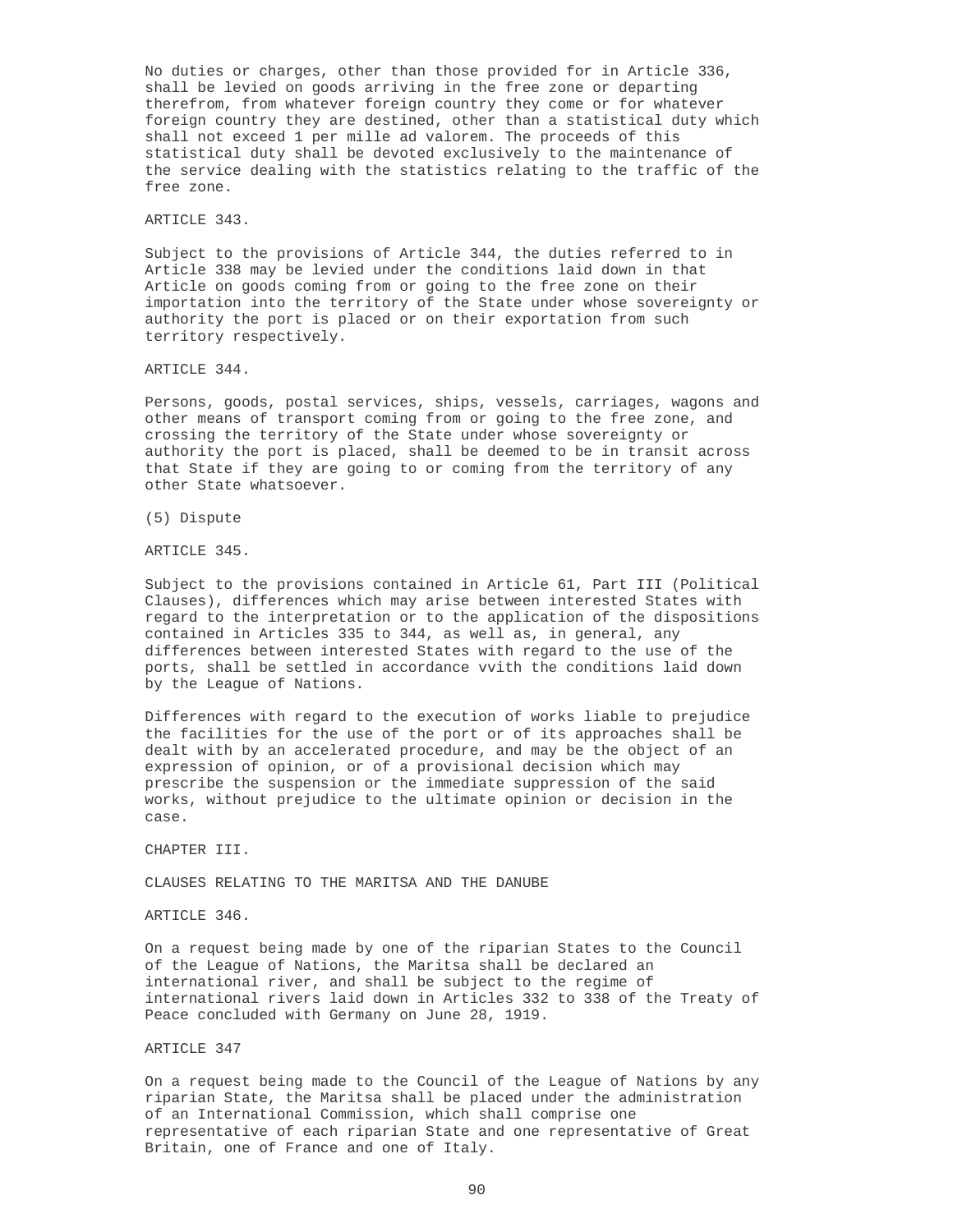No duties or charges, other than those provided for in Article 336, shall be levied on goods arriving in the free zone or departing therefrom, from whatever foreign country they come or for whatever foreign country they are destined, other than a statistical duty which shall not exceed 1 per mille ad valorem. The proceeds of this statistical duty shall be devoted exclusively to the maintenance of the service dealing with the statistics relating to the traffic of the free zone.

ARTICLE 343.

Subject to the provisions of Article 344, the duties referred to in Article 338 may be levied under the conditions laid down in that Article on goods coming from or going to the free zone on their importation into the territory of the State under whose sovereignty or authority the port is placed or on their exportation from such territory respectively.

ARTICLE 344.

Persons, goods, postal services, ships, vessels, carriages, wagons and other means of transport coming from or going to the free zone, and crossing the territory of the State under whose sovereignty or authority the port is placed, shall be deemed to be in transit across that State if they are going to or coming from the territory of any other State whatsoever.

(5) Dispute

ARTICLE 345.

Subject to the provisions contained in Article 61, Part III (Political Clauses), differences which may arise between interested States with regard to the interpretation or to the application of the dispositions contained in Articles 335 to 344, as well as, in general, any differences between interested States with regard to the use of the ports, shall be settled in accordance vvith the conditions laid down by the League of Nations.

Differences with regard to the execution of works liable to prejudice the facilities for the use of the port or of its approaches shall be dealt with by an accelerated procedure, and may be the object of an expression of opinion, or of a provisional decision which may prescribe the suspension or the immediate suppression of the said works, without prejudice to the ultimate opinion or decision in the case.

CHAPTER III.

CLAUSES RELATING TO THE MARITSA AND THE DANUBE

ARTICLE 346.

On a request being made by one of the riparian States to the Council of the League of Nations, the Maritsa shall be declared an international river, and shall be subject to the regime of international rivers laid down in Articles 332 to 338 of the Treaty of Peace concluded with Germany on June 28, 1919.

ARTICLE 347

On a request being made to the Council of the League of Nations by any riparian State, the Maritsa shall be placed under the administration of an International Commission, which shall comprise one representative of each riparian State and one representative of Great Britain, one of France and one of Italy.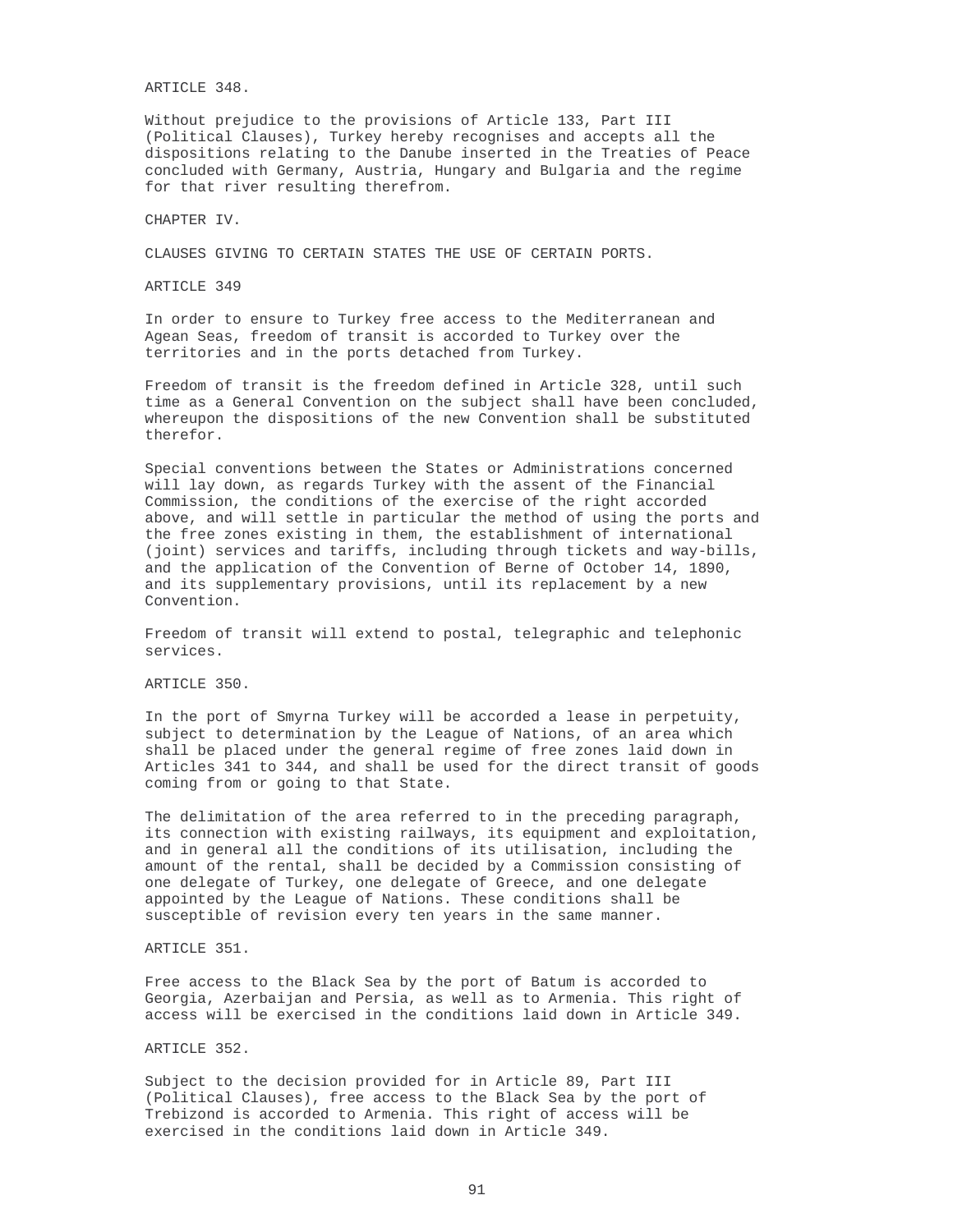ARTICLE 348.

Without prejudice to the provisions of Article 133, Part III (Political Clauses), Turkey hereby recognises and accepts all the dispositions relating to the Danube inserted in the Treaties of Peace concluded with Germany, Austria, Hungary and Bulgaria and the regime for that river resulting therefrom.

CHAPTER IV.

CLAUSES GIVING TO CERTAIN STATES THE USE OF CERTAIN PORTS.

ARTICLE 349

In order to ensure to Turkey free access to the Mediterranean and Agean Seas, freedom of transit is accorded to Turkey over the territories and in the ports detached from Turkey.

Freedom of transit is the freedom defined in Article 328, until such time as a General Convention on the subject shall have been concluded, whereupon the dispositions of the new Convention shall be substituted therefor.

Special conventions between the States or Administrations concerned will lay down, as regards Turkey with the assent of the Financial Commission, the conditions of the exercise of the right accorded above, and will settle in particular the method of using the ports and the free zones existing in them, the establishment of international (joint) services and tariffs, including through tickets and way-bills, and the application of the Convention of Berne of October 14, 1890, and its supplementary provisions, until its replacement by a new Convention.

Freedom of transit will extend to postal, telegraphic and telephonic services.

ARTICLE 350.

In the port of Smyrna Turkey will be accorded a lease in perpetuity, subject to determination by the League of Nations, of an area which shall be placed under the general regime of free zones laid down in Articles 341 to 344, and shall be used for the direct transit of goods coming from or going to that State.

The delimitation of the area referred to in the preceding paragraph, its connection with existing railways, its equipment and exploitation, and in general all the conditions of its utilisation, including the amount of the rental, shall be decided by a Commission consisting of one delegate of Turkey, one delegate of Greece, and one delegate appointed by the League of Nations. These conditions shall be susceptible of revision every ten years in the same manner.

ARTICLE 351.

Free access to the Black Sea by the port of Batum is accorded to Georgia, Azerbaijan and Persia, as well as to Armenia. This right of access will be exercised in the conditions laid down in Article 349.

ARTICLE 352.

Subject to the decision provided for in Article 89, Part III (Political Clauses), free access to the Black Sea by the port of Trebizond is accorded to Armenia. This right of access will be exercised in the conditions laid down in Article 349.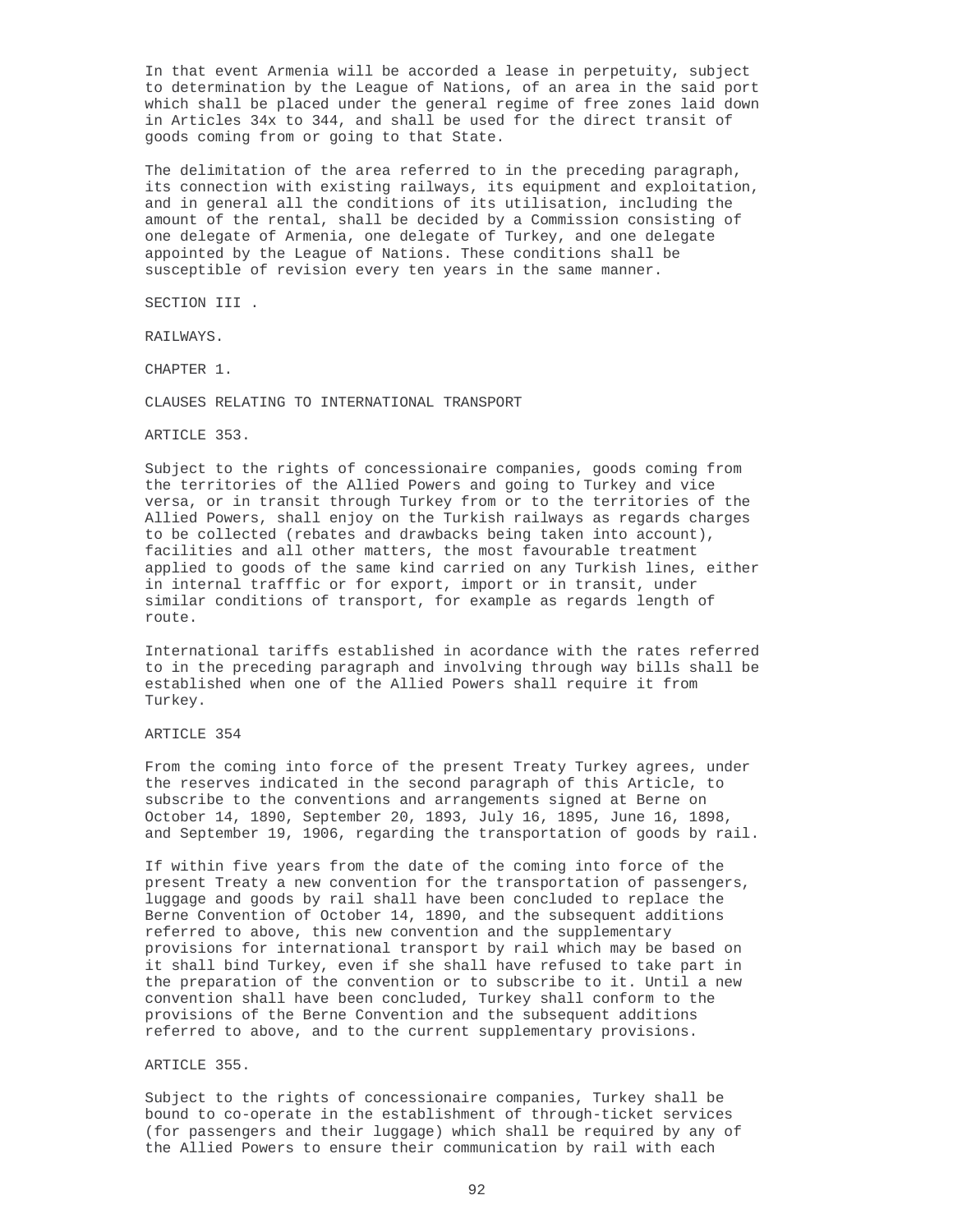In that event Armenia will be accorded a lease in perpetuity, subject to determination by the League of Nations, of an area in the said port which shall be placed under the general regime of free zones laid down in Articles 34x to 344, and shall be used for the direct transit of goods coming from or going to that State.

The delimitation of the area referred to in the preceding paragraph, its connection with existing railways, its equipment and exploitation, and in general all the conditions of its utilisation, including the amount of the rental, shall be decided by a Commission consisting of one delegate of Armenia, one delegate of Turkey, and one delegate appointed by the League of Nations. These conditions shall be susceptible of revision every ten years in the same manner.

SECTION III .

RAILWAYS.

CHAPTER 1.

CLAUSES RELATING TO INTERNATIONAL TRANSPORT

ARTICLE 353.

Subject to the rights of concessionaire companies, goods coming from the territories of the Allied Powers and going to Turkey and vice versa, or in transit through Turkey from or to the territories of the Allied Powers, shall enjoy on the Turkish railways as regards charges to be collected (rebates and drawbacks being taken into account), facilities and all other matters, the most favourable treatment applied to goods of the same kind carried on any Turkish lines, either in internal trafffic or for export, import or in transit, under similar conditions of transport, for example as regards length of route.

International tariffs established in acordance with the rates referred to in the preceding paragraph and involving through way bills shall be established when one of the Allied Powers shall require it from Turkey.

### ARTICLE 354

From the coming into force of the present Treaty Turkey agrees, under the reserves indicated in the second paragraph of this Article, to subscribe to the conventions and arrangements signed at Berne on October 14, 1890, September 20, 1893, July 16, 1895, June 16, 1898, and September 19, 1906, regarding the transportation of goods by rail.

If within five years from the date of the coming into force of the present Treaty a new convention for the transportation of passengers, luggage and goods by rail shall have been concluded to replace the Berne Convention of October 14, 1890, and the subsequent additions referred to above, this new convention and the supplementary provisions for international transport by rail which may be based on it shall bind Turkey, even if she shall have refused to take part in the preparation of the convention or to subscribe to it. Until a new convention shall have been concluded, Turkey shall conform to the provisions of the Berne Convention and the subsequent additions referred to above, and to the current supplementary provisions.

### ARTICLE 355.

Subject to the rights of concessionaire companies, Turkey shall be bound to co-operate in the establishment of through-ticket services (for passengers and their luggage) which shall be required by any of the Allied Powers to ensure their communication by rail with each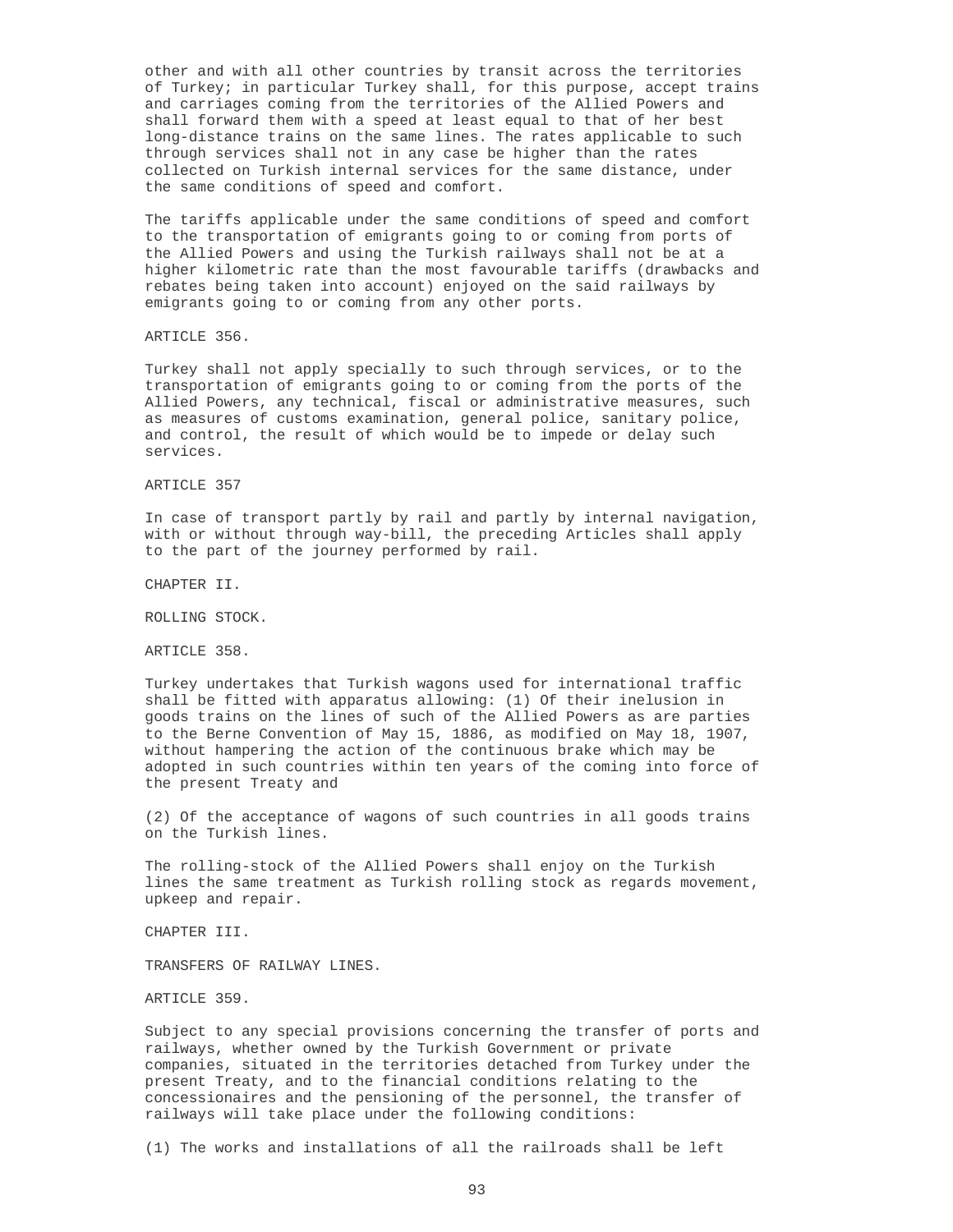other and with all other countries by transit across the territories of Turkey; in particular Turkey shall, for this purpose, accept trains and carriages coming from the territories of the Allied Powers and shall forward them with a speed at least equal to that of her best long-distance trains on the same lines. The rates applicable to such through services shall not in any case be higher than the rates collected on Turkish internal services for the same distance, under the same conditions of speed and comfort.

The tariffs applicable under the same conditions of speed and comfort to the transportation of emigrants going to or coming from ports of the Allied Powers and using the Turkish railways shall not be at a higher kilometric rate than the most favourable tariffs (drawbacks and rebates being taken into account) enjoyed on the said railways by emigrants going to or coming from any other ports.

ARTICLE 356.

Turkey shall not apply specially to such through services, or to the transportation of emigrants going to or coming from the ports of the Allied Powers, any technical, fiscal or administrative measures, such as measures of customs examination, general police, sanitary police, and control, the result of which would be to impede or delay such services.

ARTICLE 357

In case of transport partly by rail and partly by internal navigation, with or without through way-bill, the preceding Articles shall apply to the part of the journey performed by rail.

CHAPTER II.

ROLLING STOCK.

ARTICLE 358.

Turkey undertakes that Turkish wagons used for international traffic shall be fitted with apparatus allowing: (1) Of their inelusion in goods trains on the lines of such of the Allied Powers as are parties to the Berne Convention of May 15, 1886, as modified on May 18, 1907, without hampering the action of the continuous brake which may be adopted in such countries within ten years of the coming into force of the present Treaty and

(2) Of the acceptance of wagons of such countries in all goods trains on the Turkish lines.

The rolling-stock of the Allied Powers shall enjoy on the Turkish lines the same treatment as Turkish rolling stock as regards movement, upkeep and repair.

CHAPTER III.

TRANSFERS OF RAILWAY LINES.

ARTICLE 359.

Subject to any special provisions concerning the transfer of ports and railways, whether owned by the Turkish Government or private companies, situated in the territories detached from Turkey under the present Treaty, and to the financial conditions relating to the concessionaires and the pensioning of the personnel, the transfer of railways will take place under the following conditions:

(1) The works and installations of all the railroads shall be left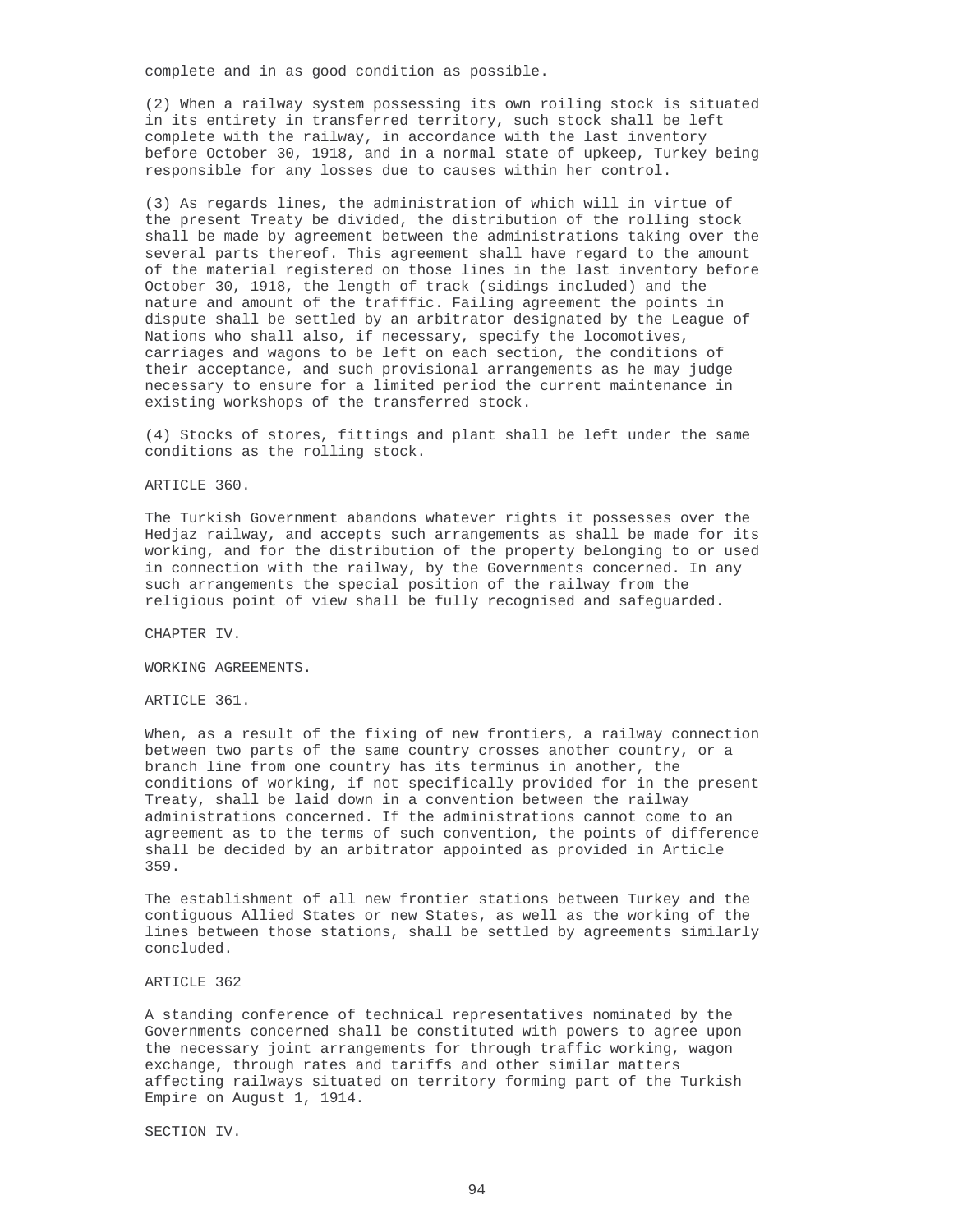complete and in as good condition as possible.

(2) When a railway system possessing its own roiling stock is situated in its entirety in transferred territory, such stock shall be left complete with the railway, in accordance with the last inventory before October 30, 1918, and in a normal state of upkeep, Turkey being responsible for any losses due to causes within her control.

(3) As regards lines, the administration of which will in virtue of the present Treaty be divided, the distribution of the rolling stock shall be made by agreement between the administrations taking over the several parts thereof. This agreement shall have regard to the amount of the material registered on those lines in the last inventory before October 30, 1918, the length of track (sidings included) and the nature and amount of the trafffic. Failing agreement the points in dispute shall be settled by an arbitrator designated by the League of Nations who shall also, if necessary, specify the locomotives, carriages and wagons to be left on each section, the conditions of their acceptance, and such provisional arrangements as he may judge necessary to ensure for a limited period the current maintenance in existing workshops of the transferred stock.

(4) Stocks of stores, fittings and plant shall be left under the same conditions as the rolling stock.

### ARTICLE 360.

The Turkish Government abandons whatever rights it possesses over the Hedjaz railway, and accepts such arrangements as shall be made for its working, and for the distribution of the property belonging to or used in connection with the railway, by the Governments concerned. In any such arrangements the special position of the railway from the religious point of view shall be fully recognised and safeguarded.

CHAPTER IV.

WORKING AGREEMENTS.

ARTICLE 361.

When, as a result of the fixing of new frontiers, a railway connection between two parts of the same country crosses another country, or a branch line from one country has its terminus in another, the conditions of working, if not specifically provided for in the present Treaty, shall be laid down in a convention between the railway administrations concerned. If the administrations cannot come to an agreement as to the terms of such convention, the points of difference shall be decided by an arbitrator appointed as provided in Article 359.

The establishment of all new frontier stations between Turkey and the contiguous Allied States or new States, as well as the working of the lines between those stations, shall be settled by agreements similarly concluded.

ARTICLE 362

A standing conference of technical representatives nominated by the Governments concerned shall be constituted with powers to agree upon the necessary joint arrangements for through traffic working, wagon exchange, through rates and tariffs and other similar matters affecting railways situated on territory forming part of the Turkish Empire on August 1, 1914.

SECTION IV.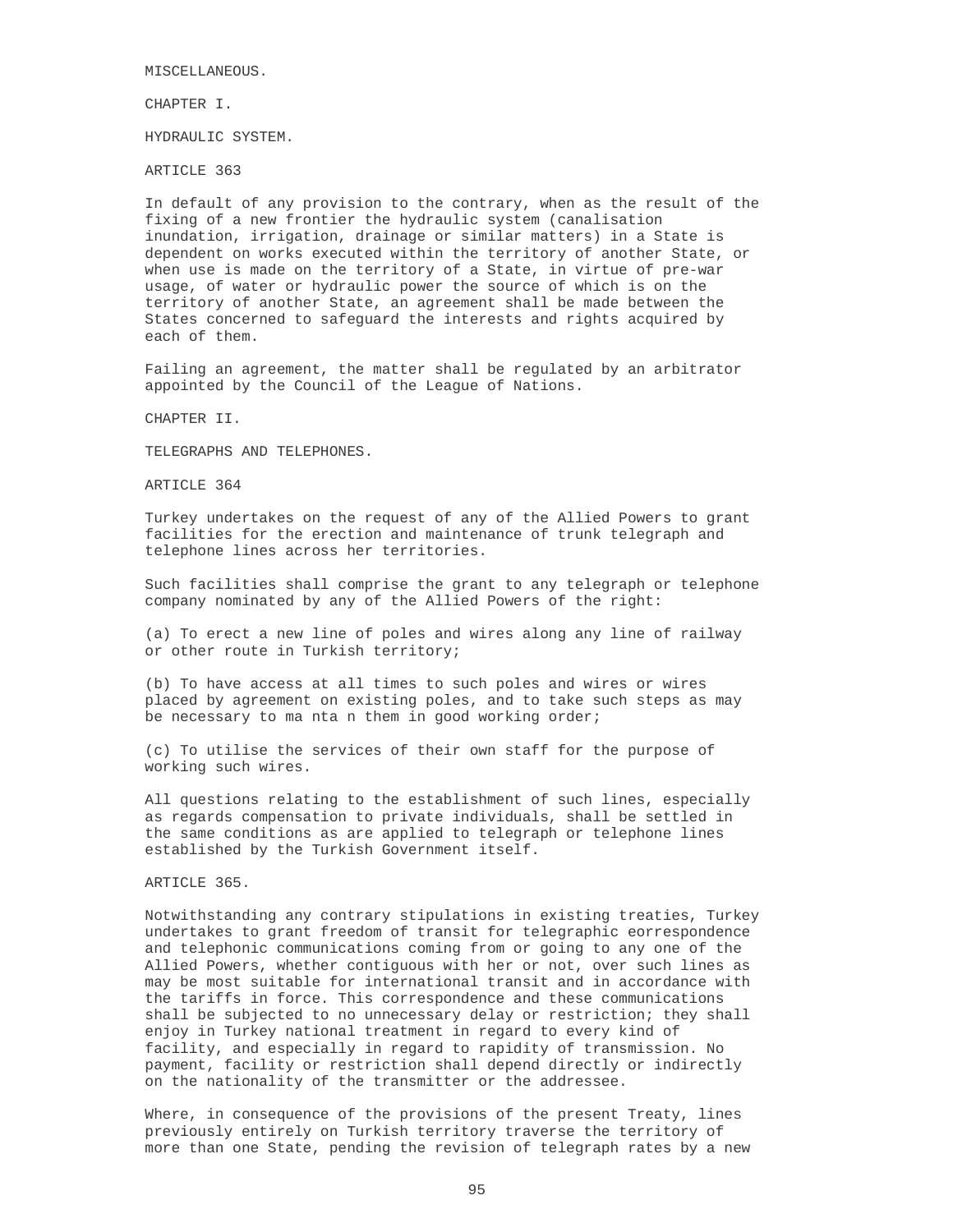MISCELLANEOUS.

CHAPTER I.

HYDRAULIC SYSTEM.

ARTICLE 363

In default of any provision to the contrary, when as the result of the fixing of a new frontier the hydraulic system (canalisation inundation, irrigation, drainage or similar matters) in a State is dependent on works executed within the territory of another State, or when use is made on the territory of a State, in virtue of pre-war usage, of water or hydraulic power the source of which is on the territory of another State, an agreement shall be made between the States concerned to safeguard the interests and rights acquired by each of them.

Failing an agreement, the matter shall be regulated by an arbitrator appointed by the Council of the League of Nations.

CHAPTER II.

TELEGRAPHS AND TELEPHONES.

ARTICLE 364

Turkey undertakes on the request of any of the Allied Powers to grant facilities for the erection and maintenance of trunk telegraph and telephone lines across her territories.

Such facilities shall comprise the grant to any telegraph or telephone company nominated by any of the Allied Powers of the right:

(a) To erect a new line of poles and wires along any line of railway or other route in Turkish territory;

(b) To have access at all times to such poles and wires or wires placed by agreement on existing poles, and to take such steps as may be necessary to ma nta n them in good working order;

(c) To utilise the services of their own staff for the purpose of working such wires.

All questions relating to the establishment of such lines, especially as regards compensation to private individuals, shall be settled in the same conditions as are applied to telegraph or telephone lines established by the Turkish Government itself.

ARTICLE 365.

Notwithstanding any contrary stipulations in existing treaties, Turkey undertakes to grant freedom of transit for telegraphic eorrespondence and telephonic communications coming from or going to any one of the Allied Powers, whether contiguous with her or not, over such lines as may be most suitable for international transit and in accordance with the tariffs in force. This correspondence and these communications shall be subjected to no unnecessary delay or restriction; they shall enjoy in Turkey national treatment in regard to every kind of facility, and especially in regard to rapidity of transmission. No payment, facility or restriction shall depend directly or indirectly on the nationality of the transmitter or the addressee.

Where, in consequence of the provisions of the present Treaty, lines previously entirely on Turkish territory traverse the territory of more than one State, pending the revision of telegraph rates by a new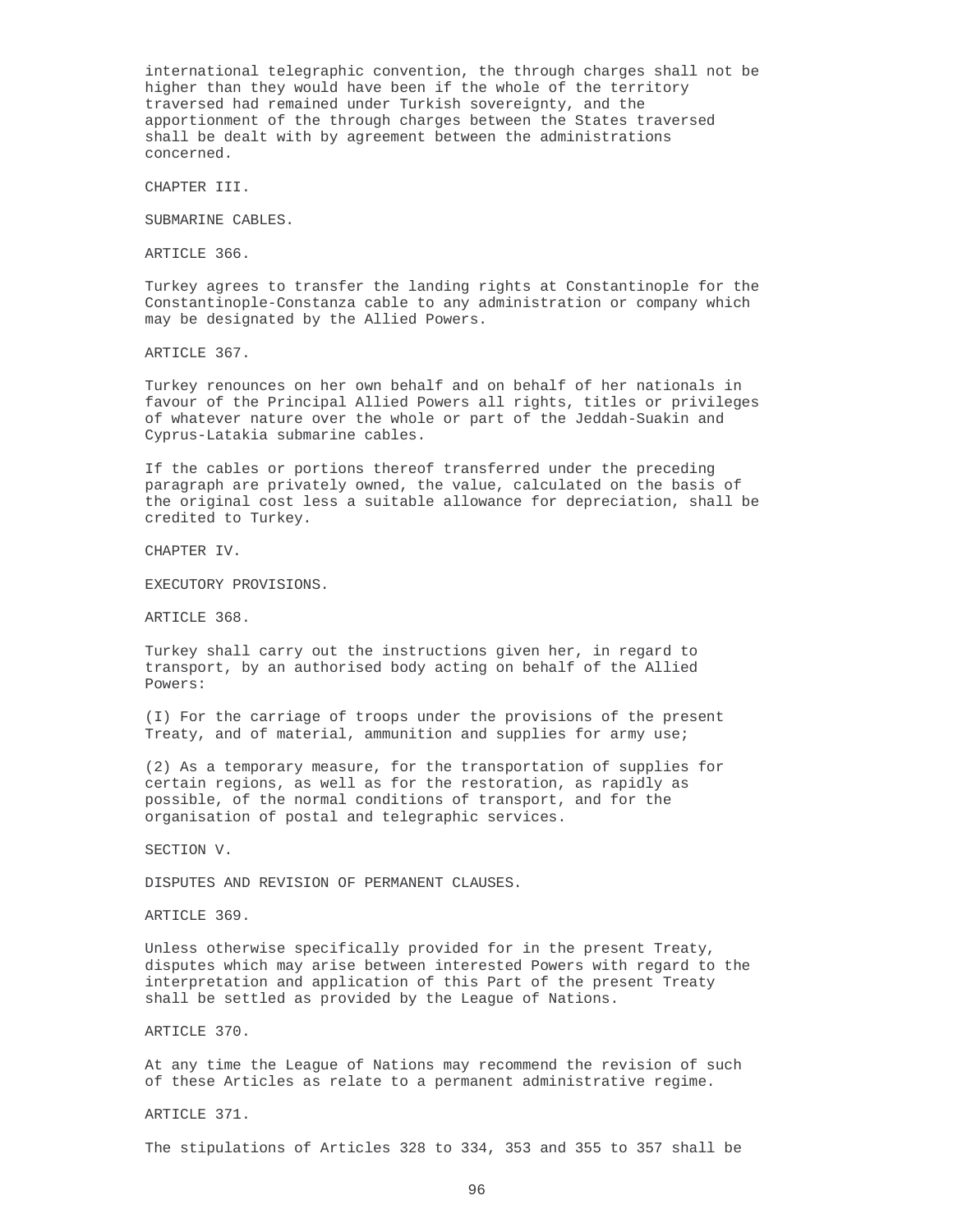international telegraphic convention, the through charges shall not be higher than they would have been if the whole of the territory traversed had remained under Turkish sovereignty, and the apportionment of the through charges between the States traversed shall be dealt with by agreement between the administrations concerned.

CHAPTER III.

SUBMARINE CABLES.

ARTICLE 366.

Turkey agrees to transfer the landing rights at Constantinople for the Constantinople-Constanza cable to any administration or company which may be designated by the Allied Powers.

ARTICLE 367.

Turkey renounces on her own behalf and on behalf of her nationals in favour of the Principal Allied Powers all rights, titles or privileges of whatever nature over the whole or part of the Jeddah-Suakin and Cyprus-Latakia submarine cables.

If the cables or portions thereof transferred under the preceding paragraph are privately owned, the value, calculated on the basis of the original cost less a suitable allowance for depreciation, shall be credited to Turkey.

CHAPTER IV.

EXECUTORY PROVISIONS.

ARTICLE 368.

Turkey shall carry out the instructions given her, in regard to transport, by an authorised body acting on behalf of the Allied Powers:

(I) For the carriage of troops under the provisions of the present Treaty, and of material, ammunition and supplies for army use;

(2) As a temporary measure, for the transportation of supplies for certain regions, as well as for the restoration, as rapidly as possible, of the normal conditions of transport, and for the organisation of postal and telegraphic services.

SECTION V.

DISPUTES AND REVISION OF PERMANENT CLAUSES.

ARTICLE 369.

Unless otherwise specifically provided for in the present Treaty, disputes which may arise between interested Powers with regard to the interpretation and application of this Part of the present Treaty shall be settled as provided by the League of Nations.

ARTICLE 370.

At any time the League of Nations may recommend the revision of such of these Articles as relate to a permanent administrative regime.

ARTICLE 371.

The stipulations of Articles 328 to 334, 353 and 355 to 357 shall be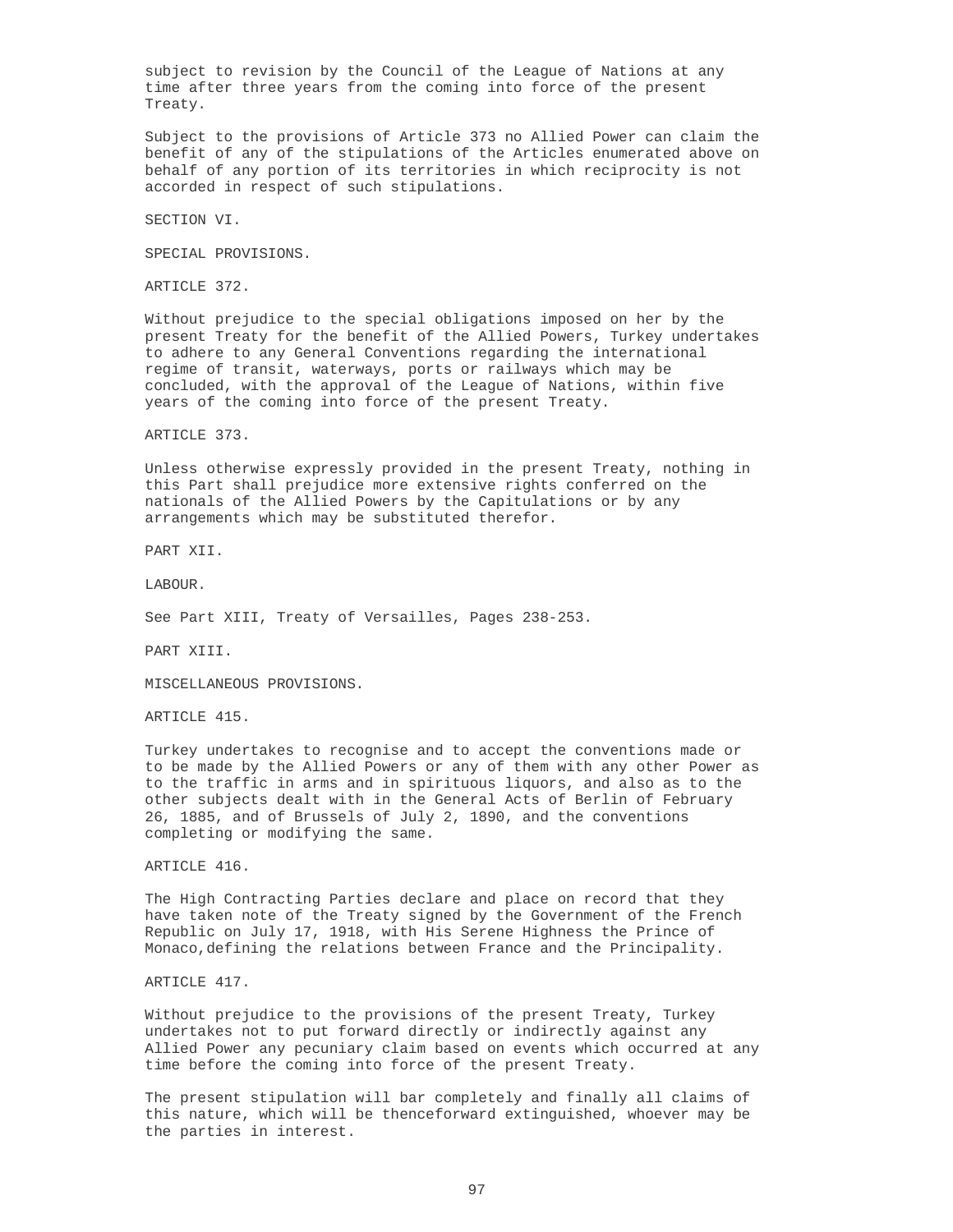subject to revision by the Council of the League of Nations at any time after three years from the coming into force of the present Treaty.

Subject to the provisions of Article 373 no Allied Power can claim the benefit of any of the stipulations of the Articles enumerated above on behalf of any portion of its territories in which reciprocity is not accorded in respect of such stipulations.

SECTION VI.

SPECIAL PROVISIONS.

ARTICLE 372.

Without prejudice to the special obligations imposed on her by the present Treaty for the benefit of the Allied Powers, Turkey undertakes to adhere to any General Conventions regarding the international regime of transit, waterways, ports or railways which may be concluded, with the approval of the League of Nations, within five years of the coming into force of the present Treaty.

ARTICLE 373.

Unless otherwise expressly provided in the present Treaty, nothing in this Part shall prejudice more extensive rights conferred on the nationals of the Allied Powers by the Capitulations or by any arrangements which may be substituted therefor.

PART XII.

LABOUR.

See Part XIII, Treaty of Versailles, Pages 238-253.

PART XIII.

MISCELLANEOUS PROVISIONS.

ARTICLE 415.

Turkey undertakes to recognise and to accept the conventions made or to be made by the Allied Powers or any of them with any other Power as to the traffic in arms and in spirituous liquors, and also as to the other subjects dealt with in the General Acts of Berlin of February 26, 1885, and of Brussels of July 2, 1890, and the conventions completing or modifying the same.

ARTICLE 416.

The High Contracting Parties declare and place on record that they have taken note of the Treaty signed by the Government of the French Republic on July 17, 1918, with His Serene Highness the Prince of Monaco,defining the relations between France and the Principality.

ARTICLE 417.

Without prejudice to the provisions of the present Treaty, Turkey undertakes not to put forward directly or indirectly against any Allied Power any pecuniary claim based on events which occurred at any time before the coming into force of the present Treaty.

The present stipulation will bar completely and finally all claims of this nature, which will be thenceforward extinguished, whoever may be the parties in interest.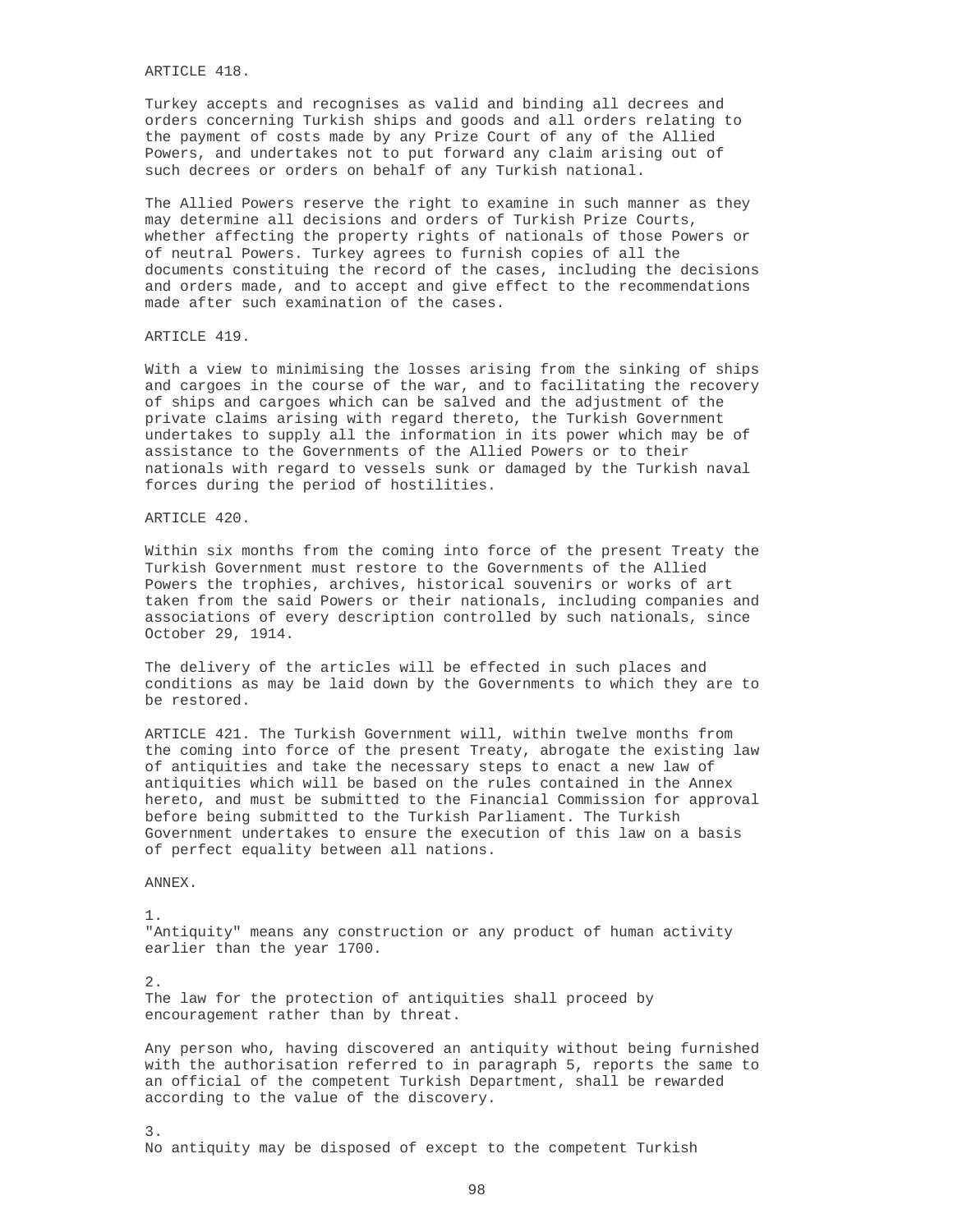ARTICLE 418.

Turkey accepts and recognises as valid and binding all decrees and orders concerning Turkish ships and goods and all orders relating to the payment of costs made by any Prize Court of any of the Allied Powers, and undertakes not to put forward any claim arising out of such decrees or orders on behalf of any Turkish national.

The Allied Powers reserve the right to examine in such manner as they may determine all decisions and orders of Turkish Prize Courts, whether affecting the property rights of nationals of those Powers or of neutral Powers. Turkey agrees to furnish copies of all the documents constituing the record of the cases, including the decisions and orders made, and to accept and give effect to the recommendations made after such examination of the cases.

ARTICLE 419.

With a view to minimising the losses arising from the sinking of ships and cargoes in the course of the war, and to facilitating the recovery of ships and cargoes which can be salved and the adjustment of the private claims arising with regard thereto, the Turkish Government undertakes to supply all the information in its power which may be of assistance to the Governments of the Allied Powers or to their nationals with regard to vessels sunk or damaged by the Turkish naval forces during the period of hostilities.

ARTICLE 420.

Within six months from the coming into force of the present Treaty the Turkish Government must restore to the Governments of the Allied Powers the trophies, archives, historical souvenirs or works of art taken from the said Powers or their nationals, including companies and associations of every description controlled by such nationals, since October 29, 1914.

The delivery of the articles will be effected in such places and conditions as may be laid down by the Governments to which they are to be restored.

ARTICLE 421. The Turkish Government will, within twelve months from the coming into force of the present Treaty, abrogate the existing law of antiquities and take the necessary steps to enact a new law of antiquities which will be based on the rules contained in the Annex hereto, and must be submitted to the Financial Commission for approval before being submitted to the Turkish Parliament. The Turkish Government undertakes to ensure the execution of this law on a basis of perfect equality between all nations.

ANNEX.

1.

 $\mathcal{D}$ 

"Antiquity" means any construction or any product of human activity earlier than the year 1700.

The law for the protection of antiquities shall proceed by encouragement rather than by threat.

Any person who, having discovered an antiquity without being furnished with the authorisation referred to in paragraph 5, reports the same to an official of the competent Turkish Department, shall be rewarded according to the value of the discovery.

3. No antiquity may be disposed of except to the competent Turkish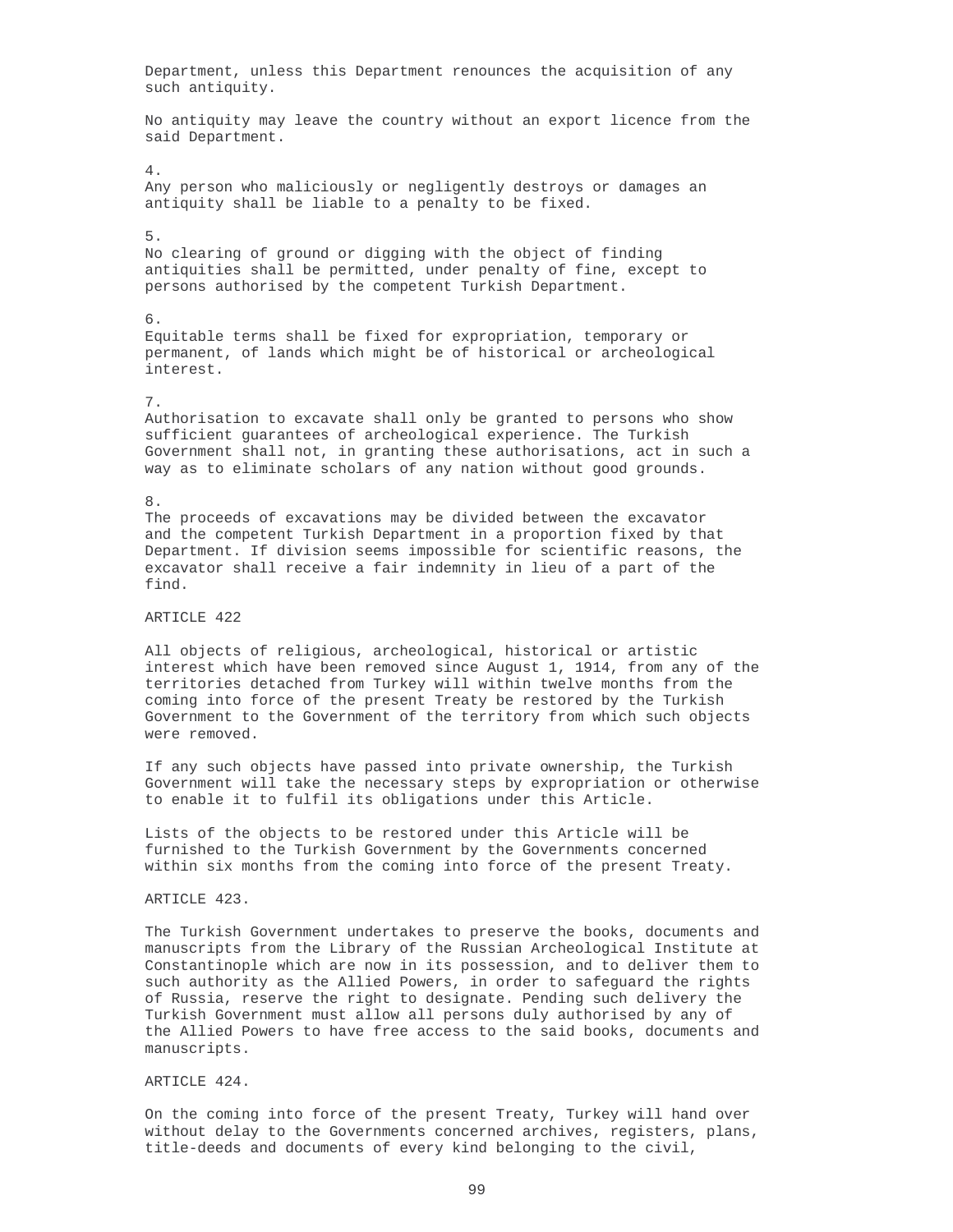Department, unless this Department renounces the acquisition of any such antiquity.

No antiquity may leave the country without an export licence from the said Department.

4.

Any person who maliciously or negligently destroys or damages an antiquity shall be liable to a penalty to be fixed.

# 5.

No clearing of ground or digging with the object of finding antiquities shall be permitted, under penalty of fine, except to persons authorised by the competent Turkish Department.

#### 6.

Equitable terms shall be fixed for expropriation, temporary or permanent, of lands which might be of historical or archeological interest.

### 7.

Authorisation to excavate shall only be granted to persons who show sufficient guarantees of archeological experience. The Turkish Government shall not, in granting these authorisations, act in such a way as to eliminate scholars of any nation without good grounds.

#### 8.

The proceeds of excavations may be divided between the excavator and the competent Turkish Department in a proportion fixed by that Department. If division seems impossible for scientific reasons, the excavator shall receive a fair indemnity in lieu of a part of the find.

# ARTICLE 422

All objects of religious, archeological, historical or artistic interest which have been removed since August 1, 1914, from any of the territories detached from Turkey will within twelve months from the coming into force of the present Treaty be restored by the Turkish Government to the Government of the territory from which such objects were removed.

If any such objects have passed into private ownership, the Turkish Government will take the necessary steps by expropriation or otherwise to enable it to fulfil its obligations under this Article.

Lists of the objects to be restored under this Article will be furnished to the Turkish Government by the Governments concerned within six months from the coming into force of the present Treaty.

# ARTICLE 423.

The Turkish Government undertakes to preserve the books, documents and manuscripts from the Library of the Russian Archeological Institute at Constantinople which are now in its possession, and to deliver them to such authority as the Allied Powers, in order to safeguard the rights of Russia, reserve the right to designate. Pending such delivery the Turkish Government must allow all persons duly authorised by any of the Allied Powers to have free access to the said books, documents and manuscripts.

# ARTICLE 424.

On the coming into force of the present Treaty, Turkey will hand over without delay to the Governments concerned archives, registers, plans, title-deeds and documents of every kind belonging to the civil,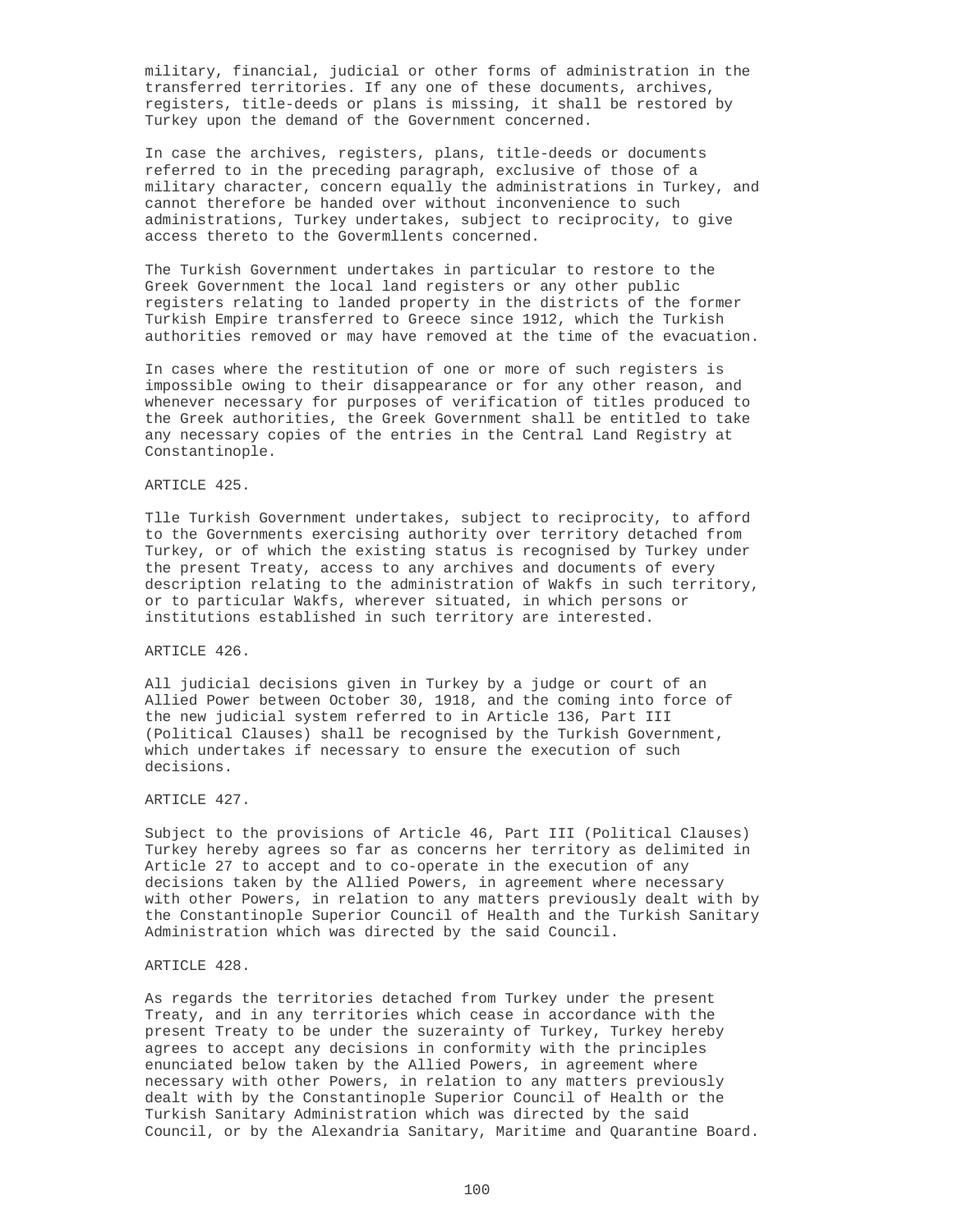military, financial, judicial or other forms of administration in the transferred territories. If any one of these documents, archives, registers, title-deeds or plans is missing, it shall be restored by Turkey upon the demand of the Government concerned.

In case the archives, registers, plans, title-deeds or documents referred to in the preceding paragraph, exclusive of those of a military character, concern equally the administrations in Turkey, and cannot therefore be handed over without inconvenience to such administrations, Turkey undertakes, subject to reciprocity, to give access thereto to the Govermllents concerned.

The Turkish Government undertakes in particular to restore to the Greek Government the local land registers or any other public registers relating to landed property in the districts of the former Turkish Empire transferred to Greece since 1912, which the Turkish authorities removed or may have removed at the time of the evacuation.

In cases where the restitution of one or more of such registers is impossible owing to their disappearance or for any other reason, and whenever necessary for purposes of verification of titles produced to the Greek authorities, the Greek Government shall be entitled to take any necessary copies of the entries in the Central Land Registry at Constantinople.

# ARTICLE 425.

Tlle Turkish Government undertakes, subject to reciprocity, to afford to the Governments exercising authority over territory detached from Turkey, or of which the existing status is recognised by Turkey under the present Treaty, access to any archives and documents of every description relating to the administration of Wakfs in such territory, or to particular Wakfs, wherever situated, in which persons or institutions established in such territory are interested.

# ARTICLE 426.

All judicial decisions given in Turkey by a judge or court of an Allied Power between October 30, 1918, and the coming into force of the new judicial system referred to in Article 136, Part III (Political Clauses) shall be recognised by the Turkish Government, which undertakes if necessary to ensure the execution of such decisions.

#### ARTICLE 427.

Subject to the provisions of Article 46, Part III (Political Clauses) Turkey hereby agrees so far as concerns her territory as delimited in Article 27 to accept and to co-operate in the execution of any decisions taken by the Allied Powers, in agreement where necessary with other Powers, in relation to any matters previously dealt with by the Constantinople Superior Council of Health and the Turkish Sanitary Administration which was directed by the said Council.

### ARTICLE 428.

As regards the territories detached from Turkey under the present Treaty, and in any territories which cease in accordance with the present Treaty to be under the suzerainty of Turkey, Turkey hereby agrees to accept any decisions in conformity with the principles enunciated below taken by the Allied Powers, in agreement where necessary with other Powers, in relation to any matters previously dealt with by the Constantinople Superior Council of Health or the Turkish Sanitary Administration which was directed by the said Council, or by the Alexandria Sanitary, Maritime and Quarantine Board.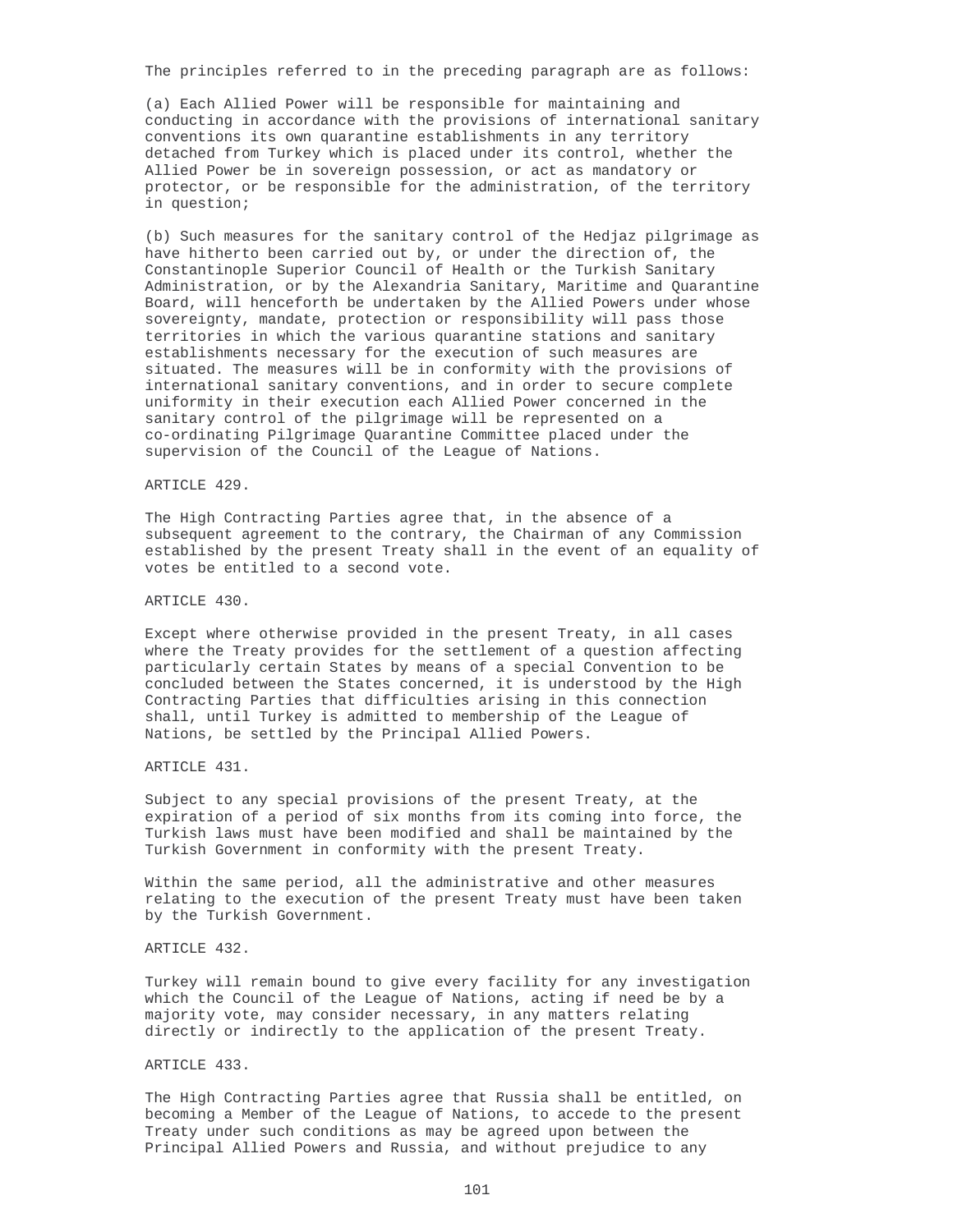The principles referred to in the preceding paragraph are as follows:

(a) Each Allied Power will be responsible for maintaining and conducting in accordance with the provisions of international sanitary conventions its own quarantine establishments in any territory detached from Turkey which is placed under its control, whether the Allied Power be in sovereign possession, or act as mandatory or protector, or be responsible for the administration, of the territory in question;

(b) Such measures for the sanitary control of the Hedjaz pilgrimage as have hitherto been carried out by, or under the direction of, the Constantinople Superior Council of Health or the Turkish Sanitary Administration, or by the Alexandria Sanitary, Maritime and Quarantine Board, will henceforth be undertaken by the Allied Powers under whose sovereignty, mandate, protection or responsibility will pass those territories in which the various quarantine stations and sanitary establishments necessary for the execution of such measures are situated. The measures will be in conformity with the provisions of international sanitary conventions, and in order to secure complete uniformity in their execution each Allied Power concerned in the sanitary control of the pilgrimage will be represented on a co-ordinating Pilgrimage Quarantine Committee placed under the supervision of the Council of the League of Nations.

ARTICLE 429.

The High Contracting Parties agree that, in the absence of a subsequent agreement to the contrary, the Chairman of any Commission established by the present Treaty shall in the event of an equality of votes be entitled to a second vote.

ARTICLE 430.

Except where otherwise provided in the present Treaty, in all cases where the Treaty provides for the settlement of a question affecting particularly certain States by means of a special Convention to be concluded between the States concerned, it is understood by the High Contracting Parties that difficulties arising in this connection shall, until Turkey is admitted to membership of the League of Nations, be settled by the Principal Allied Powers.

ARTICLE 431.

Subject to any special provisions of the present Treaty, at the expiration of a period of six months from its coming into force, the Turkish laws must have been modified and shall be maintained by the Turkish Government in conformity with the present Treaty.

Within the same period, all the administrative and other measures relating to the execution of the present Treaty must have been taken by the Turkish Government.

ARTICLE 432.

Turkey will remain bound to give every facility for any investigation which the Council of the League of Nations, acting if need be by a majority vote, may consider necessary, in any matters relating directly or indirectly to the application of the present Treaty.

# ARTICLE 433.

The High Contracting Parties agree that Russia shall be entitled, on becoming a Member of the League of Nations, to accede to the present Treaty under such conditions as may be agreed upon between the Principal Allied Powers and Russia, and without prejudice to any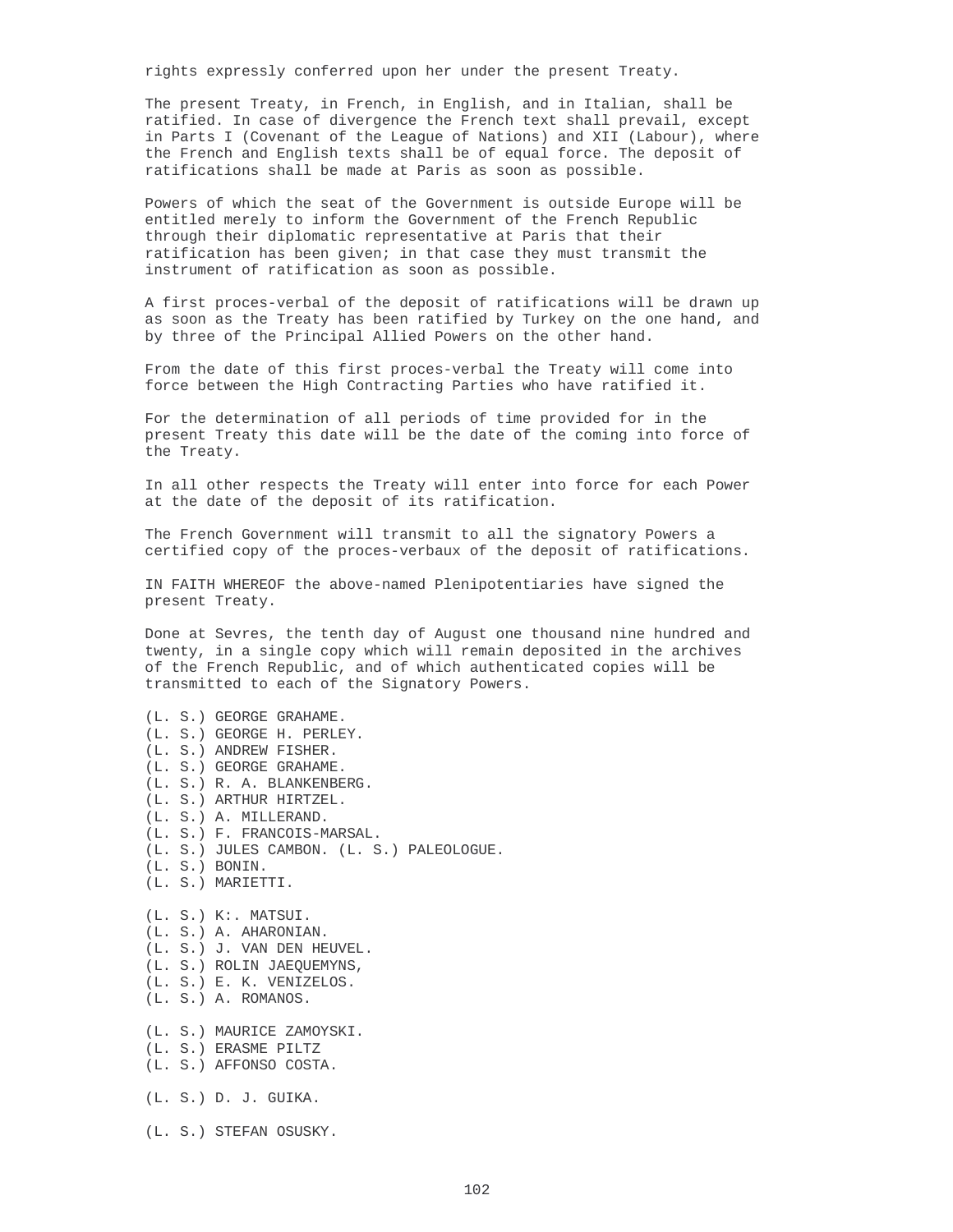rights expressly conferred upon her under the present Treaty.

The present Treaty, in French, in English, and in Italian, shall be ratified. In case of divergence the French text shall prevail, except in Parts I (Covenant of the League of Nations) and XII (Labour), where the French and English texts shall be of equal force. The deposit of ratifications shall be made at Paris as soon as possible.

Powers of which the seat of the Government is outside Europe will be entitled merely to inform the Government of the French Republic through their diplomatic representative at Paris that their ratification has been given; in that case they must transmit the instrument of ratification as soon as possible.

A first proces-verbal of the deposit of ratifications will be drawn up as soon as the Treaty has been ratified by Turkey on the one hand, and by three of the Principal Allied Powers on the other hand.

From the date of this first proces-verbal the Treaty will come into force between the High Contracting Parties who have ratified it.

For the determination of all periods of time provided for in the present Treaty this date will be the date of the coming into force of the Treaty.

In all other respects the Treaty will enter into force for each Power at the date of the deposit of its ratification.

The French Government will transmit to all the signatory Powers a certified copy of the proces-verbaux of the deposit of ratifications.

IN FAITH WHEREOF the above-named Plenipotentiaries have signed the present Treaty.

Done at Sevres, the tenth day of August one thousand nine hundred and twenty, in a single copy which will remain deposited in the archives of the French Republic, and of which authenticated copies will be transmitted to each of the Signatory Powers.

(L. S.) GEORGE GRAHAME. (L. S.) GEORGE H. PERLEY. (L. S.) ANDREW FISHER. (L. S.) GEORGE GRAHAME. (L. S.) R. A. BLANKENBERG. (L. S.) ARTHUR HIRTZEL. (L. S.) A. MILLERAND. (L. S.) F. FRANCOIS-MARSAL. (L. S.) JULES CAMBON. (L. S.) PALEOLOGUE. (L. S.) BONIN. (L. S.) MARIETTI. (L. S.) K:. MATSUI. (L. S.) A. AHARONIAN. (L. S.) J. VAN DEN HEUVEL. (L. S.) ROLIN JAEQUEMYNS, (L. S.) E. K. VENIZELOS. (L. S.) A. ROMANOS. (L. S.) MAURICE ZAMOYSKI. (L. S.) ERASME PILTZ (L. S.) AFFONSO COSTA. (L. S.) D. J. GUIKA. (L. S.) STEFAN OSUSKY.